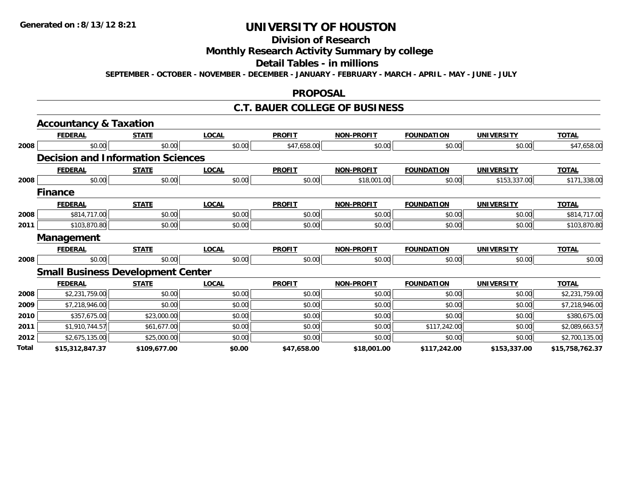# **Division of Research**

## **Monthly Research Activity Summary by college**

#### **Detail Tables - in millions**

**SEPTEMBER - OCTOBER - NOVEMBER - DECEMBER - JANUARY - FEBRUARY - MARCH - APRIL - MAY - JUNE - JULY**

### **PROPOSAL**

### **C.T. BAUER COLLEGE OF BUSINESS**

|       | <b>Accountancy &amp; Taxation</b>        |              |              |               |                   |                   |                   |                 |
|-------|------------------------------------------|--------------|--------------|---------------|-------------------|-------------------|-------------------|-----------------|
|       | <b>FEDERAL</b>                           | <b>STATE</b> | <b>LOCAL</b> | <b>PROFIT</b> | <b>NON-PROFIT</b> | <b>FOUNDATION</b> | <b>UNIVERSITY</b> | <b>TOTAL</b>    |
| 2008  | \$0.00                                   | \$0.00       | \$0.00       | \$47,658.00   | \$0.00            | \$0.00            | \$0.00            | \$47,658.00     |
|       | <b>Decision and Information Sciences</b> |              |              |               |                   |                   |                   |                 |
|       | <b>FEDERAL</b>                           | <b>STATE</b> | <b>LOCAL</b> | <b>PROFIT</b> | <b>NON-PROFIT</b> | <b>FOUNDATION</b> | <b>UNIVERSITY</b> | <b>TOTAL</b>    |
| 2008  | \$0.00                                   | \$0.00       | \$0.00       | \$0.00        | \$18,001.00       | \$0.00            | \$153,337.00      | \$171,338.00    |
|       | <b>Finance</b>                           |              |              |               |                   |                   |                   |                 |
|       | <b>FEDERAL</b>                           | <b>STATE</b> | <b>LOCAL</b> | <b>PROFIT</b> | <b>NON-PROFIT</b> | <b>FOUNDATION</b> | <b>UNIVERSITY</b> | <b>TOTAL</b>    |
| 2008  | \$814,717.00                             | \$0.00       | \$0.00       | \$0.00        | \$0.00            | \$0.00            | \$0.00            | \$814,717.00    |
| 2011  | \$103,870.80                             | \$0.00       | \$0.00       | \$0.00        | \$0.00            | \$0.00            | \$0.00            | \$103,870.80    |
|       | <b>Management</b>                        |              |              |               |                   |                   |                   |                 |
|       | <b>FEDERAL</b>                           | <b>STATE</b> | <b>LOCAL</b> | <b>PROFIT</b> | <b>NON-PROFIT</b> | <b>FOUNDATION</b> | <b>UNIVERSITY</b> | <b>TOTAL</b>    |
| 2008  | \$0.00                                   | \$0.00       | \$0.00       | \$0.00        | \$0.00            | \$0.00            | \$0.00            | \$0.00          |
|       | <b>Small Business Development Center</b> |              |              |               |                   |                   |                   |                 |
|       | <b>FEDERAL</b>                           | <b>STATE</b> | <b>LOCAL</b> | <b>PROFIT</b> | <b>NON-PROFIT</b> | <b>FOUNDATION</b> | <b>UNIVERSITY</b> | <b>TOTAL</b>    |
| 2008  | \$2,231,759.00                           | \$0.00       | \$0.00       | \$0.00        | \$0.00            | \$0.00            | \$0.00            | \$2,231,759.00  |
| 2009  | \$7,218,946.00                           | \$0.00       | \$0.00       | \$0.00        | \$0.00            | \$0.00            | \$0.00            | \$7,218,946.00  |
| 2010  | \$357,675.00                             | \$23,000.00  | \$0.00       | \$0.00        | \$0.00            | \$0.00            | \$0.00            | \$380,675.00    |
| 2011  | \$1,910,744.57                           | \$61,677.00  | \$0.00       | \$0.00        | \$0.00            | \$117,242.00      | \$0.00            | \$2,089,663.57  |
| 2012  | \$2,675,135.00                           | \$25,000.00  | \$0.00       | \$0.00        | \$0.00            | \$0.00            | \$0.00            | \$2,700,135.00  |
| Total | \$15,312,847.37                          | \$109,677.00 | \$0.00       | \$47,658.00   | \$18,001.00       | \$117,242.00      | \$153,337.00      | \$15,758,762.37 |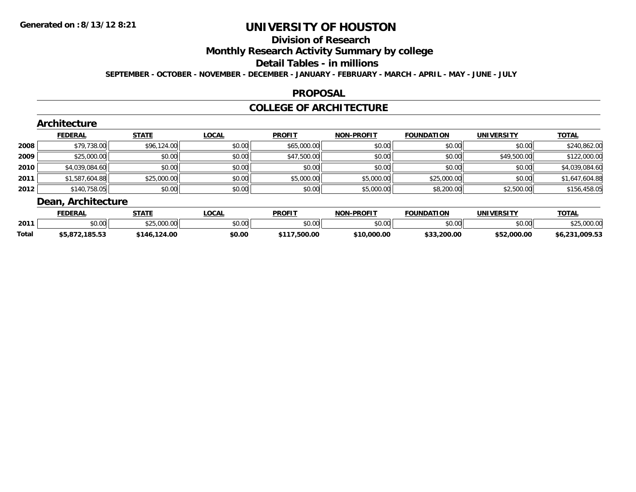# **Division of Research**

**Monthly Research Activity Summary by college**

#### **Detail Tables - in millions**

**SEPTEMBER - OCTOBER - NOVEMBER - DECEMBER - JANUARY - FEBRUARY - MARCH - APRIL - MAY - JUNE - JULY**

### **PROPOSAL**

### **COLLEGE OF ARCHITECTURE**

|        | Architecture       |              |              |               |                   |                   |                   |                |
|--------|--------------------|--------------|--------------|---------------|-------------------|-------------------|-------------------|----------------|
|        | <b>FEDERAL</b>     | <b>STATE</b> | <b>LOCAL</b> | <b>PROFIT</b> | <b>NON-PROFIT</b> | <b>FOUNDATION</b> | <b>UNIVERSITY</b> | <b>TOTAL</b>   |
| 2008   | \$79,738.00        | \$96,124.00  | \$0.00       | \$65,000.00   | \$0.00            | \$0.00            | \$0.00            | \$240,862.00   |
| 2009   | \$25,000.00        | \$0.00       | \$0.00       | \$47,500.00   | \$0.00            | \$0.00            | \$49,500.00       | \$122,000.00   |
| ا 2010 | \$4,039,084.60     | \$0.00       | \$0.00       | \$0.00        | \$0.00            | \$0.00            | \$0.00            | \$4,039,084.60 |
| 2011   | \$1,587,604.88     | \$25,000.00  | \$0.00       | \$5,000.00    | \$5,000.00        | \$25,000.00       | \$0.00            | \$1,647,604.88 |
| 2012   | \$140,758.05       | \$0.00       | \$0.00       | \$0.00        | \$5,000.00        | \$8,200.00        | \$2,500.00        | \$156,458.05   |
|        | Dean, Architecture |              |              |               |                   |                   |                   |                |

|       | <b>FEDERAL</b> | <b>STATE</b> | .OCAL         | <b>PROFIT</b> | -PROFIT<br>NON | <b>FOUNDATION</b> | UNIVERSITY  | <b>TOTAL</b>    |
|-------|----------------|--------------|---------------|---------------|----------------|-------------------|-------------|-----------------|
| 2011  | \$0.00         | \$25,000.00  | 0000<br>vu.uu | 0000<br>JU.UU | \$0.00         | \$0.00            | \$0.00      | 00000<br>vuutuu |
| Total | \$5,872,185.53 | 124.00<br>.  | \$0.00        | \$117,500.00  | \$10,000.00    | \$33,200.00       | \$52,000.00 | \$6,231,009.53  |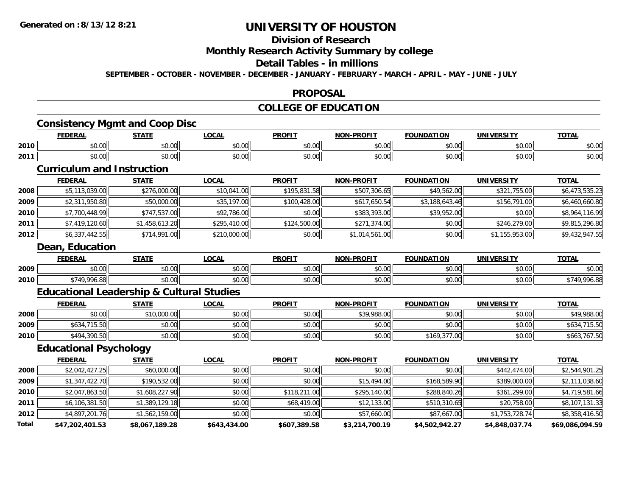## **Division of Research**

## **Monthly Research Activity Summary by college**

#### **Detail Tables - in millions**

**SEPTEMBER - OCTOBER - NOVEMBER - DECEMBER - JANUARY - FEBRUARY - MARCH - APRIL - MAY - JUNE - JULY**

#### **PROPOSAL**

## **COLLEGE OF EDUCATION**

## **Consistency Mgmt and Coop Disc**

|      | <b>FEDERAL</b>           | <b>STATE</b>                      | .OCAI          | <b>PROFIT</b> | -PROFIT<br><b>NON</b> | <b>FOUNDATION</b> | UNIVERSITY | TOTA.<br>ີ |
|------|--------------------------|-----------------------------------|----------------|---------------|-----------------------|-------------------|------------|------------|
| 2010 | ሶስ ሰሰ<br>⊸⊍∪.∪⊍          | 0.00<br>JU.UU                     | 0000<br>\$U.UC | 0.00<br>וט.טי | 0.00<br>ง∪.∪บ         | \$0.00            | \$0.00     | \$0.00     |
| 2011 | ቀስ ስስ<br>DU.UU           | 0.00<br>JU.UU                     | \$0.00         | 0.00<br>,uu   | 0000<br>DU.UG         | \$0.00            | \$0.00     | \$0.00     |
|      | the contract of the con- | the company's company's company's |                |               |                       |                   |            |            |

### **Curriculum and Instruction**

|      | <b>FEDERAL</b>  | <b>STATE</b>   | <b>LOCAL</b> | <b>PROFIT</b> | <b>NON-PROFIT</b> | <b>FOUNDATION</b> | <b>UNIVERSITY</b> | <b>TOTAL</b>   |
|------|-----------------|----------------|--------------|---------------|-------------------|-------------------|-------------------|----------------|
| 2008 | \$5,113,039.00  | \$276,000.00   | \$10,041.00  | \$195,831.58  | \$507,306.65      | \$49,562.00       | \$321,755.00      | \$6,473,535.23 |
| 2009 | \$2,311,950.80  | \$50,000.00    | \$35,197.00  | \$100,428.00  | \$617,650.54      | \$3,188,643.46    | \$156,791.00      | \$6,460,660.80 |
| 2010 | \$7,700,448.99  | \$747,537.00   | \$92,786.00  | \$0.00        | \$383,393.00      | \$39,952.00       | \$0.00            | \$8,964,116.99 |
| 2011 | \$7,419,120.60  | \$1,458,613.20 | \$295,410.00 | \$124,500.00  | \$271,374.00      | \$0.00            | \$246,279.00      | \$9,815,296.80 |
| 2012 | \$6,337,442.55  | \$714,991.00   | \$210,000.00 | \$0.00        | \$1,014,561.00    | \$0.00            | \$1,155,953.00    | \$9,432,947.55 |
|      | Dean, Education |                |              |               |                   |                   |                   |                |

|      | <b>FEDERAI</b>            | <b>CTATE</b>  | _OCAL  | <b>PROFIT</b> | -PROFIT<br>NON. | <b>FOUNDATION</b> | <b>UNIVERSITY</b>    | <b>TOTAL</b> |
|------|---------------------------|---------------|--------|---------------|-----------------|-------------------|----------------------|--------------|
| 2009 | $\sim$<br>$\sim$<br>40.00 | 0.00<br>vv.vv | \$0.00 | 0000<br>vv.vv | 0000<br>vv.vv   | \$0.00            | 0000<br><b>JU.UU</b> | \$0.00       |
| 2010 | ີ 996.oc<br>, ,           | 0000<br>JU.UU | \$0.00 | 0000<br>JU.UU | 0000<br>vv.vv   | \$0.00            | 0000<br><b>JU.UU</b> | 00A          |

## **Educational Leadership & Cultural Studies**

|      | <b>FEDERAL</b> | <b>STATE</b> | <u>LOCAL</u> | <b>PROFIT</b> | <b>NON-PROFIT</b> | <b>FOUNDATION</b> | <b>UNIVERSITY</b> | <b>TOTAL</b> |
|------|----------------|--------------|--------------|---------------|-------------------|-------------------|-------------------|--------------|
| 2008 | \$0.00         | \$10,000.00  | \$0.00       | \$0.00        | \$39,988.00       | \$0.00            | \$0.00            | \$49,988.00  |
| 2009 | \$634,715.50   | \$0.00       | \$0.00       | \$0.00        | \$0.00            | \$0.00            | \$0.00            | \$634,715.50 |
| 2010 | \$494,390.50   | \$0.00       | \$0.00       | \$0.00        | \$0.00            | \$169,377.00      | \$0.00            | \$663,767.50 |

## **Educational Psychology**

|       | <b>FEDERAL</b>  | <b>STATE</b>   | <u>LOCAL</u> | <b>PROFIT</b> | <b>NON-PROFIT</b> | <b>FOUNDATION</b> | UNIVERSITY     | <b>TOTAL</b>    |
|-------|-----------------|----------------|--------------|---------------|-------------------|-------------------|----------------|-----------------|
| 2008  | \$2,042,427.25  | \$60,000.00    | \$0.00       | \$0.00        | \$0.00            | \$0.00            | \$442,474.00   | \$2,544,901.25  |
| 2009  | \$1,347,422.70  | \$190,532.00   | \$0.00       | \$0.00        | \$15,494.00       | \$168,589.90      | \$389,000.00   | \$2,111,038.60  |
| 2010  | \$2,047,863.50  | \$1,608,227.90 | \$0.00       | \$118,211.00  | \$295,140.00      | \$288,840.26      | \$361,299,00   | \$4,719,581.66  |
| 2011  | \$6,106,381.50  | \$1,389,129.18 | \$0.00       | \$68,419.00   | \$12,133.00       | \$510,310.65      | \$20,758.00    | \$8,107,131.33  |
| 2012  | \$4,897,201.76  | \$1,562,159.00 | \$0.00       | \$0.00        | \$57,660.00       | \$87,667.00       | \$1,753,728.74 | \$8,358,416.50  |
| Total | \$47,202,401.53 | \$8,067,189.28 | \$643,434.00 | \$607,389.58  | \$3,214,700.19    | \$4,502,942.27    | \$4,848,037.74 | \$69,086,094.59 |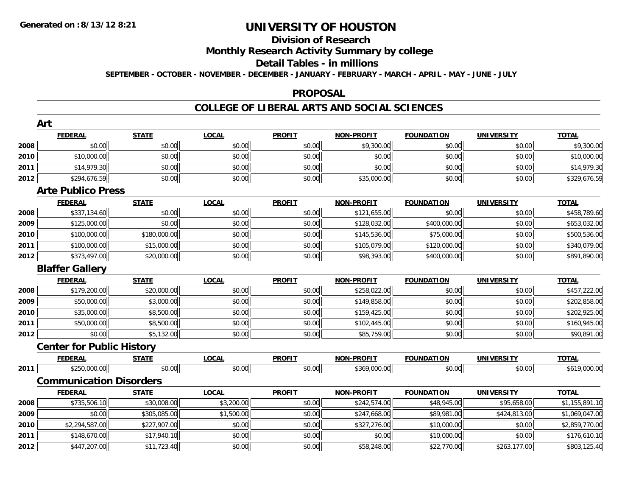# **Division of Research**

**Monthly Research Activity Summary by college**

#### **Detail Tables - in millions**

**SEPTEMBER - OCTOBER - NOVEMBER - DECEMBER - JANUARY - FEBRUARY - MARCH - APRIL - MAY - JUNE - JULY**

### **PROPOSAL**

## **COLLEGE OF LIBERAL ARTS AND SOCIAL SCIENCES**

|      | Art                              |              |              |               |                   |                   |                   |                |
|------|----------------------------------|--------------|--------------|---------------|-------------------|-------------------|-------------------|----------------|
|      | <b>FEDERAL</b>                   | <b>STATE</b> | <b>LOCAL</b> | <b>PROFIT</b> | <b>NON-PROFIT</b> | <b>FOUNDATION</b> | <b>UNIVERSITY</b> | <b>TOTAL</b>   |
| 2008 | \$0.00                           | \$0.00       | \$0.00       | \$0.00        | \$9,300.00        | \$0.00            | \$0.00            | \$9,300.00     |
| 2010 | \$10,000.00                      | \$0.00       | \$0.00       | \$0.00        | \$0.00            | \$0.00            | \$0.00            | \$10,000.00    |
| 2011 | \$14,979.30                      | \$0.00       | \$0.00       | \$0.00        | \$0.00            | \$0.00            | \$0.00            | \$14,979.30    |
| 2012 | \$294,676.59                     | \$0.00       | \$0.00       | \$0.00        | \$35,000.00       | \$0.00            | \$0.00            | \$329,676.59   |
|      | <b>Arte Publico Press</b>        |              |              |               |                   |                   |                   |                |
|      | <b>FEDERAL</b>                   | <b>STATE</b> | <b>LOCAL</b> | <b>PROFIT</b> | <b>NON-PROFIT</b> | <b>FOUNDATION</b> | <b>UNIVERSITY</b> | <b>TOTAL</b>   |
| 2008 | \$337,134.60                     | \$0.00       | \$0.00       | \$0.00        | \$121,655.00      | \$0.00            | \$0.00            | \$458,789.60   |
| 2009 | \$125,000.00                     | \$0.00       | \$0.00       | \$0.00        | \$128,032.00      | \$400,000.00      | \$0.00            | \$653,032.00   |
| 2010 | \$100,000.00                     | \$180,000.00 | \$0.00       | \$0.00        | \$145,536.00      | \$75,000.00       | \$0.00            | \$500,536.00   |
| 2011 | \$100,000.00                     | \$15,000.00  | \$0.00       | \$0.00        | \$105,079.00      | \$120,000.00      | \$0.00            | \$340,079.00   |
| 2012 | \$373,497.00                     | \$20,000.00  | \$0.00       | \$0.00        | \$98,393.00       | \$400,000.00      | \$0.00            | \$891,890.00   |
|      | <b>Blaffer Gallery</b>           |              |              |               |                   |                   |                   |                |
|      | <b>FEDERAL</b>                   | <b>STATE</b> | <b>LOCAL</b> | <b>PROFIT</b> | <b>NON-PROFIT</b> | <b>FOUNDATION</b> | <b>UNIVERSITY</b> | <b>TOTAL</b>   |
| 2008 | \$179,200.00                     | \$20,000.00  | \$0.00       | \$0.00        | \$258,022.00      | \$0.00            | \$0.00            | \$457,222.00   |
| 2009 | \$50,000.00                      | \$3,000.00   | \$0.00       | \$0.00        | \$149,858.00      | \$0.00            | \$0.00            | \$202,858.00   |
| 2010 | \$35,000.00                      | \$8,500.00   | \$0.00       | \$0.00        | \$159,425.00      | \$0.00            | \$0.00            | \$202,925.00   |
| 2011 | \$50,000.00                      | \$8,500.00   | \$0.00       | \$0.00        | \$102,445.00      | \$0.00            | \$0.00            | \$160,945.00   |
| 2012 | \$0.00                           | \$5,132.00   | \$0.00       | \$0.00        | \$85,759.00       | \$0.00            | \$0.00            | \$90,891.00    |
|      | <b>Center for Public History</b> |              |              |               |                   |                   |                   |                |
|      | <b>FEDERAL</b>                   | <b>STATE</b> | <b>LOCAL</b> | <b>PROFIT</b> | <b>NON-PROFIT</b> | <b>FOUNDATION</b> | <b>UNIVERSITY</b> | <b>TOTAL</b>   |
| 2011 | \$250,000.00                     | \$0.00       | \$0.00       | \$0.00        | \$369,000.00      | \$0.00            | \$0.00            | \$619,000.00   |
|      | <b>Communication Disorders</b>   |              |              |               |                   |                   |                   |                |
|      | <b>FEDERAL</b>                   | <b>STATE</b> | <b>LOCAL</b> | <b>PROFIT</b> | <b>NON-PROFIT</b> | <b>FOUNDATION</b> | <b>UNIVERSITY</b> | <b>TOTAL</b>   |
| 2008 | \$735,506.10                     | \$30,008.00  | \$3,200.00   | \$0.00        | \$242,574.00      | \$48,945.00       | \$95,658.00       | \$1,155,891.10 |
| 2009 | \$0.00                           | \$305,085.00 | \$1,500.00   | \$0.00        | \$247,668.00      | \$89,981.00       | \$424,813.00      | \$1,069,047.00 |
| 2010 | \$2,294,587.00                   | \$227,907.00 | \$0.00       | \$0.00        | \$327,276.00      | \$10,000.00       | \$0.00            | \$2,859,770.00 |
| 2011 | \$148,670.00                     | \$17,940.10  | \$0.00       | \$0.00        | \$0.00            | \$10,000.00       | \$0.00            | \$176,610.10   |
| 2012 | \$447,207.00                     | \$11,723.40  | \$0.00       | \$0.00        | \$58,248.00       | \$22,770.00       | \$263,177.00      | \$803,125.40   |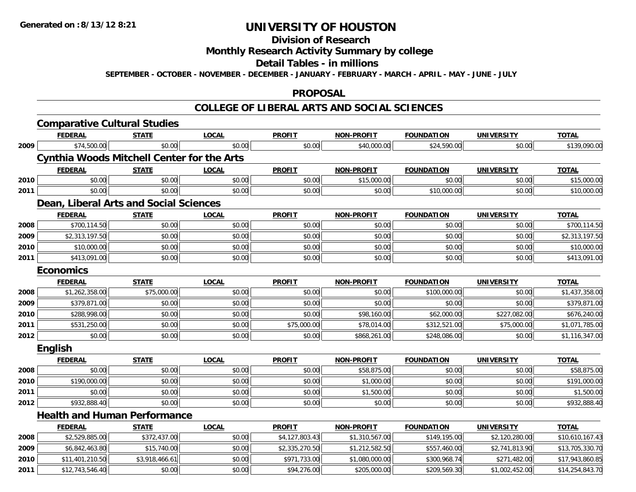# **Division of Research**

## **Monthly Research Activity Summary by college**

#### **Detail Tables - in millions**

**SEPTEMBER - OCTOBER - NOVEMBER - DECEMBER - JANUARY - FEBRUARY - MARCH - APRIL - MAY - JUNE - JULY**

### **PROPOSAL**

### **COLLEGE OF LIBERAL ARTS AND SOCIAL SCIENCES**

|      | <b>Comparative Cultural Studies</b>               |                |              |                |                   |                   |                   |                 |
|------|---------------------------------------------------|----------------|--------------|----------------|-------------------|-------------------|-------------------|-----------------|
|      | <b>FEDERAL</b>                                    | <b>STATE</b>   | <b>LOCAL</b> | <b>PROFIT</b>  | <b>NON-PROFIT</b> | <b>FOUNDATION</b> | <b>UNIVERSITY</b> | <b>TOTAL</b>    |
| 2009 | \$74,500.00                                       | \$0.00         | \$0.00       | \$0.00         | \$40,000.00       | \$24,590.00       | \$0.00            | \$139,090.00    |
|      | <b>Cynthia Woods Mitchell Center for the Arts</b> |                |              |                |                   |                   |                   |                 |
|      | <b>FEDERAL</b>                                    | <b>STATE</b>   | <b>LOCAL</b> | <b>PROFIT</b>  | <b>NON-PROFIT</b> | <b>FOUNDATION</b> | <b>UNIVERSITY</b> | <b>TOTAL</b>    |
| 2010 | \$0.00                                            | \$0.00         | \$0.00       | \$0.00         | \$15,000.00       | \$0.00            | \$0.00            | \$15,000.00     |
| 2011 | \$0.00                                            | \$0.00         | \$0.00       | \$0.00         | \$0.00            | \$10,000.00       | \$0.00            | \$10,000.00     |
|      | Dean, Liberal Arts and Social Sciences            |                |              |                |                   |                   |                   |                 |
|      | <b>FEDERAL</b>                                    | <b>STATE</b>   | <b>LOCAL</b> | <b>PROFIT</b>  | <b>NON-PROFIT</b> | <b>FOUNDATION</b> | <b>UNIVERSITY</b> | <b>TOTAL</b>    |
| 2008 | \$700,114.50                                      | \$0.00         | \$0.00       | \$0.00         | \$0.00            | \$0.00            | \$0.00            | \$700,114.50    |
| 2009 | \$2,313,197.50                                    | \$0.00         | \$0.00       | \$0.00         | \$0.00            | \$0.00            | \$0.00            | \$2,313,197.50  |
| 2010 | \$10,000.00                                       | \$0.00         | \$0.00       | \$0.00         | \$0.00            | \$0.00            | \$0.00            | \$10,000.00     |
| 2011 | \$413,091.00                                      | \$0.00         | \$0.00       | \$0.00         | \$0.00            | \$0.00            | \$0.00            | \$413,091.00    |
|      | <b>Economics</b>                                  |                |              |                |                   |                   |                   |                 |
|      | <b>FEDERAL</b>                                    | <b>STATE</b>   | <b>LOCAL</b> | <b>PROFIT</b>  | <b>NON-PROFIT</b> | <b>FOUNDATION</b> | <b>UNIVERSITY</b> | <b>TOTAL</b>    |
| 2008 | \$1,262,358.00                                    | \$75,000.00    | \$0.00       | \$0.00         | \$0.00            | \$100,000.00      | \$0.00            | \$1,437,358.00  |
| 2009 | \$379,871.00                                      | \$0.00         | \$0.00       | \$0.00         | \$0.00            | \$0.00            | \$0.00            | \$379,871.00    |
| 2010 | \$288,998.00                                      | \$0.00         | \$0.00       | \$0.00         | \$98,160.00       | \$62,000.00       | \$227,082.00      | \$676,240.00    |
| 2011 | \$531,250.00                                      | \$0.00         | \$0.00       | \$75,000.00    | \$78,014.00       | \$312,521.00      | \$75,000.00       | \$1,071,785.00  |
| 2012 | \$0.00                                            | \$0.00         | \$0.00       | \$0.00         | \$868,261.00      | \$248,086.00      | \$0.00            | \$1,116,347.00  |
|      | English                                           |                |              |                |                   |                   |                   |                 |
|      | <b>FEDERAL</b>                                    | <b>STATE</b>   | <b>LOCAL</b> | <b>PROFIT</b>  | <b>NON-PROFIT</b> | <b>FOUNDATION</b> | <b>UNIVERSITY</b> | <b>TOTAL</b>    |
| 2008 | \$0.00                                            | \$0.00         | \$0.00       | \$0.00         | \$58,875.00       | \$0.00            | \$0.00            | \$58,875.00     |
| 2010 | \$190,000.00                                      | \$0.00         | \$0.00       | \$0.00         | \$1,000.00        | \$0.00            | \$0.00            | \$191,000.00    |
| 2011 | \$0.00                                            | \$0.00         | \$0.00       | \$0.00         | \$1,500.00        | \$0.00            | \$0.00            | \$1,500.00      |
| 2012 | \$932,888.40                                      | \$0.00         | \$0.00       | \$0.00         | \$0.00            | \$0.00            | \$0.00            | \$932,888.40    |
|      | <b>Health and Human Performance</b>               |                |              |                |                   |                   |                   |                 |
|      | <b>FEDERAL</b>                                    | <b>STATE</b>   | <b>LOCAL</b> | <b>PROFIT</b>  | <b>NON-PROFIT</b> | <b>FOUNDATION</b> | <b>UNIVERSITY</b> | <b>TOTAL</b>    |
| 2008 | \$2,529,885.00                                    | \$372,437.00   | \$0.00       | \$4,127,803.43 | \$1,310,567.00    | \$149,195.00      | \$2,120,280.00    | \$10,610,167.43 |
| 2009 | \$6,842,463.80                                    | \$15,740.00    | \$0.00       | \$2,335,270.50 | \$1,212,582.50    | \$557,460.00      | \$2,741,813.90    | \$13,705,330.70 |
| 2010 | \$11,401,210.50                                   | \$3,918,466.61 | \$0.00       | \$971,733.00   | \$1,080,000.00    | \$300,968.74      | \$271,482.00      | \$17,943,860.85 |
| 2011 | \$12,743,546.40                                   | \$0.00         | \$0.00       | \$94,276.00    | \$205,000.00      | \$209,569.30      | \$1,002,452.00    | \$14,254,843.70 |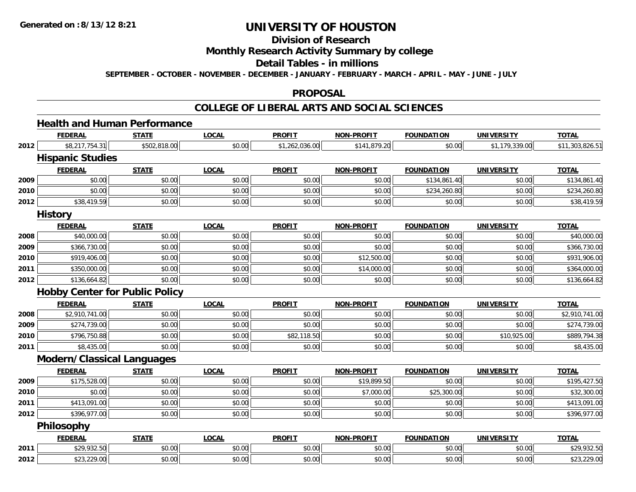# **Division of Research**

## **Monthly Research Activity Summary by college**

#### **Detail Tables - in millions**

**SEPTEMBER - OCTOBER - NOVEMBER - DECEMBER - JANUARY - FEBRUARY - MARCH - APRIL - MAY - JUNE - JULY**

#### **PROPOSAL**

### **COLLEGE OF LIBERAL ARTS AND SOCIAL SCIENCES**

## **Health and Human Performance**

|      | <b>FEDERAL</b>          | <b>STATE</b>                          | <b>LOCAL</b> | <b>PROFIT</b>  | <b>NON-PROFIT</b> | <b>FOUNDATION</b> | <b>UNIVERSITY</b> | <b>TOTAL</b>    |
|------|-------------------------|---------------------------------------|--------------|----------------|-------------------|-------------------|-------------------|-----------------|
| 2012 | \$8,217,754.31          | \$502,818.00                          | \$0.00       | \$1,262,036.00 | \$141,879.20      | \$0.00            | \$1,179,339.00    | \$11,303,826.51 |
|      | <b>Hispanic Studies</b> |                                       |              |                |                   |                   |                   |                 |
|      | <b>FEDERAL</b>          | <b>STATE</b>                          | <b>LOCAL</b> | <b>PROFIT</b>  | <b>NON-PROFIT</b> | <b>FOUNDATION</b> | <b>UNIVERSITY</b> | <b>TOTAL</b>    |
| 2009 | \$0.00                  | \$0.00                                | \$0.00       | \$0.00         | \$0.00            | \$134,861.40      | \$0.00            | \$134,861.40    |
| 2010 | \$0.00                  | \$0.00                                | \$0.00       | \$0.00         | \$0.00            | \$234,260.80      | \$0.00            | \$234,260.80    |
| 2012 | \$38,419.59             | \$0.00                                | \$0.00       | \$0.00         | \$0.00            | \$0.00            | \$0.00            | \$38,419.59     |
|      | <b>History</b>          |                                       |              |                |                   |                   |                   |                 |
|      | <b>FEDERAL</b>          | <b>STATE</b>                          | <b>LOCAL</b> | <b>PROFIT</b>  | <b>NON-PROFIT</b> | <b>FOUNDATION</b> | <b>UNIVERSITY</b> | <b>TOTAL</b>    |
| 2008 | \$40,000.00             | \$0.00                                | \$0.00       | \$0.00         | \$0.00            | \$0.00            | \$0.00            | \$40,000.00     |
| 2009 | \$366,730.00            | \$0.00                                | \$0.00       | \$0.00         | \$0.00            | \$0.00            | \$0.00            | \$366,730.00    |
| 2010 | \$919,406.00            | \$0.00                                | \$0.00       | \$0.00         | \$12,500.00       | \$0.00            | \$0.00            | \$931,906.00    |
| 2011 | \$350,000.00            | \$0.00                                | \$0.00       | \$0.00         | \$14,000.00       | \$0.00            | \$0.00            | \$364,000.00    |
| 2012 | \$136,664.82            | \$0.00                                | \$0.00       | \$0.00         | \$0.00            | \$0.00            | \$0.00            | \$136,664.82    |
|      |                         | <b>Hobby Center for Public Policy</b> |              |                |                   |                   |                   |                 |
|      |                         |                                       |              |                |                   |                   |                   |                 |
|      | <b>FEDERAL</b>          | <b>STATE</b>                          | <b>LOCAL</b> | <b>PROFIT</b>  | <b>NON-PROFIT</b> | <b>FOUNDATION</b> | <b>UNIVERSITY</b> | <b>TOTAL</b>    |
| 2008 | \$2,910,741.00          | \$0.00                                | \$0.00       | \$0.00         | \$0.00            | \$0.00            | \$0.00            | \$2,910,741.00  |
| 2009 | \$274,739.00            | \$0.00                                | \$0.00       | \$0.00         | \$0.00            | \$0.00            | \$0.00            | \$274,739.00    |
| 2010 | \$796,750.88            | \$0.00                                | \$0.00       | \$82,118.50    | \$0.00            | \$0.00            | \$10,925.00       | \$889,794.38    |
| 2011 | \$8,435.00              | \$0.00                                | \$0.00       | \$0.00         | \$0.00            | \$0.00            | \$0.00            | \$8,435.00      |
|      |                         | <b>Modern/Classical Languages</b>     |              |                |                   |                   |                   |                 |
|      | <b>FEDERAL</b>          | <b>STATE</b>                          | <b>LOCAL</b> | <b>PROFIT</b>  | <b>NON-PROFIT</b> | <b>FOUNDATION</b> | <b>UNIVERSITY</b> | <b>TOTAL</b>    |
| 2009 | \$175,528.00            | \$0.00                                | \$0.00       | \$0.00         | \$19,899.50       | \$0.00            | \$0.00            | \$195,427.50    |
| 2010 | \$0.00                  | \$0.00                                | \$0.00       | \$0.00         | \$7,000.00        | \$25,300.00       | \$0.00            | \$32,300.00     |
| 2011 | \$413,091.00            | \$0.00                                | \$0.00       | \$0.00         | \$0.00            | \$0.00            | \$0.00            | \$413,091.00    |
| 2012 | \$396,977.00            | \$0.00                                | \$0.00       | \$0.00         | \$0.00            | \$0.00            | \$0.00            | \$396,977.00    |
|      | <b>Philosophy</b>       |                                       |              |                |                   |                   |                   |                 |
|      | <b>FEDERAL</b>          | <b>STATE</b>                          | <b>LOCAL</b> | <b>PROFIT</b>  | <b>NON-PROFIT</b> | <b>FOUNDATION</b> | <b>UNIVERSITY</b> | <b>TOTAL</b>    |
| 2011 | \$29,932.50             | \$0.00                                | \$0.00       | \$0.00         | \$0.00            | \$0.00            | \$0.00            | \$29,932.50     |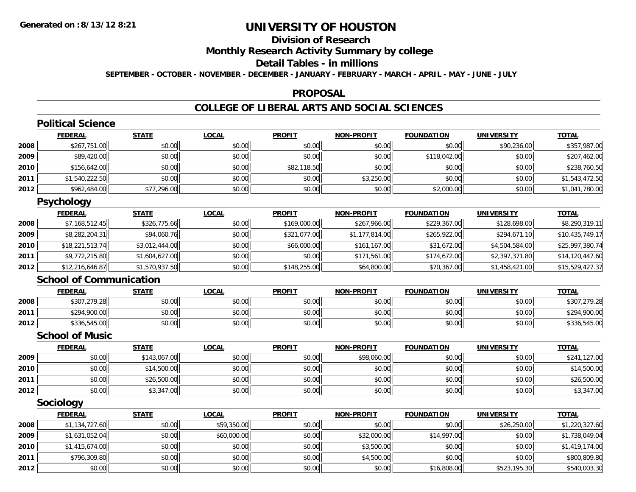**2012**

# **UNIVERSITY OF HOUSTON**

# **Division of Research**

**Monthly Research Activity Summary by college**

#### **Detail Tables - in millions**

**SEPTEMBER - OCTOBER - NOVEMBER - DECEMBER - JANUARY - FEBRUARY - MARCH - APRIL - MAY - JUNE - JULY**

### **PROPOSAL**

## **COLLEGE OF LIBERAL ARTS AND SOCIAL SCIENCES**

|      | <b>Political Science</b>       |                |              |               |                   |                   |                   |                 |
|------|--------------------------------|----------------|--------------|---------------|-------------------|-------------------|-------------------|-----------------|
|      | <b>FEDERAL</b>                 | <b>STATE</b>   | <b>LOCAL</b> | <b>PROFIT</b> | <b>NON-PROFIT</b> | <b>FOUNDATION</b> | <b>UNIVERSITY</b> | <b>TOTAL</b>    |
| 2008 | \$267,751.00                   | \$0.00         | \$0.00       | \$0.00        | \$0.00            | \$0.00            | \$90,236.00       | \$357,987.00    |
| 2009 | \$89,420.00                    | \$0.00         | \$0.00       | \$0.00        | \$0.00            | \$118,042.00      | \$0.00            | \$207,462.00    |
| 2010 | \$156,642.00                   | \$0.00         | \$0.00       | \$82,118.50   | \$0.00            | \$0.00            | \$0.00            | \$238,760.50    |
| 2011 | \$1,540,222.50                 | \$0.00         | \$0.00       | \$0.00        | \$3,250.00        | \$0.00            | \$0.00            | \$1,543,472.50  |
| 2012 | \$962,484.00                   | \$77,296.00    | \$0.00       | \$0.00        | \$0.00            | \$2,000.00        | \$0.00            | \$1,041,780.00  |
|      | <b>Psychology</b>              |                |              |               |                   |                   |                   |                 |
|      | <b>FEDERAL</b>                 | <b>STATE</b>   | <b>LOCAL</b> | <b>PROFIT</b> | <b>NON-PROFIT</b> | <b>FOUNDATION</b> | <b>UNIVERSITY</b> | <b>TOTAL</b>    |
| 2008 | \$7,168,512.45                 | \$326,775.66   | \$0.00       | \$169,000.00  | \$267,966.00      | \$229,367.00      | \$128,698.00      | \$8,290,319.11  |
| 2009 | \$8,282,204.31                 | \$94,060.76    | \$0.00       | \$321,077.00  | \$1,177,814.00    | \$265,922.00      | \$294,671.10      | \$10,435,749.17 |
| 2010 | \$18,221,513.74                | \$3,012,444.00 | \$0.00       | \$66,000.00   | \$161,167.00      | \$31,672.00       | \$4,504,584.00    | \$25,997,380.74 |
| 2011 | \$9,772,215.80                 | \$1,604,627.00 | \$0.00       | \$0.00        | \$171,561.00      | \$174,672.00      | \$2,397,371.80    | \$14,120,447.60 |
| 2012 | \$12,216,646.87                | \$1,570,937.50 | \$0.00       | \$148,255.00  | \$64,800.00       | \$70,367.00       | \$1,458,421.00    | \$15,529,427.37 |
|      | <b>School of Communication</b> |                |              |               |                   |                   |                   |                 |
|      | <b>FEDERAL</b>                 | <b>STATE</b>   | <b>LOCAL</b> | <b>PROFIT</b> | <b>NON-PROFIT</b> | <b>FOUNDATION</b> | <b>UNIVERSITY</b> | <b>TOTAL</b>    |
| 2008 | \$307,279.28                   | \$0.00         | \$0.00       | \$0.00        | \$0.00            | \$0.00            | \$0.00            | \$307,279.28    |
| 2011 | \$294,900.00                   | \$0.00         | \$0.00       | \$0.00        | \$0.00            | \$0.00            | \$0.00            | \$294,900.00    |
| 2012 | \$336,545.00                   | \$0.00         | \$0.00       | \$0.00        | \$0.00            | \$0.00            | \$0.00            | \$336,545.00    |
|      | <b>School of Music</b>         |                |              |               |                   |                   |                   |                 |
|      | <b>FEDERAL</b>                 | <b>STATE</b>   | <b>LOCAL</b> | <b>PROFIT</b> | <b>NON-PROFIT</b> | <b>FOUNDATION</b> | <b>UNIVERSITY</b> | <b>TOTAL</b>    |
| 2009 | \$0.00                         | \$143,067.00   | \$0.00       | \$0.00        | \$98,060.00       | \$0.00            | \$0.00            | \$241,127.00    |
| 2010 | \$0.00                         | \$14,500.00    | \$0.00       | \$0.00        | \$0.00            | \$0.00            | \$0.00            | \$14,500.00     |
| 2011 | \$0.00                         | \$26,500.00    | \$0.00       | \$0.00        | \$0.00            | \$0.00            | \$0.00            | \$26,500.00     |
| 2012 | \$0.00                         | \$3,347.00     | \$0.00       | \$0.00        | \$0.00            | \$0.00            | \$0.00            | \$3,347.00      |
|      | Sociology                      |                |              |               |                   |                   |                   |                 |
|      | <b>FEDERAL</b>                 | <b>STATE</b>   | <b>LOCAL</b> | <b>PROFIT</b> | <b>NON-PROFIT</b> | <b>FOUNDATION</b> | <b>UNIVERSITY</b> | <b>TOTAL</b>    |
| 2008 | \$1,134,727.60                 | \$0.00         | \$59,350.00  | \$0.00        | \$0.00            | \$0.00            | \$26,250.00       | \$1,220,327.60  |
| 2009 | \$1,631,052.04                 | \$0.00         | \$60,000.00  | \$0.00        | \$32,000.00       | \$14,997.00       | \$0.00            | \$1,738,049.04  |
| 2010 | \$1,415,674.00                 | \$0.00         | \$0.00       | \$0.00        | \$3,500.00        | \$0.00            | \$0.00            | \$1,419,174.00  |
| 2011 | \$796,309.80                   | \$0.00         | \$0.00       | \$0.00        | \$4,500.00        | \$0.00            | \$0.00            | \$800,809.80    |

2 | \$0.00 | \$0.00 \$0.00 | \$0.00 | \$16,808.00 | \$523,195.30 | \$540,003.30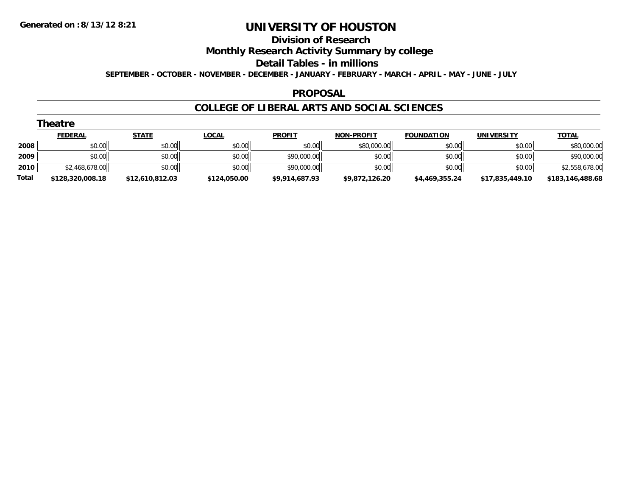#### **Division of Research**

**Monthly Research Activity Summary by college**

**Detail Tables - in millions**

**SEPTEMBER - OCTOBER - NOVEMBER - DECEMBER - JANUARY - FEBRUARY - MARCH - APRIL - MAY - JUNE - JULY**

### **PROPOSAL**

### **COLLEGE OF LIBERAL ARTS AND SOCIAL SCIENCES**

| heatre |  |  |  |  |
|--------|--|--|--|--|
|--------|--|--|--|--|

|       | <b>FEDERAL</b>   | <b>STATE</b>    | <u>LOCAL</u> | <b>PROFIT</b>  | <b>NON-PROFIT</b> | <b>FOUNDATION</b> | UNIVERSITY      | <b>TOTAL</b>     |
|-------|------------------|-----------------|--------------|----------------|-------------------|-------------------|-----------------|------------------|
| 2008  | \$0.00           | \$0.00          | \$0.00       | \$0.00         | \$80,000.00       | \$0.00            | \$0.00          | \$80,000.00      |
| 2009  | \$0.00           | \$0.00          | \$0.00       | \$90,000.00    | \$0.00            | \$0.00            | \$0.00          | \$90,000.00      |
| 2010  | \$2,468,678.00   | \$0.00          | \$0.00       | \$90,000.00    | \$0.00            | \$0.00            | \$0.00          | \$2,558,678.00   |
| Total | \$128,320,008.18 | \$12,610,812.03 | \$124,050.00 | \$9.914.687.93 | \$9.872.126.20    | \$4,469,355,24    | \$17.835.449.10 | \$183,146,488.68 |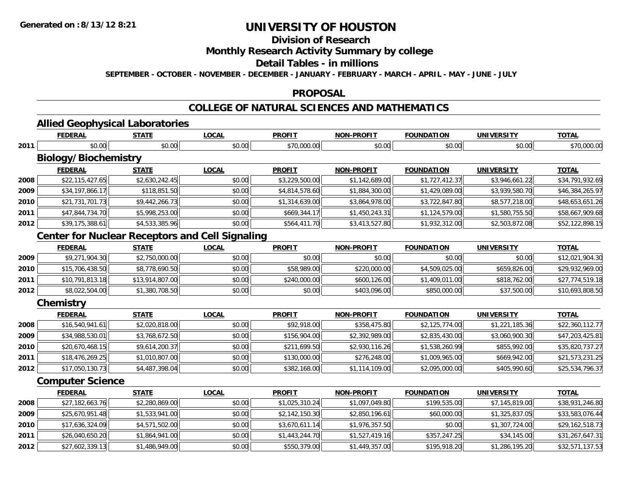## **Division of Research**

## **Monthly Research Activity Summary by college**

#### **Detail Tables - in millions**

**SEPTEMBER - OCTOBER - NOVEMBER - DECEMBER - JANUARY - FEBRUARY - MARCH - APRIL - MAY - JUNE - JULY**

### **PROPOSAL**

## **COLLEGE OF NATURAL SCIENCES AND MATHEMATICS**

# **Allied Geophysical Laboratories**

|      | <b>FEDERAL</b>                                         | <b>STATE</b>    | <b>LOCAL</b> | <b>PROFIT</b>  | <b>NON-PROFIT</b> | <b>FOUNDATION</b> | <b>UNIVERSITY</b> | <b>TOTAL</b>    |
|------|--------------------------------------------------------|-----------------|--------------|----------------|-------------------|-------------------|-------------------|-----------------|
| 2011 | \$0.00                                                 | \$0.00          | \$0.00       | \$70,000.00    | \$0.00            | \$0.00            | \$0.00            | \$70,000.00     |
|      | <b>Biology/Biochemistry</b>                            |                 |              |                |                   |                   |                   |                 |
|      | <b>FEDERAL</b>                                         | <b>STATE</b>    | <b>LOCAL</b> | <b>PROFIT</b>  | <b>NON-PROFIT</b> | <b>FOUNDATION</b> | <b>UNIVERSITY</b> | <b>TOTAL</b>    |
| 2008 | \$22,115,427.65                                        | \$2,630,242.45  | \$0.00       | \$3,229,500.00 | \$1,142,689.00    | \$1,727,412.37    | \$3,946,661.22    | \$34,791,932.69 |
| 2009 | \$34,197,866.17                                        | \$118,851.50    | \$0.00       | \$4,814,578.60 | \$1,884,300.00    | \$1,429,089.00    | \$3,939,580.70    | \$46,384,265.97 |
| 2010 | \$21,731,701.73                                        | \$9,442,266.73  | \$0.00       | \$1,314,639.00 | \$3,864,978.00    | \$3,722,847.80    | \$8,577,218.00    | \$48,653,651.26 |
| 2011 | \$47,844,734.70                                        | \$5,998,253.00  | \$0.00       | \$669,344.17   | \$1,450,243.31    | \$1,124,579.00    | \$1,580,755.50    | \$58,667,909.68 |
| 2012 | \$39,175,388.61                                        | \$4,533,385.96  | \$0.00       | \$564,411.70   | \$3,413,527.80    | \$1,932,312.00    | \$2,503,872.08    | \$52,122,898.15 |
|      | <b>Center for Nuclear Receptors and Cell Signaling</b> |                 |              |                |                   |                   |                   |                 |
|      | <b>FEDERAL</b>                                         | <b>STATE</b>    | <b>LOCAL</b> | <b>PROFIT</b>  | <b>NON-PROFIT</b> | <b>FOUNDATION</b> | <b>UNIVERSITY</b> | <b>TOTAL</b>    |
| 2009 | \$9,271,904.30                                         | \$2,750,000.00  | \$0.00       | \$0.00         | \$0.00            | \$0.00            | \$0.00            | \$12,021,904.30 |
| 2010 | \$15,706,438.50                                        | \$8,778,690.50  | \$0.00       | \$58,989.00    | \$220,000.00      | \$4,509,025.00    | \$659,826.00      | \$29,932,969.00 |
| 2011 | \$10,791,813.18                                        | \$13,914,807.00 | \$0.00       | \$240,000.00   | \$600,126.00      | \$1,409,011.00    | \$818,762.00      | \$27,774,519.18 |
| 2012 | \$8,022,504.00                                         | \$1,380,708.50  | \$0.00       | \$0.00         | \$403,096.00      | \$850,000.00      | \$37,500.00       | \$10,693,808.50 |
|      | Chemistry                                              |                 |              |                |                   |                   |                   |                 |
|      | <b>FEDERAL</b>                                         | <b>STATE</b>    | <b>LOCAL</b> | <b>PROFIT</b>  | <b>NON-PROFIT</b> | <b>FOUNDATION</b> | <b>UNIVERSITY</b> | <b>TOTAL</b>    |
| 2008 | \$16,540,941.61                                        | \$2,020,818.00  | \$0.00       | \$92,918.00    | \$358,475.80      | \$2,125,774.00    | \$1,221,185.36    | \$22,360,112.77 |
| 2009 | \$34,988,530.01                                        | \$3,768,672.50  | \$0.00       | \$156,904.00   | \$2,392,989.00    | \$2,835,430.00    | \$3,060,900.30    | \$47,203,425.81 |
| 2010 | \$20,670,468.15                                        | \$9,614,200.37  | \$0.00       | \$211,699.50   | \$2,930,116.26    | \$1,538,260.99    | \$855,992.00      | \$35,820,737.27 |
| 2011 | \$18,476,269.25                                        | \$1,010,807.00  | \$0.00       | \$130,000.00   | \$276,248.00      | \$1,009,965.00    | \$669,942.00      | \$21,573,231.25 |
| 2012 | \$17,050,130.73                                        | \$4,487,398.04  | \$0.00       | \$382,168.00   | \$1,114,109.00    | \$2,095,000.00    | \$405,990.60      | \$25,534,796.37 |
|      | <b>Computer Science</b>                                |                 |              |                |                   |                   |                   |                 |
|      | <b>FEDERAL</b>                                         | <b>STATE</b>    | <b>LOCAL</b> | <b>PROFIT</b>  | <b>NON-PROFIT</b> | <b>FOUNDATION</b> | <b>UNIVERSITY</b> | <b>TOTAL</b>    |
| 2008 | \$27,182,663.76                                        | \$2,280,869.00  | \$0.00       | \$1,025,310.24 | \$1,097,049.80    | \$199,535.00      | \$7,145,819.00    | \$38,931,246.80 |
| 2009 | \$25,670,951.48                                        | \$1,533,941.00  | \$0.00       | \$2,142,150.30 | \$2,850,196.61    | \$60,000.00       | \$1,325,837.05    | \$33,583,076.44 |
| 2010 | \$17,636,324.09                                        | \$4,571,502.00  | \$0.00       | \$3,670,611.14 | \$1,976,357.50    | \$0.00            | \$1,307,724.00    | \$29,162,518.73 |
| 2011 | \$26,040,650.20                                        | \$1,864,941.00  | \$0.00       | \$1,443,244.70 | \$1,527,419.16    | \$357,247.25      | \$34,145.00       | \$31,267,647.31 |
| 2012 | \$27,602,339.13                                        | \$1,486,949.00  | \$0.00       | \$550,379.00   | \$1,449,357.00    | \$195,918.20      | \$1,286,195.20    | \$32,571,137.53 |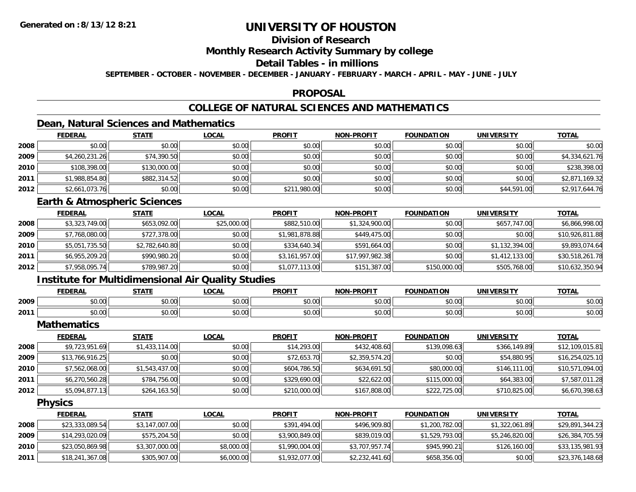## **Division of Research**

**Monthly Research Activity Summary by college**

#### **Detail Tables - in millions**

**SEPTEMBER - OCTOBER - NOVEMBER - DECEMBER - JANUARY - FEBRUARY - MARCH - APRIL - MAY - JUNE - JULY**

### **PROPOSAL**

## **COLLEGE OF NATURAL SCIENCES AND MATHEMATICS**

## **Dean, Natural Sciences and Mathematics**

|      | <b>FEDERAL</b> | <u>STATE</u> | <u>LOCAL</u> | <b>PROFIT</b> | <b>NON-PROFIT</b> | <b>FOUNDATION</b> | <b>UNIVERSITY</b> | <b>TOTAL</b>   |
|------|----------------|--------------|--------------|---------------|-------------------|-------------------|-------------------|----------------|
| 2008 | \$0.00         | \$0.00       | \$0.00       | \$0.00        | \$0.00            | \$0.00            | \$0.00            | \$0.00         |
| 2009 | \$4,260,231.26 | \$74,390.50  | \$0.00       | \$0.00        | \$0.00            | \$0.00            | \$0.00            | \$4,334,621.76 |
| 2010 | \$108,398.00   | \$130,000.00 | \$0.00       | \$0.00        | \$0.00            | \$0.00            | \$0.00            | \$238,398.00   |
| 2011 | \$1,988,854.80 | \$882,314.52 | \$0.00       | \$0.00        | \$0.00            | \$0.00            | \$0.00            | \$2,871,169.32 |
| 2012 | \$2,661,073.76 | \$0.00       | \$0.00       | \$211,980.00  | \$0.00            | \$0.00            | \$44,591.00       | \$2,917,644.76 |

## **Earth & Atmospheric Sciences**

|      | <b>FEDERAL</b> | <b>STATE</b>   | <b>LOCAL</b> | <b>PROFIT</b>  | <b>NON-PROFIT</b> | <b>FOUNDATION</b> | <b>UNIVERSITY</b> | <u>TOTAL</u>    |
|------|----------------|----------------|--------------|----------------|-------------------|-------------------|-------------------|-----------------|
| 2008 | \$3,323,749.00 | \$653,092.00   | \$25,000.00  | \$882,510.00   | \$1,324,900.00    | \$0.00            | \$657,747.00      | \$6,866,998.00  |
| 2009 | \$7,768,080.00 | \$727,378.00   | \$0.00       | \$1,981,878.88 | \$449,475.00      | \$0.00            | \$0.00            | \$10,926,811.88 |
| 2010 | \$5,051,735.50 | \$2,782,640.80 | \$0.00       | \$334,640.34   | \$591,664.00      | \$0.00            | \$1,132,394.00    | \$9,893,074.64  |
| 2011 | \$6,955,209.20 | \$990,980.20   | \$0.00       | \$3,161,957.00 | \$17,997,982.38   | \$0.00            | \$1,412,133.00    | \$30,518,261.78 |
| 2012 | \$7,958,095.74 | \$789,987.20   | \$0.00       | \$1,077,113.00 | \$151,387.00      | \$150,000.00      | \$505,768.00      | \$10,632,350.94 |

## **Institute for Multidimensional Air Quality Studies**

|      | <b>FEDERAL</b> | <b>CTATE</b>         | .OCAI              | <b>PROFIT</b>                  | <b>-PROFIT</b><br><b>AIOR</b>                                                                                                                                                                                                                                                                                                                                                                                                                                        | лом<br>המווווחה:                         | UNIVERSITY     | <b>TOTAL</b> |
|------|----------------|----------------------|--------------------|--------------------------------|----------------------------------------------------------------------------------------------------------------------------------------------------------------------------------------------------------------------------------------------------------------------------------------------------------------------------------------------------------------------------------------------------------------------------------------------------------------------|------------------------------------------|----------------|--------------|
| 2009 | 0000<br>pu.uu  | ሖ へ<br>וטט.          | $\sim$ 00<br>JU.UU | $\rightarrow$<br>∩∩ ،<br>JU.UU | $\mathsf{A}\cap\mathsf{A}\cap\mathsf{A}\cap\mathsf{A}\cap\mathsf{A}\cap\mathsf{A}\cap\mathsf{A}\cap\mathsf{A}\cap\mathsf{A}\cap\mathsf{A}\cap\mathsf{A}\cap\mathsf{A}\cap\mathsf{A}\cap\mathsf{A}\cap\mathsf{A}\cap\mathsf{A}\cap\mathsf{A}\cap\mathsf{A}\cap\mathsf{A}\cap\mathsf{A}\cap\mathsf{A}\cap\mathsf{A}\cap\mathsf{A}\cap\mathsf{A}\cap\mathsf{A}\cap\mathsf{A}\cap\mathsf{A}\cap\mathsf{A}\cap\mathsf{A}\cap\mathsf{A}\cap\mathsf{A}\cap\mathsf$<br>JU.UL | \$0.00                                   | 0000<br>JU.UU  | \$0.00       |
| 2011 | 0000<br>pv.uu  | $\sim$ $\sim$<br>υU. | 0000<br>vu.vu      | 40.00<br>v.vu                  | 0 <sup>n</sup><br>\$U.UC                                                                                                                                                                                                                                                                                                                                                                                                                                             | $\uparrow$ $\uparrow$ $\uparrow$<br>∪.∪∪ | 0000<br>⊸∪.∪∪⊪ | \$0.00       |

**Mathematics**

|      | <b>FEDERAL</b>  | <u>STATE</u>   | <b>LOCAL</b> | <b>PROFIT</b> | <b>NON-PROFIT</b> | <b>FOUNDATION</b> | <b>UNIVERSITY</b> | <b>TOTAL</b>    |
|------|-----------------|----------------|--------------|---------------|-------------------|-------------------|-------------------|-----------------|
| 2008 | \$9,723,951.69  | \$1,433,114.00 | \$0.00       | \$14,293.00   | \$432,408.60      | \$139,098.63      | \$366,149.89      | \$12,109,015.81 |
| 2009 | \$13,766,916.25 | \$0.00         | \$0.00       | \$72,653.70   | \$2,359,574.20    | \$0.00            | \$54,880.95       | \$16,254,025.10 |
| 2010 | \$7,562,068.00  | \$1,543,437.00 | \$0.00       | \$604,786.50  | \$634,691.50      | \$80,000.00       | \$146,111.00      | \$10,571,094.00 |
| 2011 | \$6,270,560.28  | \$784,756.00   | \$0.00       | \$329,690.00  | \$22,622.00       | \$115,000.00      | \$64,383.00       | \$7,587,011.28  |
| 2012 | \$5,094,877.13  | \$264,163.50   | \$0.00       | \$210,000.00  | \$167,808.00      | \$222,725.00      | \$710,825.00      | \$6,670,398.63  |

**Physics**

|      | <u>FEDERAL</u>  | <b>STATE</b>   | <u>LOCAL</u> | <b>PROFIT</b>  | <b>NON-PROFIT</b> | <b>FOUNDATION</b> | UNIVERSITY     | <b>TOTAL</b>    |
|------|-----------------|----------------|--------------|----------------|-------------------|-------------------|----------------|-----------------|
| 2008 | \$23,333,089.54 | \$3,147,007.00 | \$0.00       | \$391,494.00   | \$496,909.80      | \$1,200,782.00    | \$1,322,061.89 | \$29,891,344.23 |
| 2009 | \$14,293,020.09 | \$575,204.50   | \$0.00       | \$3,900,849.00 | \$839,019.00      | \$1,529,793.00    | \$5,246,820.00 | \$26,384,705.59 |
| 2010 | \$23,050,869.98 | \$3,307,000.00 | \$8,000.00   | \$1,990,004.00 | \$3,707,957.74    | \$945,990.21      | \$126,160,00   | \$33,135,981.93 |
| 2011 | \$18,241,367.08 | \$305,907.00   | \$6,000.00   | \$1,932,077.00 | \$2,232,441.60    | \$658,356.00      | \$0.00         | \$23,376,148.68 |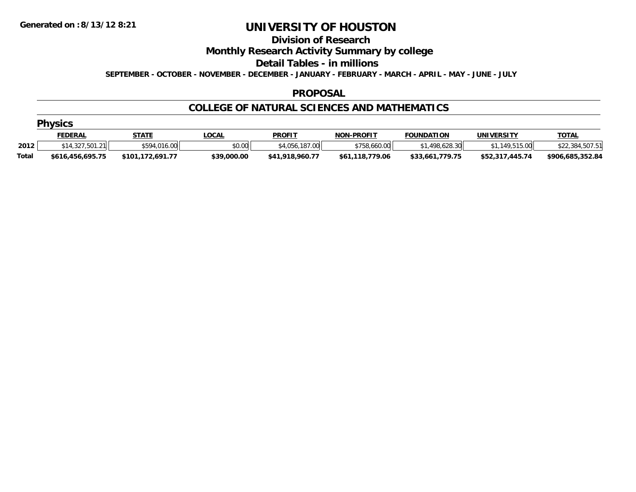#### **Division of Research**

**Monthly Research Activity Summary by college**

**Detail Tables - in millions**

**SEPTEMBER - OCTOBER - NOVEMBER - DECEMBER - JANUARY - FEBRUARY - MARCH - APRIL - MAY - JUNE - JULY**

### **PROPOSAL**

## **COLLEGE OF NATURAL SCIENCES AND MATHEMATICS**

|  | <b>hvsi</b> |  |   |     |
|--|-------------|--|---|-----|
|  |             |  | Ю | - 2 |
|  |             |  |   |     |

|       | <u>FEDERAL</u>   | STATE                | .OCAL       | <b>PROFIT</b>   | <b>NON-PROFIT</b> | <b>FOUNDATION</b> | <b>UNIVERSITY</b> | <u>TOTAL</u>     |
|-------|------------------|----------------------|-------------|-----------------|-------------------|-------------------|-------------------|------------------|
| 2012  | \$14.327.501.21  | \$594,016.00         | \$0.00      | \$4,056,187,00  | \$758,660,00      | .498.628.30       | .149.515.00       | \$22,384,507.51  |
| Total | \$616,456,695.75 | 172.691.77<br>\$101, | \$39,000.00 | \$41,918,960.77 | \$61,118,779.06   | \$33,661,779.75   | \$52,317,445.74   | \$906,685,352.84 |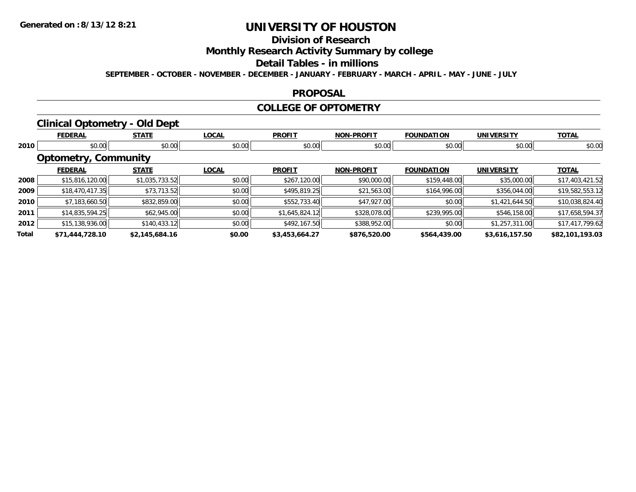# **Division of Research**

**Monthly Research Activity Summary by college**

#### **Detail Tables - in millions**

**SEPTEMBER - OCTOBER - NOVEMBER - DECEMBER - JANUARY - FEBRUARY - MARCH - APRIL - MAY - JUNE - JULY**

### **PROPOSAL**

### **COLLEGE OF OPTOMETRY**

## **Clinical Optometry - Old Dept**

|       | <b>FEDERAL</b>              | <b>STATE</b>   | <b>LOCAL</b> | <b>PROFIT</b>  | <b>NON-PROFIT</b> | <b>FOUNDATION</b> | <b>UNIVERSITY</b> | <b>TOTAL</b>    |
|-------|-----------------------------|----------------|--------------|----------------|-------------------|-------------------|-------------------|-----------------|
| 2010  | \$0.00                      | \$0.00         | \$0.00       | \$0.00         | \$0.00            | \$0.00            | \$0.00            | \$0.00          |
|       | <b>Optometry, Community</b> |                |              |                |                   |                   |                   |                 |
|       | <b>FEDERAL</b>              | <b>STATE</b>   | <b>LOCAL</b> | <b>PROFIT</b>  | <b>NON-PROFIT</b> | <b>FOUNDATION</b> | <b>UNIVERSITY</b> | <b>TOTAL</b>    |
| 2008  | \$15,816,120.00             | \$1,035,733.52 | \$0.00       | \$267,120.00   | \$90,000.00       | \$159,448.00      | \$35,000.00       | \$17,403,421.52 |
| 2009  | \$18,470,417.35             | \$73,713.52    | \$0.00       | \$495,819.25   | \$21,563.00       | \$164,996.00      | \$356,044.00      | \$19,582,553.12 |
| 2010  | \$7,183,660.50              | \$832,859.00   | \$0.00       | \$552,733.40   | \$47,927.00       | \$0.00            | \$1,421,644.50    | \$10,038,824.40 |
| 2011  | \$14,835,594.25             | \$62,945.00    | \$0.00       | \$1,645,824.12 | \$328,078.00      | \$239,995.00      | \$546,158.00      | \$17,658,594.37 |
| 2012  | \$15,138,936.00             | \$140,433.12   | \$0.00       | \$492,167.50   | \$388,952.00      | \$0.00            | \$1,257,311.00    | \$17,417,799.62 |
| Total | \$71,444,728.10             | \$2,145,684.16 | \$0.00       | \$3,453,664.27 | \$876,520.00      | \$564,439.00      | \$3,616,157.50    | \$82,101,193.03 |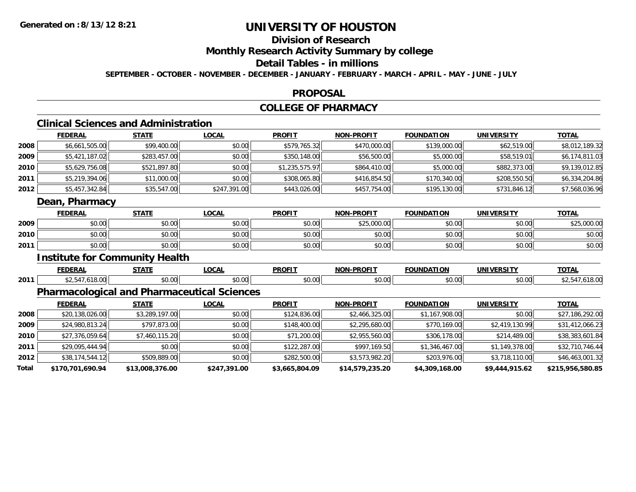## **Division of Research**

**Monthly Research Activity Summary by college**

#### **Detail Tables - in millions**

**SEPTEMBER - OCTOBER - NOVEMBER - DECEMBER - JANUARY - FEBRUARY - MARCH - APRIL - MAY - JUNE - JULY**

### **PROPOSAL**

### **COLLEGE OF PHARMACY**

## **Clinical Sciences and Administration**

|      | <b>FEDERAL</b>                        | <b>STATE</b> | <b>LOCAL</b> | <b>PROFIT</b>  | <b>NON-PROFIT</b> | <b>FOUNDATION</b> | <b>UNIVERSITY</b> | <b>TOTAL</b>   |  |  |  |
|------|---------------------------------------|--------------|--------------|----------------|-------------------|-------------------|-------------------|----------------|--|--|--|
| 2008 | \$6,661,505.00                        | \$99,400.00  | \$0.00       | \$579,765.32   | \$470,000.00      | \$139,000.00      | \$62,519.00       | \$8,012,189.32 |  |  |  |
| 2009 | \$5,421,187.02                        | \$283,457.00 | \$0.00       | \$350,148.00   | \$56,500.00       | \$5,000.00        | \$58,519.01       | \$6,174,811.03 |  |  |  |
| 2010 | \$5,629,756.08                        | \$521,897.80 | \$0.00       | \$1,235,575.97 | \$864,410.00      | \$5,000.00        | \$882,373.00      | \$9,139,012.85 |  |  |  |
| 2011 | \$5,219,394.06                        | \$11,000.00  | \$0.00       | \$308,065.80   | \$416,854.50      | \$170,340.00      | \$208,550.50      | \$6,334,204.86 |  |  |  |
| 2012 | \$5,457,342.84                        | \$35,547.00  | \$247,391.00 | \$443,026.00   | \$457,754.00      | \$195,130.00      | \$731,846.12      | \$7,568,036.96 |  |  |  |
|      | Dean, Pharmacy                        |              |              |                |                   |                   |                   |                |  |  |  |
|      | <b>FEDERAL</b>                        | <b>STATE</b> | <b>LOCAL</b> | <b>PROFIT</b>  | <b>NON-PROFIT</b> | <b>FOUNDATION</b> | <b>UNIVERSITY</b> | <b>TOTAL</b>   |  |  |  |
| 2009 | \$0.00                                | \$0.00       | \$0.00       | \$0.00         | \$25,000.00       | \$0.00            | \$0.00            | \$25,000.00    |  |  |  |
| 2010 | \$0.00                                | \$0.00       | \$0.00       | \$0.00         | \$0.00            | \$0.00            | \$0.00            | \$0.00         |  |  |  |
| 2011 | \$0.00                                | \$0.00       | \$0.00       | \$0.00         | \$0.00            | \$0.00            | \$0.00            | \$0.00         |  |  |  |
|      | <b>Institute for Community Health</b> |              |              |                |                   |                   |                   |                |  |  |  |

|      | ------<br><u>____</u> | <b>CTATE</b>   | <b>LOCAL</b>              | <b>PROFIT</b>           | <b>DDOELT</b><br><b>ארות</b> | FOUNDATION             | <b>UNIVERSITY</b> | <b>TOTA</b> |
|------|-----------------------|----------------|---------------------------|-------------------------|------------------------------|------------------------|-------------------|-------------|
| 2011 | * ^                   | ሶስ ሰሰ<br>JU.UU | $\sim$ 00 $\sim$<br>וט.טי | 0 <sup>0</sup><br>DU.UU | $\sim$ 00<br>,uu             | $\sim$ $\sim$<br>,,,,, | امہ ہ+<br>50.UU   | $\sim$      |

## **Pharmacological and Pharmaceutical Sciences**

|       | <b>FEDERAL</b>   | <u>STATE</u>    | <b>LOCAL</b> | <b>PROFIT</b>  | <b>NON-PROFIT</b> | <b>FOUNDATION</b> | <b>UNIVERSITY</b> | <u>TOTAL</u>     |
|-------|------------------|-----------------|--------------|----------------|-------------------|-------------------|-------------------|------------------|
| 2008  | \$20,138,026.00  | \$3,289,197.00  | \$0.00       | \$124,836.00   | \$2,466,325.00    | \$1,167,908.00    | \$0.00            | \$27,186,292.00  |
| 2009  | \$24,980,813.24  | \$797,873.00    | \$0.00       | \$148,400.00   | \$2,295,680.00    | \$770,169.00      | \$2,419,130.99    | \$31,412,066.23  |
| 2010  | \$27,376,059.64  | \$7,460,115.20  | \$0.00       | \$71,200.00    | \$2,955,560.00    | \$306,178.00      | \$214,489.00      | \$38,383,601.84  |
| 2011  | \$29,095,444.94  | \$0.00          | \$0.00       | \$122,287.00   | \$997,169.50      | \$1,346,467.00    | \$1,149,378.00    | \$32,710,746.44  |
| 2012  | \$38,174,544.12  | \$509,889.00    | \$0.00       | \$282,500.00   | \$3,573,982.20    | \$203,976.00      | \$3,718,110.00    | \$46,463,001.32  |
| Total | \$170,701,690.94 | \$13,008,376.00 | \$247,391.00 | \$3,665,804.09 | \$14,579,235.20   | \$4,309,168.00    | \$9,444,915.62    | \$215,956,580.85 |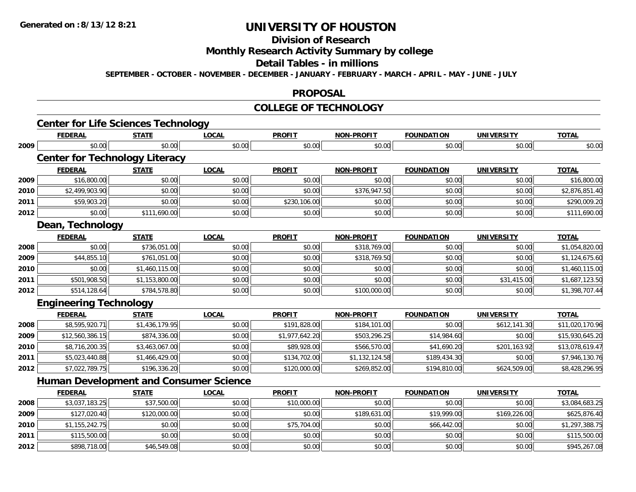# **Division of Research**

**Monthly Research Activity Summary by college**

#### **Detail Tables - in millions**

**SEPTEMBER - OCTOBER - NOVEMBER - DECEMBER - JANUARY - FEBRUARY - MARCH - APRIL - MAY - JUNE - JULY**

### **PROPOSAL**

### **COLLEGE OF TECHNOLOGY**

|      | <b>Center for Life Sciences Technology</b>              |                |              |                |                   |                   |                   |                 |
|------|---------------------------------------------------------|----------------|--------------|----------------|-------------------|-------------------|-------------------|-----------------|
|      | <b>FEDERAL</b>                                          | <b>STATE</b>   | <b>LOCAL</b> | <b>PROFIT</b>  | <b>NON-PROFIT</b> | <b>FOUNDATION</b> | <b>UNIVERSITY</b> | <b>TOTAL</b>    |
| 2009 | \$0.00                                                  | \$0.00         | \$0.00       | \$0.00         | \$0.00            | \$0.00            | \$0.00            | \$0.00          |
|      | <b>Center for Technology Literacy</b><br><b>FEDERAL</b> | <b>STATE</b>   | <b>LOCAL</b> | <b>PROFIT</b>  | <b>NON-PROFIT</b> | <b>FOUNDATION</b> | <b>UNIVERSITY</b> | <b>TOTAL</b>    |
| 2009 | \$16,800.00                                             | \$0.00         | \$0.00       | \$0.00         | \$0.00            | \$0.00            | \$0.00            | \$16,800.00     |
| 2010 | \$2,499,903.90                                          | \$0.00         | \$0.00       | \$0.00         | \$376,947.50      | \$0.00            | \$0.00            | \$2,876,851.40  |
| 2011 | \$59,903.20                                             | \$0.00         | \$0.00       | \$230,106.00   | \$0.00            | \$0.00            | \$0.00            | \$290,009.20    |
| 2012 | \$0.00                                                  | \$111,690.00   | \$0.00       | \$0.00         | \$0.00            | \$0.00            | \$0.00            | \$111,690.00    |
|      | Dean, Technology                                        |                |              |                |                   |                   |                   |                 |
|      | <b>FEDERAL</b>                                          | <b>STATE</b>   | <b>LOCAL</b> | <b>PROFIT</b>  | <b>NON-PROFIT</b> | <b>FOUNDATION</b> | <b>UNIVERSITY</b> | <b>TOTAL</b>    |
| 2008 | \$0.00                                                  | \$736,051.00   | \$0.00       | \$0.00         | \$318,769.00      | \$0.00            | \$0.00            | \$1,054,820.00  |
| 2009 | \$44,855.10                                             | \$761,051.00   | \$0.00       | \$0.00         | \$318,769.50      | \$0.00            | \$0.00            | \$1,124,675.60  |
| 2010 | \$0.00                                                  | \$1,460,115.00 | \$0.00       | \$0.00         | \$0.00            | \$0.00            | \$0.00            | \$1,460,115.00  |
| 2011 | \$501,908.50                                            | \$1,153,800.00 | \$0.00       | \$0.00         | \$0.00            | \$0.00            | \$31,415.00       | \$1,687,123.50  |
| 2012 | \$514,128.64                                            | \$784,578.80   | \$0.00       | \$0.00         | \$100,000.00      | \$0.00            | \$0.00            | \$1,398,707.44  |
|      | <b>Engineering Technology</b>                           |                |              |                |                   |                   |                   |                 |
|      | <b>FEDERAL</b>                                          | <b>STATE</b>   | <b>LOCAL</b> | <b>PROFIT</b>  | <b>NON-PROFIT</b> | <b>FOUNDATION</b> | <b>UNIVERSITY</b> | <b>TOTAL</b>    |
| 2008 | \$8,595,920.71                                          | \$1,436,179.95 | \$0.00       | \$191,828.00   | \$184,101.00      | \$0.00            | \$612,141.30      | \$11,020,170.96 |
| 2009 | \$12,560,386.15                                         | \$874,336.00   | \$0.00       | \$1,977,642.20 | \$503,296.25      | \$14,984.60       | \$0.00            | \$15,930,645.20 |
| 2010 | \$8,716,200.35                                          | \$3,463,067.00 | \$0.00       | \$89,928.00    | \$566,570.00      | \$41,690.20       | \$201,163.92      | \$13,078,619.47 |
| 2011 | \$5,023,440.88                                          | \$1,466,429.00 | \$0.00       | \$134,702.00   | \$1,132,124.58    | \$189,434.30      | \$0.00            | \$7,946,130.76  |
| 2012 | \$7,022,789.75                                          | \$196,336.20   | \$0.00       | \$120,000.00   | \$269,852.00      | \$194,810.00      | \$624,509.00      | \$8,428,296.95  |
|      | <b>Human Development and Consumer Science</b>           |                |              |                |                   |                   |                   |                 |
|      | <b>FEDERAL</b>                                          | <b>STATE</b>   | <b>LOCAL</b> | <b>PROFIT</b>  | <b>NON-PROFIT</b> | <b>FOUNDATION</b> | <b>UNIVERSITY</b> | <b>TOTAL</b>    |
| 2008 | \$3,037,183.25                                          | \$37,500.00    | \$0.00       | \$10,000.00    | \$0.00            | \$0.00            | \$0.00            | \$3,084,683.25  |
| 2009 | \$127,020.40                                            | \$120,000.00   | \$0.00       | \$0.00         | \$189,631.00      | \$19,999.00       | \$169,226.00      | \$625,876.40    |
| 2010 | \$1,155,242.75                                          | \$0.00         | \$0.00       | \$75,704.00    | \$0.00            | \$66,442.00       | \$0.00            | \$1,297,388.75  |
| 2011 | \$115,500.00                                            | \$0.00         | \$0.00       | \$0.00         | \$0.00            | \$0.00            | \$0.00            | \$115,500.00    |
| 2012 | \$898,718.00                                            | \$46,549.08    | \$0.00       | \$0.00         | \$0.00            | \$0.00            | \$0.00            | \$945,267.08    |

2 | \$898,718.00|| \$46,549.08|| \$0.00|| \$0.00|| \$0.00|| \$0.00|| \$0.00|| \$0.00|| \$0.00|| \$0.00|| \$945,267.08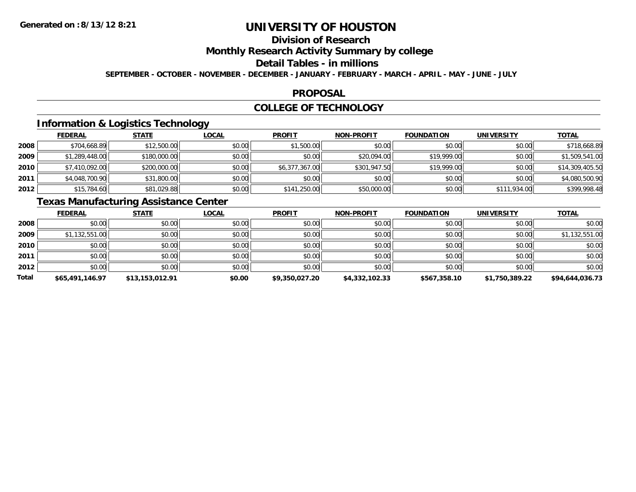# **Division of Research**

**Monthly Research Activity Summary by college**

#### **Detail Tables - in millions**

**SEPTEMBER - OCTOBER - NOVEMBER - DECEMBER - JANUARY - FEBRUARY - MARCH - APRIL - MAY - JUNE - JULY**

### **PROPOSAL**

## **COLLEGE OF TECHNOLOGY**

## **Information & Logistics Technology**

|      | <b>FEDERAL</b> | <b>STATE</b> | <u>LOCAL</u> | <b>PROFIT</b>  | <b>NON-PROFIT</b> | <b>FOUNDATION</b> | UNIVERSITY   | <u>TOTAL</u>    |
|------|----------------|--------------|--------------|----------------|-------------------|-------------------|--------------|-----------------|
| 2008 | \$704,668.89   | \$12,500.00  | \$0.00       | \$1,500.00     | \$0.00            | \$0.00            | \$0.00       | \$718,668.89    |
| 2009 | \$1,289,448.00 | \$180,000.00 | \$0.00       | \$0.00         | \$20,094.00       | \$19,999.00       | \$0.00       | \$1,509,541.00  |
| 2010 | \$7,410,092.00 | \$200,000.00 | \$0.00       | \$6,377,367.00 | \$301,947.50      | \$19,999.00       | \$0.00       | \$14,309,405.50 |
| 2011 | \$4,048,700.90 | \$31,800.00  | \$0.00       | \$0.00         | \$0.00            | \$0.00            | \$0.00       | \$4,080,500.90  |
| 2012 | \$15,784.60    | \$81,029.88  | \$0.00       | \$141,250.00   | \$50,000.00       | \$0.00            | \$111,934.00 | \$399,998.48    |

## **Texas Manufacturing Assistance Center**

|       | <b>FEDERAL</b>  | <b>STATE</b>    | <u>LOCAL</u> | <b>PROFIT</b>  | <b>NON-PROFIT</b> | <b>FOUNDATION</b> | <b>UNIVERSITY</b> | <b>TOTAL</b>    |
|-------|-----------------|-----------------|--------------|----------------|-------------------|-------------------|-------------------|-----------------|
| 2008  | \$0.00          | \$0.00          | \$0.00       | \$0.00         | \$0.00            | \$0.00            | \$0.00            | \$0.00          |
| 2009  | \$1,132,551.00  | \$0.00          | \$0.00       | \$0.00         | \$0.00            | \$0.00            | \$0.00            | \$1,132,551.00  |
| 2010  | \$0.00          | \$0.00          | \$0.00       | \$0.00         | \$0.00            | \$0.00            | \$0.00            | \$0.00          |
| 2011  | \$0.00          | \$0.00          | \$0.00       | \$0.00         | \$0.00            | \$0.00            | \$0.00            | \$0.00          |
| 2012  | \$0.00          | \$0.00          | \$0.00       | \$0.00         | \$0.00            | \$0.00            | \$0.00            | \$0.00          |
| Total | \$65,491,146.97 | \$13,153,012.91 | \$0.00       | \$9,350,027.20 | \$4,332,102.33    | \$567,358.10      | \$1,750,389.22    | \$94,644,036.73 |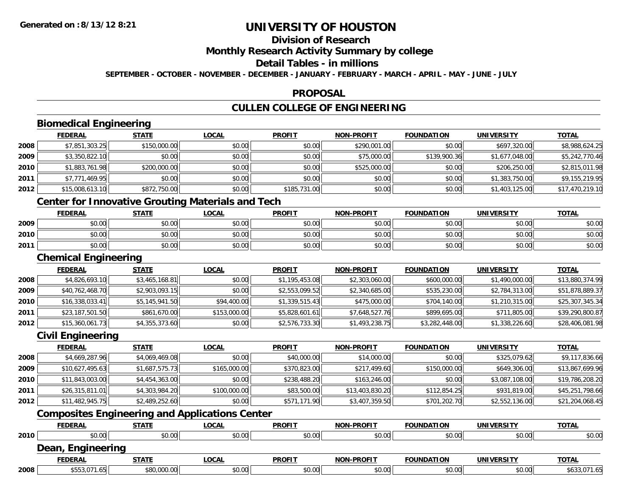## **Division of Research**

**Monthly Research Activity Summary by college**

#### **Detail Tables - in millions**

**SEPTEMBER - OCTOBER - NOVEMBER - DECEMBER - JANUARY - FEBRUARY - MARCH - APRIL - MAY - JUNE - JULY**

## **PROPOSAL**

## **CULLEN COLLEGE OF ENGINEERING**

## **Biomedical Engineering**

|      | <b>Biomedical Engineering</b> |              |              |               |                   |                   |                   |                 |  |  |
|------|-------------------------------|--------------|--------------|---------------|-------------------|-------------------|-------------------|-----------------|--|--|
|      | <b>FEDERAL</b>                | <b>STATE</b> | <b>LOCAL</b> | <b>PROFIT</b> | <b>NON-PROFIT</b> | <b>FOUNDATION</b> | <b>UNIVERSITY</b> | <b>TOTAL</b>    |  |  |
| 2008 | \$7,851,303.25                | \$150,000.00 | \$0.00       | \$0.00        | \$290,001.00      | \$0.00            | \$697,320.00      | \$8,988,624.25  |  |  |
| 2009 | \$3,350,822.10                | \$0.00       | \$0.00       | \$0.00        | \$75,000.00       | \$139,900.36      | \$1,677,048.00    | \$5,242,770.46  |  |  |
| 2010 | \$1,883,761.98                | \$200,000.00 | \$0.00       | \$0.00        | \$525,000.00      | \$0.00            | \$206,250.00      | \$2,815,011.98  |  |  |
| 2011 | \$7,771,469.95                | \$0.00       | \$0.00       | \$0.00        | \$0.00            | \$0.00            | \$1,383,750.00    | \$9,155,219.95  |  |  |
| 2012 | \$15,008,613.10               | \$872,750.00 | \$0.00       | \$185,731.00  | \$0.00            | \$0.00            | \$1,403,125.00    | \$17,470,219.10 |  |  |
|      |                               |              |              |               |                   |                   |                   |                 |  |  |

## **Center for Innovative Grouting Materials and Tech**

|      | <b>FEDERAL</b> | <b>STATE</b>                               | LOCAL                              | <b>PROFIT</b>                                | <b>NON-PROFIT</b> | <b>FOUNDATION</b> | <b>IINIVERSITY</b> | <b>TOTAL</b> |
|------|----------------|--------------------------------------------|------------------------------------|----------------------------------------------|-------------------|-------------------|--------------------|--------------|
| 2009 | 0000<br>ט.טע   | ¢∩<br>$\sim$<br>JU.UL                      | $\sigma \cap \Delta \cap$<br>JU.UU | $\triangle$ $\triangle$ $\triangle$<br>JU.   | 40.00<br>vv.vv    | \$0.00            | \$0.00             | \$0.00       |
| 2010 | 0000<br>,u.uu  | $\mathfrak{e}\cap\mathfrak{e}\cap$<br>J∪.∪ | 0.00<br>JU.UU                      | $\mathsf{A} \cap \mathsf{A} \cap$<br>JU.     | 40.00<br>vv.vv    | \$0.00            | \$0.00             | \$0.00       |
| 2011 | 0000<br>,u.uu  | \$0.00                                     | $\sigma$ $\sim$ $\sigma$<br>DU.UU  | $\triangle$ $\triangle$ $\triangle$<br>JU.UU | \$0.00            | \$0.00            | \$0.00             | \$0.00       |

### **Chemical Engineering**

|      | <b>FEDERAL</b>  | <b>STATE</b>   | <b>LOCAL</b> | <b>PROFIT</b>  | <b>NON-PROFIT</b> | <b>FOUNDATION</b> | <b>UNIVERSITY</b> | <b>TOTAL</b>    |
|------|-----------------|----------------|--------------|----------------|-------------------|-------------------|-------------------|-----------------|
| 2008 | \$4,826,693.10  | \$3,465,168.81 | \$0.00       | \$1,195,453.08 | \$2,303,060.00    | \$600,000.00      | \$1,490,000.00    | \$13,880,374.99 |
| 2009 | \$40,762,468.70 | \$2,903,093.15 | \$0.00       | \$2,553,099.52 | \$2,340,685.00    | \$535,230.00      | \$2,784,313.00    | \$51,878,889.37 |
| 2010 | \$16,338,033.41 | \$5,145,941.50 | \$94,400.00  | \$1,339,515.43 | \$475,000.00      | \$704,140.00      | \$1,210,315.00    | \$25,307,345.34 |
| 2011 | \$23,187,501.50 | \$861,670.00   | \$153,000.00 | \$5,828,601.61 | \$7,648,527.76    | \$899,695.00      | \$711,805.00      | \$39,290,800.87 |
| 2012 | \$15,360,061.73 | \$4,355,373.60 | \$0.00       | \$2,576,733.30 | \$1,493,238.75    | \$3,282,448.00    | \$1,338,226.60    | \$28,406,081.98 |

## **Civil Engineering**

|      | <b>FEDERAL</b>  | <u>STATE</u>   | <b>LOCAL</b> | <b>PROFIT</b> | <b>NON-PROFIT</b> | <b>FOUNDATION</b> | <b>UNIVERSITY</b> | <b>TOTAL</b>    |
|------|-----------------|----------------|--------------|---------------|-------------------|-------------------|-------------------|-----------------|
| 2008 | \$4,669,287.96  | \$4,069,469.08 | \$0.00       | \$40,000.00   | \$14,000.00       | \$0.00            | \$325,079.62      | \$9,117,836.66  |
| 2009 | \$10,627,495.63 | \$1,687,575.73 | \$165,000.00 | \$370,823.00  | \$217,499.60      | \$150,000.00      | \$649,306.00      | \$13,867,699.96 |
| 2010 | \$11,843,003.00 | \$4,454,363.00 | \$0.00       | \$238,488.20  | \$163,246.00      | \$0.00            | \$3,087,108.00    | \$19,786,208.20 |
| 2011 | \$26,315,811.01 | \$4,303,984.20 | \$100,000.00 | \$83,500.00   | \$13,403,830.20   | \$112,854.25      | \$931,819.00      | \$45,251,798.66 |
| 2012 | \$11,482,945.75 | \$2,489,252.60 | \$0.00       | \$571,171.90  | \$3,407,359.50    | \$701,202.70      | \$2,552,136.00    | \$21,204,068.45 |

## **Composites Engineering and Applications Center**

|      | <b>FEDERAL</b>    | <b>STATE</b> | <u>LOCAL</u> | <b>PROFIT</b> | <b>NON-PROFIT</b> | <b>FOUNDATION</b> | <b>UNIVERSITY</b> | <b>TOTAL</b> |
|------|-------------------|--------------|--------------|---------------|-------------------|-------------------|-------------------|--------------|
| 2010 | \$0.00            | \$0.00       | \$0.00       | \$0.00        | \$0.00            | \$0.00            | \$0.00            | \$0.00       |
|      | Dean, Engineering |              |              |               |                   |                   |                   |              |
|      | <b>FEDERAL</b>    | <b>STATE</b> | <u>LOCAL</u> | <b>PROFIT</b> | <b>NON-PROFIT</b> | <b>FOUNDATION</b> | <b>UNIVERSITY</b> | <b>TOTAL</b> |
| 2008 | \$553,071.65      | \$80,000.00  | \$0.00       | \$0.00        | \$0.00            | \$0.00            | \$0.00            | \$633,071.65 |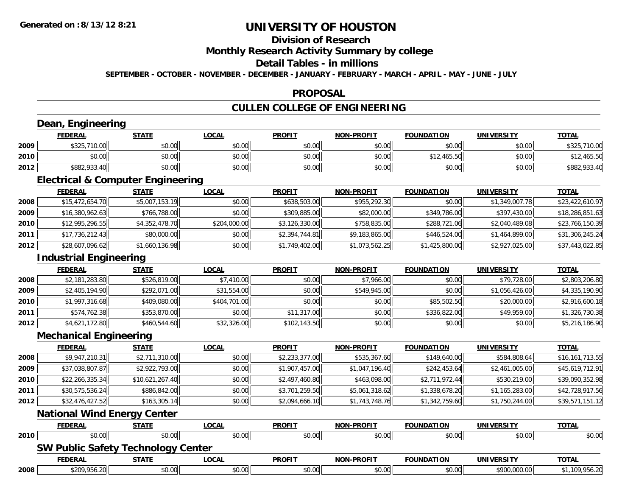## **Division of Research**

**Monthly Research Activity Summary by college**

#### **Detail Tables - in millions**

**SEPTEMBER - OCTOBER - NOVEMBER - DECEMBER - JANUARY - FEBRUARY - MARCH - APRIL - MAY - JUNE - JULY**

### **PROPOSAL**

## **CULLEN COLLEGE OF ENGINEERING**

## **Dean, Engineering**

|      | Engineering<br>Dean, |              |              |               |                   |                   |                   |              |  |  |
|------|----------------------|--------------|--------------|---------------|-------------------|-------------------|-------------------|--------------|--|--|
|      | <b>FEDERAL</b>       | <u>STATE</u> | <u>LOCAL</u> | <b>PROFIT</b> | <b>NON-PROFIT</b> | <b>FOUNDATION</b> | <b>UNIVERSITY</b> | <b>TOTAL</b> |  |  |
| 2009 | \$325,710.00         | \$0.00       | \$0.00       | \$0.00        | \$0.00            | \$0.00            | \$0.00            | \$325,710.00 |  |  |
| 2010 | \$0.00               | \$0.00       | \$0.00       | \$0.00        | \$0.00            | \$12,465.50       | \$0.00            | \$12,465.50  |  |  |
| 2012 | \$882,933.40         | \$0.00       | \$0.00       | \$0.00        | \$0.00            | \$0.00            | \$0.00            | \$882,933.40 |  |  |

<u> 1989 - Johann Stoff, deutscher Stoffen und der Stoffen und der Stoffen und der Stoffen und der Stoffen und de</u>

## **Electrical & Computer Engineering**

|      | <b>FEDERAL</b>  | <b>STATE</b>   | <u>LOCAL</u> | <b>PROFIT</b>  | <b>NON-PROFIT</b> | <b>FOUNDATION</b> | UNIVERSITY     | <u>TOTAL</u>    |
|------|-----------------|----------------|--------------|----------------|-------------------|-------------------|----------------|-----------------|
| 2008 | \$15,472,654.70 | \$5,007,153.19 | \$0.00       | \$638,503.00   | \$955,292,30      | \$0.00            | \$1,349,007.78 | \$23,422,610.97 |
| 2009 | \$16,380,962.63 | \$766,788.00   | \$0.00       | \$309,885.00   | \$82,000.00       | \$349,786.00      | \$397,430.00   | \$18,286,851.63 |
| 2010 | \$12,995,296.55 | \$4,352,478.70 | \$204,000.00 | \$3,126,330.00 | \$758,835,00      | \$288,721.06      | \$2,040,489.08 | \$23,766,150.39 |
| 2011 | \$17,736,212.43 | \$80,000.00    | \$0.00       | \$2.394.744.81 | \$9,183,865.00    | \$446,524,00      | \$1,464,899.00 | \$31,306,245.24 |
| 2012 | \$28,607,096.62 | \$1,660,136.98 | \$0.00       | \$1,749,402.00 | \$1,073,562.25    | \$1,425,800.00    | \$2,927,025.00 | \$37,443,022.85 |

## **Industrial Engineering**

|      | <b>Industrial Engineering</b> |              |              |               |                   |                   |                   |                |  |  |  |  |
|------|-------------------------------|--------------|--------------|---------------|-------------------|-------------------|-------------------|----------------|--|--|--|--|
|      | <b>FEDERAL</b>                | <b>STATE</b> | <b>LOCAL</b> | <b>PROFIT</b> | <b>NON-PROFIT</b> | <b>FOUNDATION</b> | <b>UNIVERSITY</b> | <b>TOTAL</b>   |  |  |  |  |
| 2008 | \$2,181,283.80                | \$526,819.00 | \$7,410.00   | \$0.00        | \$7,966.00        | \$0.00            | \$79,728.00       | \$2,803,206.80 |  |  |  |  |
| 2009 | \$2,405,194.90                | \$292,071.00 | \$31,554.00  | \$0.00        | \$549,945.00      | \$0.00            | \$1,056,426.00    | \$4,335,190.90 |  |  |  |  |
| 2010 | \$1,997,316.68                | \$409,080.00 | \$404,701.00 | \$0.00        | \$0.00            | \$85,502.50       | \$20,000.00       | \$2,916,600.18 |  |  |  |  |
| 2011 | \$574,762.38                  | \$353,870.00 | \$0.00       | \$11,317.00   | \$0.00            | \$336,822.00      | \$49,959.00       | \$1,326,730.38 |  |  |  |  |
| 2012 | \$4,621,172.80                | \$460,544.60 | \$32,326.00  | \$102,143.50  | \$0.00            | \$0.00            | \$0.00            | \$5,216,186.90 |  |  |  |  |

<u> 1989 - Johann Stoff, deutscher Stoffen und der Stoffen und der Stoffen und der Stoffen und der Stoffen und de</u>

### **Mechanical Engineering**

|      | <b>FEDERAL</b>  | <b>STATE</b>    | <b>LOCAL</b> | <b>PROFIT</b>  | <b>NON-PROFIT</b> | <b>FOUNDATION</b> | <b>UNIVERSITY</b> | <b>TOTAL</b>    |
|------|-----------------|-----------------|--------------|----------------|-------------------|-------------------|-------------------|-----------------|
| 2008 | \$9,947,210.31  | \$2,711,310.00  | \$0.00       | \$2,233,377.00 | \$535,367.60      | \$149,640.00      | \$584,808.64      | \$16,161,713.55 |
| 2009 | \$37,038,807.87 | \$2,922,793.00  | \$0.00       | \$1,907,457.00 | \$1,047,196.40    | \$242,453.64      | \$2,461,005.00    | \$45,619,712.91 |
| 2010 | \$22,266,335.34 | \$10,621,267.40 | \$0.00       | \$2,497,460.80 | \$463,098.00      | \$2,711,972.44    | \$530,219.00      | \$39,090,352.98 |
| 2011 | \$30,575,536.24 | \$886,842.00    | \$0.00       | \$3,701,259.50 | \$5,061,318.62    | \$1,338,678.20    | \$1,165,283.00    | \$42,728,917.56 |
| 2012 | \$32,476,427.52 | \$163,305.14    | \$0.00       | \$2,094,666.10 | \$1,743,748.76    | \$1,342,759.60    | \$1,750,244.00    | \$39,571,151.12 |
|      | ----            | - -             |              |                |                   |                   |                   |                 |

#### **National Wind Energy Center**

|      | <b>FEDERAL</b>                            | STATE        | <u>LOCAL</u> | <b>PROFIT</b> | <b>NON-PROFIT</b> | <b>FOUNDATION</b> | UNIVERSITY   | <b>TOTAL</b>   |
|------|-------------------------------------------|--------------|--------------|---------------|-------------------|-------------------|--------------|----------------|
| 2010 | \$0.00                                    | \$0.00       | \$0.00       | \$0.00        | \$0.00            | \$0.00            | \$0.00       | \$0.00         |
|      | <b>SW Public Safety Technology Center</b> |              |              |               |                   |                   |              |                |
|      | <b>FEDERAL</b>                            | <u>STATE</u> | <u>LOCAL</u> | <b>PROFIT</b> | <b>NON-PROFIT</b> | <b>FOUNDATION</b> | UNIVERSITY   | <b>TOTAL</b>   |
| 2008 | \$209,956.20                              | \$0.00       | \$0.00       | \$0.00        | \$0.00            | \$0.00            | \$900,000.00 | \$1,109,956.20 |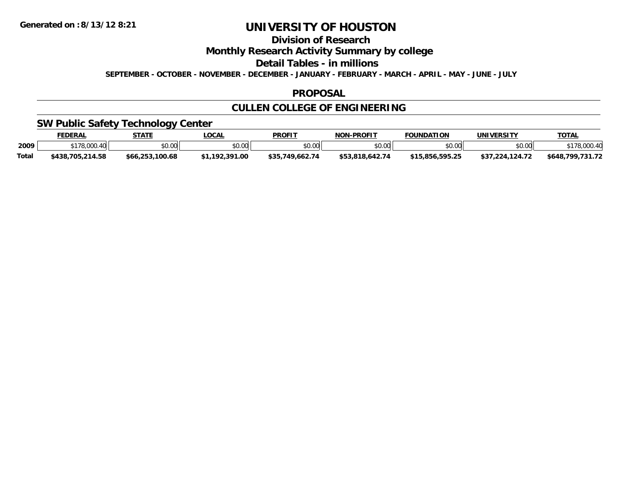## **Division of Research**

**Monthly Research Activity Summary by college**

**Detail Tables - in millions**

**SEPTEMBER - OCTOBER - NOVEMBER - DECEMBER - JANUARY - FEBRUARY - MARCH - APRIL - MAY - JUNE - JULY**

### **PROPOSAL**

## **CULLEN COLLEGE OF ENGINEERING**

## **SW Public Safety Technology Center**

|              | <b>FEDERAL</b>                                                 | <b>STATE</b>    | LOCAL        | <b>PROFIT</b>          | <b>NON-PROFIT</b> | <b>FOUNDATION</b>             | UNIVERSITY      | <b>TOTAL</b>     |
|--------------|----------------------------------------------------------------|-----------------|--------------|------------------------|-------------------|-------------------------------|-----------------|------------------|
| 2009         | $178,000.4$ u<br>$\mathsf{A} \mathsf{A} \mathsf{A} \mathsf{A}$ | \$0.00          | \$0.00       | \$0.00                 | \$0.00            | \$0.00                        | \$0.00          | \$178,000.40     |
| <b>Total</b> | \$438,705,214.58                                               | \$66,253,100.68 | 1.192.391.00 | 749.662.74<br>まっち<br>. | \$53.818.642.74   | .595.25<br>5.856<br><u>та</u> | \$37.224.124.72 | \$648.799.731.72 |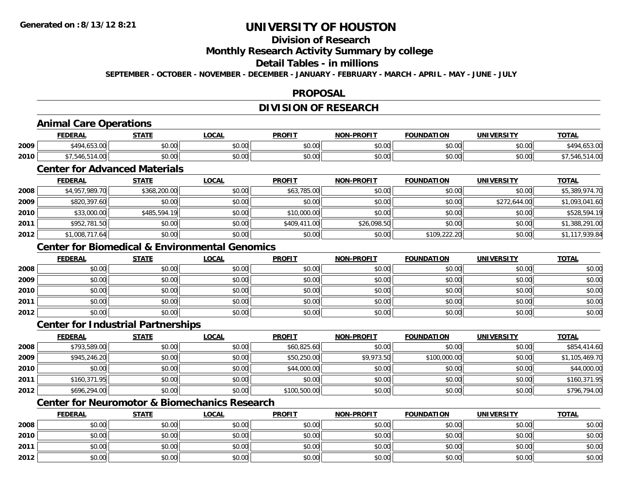## **Division of Research**

**Monthly Research Activity Summary by college**

### **Detail Tables - in millions**

**SEPTEMBER - OCTOBER - NOVEMBER - DECEMBER - JANUARY - FEBRUARY - MARCH - APRIL - MAY - JUNE - JULY**

## **PROPOSAL**

## **DIVISION OF RESEARCH**

## **Animal Care Operations**

|      | <b>FEDERAL</b>          | <b>CTATE</b>  | <b>OCAL</b> | <b>PROFIT</b> | -PROFIT<br>NON          | <b>FOUNDATION</b>  | <b>UNIVERSITY</b> | <b>TOTA</b> |
|------|-------------------------|---------------|-------------|---------------|-------------------------|--------------------|-------------------|-------------|
| 2009 | $1 - 2 - 2$<br>740<br>. | 0000<br>JU.UU | \$0.00      | \$0.00        | 0000<br>PU.UU           | $\sim$ 00<br>vv.vv | 0000<br>PO.OO     | .49/<br>.   |
| 2010 |                         | 0000<br>JU.UU | \$0.00      | \$0.00        | 0 <sup>0</sup><br>JU.UU | $\cdots$<br>vv.vv  | 0000<br>JU.UU     |             |

## **Center for Advanced Materials**

|      | <b>FEDERAL</b> | <u>STATE</u> | <b>LOCAL</b> | <b>PROFIT</b> | <b>NON-PROFIT</b> | <b>FOUNDATION</b> | <b>UNIVERSITY</b> | <b>TOTAL</b>   |
|------|----------------|--------------|--------------|---------------|-------------------|-------------------|-------------------|----------------|
| 2008 | \$4,957,989.70 | \$368,200.00 | \$0.00       | \$63,785.00   | \$0.00            | \$0.00            | \$0.00            | \$5,389,974.70 |
| 2009 | \$820,397.60   | \$0.00       | \$0.00       | \$0.00        | \$0.00            | \$0.00            | \$272,644.00      | \$1,093,041.60 |
| 2010 | \$33,000.00    | \$485,594.19 | \$0.00       | \$10,000.00   | \$0.00            | \$0.00            | \$0.00            | \$528,594.19   |
| 2011 | \$952,781.50   | \$0.00       | \$0.00       | \$409,411,00  | \$26,098.50       | \$0.00            | \$0.00            | \$1,388,291.00 |
| 2012 | \$1,008,717.64 | \$0.00       | \$0.00       | \$0.00        | \$0.00            | \$109,222.20      | \$0.00            | \$1,117,939.84 |

## **Center for Biomedical & Environmental Genomics**

|      | <b>FEDERAL</b> | <b>STATE</b> | <u>LOCAL</u> | <b>PROFIT</b> | <b>NON-PROFIT</b> | <b>FOUNDATION</b> | <b>UNIVERSITY</b> | <b>TOTAL</b> |
|------|----------------|--------------|--------------|---------------|-------------------|-------------------|-------------------|--------------|
| 2008 | \$0.00         | \$0.00       | \$0.00       | \$0.00        | \$0.00            | \$0.00            | \$0.00            | \$0.00       |
| 2009 | \$0.00         | \$0.00       | \$0.00       | \$0.00        | \$0.00            | \$0.00            | \$0.00            | \$0.00       |
| 2010 | \$0.00         | \$0.00       | \$0.00       | \$0.00        | \$0.00            | \$0.00            | \$0.00            | \$0.00       |
| 2011 | \$0.00         | \$0.00       | \$0.00       | \$0.00        | \$0.00            | \$0.00            | \$0.00            | \$0.00       |
| 2012 | \$0.00         | \$0.00       | \$0.00       | \$0.00        | \$0.00            | \$0.00            | \$0.00            | \$0.00       |

## **Center for Industrial Partnerships**

|      | <b>FEDERAL</b> | <b>STATE</b> | <u>LOCAL</u> | <b>PROFIT</b> | <b>NON-PROFIT</b> | <b>FOUNDATION</b> | <b>UNIVERSITY</b> | <b>TOTAL</b>   |
|------|----------------|--------------|--------------|---------------|-------------------|-------------------|-------------------|----------------|
| 2008 | \$793,589.00   | \$0.00       | \$0.00       | \$60,825.60   | \$0.00            | \$0.00            | \$0.00            | \$854,414.60   |
| 2009 | \$945,246.20   | \$0.00       | \$0.00       | \$50,250.00   | \$9,973.50        | \$100,000.00      | \$0.00            | \$1,105,469.70 |
| 2010 | \$0.00         | \$0.00       | \$0.00       | \$44,000.00   | \$0.00            | \$0.00            | \$0.00            | \$44,000.00    |
| 2011 | \$160,371.95   | \$0.00       | \$0.00       | \$0.00        | \$0.00            | \$0.00            | \$0.00            | \$160,371.95   |
| 2012 | \$696,294.00   | \$0.00       | \$0.00       | \$100,500.00  | \$0.00            | \$0.00            | \$0.00            | \$796,794.00   |

## **Center for Neuromotor & Biomechanics Research**

|      | <b>FEDERAL</b> | <b>STATE</b> | <u>LOCAL</u> | <b>PROFIT</b> | <b>NON-PROFIT</b> | <b>FOUNDATION</b> | <b>UNIVERSITY</b> | <b>TOTAL</b> |
|------|----------------|--------------|--------------|---------------|-------------------|-------------------|-------------------|--------------|
| 2008 | \$0.00         | \$0.00       | \$0.00       | \$0.00        | \$0.00            | \$0.00            | \$0.00            | \$0.00       |
| 2010 | \$0.00         | \$0.00       | \$0.00       | \$0.00        | \$0.00            | \$0.00            | \$0.00            | \$0.00       |
| 2011 | \$0.00         | \$0.00       | \$0.00       | \$0.00        | \$0.00            | \$0.00            | \$0.00            | \$0.00       |
| 2012 | \$0.00         | \$0.00       | \$0.00       | \$0.00        | \$0.00            | \$0.00            | \$0.00            | \$0.00       |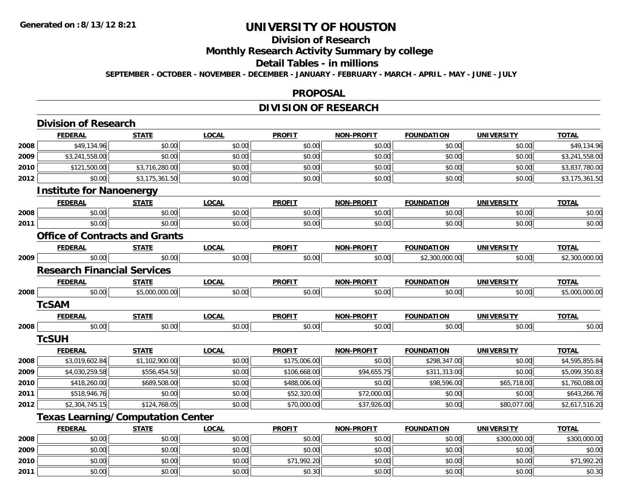# **Division of Research**

**Monthly Research Activity Summary by college**

#### **Detail Tables - in millions**

**SEPTEMBER - OCTOBER - NOVEMBER - DECEMBER - JANUARY - FEBRUARY - MARCH - APRIL - MAY - JUNE - JULY**

### **PROPOSAL**

## **DIVISION OF RESEARCH**

|      | <b>Division of Research</b>              |                |              |               |                   |                   |                   |                |
|------|------------------------------------------|----------------|--------------|---------------|-------------------|-------------------|-------------------|----------------|
|      | <b>FEDERAL</b>                           | <b>STATE</b>   | <b>LOCAL</b> | <b>PROFIT</b> | NON-PROFIT        | <b>FOUNDATION</b> | <b>UNIVERSITY</b> | <b>TOTAL</b>   |
| 2008 | \$49,134.96                              | \$0.00         | \$0.00       | \$0.00        | \$0.00            | \$0.00            | \$0.00            | \$49,134.96    |
| 2009 | \$3,241,558.00                           | \$0.00         | \$0.00       | \$0.00        | \$0.00            | \$0.00            | \$0.00            | \$3,241,558.00 |
| 2010 | \$121,500.00                             | \$3,716,280.00 | \$0.00       | \$0.00        | \$0.00            | \$0.00            | \$0.00            | \$3,837,780.00 |
| 2012 | \$0.00                                   | \$3,175,361.50 | \$0.00       | \$0.00        | \$0.00            | \$0.00            | \$0.00            | \$3,175,361.50 |
|      | <b>Institute for Nanoenergy</b>          |                |              |               |                   |                   |                   |                |
|      | <b>FEDERAL</b>                           | <b>STATE</b>   | <b>LOCAL</b> | <b>PROFIT</b> | <b>NON-PROFIT</b> | <b>FOUNDATION</b> | <b>UNIVERSITY</b> | <b>TOTAL</b>   |
| 2008 | \$0.00                                   | \$0.00         | \$0.00       | \$0.00        | \$0.00            | \$0.00            | \$0.00            | \$0.00         |
| 2011 | \$0.00                                   | \$0.00         | \$0.00       | \$0.00        | \$0.00            | \$0.00            | \$0.00            | \$0.00         |
|      | <b>Office of Contracts and Grants</b>    |                |              |               |                   |                   |                   |                |
|      | <b>FEDERAL</b>                           | <b>STATE</b>   | <b>LOCAL</b> | <b>PROFIT</b> | <b>NON-PROFIT</b> | <b>FOUNDATION</b> | <b>UNIVERSITY</b> | <b>TOTAL</b>   |
| 2009 | \$0.00                                   | \$0.00         | \$0.00       | \$0.00        | \$0.00            | \$2,300,000.00    | \$0.00            | \$2,300,000.00 |
|      | <b>Research Financial Services</b>       |                |              |               |                   |                   |                   |                |
|      | <u>FEDERAL</u>                           | <b>STATE</b>   | <b>LOCAL</b> | <b>PROFIT</b> | <b>NON-PROFIT</b> | <b>FOUNDATION</b> | <b>UNIVERSITY</b> | <b>TOTAL</b>   |
| 2008 | \$0.00                                   | \$5,000,000.00 | \$0.00       | \$0.00        | \$0.00            | \$0.00            | \$0.00            | \$5,000,000.00 |
|      | <b>TcSAM</b>                             |                |              |               |                   |                   |                   |                |
|      | <b>FEDERAL</b>                           | <b>STATE</b>   | <b>LOCAL</b> | <b>PROFIT</b> | <b>NON-PROFIT</b> | <b>FOUNDATION</b> | <b>UNIVERSITY</b> | <b>TOTAL</b>   |
| 2008 | \$0.00                                   | \$0.00         | \$0.00       | \$0.00        | \$0.00            | \$0.00            | \$0.00            | \$0.00         |
|      | <b>TcSUH</b>                             |                |              |               |                   |                   |                   |                |
|      | <b>FEDERAL</b>                           | <b>STATE</b>   | <b>LOCAL</b> | <b>PROFIT</b> | <b>NON-PROFIT</b> | <b>FOUNDATION</b> | <b>UNIVERSITY</b> | <b>TOTAL</b>   |
| 2008 | \$3,019,602.84                           | \$1,102,900.00 | \$0.00       | \$175,006.00  | \$0.00            | \$298,347.00      | \$0.00            | \$4,595,855.84 |
| 2009 | \$4,030,259.58                           | \$556,454.50   | \$0.00       | \$106,668.00  | \$94,655.75       | \$311,313.00      | \$0.00            | \$5,099,350.83 |
| 2010 | \$418,260.00                             | \$689,508.00   | \$0.00       | \$488,006.00  | \$0.00            | \$98,596.00       | \$65,718.00       | \$1,760,088.00 |
| 2011 | \$518,946.76                             | \$0.00         | \$0.00       | \$52,320.00   | \$72,000.00       | \$0.00            | \$0.00            | \$643,266.76   |
| 2012 | \$2,304,745.15                           | \$124,768.05   | \$0.00       | \$70,000.00   | \$37,926.00       | \$0.00            | \$80,077.00       | \$2,617,516.20 |
|      | <b>Texas Learning/Computation Center</b> |                |              |               |                   |                   |                   |                |
|      | <b>FEDERAL</b>                           | <b>STATE</b>   | <b>LOCAL</b> | <b>PROFIT</b> | <b>NON-PROFIT</b> | <b>FOUNDATION</b> | <b>UNIVERSITY</b> | <b>TOTAL</b>   |
| 2008 | \$0.00                                   | \$0.00         | \$0.00       | \$0.00        | \$0.00            | \$0.00            | \$300,000.00      | \$300,000.00   |
| 2009 | \$0.00                                   | \$0.00         | \$0.00       | \$0.00        | \$0.00            | \$0.00            | \$0.00            | \$0.00         |
| 2010 | \$0.00                                   | \$0.00         | \$0.00       | \$71,992.20   | \$0.00            | \$0.00            | \$0.00            | \$71,992.20    |
| 2011 | \$0.00                                   | \$0.00         | \$0.00       | \$0.30        | \$0.00            | \$0.00            | \$0.00            | \$0.30         |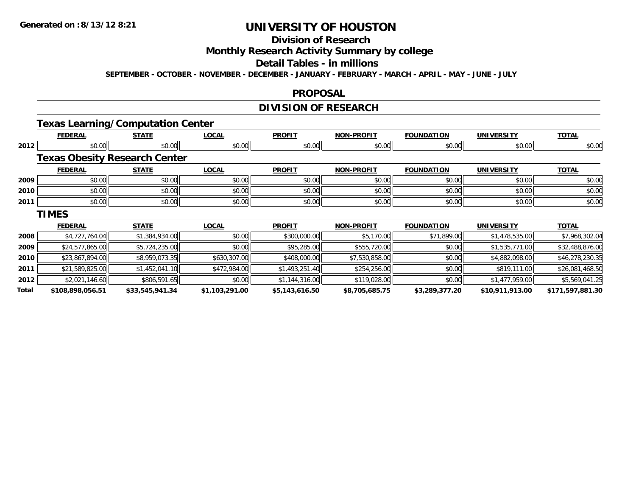# **Division of Research**

**Monthly Research Activity Summary by college**

#### **Detail Tables - in millions**

**SEPTEMBER - OCTOBER - NOVEMBER - DECEMBER - JANUARY - FEBRUARY - MARCH - APRIL - MAY - JUNE - JULY**

### **PROPOSAL**

## **DIVISION OF RESEARCH**

## **Texas Learning/Computation Center**

|       | <b>FEDERAL</b>                       | <b>STATE</b>    | <b>LOCAL</b>   | <b>PROFIT</b>  | <b>NON-PROFIT</b> | <b>FOUNDATION</b> | <b>UNIVERSITY</b> | <b>TOTAL</b>     |
|-------|--------------------------------------|-----------------|----------------|----------------|-------------------|-------------------|-------------------|------------------|
| 2012  | \$0.00                               | \$0.00          | \$0.00         | \$0.00         | \$0.00            | \$0.00            | \$0.00            | \$0.00           |
|       | <b>Texas Obesity Research Center</b> |                 |                |                |                   |                   |                   |                  |
|       | <b>FEDERAL</b>                       | <b>STATE</b>    | <b>LOCAL</b>   | <b>PROFIT</b>  | <b>NON-PROFIT</b> | <b>FOUNDATION</b> | <b>UNIVERSITY</b> | <b>TOTAL</b>     |
| 2009  | \$0.00                               | \$0.00          | \$0.00         | \$0.00         | \$0.00            | \$0.00            | \$0.00            | \$0.00           |
| 2010  | \$0.00                               | \$0.00          | \$0.00         | \$0.00         | \$0.00            | \$0.00            | \$0.00            | \$0.00           |
| 2011  | \$0.00                               | \$0.00          | \$0.00         | \$0.00         | \$0.00            | \$0.00            | \$0.00            | \$0.00           |
|       | <b>TIMES</b>                         |                 |                |                |                   |                   |                   |                  |
|       | <b>FEDERAL</b>                       | <b>STATE</b>    | <b>LOCAL</b>   | <b>PROFIT</b>  | <b>NON-PROFIT</b> | <b>FOUNDATION</b> | <b>UNIVERSITY</b> | <b>TOTAL</b>     |
| 2008  | \$4,727,764.04                       | \$1,384,934.00  | \$0.00         | \$300,000.00   | \$5,170.00        | \$71,899.00       | \$1,478,535.00    | \$7,968,302.04   |
| 2009  | \$24,577,865.00                      | \$5,724,235.00  | \$0.00         | \$95,285.00    | \$555,720.00      | \$0.00            | \$1,535,771.00    | \$32,488,876.00  |
| 2010  | \$23,867,894.00                      | \$8,959,073.35  | \$630,307.00   | \$408,000.00   | \$7,530,858.00    | \$0.00            | \$4,882,098.00    | \$46,278,230.35  |
| 2011  | \$21,589,825.00                      | \$1,452,041.10  | \$472,984.00   | \$1,493,251.40 | \$254,256.00      | \$0.00            | \$819,111.00      | \$26,081,468.50  |
| 2012  | \$2,021,146.60                       | \$806,591.65    | \$0.00         | \$1,144,316.00 | \$119,028.00      | \$0.00            | \$1,477,959.00    | \$5,569,041.25   |
| Total | \$108,898,056.51                     | \$33,545,941.34 | \$1,103,291.00 | \$5,143,616.50 | \$8,705,685.75    | \$3,289,377.20    | \$10,911,913.00   | \$171,597,881.30 |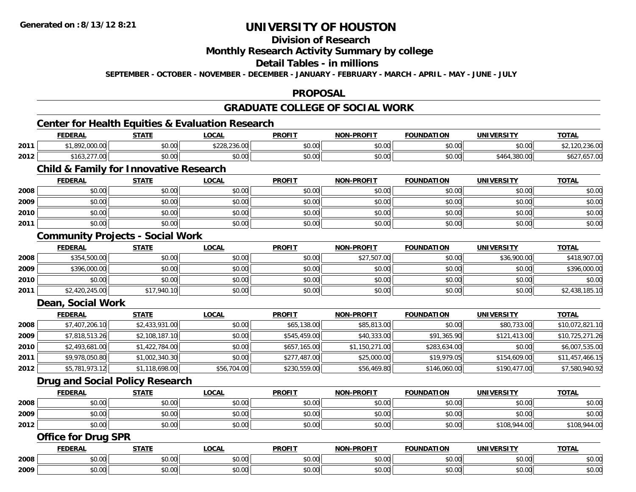## **Division of Research**

## **Monthly Research Activity Summary by college**

## **Detail Tables - in millions**

**SEPTEMBER - OCTOBER - NOVEMBER - DECEMBER - JANUARY - FEBRUARY - MARCH - APRIL - MAY - JUNE - JULY**

## **PROPOSAL**

# **GRADUATE COLLEGE OF SOCIAL WORK**

<u> 1989 - Johann Barn, mars ann an t-Amhainn an t-Amhainn an t-Amhainn an t-Amhainn an t-Amhainn an t-Amhainn a</u>

## **Center for Health Equities & Evaluation Research**

|      | <b>FEDERAL</b>                      | STATE          | LOCAI         | <b>PROFIT</b> | <b>NON-PROFIT</b> | <b>FOUNDATION</b> | <b>UNIVERSITY</b>  | <b>TOTAL</b>       |
|------|-------------------------------------|----------------|---------------|---------------|-------------------|-------------------|--------------------|--------------------|
| 2011 | 00000<br>uu.u.u                     | ልስ ለሰ<br>PU.UU | \$228,236.00  | \$0.00        | \$0.00            | \$0.00            | \$0.00             | 2210               |
| 2012 | 077.00<br>$+410r$<br>/2.د16<br>1.00 | en uu<br>vu.uu | 0000<br>JU.UU | \$0.00        | \$0.00            | \$0.00            | 1,380.00<br>\$464. | י יט. <i>ו</i> כס. |

## **Child & Family for Innovative Research**

|      | <b>FEDERAL</b> | <b>STATE</b> | <b>LOCAL</b> | <b>PROFIT</b> | <b>NON-PROFIT</b> | <b>FOUNDATION</b> | <b>UNIVERSITY</b> | <b>TOTAL</b> |
|------|----------------|--------------|--------------|---------------|-------------------|-------------------|-------------------|--------------|
| 2008 | \$0.00         | \$0.00       | \$0.00       | \$0.00        | \$0.00            | \$0.00            | \$0.00            | \$0.00       |
| 2009 | \$0.00         | \$0.00       | \$0.00       | \$0.00        | \$0.00            | \$0.00            | \$0.00            | \$0.00       |
| 2010 | \$0.00         | \$0.00       | \$0.00       | \$0.00        | \$0.00            | \$0.00            | \$0.00            | \$0.00       |
| 2011 | \$0.00         | \$0.00       | \$0.00       | \$0.00        | \$0.00            | \$0.00            | \$0.00            | \$0.00       |

## **Community Projects - Social Work**

|      | <b>FEDERAL</b> | <b>STATE</b> | <u>LOCAL</u> | <b>PROFIT</b> | <b>NON-PROFIT</b> | <b>FOUNDATION</b> | <b>UNIVERSITY</b> | <b>TOTAL</b>   |
|------|----------------|--------------|--------------|---------------|-------------------|-------------------|-------------------|----------------|
| 2008 | \$354,500.00   | \$0.00       | \$0.00       | \$0.00        | \$27,507.00       | \$0.00            | \$36,900.00       | \$418,907.00   |
| 2009 | \$396,000.00   | \$0.00       | \$0.00       | \$0.00        | \$0.00            | \$0.00            | \$0.00            | \$396,000.00   |
| 2010 | \$0.00         | \$0.00       | \$0.00       | \$0.00        | \$0.00            | \$0.00            | \$0.00            | \$0.00         |
| 2011 | \$2,420,245.00 | \$17,940.10  | \$0.00       | \$0.00        | \$0.00            | \$0.00            | \$0.00            | \$2,438,185.10 |

### **Dean, Social Work**

|      | <u>FEDERAL</u> | <b>STATE</b>   | <b>LOCAL</b> | <b>PROFIT</b> | <b>NON-PROFIT</b> | <b>FOUNDATION</b> | <b>UNIVERSITY</b> | <u>TOTAL</u>    |
|------|----------------|----------------|--------------|---------------|-------------------|-------------------|-------------------|-----------------|
| 2008 | \$7,407,206.10 | \$2,433,931.00 | \$0.00       | \$65,138.00   | \$85,813.00       | \$0.00            | \$80,733.00       | \$10,072,821.10 |
| 2009 | \$7,818,513.26 | \$2,108,187.10 | \$0.00       | \$545,459.00  | \$40,333.00       | \$91,365.90       | \$121,413.00      | \$10,725,271.26 |
| 2010 | \$2,493,681.00 | \$1,422,784.00 | \$0.00       | \$657,165.00  | \$1,150,271.00    | \$283,634.00      | \$0.00            | \$6,007,535.00  |
| 2011 | \$9,978,050.80 | \$1,002,340.30 | \$0.00       | \$277,487.00  | \$25,000.00       | \$19,979.05       | \$154,609.00      | \$11,457,466.15 |
| 2012 | \$5,781,973.12 | \$1,118,698.00 | \$56,704.00  | \$230,559.00  | \$56,469.80       | \$146,060.00      | \$190,477.00      | \$7,580,940.92  |

### **Drug and Social Policy Research**

|      | <b>FEDERAL</b>      | <b>STATE</b> | <u>LOCAL</u> | <b>PROFIT</b> | <b>NON-PROFIT</b> | <b>FOUNDATION</b> | UNIVERSITY   | <b>TOTAL</b> |
|------|---------------------|--------------|--------------|---------------|-------------------|-------------------|--------------|--------------|
| 2008 | <b>ተ ∩</b><br>PU.UU | \$0.00       | \$0.00       | \$0.00        | \$0.00            | \$0.00            | \$0.00       | \$0.00       |
| 2009 | $\cap$<br>vu.vu     | \$0.00       | \$0.00       | \$0.00        | \$0.00            | \$0.00            | \$0.00       | \$0.00       |
| 2012 | ¢∩<br>\$0.00        | \$0.00       | \$0.00       | \$0.00        | \$0.00            | \$0.00            | \$108,944.00 | \$108,944.00 |

### **Office for Drug SPR**

|      | <b>FEDERAL</b> | <b>STATE</b>  | LOCAL  | <b>PROFIT</b> | <b>N-PROFIT</b><br>NON. | <b>FOUNDATION</b> | <b>UNIVERSITY</b>      | <b>TOTAL</b>    |
|------|----------------|---------------|--------|---------------|-------------------------|-------------------|------------------------|-----------------|
| 2008 | 0000<br>JU.UU  | 0000<br>JU.UU | \$0.00 | ሶስ<br>JU.UU   | $\sim$ 00<br>JU.UU      | 0000<br>JU.UU     | $\sim$ $\sim$<br>PO.OO | \$0.00          |
| 2009 | 0000<br>JU.UU  | 0000<br>DU.UU | \$0.00 | ¢Ω<br>JU.UU   | $\sim$ 00<br>PO.OO      | 0000<br>PO.OO     | $+0.00$<br>PO.OO       | ტი იი<br>\$0.00 |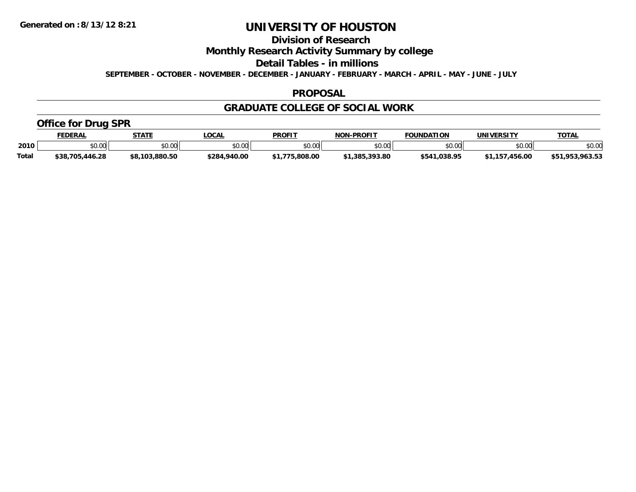**Division of Research**

**Monthly Research Activity Summary by college**

**Detail Tables - in millions**

**SEPTEMBER - OCTOBER - NOVEMBER - DECEMBER - JANUARY - FEBRUARY - MARCH - APRIL - MAY - JUNE - JULY**

### **PROPOSAL**

## **GRADUATE COLLEGE OF SOCIAL WORK**

## **Office for Drug SPR**

|              | <b>FEDERAL</b>   | <b>STATE</b>   | LOCAL        | <b>PROFIT</b> | <b>NON-PROFIT</b> | <b>FOUNDATION</b> | UNIVERSITY                 | <b>TOTAL</b>             |
|--------------|------------------|----------------|--------------|---------------|-------------------|-------------------|----------------------------|--------------------------|
| 2010         | 4000<br>ື ⊅U.U∪∈ | ≮N UU<br>JU.U  | \$0.00       | \$0.00        | ልስ ሰሰ<br>PU.UU    | \$0.00            | \$0.00                     | \$0.00                   |
| <b>Total</b> | \$38,705,446.28  | \$8.103.880.50 | \$284,940.00 | .808.00       | \$1,385,393.80    | \$541.038.95      | $-456.00$<br><b>¢1 157</b> | .963.53<br>\$51<br>.953. |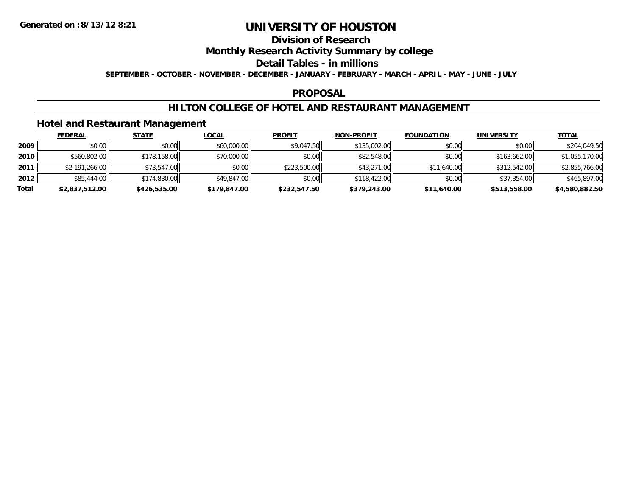## **Division of Research**

## **Monthly Research Activity Summary by college**

#### **Detail Tables - in millions**

**SEPTEMBER - OCTOBER - NOVEMBER - DECEMBER - JANUARY - FEBRUARY - MARCH - APRIL - MAY - JUNE - JULY**

### **PROPOSAL**

## **HILTON COLLEGE OF HOTEL AND RESTAURANT MANAGEMENT**

## **Hotel and Restaurant Management**

|       | <b>FEDERAL</b> | <b>STATE</b> | <u>LOCAL</u> | <b>PROFIT</b> | <b>NON-PROFIT</b> | <b>FOUNDATION</b> | <b>UNIVERSITY</b> | <u>TOTAL</u>   |
|-------|----------------|--------------|--------------|---------------|-------------------|-------------------|-------------------|----------------|
| 2009  | \$0.00         | \$0.00       | \$60,000.00  | \$9,047.50    | \$135,002.00      | \$0.00            | \$0.00            | \$204,049.50   |
| 2010  | \$560,802.00   | \$178,158.00 | \$70,000.00  | \$0.00        | \$82,548.00       | \$0.00            | \$163,662.00      | \$1,055,170.00 |
| 2011  | \$2,191,266.00 | \$73,547.00  | \$0.00       | \$223,500.00  | \$43,271.00       | \$11,640.00       | \$312,542.00      | \$2,855,766.00 |
| 2012  | \$85,444.00    | \$174,830.00 | \$49,847.00  | \$0.00        | \$118,422.00      | \$0.00            | \$37,354.00       | \$465,897.00   |
| Total | \$2,837,512.00 | \$426,535.00 | \$179,847.00 | \$232,547.50  | \$379,243.00      | \$11,640.00       | \$513,558.00      | \$4,580,882.50 |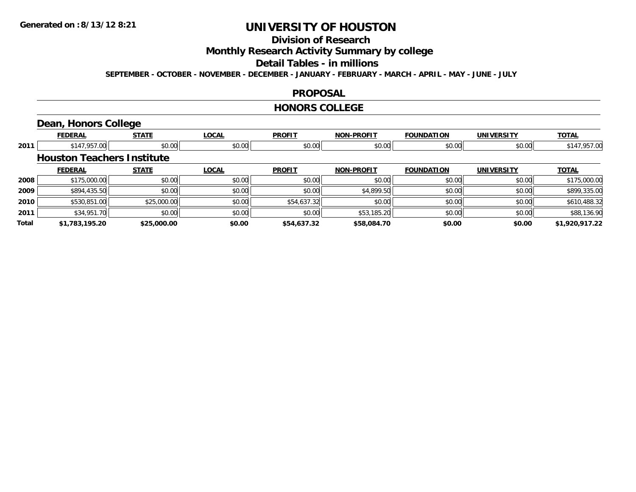# **Division of Research**

**Monthly Research Activity Summary by college**

#### **Detail Tables - in millions**

**SEPTEMBER - OCTOBER - NOVEMBER - DECEMBER - JANUARY - FEBRUARY - MARCH - APRIL - MAY - JUNE - JULY**

### **PROPOSAL**

#### **HONORS COLLEGE**

## **Dean, Honors College**

|       | <b>FEDERAL</b>                    | <b>STATE</b> | <b>LOCAL</b> | <b>PROFIT</b> | <b>NON-PROFIT</b> | <b>FOUNDATION</b> | <b>UNIVERSITY</b> | <b>TOTAL</b>   |
|-------|-----------------------------------|--------------|--------------|---------------|-------------------|-------------------|-------------------|----------------|
| 2011  | \$147,957.00                      | \$0.00       | \$0.00       | \$0.00        | \$0.00            | \$0.00            | \$0.00            | \$147,957.00   |
|       | <b>Houston Teachers Institute</b> |              |              |               |                   |                   |                   |                |
|       | <b>FEDERAL</b>                    | <b>STATE</b> | <b>LOCAL</b> | <b>PROFIT</b> | <b>NON-PROFIT</b> | <b>FOUNDATION</b> | <b>UNIVERSITY</b> | <b>TOTAL</b>   |
| 2008  | \$175,000.00                      | \$0.00       | \$0.00       | \$0.00        | \$0.00            | \$0.00            | \$0.00            | \$175,000.00   |
| 2009  | \$894,435.50                      | \$0.00       | \$0.00       | \$0.00        | \$4,899.50        | \$0.00            | \$0.00            | \$899,335.00   |
| 2010  | \$530,851.00                      | \$25,000.00  | \$0.00       | \$54,637.32   | \$0.00            | \$0.00            | \$0.00            | \$610,488.32   |
| 2011  | \$34,951.70                       | \$0.00       | \$0.00       | \$0.00        | \$53,185.20       | \$0.00            | \$0.00            | \$88,136.90    |
| Total | \$1,783,195.20                    | \$25,000.00  | \$0.00       | \$54,637.32   | \$58,084.70       | \$0.00            | \$0.00            | \$1,920,917.22 |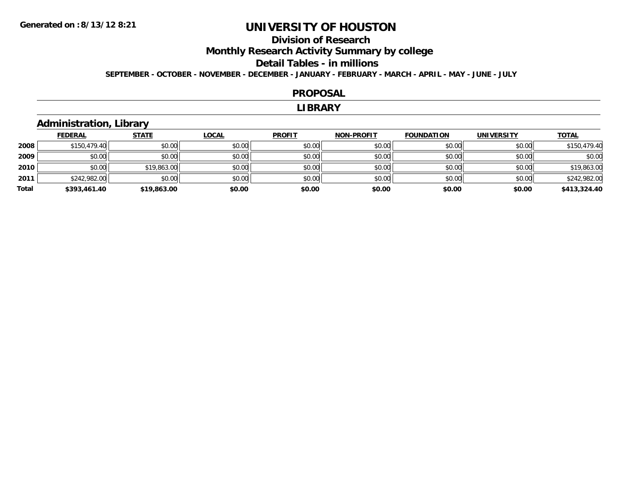# **Division of ResearchMonthly Research Activity Summary by college Detail Tables - in millions**

**SEPTEMBER - OCTOBER - NOVEMBER - DECEMBER - JANUARY - FEBRUARY - MARCH - APRIL - MAY - JUNE - JULY**

#### **PROPOSAL**

#### **LIBRARY**

## **Administration, Library**

|       | <b>FEDERAL</b> | <b>STATE</b> | <u>LOCAL</u> | <b>PROFIT</b> | <b>NON-PROFIT</b> | <b>FOUNDATION</b> | <b>UNIVERSITY</b> | <b>TOTAL</b> |
|-------|----------------|--------------|--------------|---------------|-------------------|-------------------|-------------------|--------------|
| 2008  | \$150,479.40   | \$0.00       | \$0.00       | \$0.00        | \$0.00            | \$0.00            | \$0.00            | \$150,479.40 |
| 2009  | \$0.00         | \$0.00       | \$0.00       | \$0.00        | \$0.00            | \$0.00            | \$0.00            | \$0.00       |
| 2010  | \$0.00         | \$19,863.00  | \$0.00       | \$0.00        | \$0.00            | \$0.00            | \$0.00            | \$19,863.00  |
| 2011  | \$242,982.00   | \$0.00       | \$0.00       | \$0.00        | \$0.00            | \$0.00            | \$0.00            | \$242,982.00 |
| Total | \$393,461.40   | \$19,863.00  | \$0.00       | \$0.00        | \$0.00            | \$0.00            | \$0.00            | \$413,324.40 |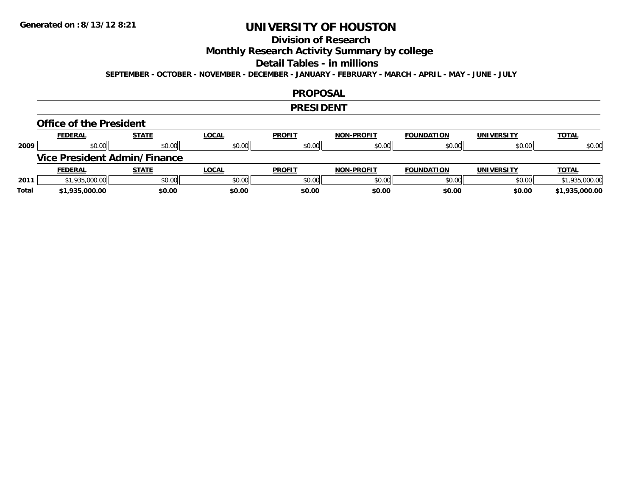## **Division of Research**

**Monthly Research Activity Summary by college**

#### **Detail Tables - in millions**

**SEPTEMBER - OCTOBER - NOVEMBER - DECEMBER - JANUARY - FEBRUARY - MARCH - APRIL - MAY - JUNE - JULY**

#### **PROPOSAL**

#### **PRESIDENT**

#### **Office of the President**

|      | <b>FEDERAL</b>                      | <b>STATE</b> | <u>LOCAL</u> | <b>PROFIT</b> | <b>NON-PROFIT</b> | <b>FOUNDATION</b> | <b>UNIVERSITY</b> | <b>TOTAL</b>   |
|------|-------------------------------------|--------------|--------------|---------------|-------------------|-------------------|-------------------|----------------|
| 2009 | \$0.00                              | \$0.00       | \$0.00       | \$0.00        | \$0.00            | \$0.00            | \$0.00            | \$0.00         |
|      | <b>Vice President Admin/Finance</b> |              |              |               |                   |                   |                   |                |
|      |                                     |              |              |               |                   |                   |                   |                |
|      | <b>FEDERAL</b>                      | <u>STATE</u> | <u>LOCAL</u> | <b>PROFIT</b> | <b>NON-PROFIT</b> | <b>FOUNDATION</b> | <b>UNIVERSITY</b> | <b>TOTAL</b>   |
| 2011 | \$1,935,000.00                      | \$0.00       | \$0.00       | \$0.00        | \$0.00            | \$0.00            | \$0.00            | \$1,935,000.00 |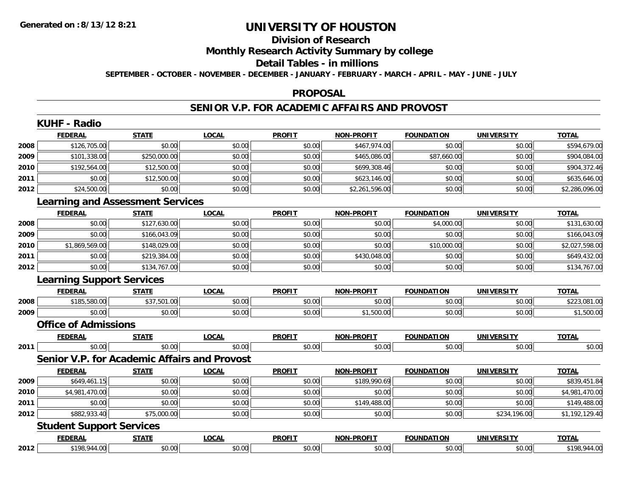#### **Division of Research**

**Monthly Research Activity Summary by college**

#### **Detail Tables - in millions**

**SEPTEMBER - OCTOBER - NOVEMBER - DECEMBER - JANUARY - FEBRUARY - MARCH - APRIL - MAY - JUNE - JULY**

### **PROPOSAL**

## **SENIOR V.P. FOR ACADEMIC AFFAIRS AND PROVOST**

|      | <b>KUHF - Radio</b>              |                                         |                                              |               |                   |                   |                   |                |
|------|----------------------------------|-----------------------------------------|----------------------------------------------|---------------|-------------------|-------------------|-------------------|----------------|
|      | <b>FEDERAL</b>                   | <b>STATE</b>                            | <b>LOCAL</b>                                 | <b>PROFIT</b> | <b>NON-PROFIT</b> | <b>FOUNDATION</b> | <b>UNIVERSITY</b> | <b>TOTAL</b>   |
| 2008 | \$126,705.00                     | \$0.00                                  | \$0.00                                       | \$0.00        | \$467,974.00      | \$0.00            | \$0.00            | \$594,679.00   |
| 2009 | \$101,338.00                     | \$250,000.00                            | \$0.00                                       | \$0.00        | \$465,086.00      | \$87,660.00       | \$0.00            | \$904,084.00   |
| 2010 | \$192,564.00                     | \$12,500.00                             | \$0.00                                       | \$0.00        | \$699,308.46      | \$0.00            | \$0.00            | \$904,372.46   |
| 2011 | \$0.00                           | \$12,500.00                             | \$0.00                                       | \$0.00        | \$623,146.00      | \$0.00            | \$0.00            | \$635,646.00   |
| 2012 | \$24,500.00                      | \$0.00                                  | \$0.00                                       | \$0.00        | \$2,261,596.00    | \$0.00            | \$0.00            | \$2,286,096.00 |
|      |                                  | <b>Learning and Assessment Services</b> |                                              |               |                   |                   |                   |                |
|      | <b>FEDERAL</b>                   | <b>STATE</b>                            | <b>LOCAL</b>                                 | <b>PROFIT</b> | NON-PROFIT        | <b>FOUNDATION</b> | UNIVERSITY        | <b>TOTAL</b>   |
| 2008 | \$0.00                           | \$127,630.00                            | \$0.00                                       | \$0.00        | \$0.00            | \$4,000.00        | \$0.00            | \$131,630.00   |
| 2009 | \$0.00                           | \$166,043.09                            | \$0.00                                       | \$0.00        | \$0.00            | \$0.00            | \$0.00            | \$166,043.09   |
| 2010 | \$1,869,569.00                   | \$148,029.00                            | \$0.00                                       | \$0.00        | \$0.00            | \$10,000.00       | \$0.00            | \$2,027,598.00 |
| 2011 | \$0.00                           | \$219,384.00                            | \$0.00                                       | \$0.00        | \$430,048.00      | \$0.00            | \$0.00            | \$649,432.00   |
| 2012 | \$0.00                           | \$134,767.00                            | \$0.00                                       | \$0.00        | \$0.00            | \$0.00            | \$0.00            | \$134,767.00   |
|      | <b>Learning Support Services</b> |                                         |                                              |               |                   |                   |                   |                |
|      | <b>FEDERAL</b>                   | <b>STATE</b>                            | <b>LOCAL</b>                                 | <b>PROFIT</b> | <b>NON-PROFIT</b> | <b>FOUNDATION</b> | <b>UNIVERSITY</b> | <b>TOTAL</b>   |
| 2008 | \$185,580.00                     | \$37,501.00                             | \$0.00                                       | \$0.00        | \$0.00            | \$0.00            | \$0.00            | \$223,081.00   |
| 2009 | \$0.00                           | \$0.00                                  | \$0.00                                       | \$0.00        | \$1,500.00        | \$0.00            | \$0.00            | \$1,500.00     |
|      | <b>Office of Admissions</b>      |                                         |                                              |               |                   |                   |                   |                |
|      | <b>FEDERAL</b>                   | <b>STATE</b>                            | <b>LOCAL</b>                                 | <b>PROFIT</b> | <b>NON-PROFIT</b> | <b>FOUNDATION</b> | <b>UNIVERSITY</b> | <b>TOTAL</b>   |
| 2011 | \$0.00                           | \$0.00                                  | \$0.00                                       | \$0.00        | \$0.00            | \$0.00            | \$0.00            | \$0.00         |
|      |                                  |                                         | Senior V.P. for Academic Affairs and Provost |               |                   |                   |                   |                |
|      | <b>FEDERAL</b>                   | <b>STATE</b>                            | <b>LOCAL</b>                                 | <b>PROFIT</b> | <b>NON-PROFIT</b> | <b>FOUNDATION</b> | <b>UNIVERSITY</b> | <b>TOTAL</b>   |
| 2009 | \$649,461.15                     | \$0.00                                  | \$0.00                                       | \$0.00        | \$189,990.69      | \$0.00            | \$0.00            | \$839,451.84   |
| 2010 | \$4,981,470.00                   | \$0.00                                  | \$0.00                                       | \$0.00        | \$0.00            | \$0.00            | \$0.00            | \$4,981,470.00 |
| 2011 | \$0.00                           | \$0.00                                  | \$0.00                                       | \$0.00        | \$149,488.00      | \$0.00            | \$0.00            | \$149,488.00   |
| 2012 | \$882,933.40                     | \$75,000.00                             | \$0.00                                       | \$0.00        | \$0.00            | \$0.00            | \$234,196.00      | \$1,192,129.40 |
|      | <b>Student Support Services</b>  |                                         |                                              |               |                   |                   |                   |                |
|      | <b>FEDERAL</b>                   | <b>STATE</b>                            | <b>LOCAL</b>                                 | <b>PROFIT</b> | <b>NON-PROFIT</b> | <b>FOUNDATION</b> | <b>UNIVERSITY</b> | <b>TOTAL</b>   |
| 2012 | \$198,944.00                     | \$0.00                                  | \$0.00                                       | \$0.00        | \$0.00            | \$0.00            | \$0.00            | \$198,944.00   |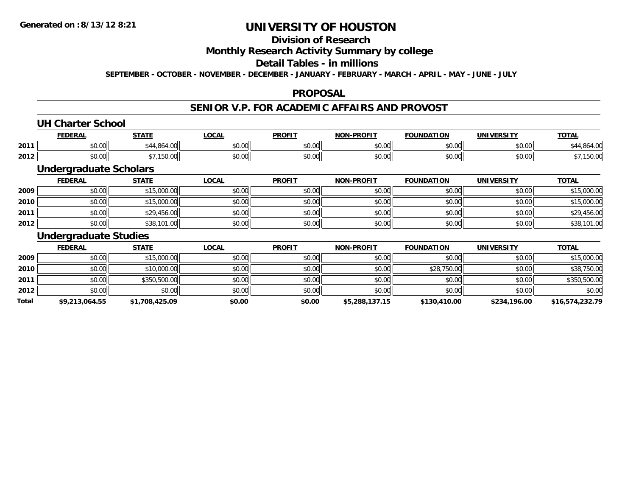## **Division of Research**

## **Monthly Research Activity Summary by college**

## **Detail Tables - in millions**

**SEPTEMBER - OCTOBER - NOVEMBER - DECEMBER - JANUARY - FEBRUARY - MARCH - APRIL - MAY - JUNE - JULY**

### **PROPOSAL**

## **SENIOR V.P. FOR ACADEMIC AFFAIRS AND PROVOST**

## **UH Charter School**

|      | <b>FEDERAI</b>      | C T A T C     | $\sim$<br>UUMI | <b>PROFIT</b> | <b>LDDOFIT</b><br><b>MON</b> | <b>FOUNDATION</b>      | <b>IINIVEDSITV</b>         | $-0$<br>v I A |
|------|---------------------|---------------|----------------|---------------|------------------------------|------------------------|----------------------------|---------------|
| 2011 | ሶስ ሰሰ<br>vu.uu      | $\Omega$<br>. | vv.vv          | 0000<br>vv.vv | $\cdots$<br>ิ ∪ ∪ ∪          | $\sim$ 00<br>vv.vv     | $*$ $\sim$ $\sim$<br>vv.vv |               |
| 2012 | $\sim$ 0.0<br>JU.UU |               | vu.vu          | 0000<br>JU.UU | $+ - - -$<br>JU.UU           | $\sim$ $\sim$<br>JU.UU | امہ مہ<br>PO.OO            | י טפו         |

## **Undergraduate Scholars**

|      | <b>FEDERAL</b> | <u>STATE</u> | <b>LOCAL</b> | <b>PROFIT</b> | <b>NON-PROFIT</b> | <b>FOUNDATION</b> | <b>UNIVERSITY</b> | <b>TOTAL</b> |
|------|----------------|--------------|--------------|---------------|-------------------|-------------------|-------------------|--------------|
| 2009 | \$0.00         | \$15,000.00  | \$0.00       | \$0.00        | \$0.00            | \$0.00            | \$0.00            | \$15,000.00  |
| 2010 | \$0.00         | \$15,000.00  | \$0.00       | \$0.00        | \$0.00            | \$0.00            | \$0.00            | \$15,000.00  |
| 2011 | \$0.00         | \$29,456.00  | \$0.00       | \$0.00        | \$0.00            | \$0.00            | \$0.00            | \$29,456.00  |
| 2012 | \$0.00         | \$38,101.00  | \$0.00       | \$0.00        | \$0.00            | \$0.00            | \$0.00            | \$38,101.00  |

### **Undergraduate Studies**

|       | <u>FEDERAL</u> | <b>STATE</b>   | <u>LOCAL</u> | <b>PROFIT</b> | <b>NON-PROFIT</b> | <b>FOUNDATION</b> | UNIVERSITY   | <b>TOTAL</b>    |
|-------|----------------|----------------|--------------|---------------|-------------------|-------------------|--------------|-----------------|
| 2009  | \$0.00         | \$15,000.00    | \$0.00       | \$0.00        | \$0.00            | \$0.00            | \$0.00       | \$15,000.00     |
| 2010  | \$0.00         | \$10,000.00    | \$0.00       | \$0.00        | \$0.00            | \$28,750.00       | \$0.00       | \$38,750.00     |
| 2011  | \$0.00         | \$350,500,00   | \$0.00       | \$0.00        | \$0.00            | \$0.00            | \$0.00       | \$350,500.00    |
| 2012  | \$0.00         | \$0.00         | \$0.00       | \$0.00        | \$0.00            | \$0.00            | \$0.00       | \$0.00          |
| Total | \$9,213,064.55 | \$1,708,425.09 | \$0.00       | \$0.00        | \$5,288,137.15    | \$130,410.00      | \$234,196.00 | \$16,574,232.79 |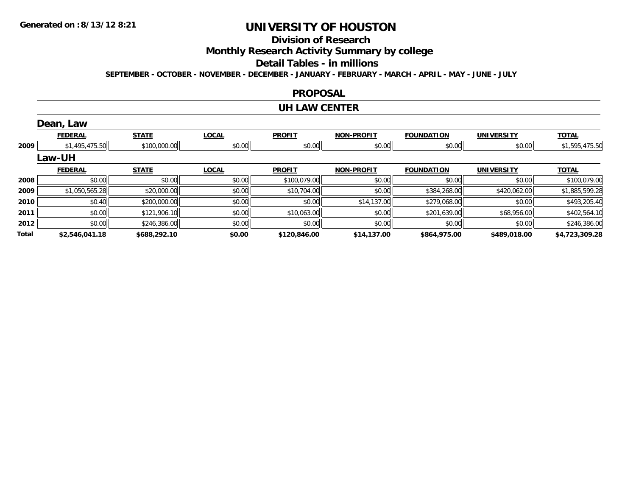## **Division of Research**

**Monthly Research Activity Summary by college**

#### **Detail Tables - in millions**

**SEPTEMBER - OCTOBER - NOVEMBER - DECEMBER - JANUARY - FEBRUARY - MARCH - APRIL - MAY - JUNE - JULY**

#### **PROPOSAL**

#### **UH LAW CENTER**

|       | Dean, Law      |              |              |               |                   |                   |                   |                |
|-------|----------------|--------------|--------------|---------------|-------------------|-------------------|-------------------|----------------|
|       | <b>FEDERAL</b> | <b>STATE</b> | <b>LOCAL</b> | <b>PROFIT</b> | <b>NON-PROFIT</b> | <b>FOUNDATION</b> | <b>UNIVERSITY</b> | <b>TOTAL</b>   |
| 2009  | \$1,495,475.50 | \$100,000.00 | \$0.00       | \$0.00        | \$0.00            | \$0.00            | \$0.00            | \$1,595,475.50 |
|       | <b>Law-UH</b>  |              |              |               |                   |                   |                   |                |
|       | <b>FEDERAL</b> | <b>STATE</b> | <b>LOCAL</b> | <b>PROFIT</b> | <b>NON-PROFIT</b> | <b>FOUNDATION</b> | <b>UNIVERSITY</b> | <b>TOTAL</b>   |
| 2008  | \$0.00         | \$0.00       | \$0.00       | \$100,079.00  | \$0.00            | \$0.00            | \$0.00            | \$100,079.00   |
| 2009  | \$1,050,565.28 | \$20,000.00  | \$0.00       | \$10,704.00   | \$0.00            | \$384,268.00      | \$420,062.00      | \$1,885,599.28 |
| 2010  | \$0.40         | \$200,000.00 | \$0.00       | \$0.00        | \$14,137.00       | \$279,068.00      | \$0.00            | \$493,205.40   |
| 2011  | \$0.00         | \$121,906.10 | \$0.00       | \$10,063.00   | \$0.00            | \$201,639.00      | \$68,956.00       | \$402,564.10   |
| 2012  | \$0.00         | \$246,386.00 | \$0.00       | \$0.00        | \$0.00            | \$0.00            | \$0.00            | \$246,386.00   |
| Total | \$2,546,041.18 | \$688,292.10 | \$0.00       | \$120,846.00  | \$14,137.00       | \$864,975.00      | \$489,018.00      | \$4,723,309.28 |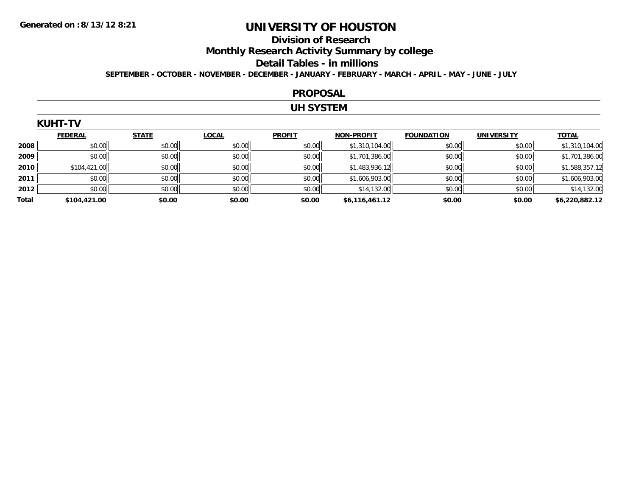## **Division of Research**

**Monthly Research Activity Summary by college**

#### **Detail Tables - in millions**

**SEPTEMBER - OCTOBER - NOVEMBER - DECEMBER - JANUARY - FEBRUARY - MARCH - APRIL - MAY - JUNE - JULY**

#### **PROPOSAL**

## **UH SYSTEM**

| KUHT |  |
|------|--|
|------|--|

|       | <b>FEDERAL</b> | <b>STATE</b> | <b>LOCAL</b> | <b>PROFIT</b> | <b>NON-PROFIT</b> | <b>FOUNDATION</b> | <b>UNIVERSITY</b> | <b>TOTAL</b>   |
|-------|----------------|--------------|--------------|---------------|-------------------|-------------------|-------------------|----------------|
| 2008  | \$0.00         | \$0.00       | \$0.00       | \$0.00        | \$1,310,104.00    | \$0.00            | \$0.00            | \$1,310,104.00 |
| 2009  | \$0.00         | \$0.00       | \$0.00       | \$0.00        | \$1,701,386.00    | \$0.00            | \$0.00            | \$1,701,386.00 |
| 2010  | \$104,421.00   | \$0.00       | \$0.00       | \$0.00        | \$1,483,936.12    | \$0.00            | \$0.00            | \$1,588,357.12 |
| 2011  | \$0.00         | \$0.00       | \$0.00       | \$0.00        | \$1,606,903.00    | \$0.00            | \$0.00            | \$1,606,903.00 |
| 2012  | \$0.00         | \$0.00       | \$0.00       | \$0.00        | \$14,132.00       | \$0.00            | \$0.00            | \$14,132.00    |
| Total | \$104,421.00   | \$0.00       | \$0.00       | \$0.00        | \$6,116,461.12    | \$0.00            | \$0.00            | \$6,220,882.12 |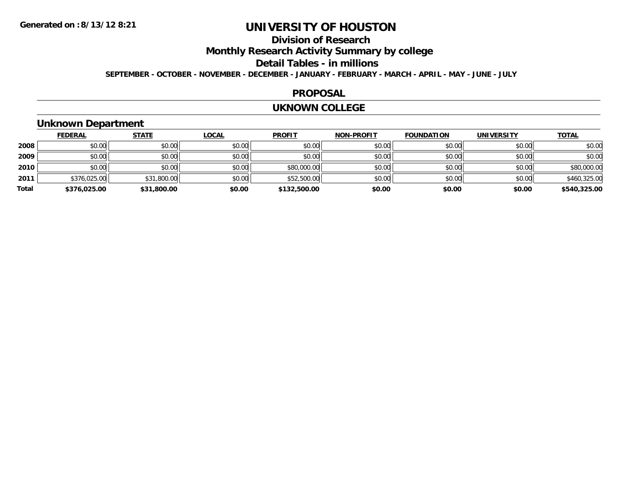## **Division of Research**

**Monthly Research Activity Summary by college**

**Detail Tables - in millions**

**SEPTEMBER - OCTOBER - NOVEMBER - DECEMBER - JANUARY - FEBRUARY - MARCH - APRIL - MAY - JUNE - JULY**

### **PROPOSAL**

#### **UKNOWN COLLEGE**

## **Unknown Department**

|       | <b>FEDERAL</b> | <b>STATE</b> | <b>LOCAL</b> | <b>PROFIT</b> | <b>NON-PROFIT</b> | <b>FOUNDATION</b> | <b>UNIVERSITY</b> | <b>TOTAL</b> |
|-------|----------------|--------------|--------------|---------------|-------------------|-------------------|-------------------|--------------|
| 2008  | \$0.00         | \$0.00       | \$0.00       | \$0.00        | \$0.00            | \$0.00            | \$0.00            | \$0.00       |
| 2009  | \$0.00         | \$0.00       | \$0.00       | \$0.00        | \$0.00            | \$0.00            | \$0.00            | \$0.00       |
| 2010  | \$0.00         | \$0.00       | \$0.00       | \$80,000.00   | \$0.00            | \$0.00            | \$0.00            | \$80,000.00  |
| 2011  | \$376,025.00   | \$31,800.00  | \$0.00       | \$52,500.00   | \$0.00            | \$0.00            | \$0.00            | \$460,325.00 |
| Total | \$376,025.00   | \$31,800.00  | \$0.00       | \$132,500.00  | \$0.00            | \$0.00            | \$0.00            | \$540,325.00 |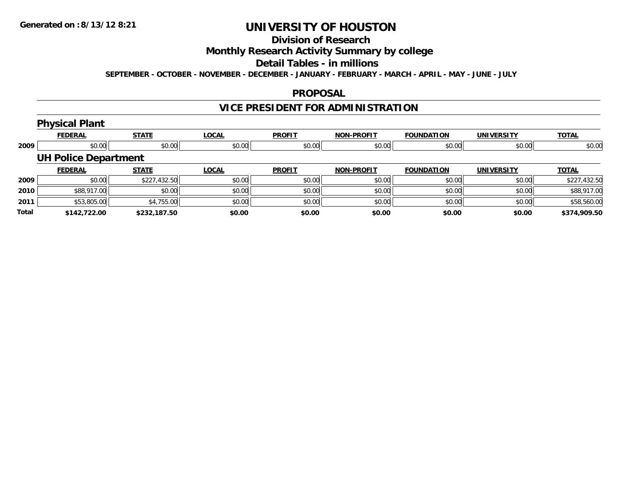# **Division of Research**

## **Monthly Research Activity Summary by college**

#### **Detail Tables - in millions**

**SEPTEMBER - OCTOBER - NOVEMBER - DECEMBER - JANUARY - FEBRUARY - MARCH - APRIL - MAY - JUNE - JULY**

### **PROPOSAL**

# **VICE PRESIDENT FOR ADMINISTRATION**

# **Physical Plant**

|       | <b>FEDERAL</b>              | <b>STATE</b> | <b>LOCAL</b> | <b>PROFIT</b> | <b>NON-PROFIT</b> | <b>FOUNDATION</b> | <b>UNIVERSITY</b> | <b>TOTAL</b> |
|-------|-----------------------------|--------------|--------------|---------------|-------------------|-------------------|-------------------|--------------|
| 2009  | \$0.00                      | \$0.00       | \$0.00       | \$0.00        | \$0.00            | \$0.00            | \$0.00            | \$0.00       |
|       | <b>UH Police Department</b> |              |              |               |                   |                   |                   |              |
|       | <b>FEDERAL</b>              | <b>STATE</b> | <b>LOCAL</b> | <b>PROFIT</b> | <b>NON-PROFIT</b> | <b>FOUNDATION</b> | <b>UNIVERSITY</b> | <b>TOTAL</b> |
| 2009  | \$0.00                      | \$227,432.50 | \$0.00       | \$0.00        | \$0.00            | \$0.00            | \$0.00            | \$227,432.50 |
| 2010  | \$88,917.00                 | \$0.00       | \$0.00       | \$0.00        | \$0.00            | \$0.00            | \$0.00            | \$88,917.00  |
| 2011  | \$53,805.00                 | \$4,755.00   | \$0.00       | \$0.00        | \$0.00            | \$0.00            | \$0.00            | \$58,560.00  |
| Total | \$142.722.00                | \$232,187.50 | \$0.00       | \$0.00        | \$0.00            | \$0.00            | \$0.00            | \$374,909.50 |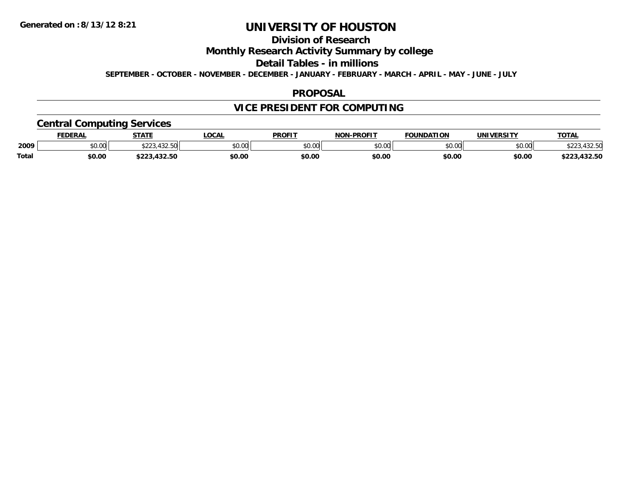## **Division of Research**

**Monthly Research Activity Summary by college**

**Detail Tables - in millions**

**SEPTEMBER - OCTOBER - NOVEMBER - DECEMBER - JANUARY - FEBRUARY - MARCH - APRIL - MAY - JUNE - JULY**

### **PROPOSAL**

## **VICE PRESIDENT FOR COMPUTING**

## **Central Computing Services**

|              | DERAI  | <b>STATE</b>       | <b>OCAL</b> | <b>PROFIT</b> | -PROFIT<br><b>NON</b> | <b>FOUNDATION</b> | 'JNIV.<br><b>JEDCIT</b> | TOTA.  |
|--------------|--------|--------------------|-------------|---------------|-----------------------|-------------------|-------------------------|--------|
| 2009         | \$0.00 | $\sqrt{2}$<br>ሐ へへ | \$0.00      | 0000<br>JU.UU | $\sim$ 00<br>pu.uu    | 0000<br>w.w       | \$0.00                  |        |
| <b>Total</b> | \$0.00 |                    | \$0.00      | \$0.00        | \$0.00                | \$0.00            | \$0.00                  | $\sim$ |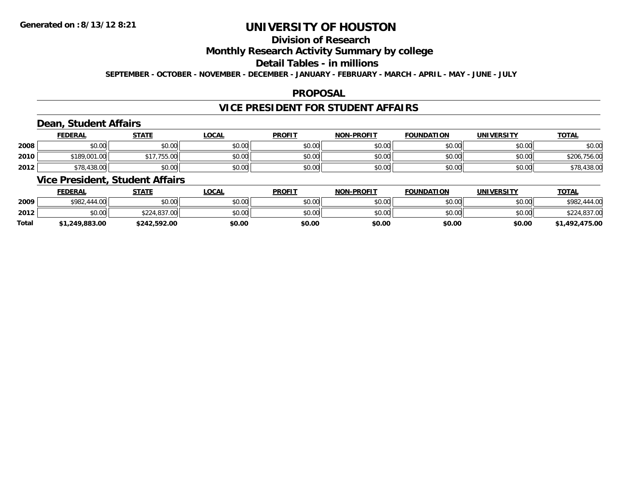# **Division of Research**

## **Monthly Research Activity Summary by college**

## **Detail Tables - in millions**

**SEPTEMBER - OCTOBER - NOVEMBER - DECEMBER - JANUARY - FEBRUARY - MARCH - APRIL - MAY - JUNE - JULY**

## **PROPOSAL**

## **VICE PRESIDENT FOR STUDENT AFFAIRS**

## **Dean, Student Affairs**

|      | <b>FEDERAL</b> | <b>STATE</b> | <b>LOCAL</b> | <b>PROFIT</b> | <b>NON-PROFIT</b> | <b>FOUNDATION</b> | UNIVERSITY | <b>TOTAL</b> |
|------|----------------|--------------|--------------|---------------|-------------------|-------------------|------------|--------------|
| 2008 | \$0.00         | \$0.00       | \$0.00       | \$0.00        | \$0.00            | \$0.00            | \$0.00     | \$0.00       |
| 2010 | \$189,001.00   | \$17.755.00  | \$0.00       | \$0.00        | \$0.00            | \$0.00            | \$0.00     | \$206,756.00 |
| 2012 | \$78,438.00    | \$0.00       | \$0.00       | \$0.00        | \$0.00            | \$0.00            | \$0.00     | \$78,438.00  |

## **Vice President, Student Affairs**

|              | <b>FEDERAL</b> | <u>STATE</u> | <b>LOCAL</b> | <b>PROFIT</b> | <b>NON-PROFIT</b> | <b>FOUNDATION</b> | <b>UNIVERSITY</b> | <b>TOTAL</b>      |
|--------------|----------------|--------------|--------------|---------------|-------------------|-------------------|-------------------|-------------------|
| 2009         | \$982,444.00   | \$0.00       | \$0.00       | \$0.00        | \$0.00            | \$0.00            | \$0.00            | \$982.<br>.444.00 |
| 2012         | \$0.00         | \$224,837,00 | \$0.00       | \$0.00        | \$0.00            | \$0.00            | \$0.00            | \$224,837.00      |
| <b>Total</b> | \$1,249,883.00 | \$242,592.00 | \$0.00       | \$0.00        | \$0.00            | \$0.00            | \$0.00            | \$1,492,475.00    |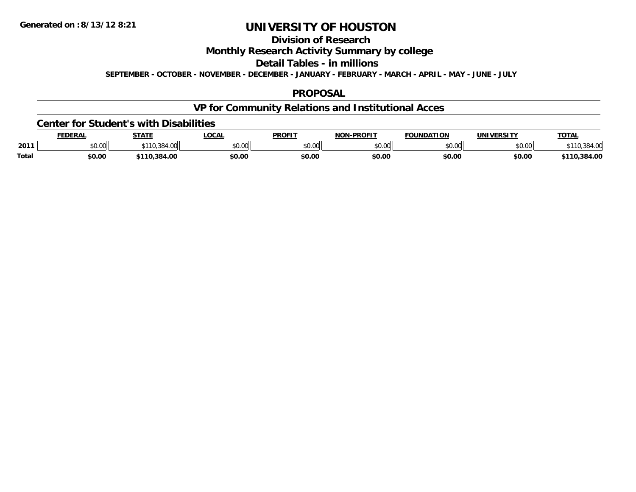## **Division of Research**

**Monthly Research Activity Summary by college**

**Detail Tables - in millions**

**SEPTEMBER - OCTOBER - NOVEMBER - DECEMBER - JANUARY - FEBRUARY - MARCH - APRIL - MAY - JUNE - JULY**

## **PROPOSAL**

## **VP for Community Relations and Institutional Acces**

#### **Center for Student's with Disabilities**

|              | <b>FEDERAL</b>     | <b>STATE</b> | LOCAI              | <b>PROFIT</b> | -PROFIT<br>חחו | <b>FOUNDATION</b> | IINIVEDSITV                         | <b>TATA</b><br>OIAI |
|--------------|--------------------|--------------|--------------------|---------------|----------------|-------------------|-------------------------------------|---------------------|
| 2011         | $\sim$ 00<br>JU.UU | T. LJ L.     | $\sim$ 00<br>JU.UU | \$0.00        | \$0.00         | טט.טע             | $\uparrow$ $\land$ $\land$<br>DU.UG |                     |
| <b>Total</b> | \$0.00             | .384.00      | \$0.00             | \$0.00        | \$0.00         | \$0.00            | \$0.00                              | .384.00<br>110      |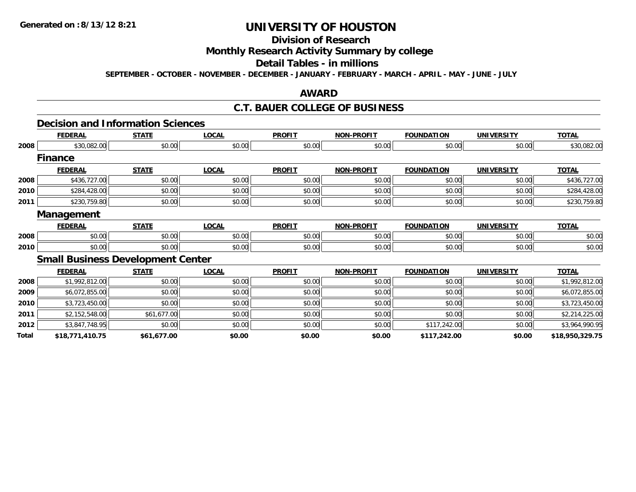## **Division of Research**

## **Monthly Research Activity Summary by college**

## **Detail Tables - in millions**

**SEPTEMBER - OCTOBER - NOVEMBER - DECEMBER - JANUARY - FEBRUARY - MARCH - APRIL - MAY - JUNE - JULY**

### **AWARD**

### **C.T. BAUER COLLEGE OF BUSINESS**

## **Decision and Information Sciences**

|       | <b>FEDERAL</b>    | <b>STATE</b>                             | <b>LOCAL</b> | <b>PROFIT</b> | <b>NON-PROFIT</b> | <b>FOUNDATION</b> | <b>UNIVERSITY</b> | <b>TOTAL</b>    |
|-------|-------------------|------------------------------------------|--------------|---------------|-------------------|-------------------|-------------------|-----------------|
| 2008  | \$30,082.00       | \$0.00                                   | \$0.00       | \$0.00        | \$0.00            | \$0.00            | \$0.00            | \$30,082.00     |
|       | <b>Finance</b>    |                                          |              |               |                   |                   |                   |                 |
|       | <b>FEDERAL</b>    | <b>STATE</b>                             | <b>LOCAL</b> | <b>PROFIT</b> | <b>NON-PROFIT</b> | <b>FOUNDATION</b> | <b>UNIVERSITY</b> | <b>TOTAL</b>    |
| 2008  | \$436,727.00      | \$0.00                                   | \$0.00       | \$0.00        | \$0.00            | \$0.00            | \$0.00            | \$436,727.00    |
| 2010  | \$284,428.00      | \$0.00                                   | \$0.00       | \$0.00        | \$0.00            | \$0.00            | \$0.00            | \$284,428.00    |
| 2011  | \$230,759.80      | \$0.00                                   | \$0.00       | \$0.00        | \$0.00            | \$0.00            | \$0.00            | \$230,759.80    |
|       | <b>Management</b> |                                          |              |               |                   |                   |                   |                 |
|       | <b>FEDERAL</b>    | <b>STATE</b>                             | <b>LOCAL</b> | <b>PROFIT</b> | <b>NON-PROFIT</b> | <b>FOUNDATION</b> | <b>UNIVERSITY</b> | <b>TOTAL</b>    |
| 2008  | \$0.00            | \$0.00                                   | \$0.00       | \$0.00        | \$0.00            | \$0.00            | \$0.00            | \$0.00          |
| 2010  | \$0.00            | \$0.00                                   | \$0.00       | \$0.00        | \$0.00            | \$0.00            | \$0.00            | \$0.00          |
|       |                   | <b>Small Business Development Center</b> |              |               |                   |                   |                   |                 |
|       | <b>FEDERAL</b>    | <b>STATE</b>                             | <b>LOCAL</b> | <b>PROFIT</b> | <b>NON-PROFIT</b> | <b>FOUNDATION</b> | <b>UNIVERSITY</b> | <b>TOTAL</b>    |
| 2008  | \$1,992,812.00    | \$0.00                                   | \$0.00       | \$0.00        | \$0.00            | \$0.00            | \$0.00            | \$1,992,812.00  |
| 2009  | \$6,072,855.00    | \$0.00                                   | \$0.00       | \$0.00        | \$0.00            | \$0.00            | \$0.00            | \$6,072,855.00  |
| 2010  | \$3,723,450.00    | \$0.00                                   | \$0.00       | \$0.00        | \$0.00            | \$0.00            | \$0.00            | \$3,723,450.00  |
| 2011  | \$2,152,548.00    | \$61,677.00                              | \$0.00       | \$0.00        | \$0.00            | \$0.00            | \$0.00            | \$2,214,225.00  |
| 2012  | \$3,847,748.95    | \$0.00                                   | \$0.00       | \$0.00        | \$0.00            | \$117,242.00      | \$0.00            | \$3,964,990.95  |
| Total | \$18,771,410.75   | \$61,677.00                              | \$0.00       | \$0.00        | \$0.00            | \$117,242.00      | \$0.00            | \$18,950,329.75 |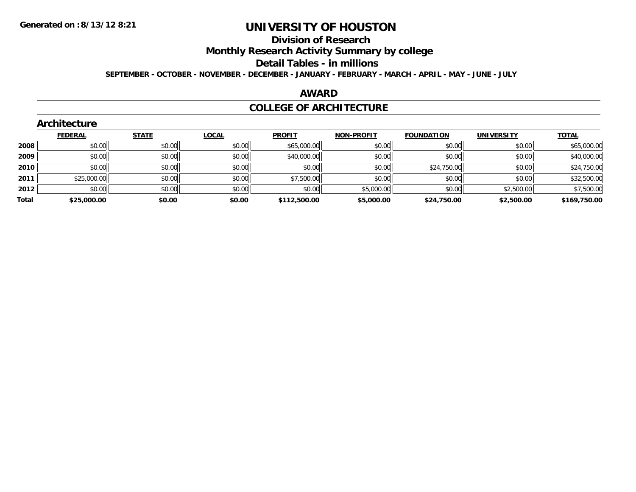## **Division of Research**

**Monthly Research Activity Summary by college**

#### **Detail Tables - in millions**

**SEPTEMBER - OCTOBER - NOVEMBER - DECEMBER - JANUARY - FEBRUARY - MARCH - APRIL - MAY - JUNE - JULY**

### **AWARD**

### **COLLEGE OF ARCHITECTURE**

|       | Architecture   |              |              |               |                   |                   |                   |              |
|-------|----------------|--------------|--------------|---------------|-------------------|-------------------|-------------------|--------------|
|       | <b>FEDERAL</b> | <b>STATE</b> | <b>LOCAL</b> | <b>PROFIT</b> | <b>NON-PROFIT</b> | <b>FOUNDATION</b> | <b>UNIVERSITY</b> | <b>TOTAL</b> |
| 2008  | \$0.00         | \$0.00       | \$0.00       | \$65,000.00   | \$0.00            | \$0.00            | \$0.00            | \$65,000.00  |
| 2009  | \$0.00         | \$0.00       | \$0.00       | \$40,000.00   | \$0.00            | \$0.00            | \$0.00            | \$40,000.00  |
| 2010  | \$0.00         | \$0.00       | \$0.00       | \$0.00        | \$0.00            | \$24,750.00       | \$0.00            | \$24,750.00  |
| 2011  | \$25,000.00    | \$0.00       | \$0.00       | \$7,500.00    | \$0.00            | \$0.00            | \$0.00            | \$32,500.00  |
| 2012  | \$0.00         | \$0.00       | \$0.00       | \$0.00        | \$5,000.00        | \$0.00            | \$2,500.00        | \$7,500.00   |
| Total | \$25,000.00    | \$0.00       | \$0.00       | \$112,500.00  | \$5,000.00        | \$24,750.00       | \$2,500.00        | \$169,750.00 |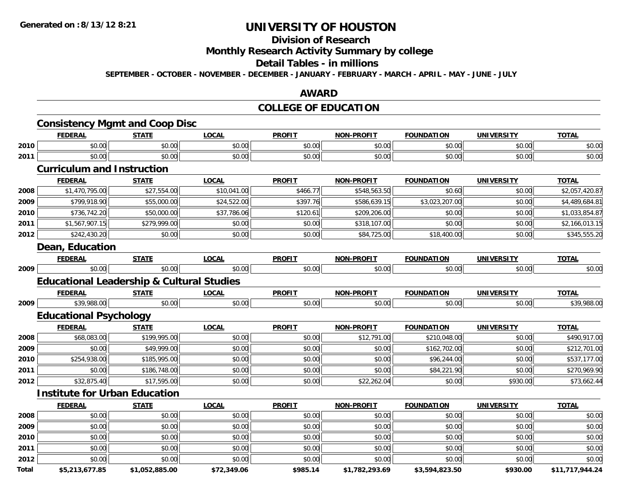## **Division of Research**

**Monthly Research Activity Summary by college**

#### **Detail Tables - in millions**

**SEPTEMBER - OCTOBER - NOVEMBER - DECEMBER - JANUARY - FEBRUARY - MARCH - APRIL - MAY - JUNE - JULY**

## **AWARD**

## **COLLEGE OF EDUCATION**

|       | <b>FEDERAL</b>                                       | <b>STATE</b>   | <b>LOCAL</b> | <b>PROFIT</b> | <b>NON-PROFIT</b> | <b>FOUNDATION</b> | <b>UNIVERSITY</b> | <b>TOTAL</b>    |
|-------|------------------------------------------------------|----------------|--------------|---------------|-------------------|-------------------|-------------------|-----------------|
| 2010  | \$0.00                                               | \$0.00         | \$0.00       | \$0.00        | \$0.00            | \$0.00            | \$0.00            | \$0.00          |
| 2011  | \$0.00                                               | \$0.00         | \$0.00       | \$0.00        | \$0.00            | \$0.00            | \$0.00            | \$0.00          |
|       | <b>Curriculum and Instruction</b>                    |                |              |               |                   |                   |                   |                 |
|       | <b>FEDERAL</b>                                       | <b>STATE</b>   | <b>LOCAL</b> | <b>PROFIT</b> | <b>NON-PROFIT</b> | <b>FOUNDATION</b> | <b>UNIVERSITY</b> | <b>TOTAL</b>    |
| 2008  | \$1,470,795.00                                       | \$27,554.00    | \$10,041.00  | \$466.77      | \$548,563.50      | \$0.60            | \$0.00            | \$2,057,420.87  |
| 2009  | \$799,918.90                                         | \$55,000.00    | \$24,522.00  | \$397.76      | \$586,639.15      | \$3,023,207.00    | \$0.00            | \$4,489,684.81  |
| 2010  | \$736,742.20                                         | \$50,000.00    | \$37,786.06  | \$120.61      | \$209,206.00      | \$0.00            | \$0.00            | \$1,033,854.87  |
| 2011  | \$1,567,907.15                                       | \$279,999.00   | \$0.00       | \$0.00        | \$318,107.00      | \$0.00            | \$0.00            | \$2,166,013.15  |
| 2012  | \$242,430.20                                         | \$0.00         | \$0.00       | \$0.00        | \$84,725.00       | \$18,400.00       | \$0.00            | \$345,555.20    |
|       | Dean, Education                                      |                |              |               |                   |                   |                   |                 |
|       | <b>FEDERAL</b>                                       | <b>STATE</b>   | <b>LOCAL</b> | <b>PROFIT</b> | <b>NON-PROFIT</b> | <b>FOUNDATION</b> | <b>UNIVERSITY</b> | <b>TOTAL</b>    |
| 2009  | \$0.00                                               | \$0.00         | \$0.00       | \$0.00        | \$0.00            | \$0.00            | \$0.00            | \$0.00          |
|       | <b>Educational Leadership &amp; Cultural Studies</b> |                |              |               |                   |                   |                   |                 |
|       | <b>FEDERAL</b>                                       | <b>STATE</b>   | <b>LOCAL</b> | <b>PROFIT</b> | <b>NON-PROFIT</b> | <b>FOUNDATION</b> | <b>UNIVERSITY</b> | <b>TOTAL</b>    |
| 2009  | \$39,988.00                                          | \$0.00         | \$0.00       | \$0.00        | \$0.00            | \$0.00            | \$0.00            | \$39,988.00     |
|       | <b>Educational Psychology</b>                        |                |              |               |                   |                   |                   |                 |
|       | <b>FEDERAL</b>                                       | <b>STATE</b>   | <b>LOCAL</b> | <b>PROFIT</b> | <b>NON-PROFIT</b> | <b>FOUNDATION</b> | <b>UNIVERSITY</b> | <b>TOTAL</b>    |
| 2008  | \$68,083.00                                          | \$199,995.00   | \$0.00       | \$0.00        | \$12,791.00       | \$210,048.00      | \$0.00            | \$490,917.00    |
| 2009  | \$0.00                                               | \$49,999.00    | \$0.00       | \$0.00        | \$0.00            | \$162,702.00      | \$0.00            | \$212,701.00    |
| 2010  | \$254,938.00                                         | \$185,995.00   | \$0.00       | \$0.00        | \$0.00            | \$96,244.00       | \$0.00            | \$537,177.00    |
| 2011  | \$0.00                                               | \$186,748.00   | \$0.00       | \$0.00        | \$0.00            | \$84,221.90       | \$0.00            | \$270,969.90    |
| 2012  | \$32,875.40                                          | \$17,595.00    | \$0.00       | \$0.00        | \$22,262.04       | \$0.00            | \$930.00          | \$73,662.44     |
|       | <b>Institute for Urban Education</b>                 |                |              |               |                   |                   |                   |                 |
|       | <b>FEDERAL</b>                                       | <b>STATE</b>   | <b>LOCAL</b> | <b>PROFIT</b> | <b>NON-PROFIT</b> | <b>FOUNDATION</b> | <b>UNIVERSITY</b> | <b>TOTAL</b>    |
| 2008  | \$0.00                                               | \$0.00         | \$0.00       | \$0.00        | \$0.00            | \$0.00            | \$0.00            | \$0.00          |
| 2009  | \$0.00                                               | \$0.00         | \$0.00       | \$0.00        | \$0.00            | \$0.00            | \$0.00            | \$0.00          |
| 2010  | \$0.00                                               | \$0.00         | \$0.00       | \$0.00        | \$0.00            | \$0.00            | \$0.00            | \$0.00          |
| 2011  | \$0.00                                               | \$0.00         | \$0.00       | \$0.00        | \$0.00            | \$0.00            | \$0.00            | \$0.00          |
| 2012  | \$0.00                                               | \$0.00         | \$0.00       | \$0.00        | \$0.00            | \$0.00            | \$0.00            | \$0.00          |
| Total | \$5,213,677.85                                       | \$1,052,885.00 | \$72,349.06  | \$985.14      | \$1,782,293.69    | \$3,594,823.50    | \$930.00          | \$11,717,944.24 |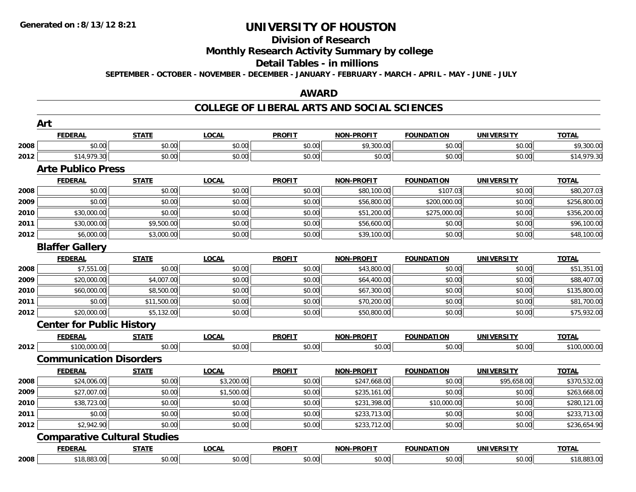#### **Division of Research**

**Monthly Research Activity Summary by college**

#### **Detail Tables - in millions**

**SEPTEMBER - OCTOBER - NOVEMBER - DECEMBER - JANUARY - FEBRUARY - MARCH - APRIL - MAY - JUNE - JULY**

## **AWARD**

| <b>FEDERAL</b><br><b>STATE</b><br><b>LOCAL</b><br><b>PROFIT</b><br>NON-PROFIT<br><b>FOUNDATION</b><br><b>UNIVERSITY</b><br>\$0.00<br>\$0.00<br>\$0.00<br>\$0.00<br>\$9,300.00<br>\$0.00<br>2008<br>\$14,979.30<br>2012<br>\$0.00<br>\$0.00<br>\$0.00<br>\$0.00<br>\$0.00<br><b>Arte Publico Press</b><br><b>LOCAL</b><br><b>PROFIT</b><br><b>FEDERAL</b><br><b>STATE</b><br>NON-PROFIT<br><b>FOUNDATION</b><br><b>UNIVERSITY</b><br>\$0.00<br>\$0.00<br>\$0.00<br>\$0.00<br>\$107.03<br>\$80,100.00<br>2008<br>\$0.00<br>\$0.00<br>\$0.00<br>2009<br>\$0.00<br>\$56,800.00<br>\$200,000.00<br>\$0.00<br>2010<br>\$30,000.00<br>\$0.00<br>\$51,200.00<br>\$275,000.00<br>\$0.00<br>\$9,500.00<br>\$0.00<br>\$30,000.00<br>\$0.00<br>\$56,600.00<br>\$0.00<br>2011<br>\$3,000.00<br>\$0.00<br>\$0.00<br>2012<br>\$6,000.00<br>\$39,100.00<br>\$0.00<br><b>Blaffer Gallery</b><br><b>LOCAL</b><br><b>PROFIT</b><br><b>NON-PROFIT</b><br><b>FEDERAL</b><br><b>STATE</b><br><b>FOUNDATION</b><br><b>UNIVERSITY</b> |                             |
|---------------------------------------------------------------------------------------------------------------------------------------------------------------------------------------------------------------------------------------------------------------------------------------------------------------------------------------------------------------------------------------------------------------------------------------------------------------------------------------------------------------------------------------------------------------------------------------------------------------------------------------------------------------------------------------------------------------------------------------------------------------------------------------------------------------------------------------------------------------------------------------------------------------------------------------------------------------------------------------------------------------|-----------------------------|
|                                                                                                                                                                                                                                                                                                                                                                                                                                                                                                                                                                                                                                                                                                                                                                                                                                                                                                                                                                                                               | <b>TOTAL</b>                |
|                                                                                                                                                                                                                                                                                                                                                                                                                                                                                                                                                                                                                                                                                                                                                                                                                                                                                                                                                                                                               | \$9,300.00<br>\$0.00        |
|                                                                                                                                                                                                                                                                                                                                                                                                                                                                                                                                                                                                                                                                                                                                                                                                                                                                                                                                                                                                               | \$14,979.30<br>\$0.00       |
|                                                                                                                                                                                                                                                                                                                                                                                                                                                                                                                                                                                                                                                                                                                                                                                                                                                                                                                                                                                                               |                             |
|                                                                                                                                                                                                                                                                                                                                                                                                                                                                                                                                                                                                                                                                                                                                                                                                                                                                                                                                                                                                               | <b>TOTAL</b>                |
|                                                                                                                                                                                                                                                                                                                                                                                                                                                                                                                                                                                                                                                                                                                                                                                                                                                                                                                                                                                                               | \$0.00<br>\$80,207.03       |
|                                                                                                                                                                                                                                                                                                                                                                                                                                                                                                                                                                                                                                                                                                                                                                                                                                                                                                                                                                                                               | \$0.00<br>\$256,800.00      |
|                                                                                                                                                                                                                                                                                                                                                                                                                                                                                                                                                                                                                                                                                                                                                                                                                                                                                                                                                                                                               | \$0.00<br>\$356,200.00      |
|                                                                                                                                                                                                                                                                                                                                                                                                                                                                                                                                                                                                                                                                                                                                                                                                                                                                                                                                                                                                               | \$96,100.00<br>\$0.00       |
|                                                                                                                                                                                                                                                                                                                                                                                                                                                                                                                                                                                                                                                                                                                                                                                                                                                                                                                                                                                                               | \$0.00<br>\$48,100.00       |
|                                                                                                                                                                                                                                                                                                                                                                                                                                                                                                                                                                                                                                                                                                                                                                                                                                                                                                                                                                                                               |                             |
|                                                                                                                                                                                                                                                                                                                                                                                                                                                                                                                                                                                                                                                                                                                                                                                                                                                                                                                                                                                                               | <b>TOTAL</b>                |
| \$7,551.00<br>\$0.00<br>\$0.00<br>\$0.00<br>\$0.00<br>2008<br>\$43,800.00                                                                                                                                                                                                                                                                                                                                                                                                                                                                                                                                                                                                                                                                                                                                                                                                                                                                                                                                     | \$0.00<br>\$51,351.00       |
| \$20,000.00<br>2009<br>\$4,007.00<br>\$0.00<br>\$0.00<br>\$64,400.00<br>\$0.00                                                                                                                                                                                                                                                                                                                                                                                                                                                                                                                                                                                                                                                                                                                                                                                                                                                                                                                                | \$0.00<br>\$88,407.00       |
| \$8,500.00<br>\$0.00<br>2010<br>\$60,000.00<br>\$0.00<br>\$67,300.00<br>\$0.00                                                                                                                                                                                                                                                                                                                                                                                                                                                                                                                                                                                                                                                                                                                                                                                                                                                                                                                                | \$0.00<br>\$135,800.00      |
| \$11,500.00<br>2011<br>\$0.00<br>\$0.00<br>\$0.00<br>\$0.00<br>\$70,200.00                                                                                                                                                                                                                                                                                                                                                                                                                                                                                                                                                                                                                                                                                                                                                                                                                                                                                                                                    | \$0.00<br>\$81,700.00       |
| \$5,132.00<br>\$20,000.00<br>\$0.00<br>2012<br>\$0.00<br>\$50,800.00<br>\$0.00                                                                                                                                                                                                                                                                                                                                                                                                                                                                                                                                                                                                                                                                                                                                                                                                                                                                                                                                | \$75,932.00<br>\$0.00       |
| <b>Center for Public History</b>                                                                                                                                                                                                                                                                                                                                                                                                                                                                                                                                                                                                                                                                                                                                                                                                                                                                                                                                                                              |                             |
| <b>FEDERAL</b><br><b>LOCAL</b><br><b>PROFIT</b><br>NON-PROFIT<br><b>STATE</b><br><b>FOUNDATION</b><br><b>UNIVERSITY</b>                                                                                                                                                                                                                                                                                                                                                                                                                                                                                                                                                                                                                                                                                                                                                                                                                                                                                       | <b>TOTAL</b>                |
| \$0.00<br>\$0.00<br>\$100,000.00<br>\$0.00<br>2012<br>\$0.00<br>\$0.00                                                                                                                                                                                                                                                                                                                                                                                                                                                                                                                                                                                                                                                                                                                                                                                                                                                                                                                                        | \$0.00<br>\$100,000.00      |
| <b>Communication Disorders</b>                                                                                                                                                                                                                                                                                                                                                                                                                                                                                                                                                                                                                                                                                                                                                                                                                                                                                                                                                                                |                             |
| <b>LOCAL</b><br><b>PROFIT</b><br><b>NON-PROFIT</b><br><b>FOUNDATION</b><br><b>UNIVERSITY</b><br><b>FEDERAL</b><br><b>STATE</b>                                                                                                                                                                                                                                                                                                                                                                                                                                                                                                                                                                                                                                                                                                                                                                                                                                                                                | <b>TOTAL</b>                |
| \$24,006.00<br>\$0.00<br>\$3,200.00<br>\$0.00<br>\$0.00<br>2008<br>\$247,668.00                                                                                                                                                                                                                                                                                                                                                                                                                                                                                                                                                                                                                                                                                                                                                                                                                                                                                                                               | \$370,532.00<br>\$95,658.00 |
| \$27,007.00<br>\$0.00<br>\$1,500.00<br>\$0.00<br>2009<br>\$235,161.00<br>\$0.00                                                                                                                                                                                                                                                                                                                                                                                                                                                                                                                                                                                                                                                                                                                                                                                                                                                                                                                               | \$0.00<br>\$263,668.00      |
| 2010<br>\$0.00<br>\$0.00<br>\$38,723.00<br>\$0.00<br>\$231,398.00<br>\$10,000.00                                                                                                                                                                                                                                                                                                                                                                                                                                                                                                                                                                                                                                                                                                                                                                                                                                                                                                                              | \$0.00<br>\$280,121.00      |
| \$0.00<br>\$0.00<br>2011<br>\$0.00<br>\$0.00<br>\$233,713.00<br>\$0.00                                                                                                                                                                                                                                                                                                                                                                                                                                                                                                                                                                                                                                                                                                                                                                                                                                                                                                                                        | \$0.00<br>\$233,713.00      |
| \$2,942.90<br>\$0.00<br>2012<br>\$0.00<br>\$0.00<br>\$0.00<br>\$233,712.00                                                                                                                                                                                                                                                                                                                                                                                                                                                                                                                                                                                                                                                                                                                                                                                                                                                                                                                                    | \$236,654.90<br>\$0.00      |
| <b>Comparative Cultural Studies</b>                                                                                                                                                                                                                                                                                                                                                                                                                                                                                                                                                                                                                                                                                                                                                                                                                                                                                                                                                                           |                             |
| <b>FEDERAL</b><br><b>LOCAL</b><br><b>PROFIT</b><br>NON-PROFIT<br><b>FOUNDATION</b><br><b>UNIVERSITY</b><br><b>STATE</b>                                                                                                                                                                                                                                                                                                                                                                                                                                                                                                                                                                                                                                                                                                                                                                                                                                                                                       | <b>TOTAL</b>                |
| \$0.00<br>\$18,883.00<br>\$0.00<br>\$0.00<br>\$0.00<br>\$0.00<br>2008                                                                                                                                                                                                                                                                                                                                                                                                                                                                                                                                                                                                                                                                                                                                                                                                                                                                                                                                         | \$0.00<br>\$18,883.00       |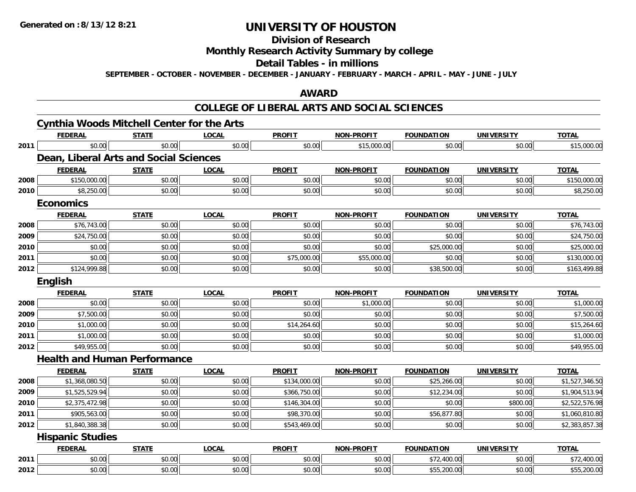## **Division of Research**

## **Monthly Research Activity Summary by college**

#### **Detail Tables - in millions**

**SEPTEMBER - OCTOBER - NOVEMBER - DECEMBER - JANUARY - FEBRUARY - MARCH - APRIL - MAY - JUNE - JULY**

## **AWARD**

|      |                         | <b>Cynthia Woods Mitchell Center for the Arts</b> |              |               |                   |                   |                   |                |
|------|-------------------------|---------------------------------------------------|--------------|---------------|-------------------|-------------------|-------------------|----------------|
|      | <b>FEDERAL</b>          | <b>STATE</b>                                      | <b>LOCAL</b> | <b>PROFIT</b> | <b>NON-PROFIT</b> | <b>FOUNDATION</b> | <b>UNIVERSITY</b> | <b>TOTAL</b>   |
| 2011 | \$0.00                  | \$0.00                                            | \$0.00       | \$0.00        | \$15,000.00       | \$0.00            | \$0.00            | \$15,000.00    |
|      |                         | Dean, Liberal Arts and Social Sciences            |              |               |                   |                   |                   |                |
|      | <b>FEDERAL</b>          | <b>STATE</b>                                      | <b>LOCAL</b> | <b>PROFIT</b> | <b>NON-PROFIT</b> | <b>FOUNDATION</b> | <b>UNIVERSITY</b> | <b>TOTAL</b>   |
| 2008 | \$150,000.00            | \$0.00                                            | \$0.00       | \$0.00        | \$0.00            | \$0.00            | \$0.00            | \$150,000.00   |
| 2010 | \$8,250.00              | \$0.00                                            | \$0.00       | \$0.00        | \$0.00            | \$0.00            | \$0.00            | \$8,250.00     |
|      | <b>Economics</b>        |                                                   |              |               |                   |                   |                   |                |
|      | <b>FEDERAL</b>          | <b>STATE</b>                                      | <b>LOCAL</b> | <b>PROFIT</b> | <b>NON-PROFIT</b> | <b>FOUNDATION</b> | <b>UNIVERSITY</b> | <b>TOTAL</b>   |
| 2008 | \$76,743.00             | \$0.00                                            | \$0.00       | \$0.00        | \$0.00            | \$0.00            | \$0.00            | \$76,743.00    |
| 2009 | \$24,750.00             | \$0.00                                            | \$0.00       | \$0.00        | \$0.00            | \$0.00            | \$0.00            | \$24,750.00    |
| 2010 | \$0.00                  | \$0.00                                            | \$0.00       | \$0.00        | \$0.00            | \$25,000.00       | \$0.00            | \$25,000.00    |
| 2011 | \$0.00                  | \$0.00                                            | \$0.00       | \$75,000.00   | \$55,000.00       | \$0.00            | \$0.00            | \$130,000.00   |
| 2012 | \$124,999.88            | \$0.00                                            | \$0.00       | \$0.00        | \$0.00            | \$38,500.00       | \$0.00            | \$163,499.88   |
|      | English                 |                                                   |              |               |                   |                   |                   |                |
|      | <b>FEDERAL</b>          | <b>STATE</b>                                      | <b>LOCAL</b> | <b>PROFIT</b> | <b>NON-PROFIT</b> | <b>FOUNDATION</b> | <b>UNIVERSITY</b> | <b>TOTAL</b>   |
| 2008 | \$0.00                  | \$0.00                                            | \$0.00       | \$0.00        | \$1,000.00        | \$0.00            | \$0.00            | \$1,000.00     |
| 2009 | \$7,500.00              | \$0.00                                            | \$0.00       | \$0.00        | \$0.00            | \$0.00            | \$0.00            | \$7,500.00     |
| 2010 | \$1,000.00              | \$0.00                                            | \$0.00       | \$14,264.60   | \$0.00            | \$0.00            | \$0.00            | \$15,264.60    |
| 2011 | \$1,000.00              | \$0.00                                            | \$0.00       | \$0.00        | \$0.00            | \$0.00            | \$0.00            | \$1,000.00     |
| 2012 | \$49,955.00             | \$0.00                                            | \$0.00       | \$0.00        | \$0.00            | \$0.00            | \$0.00            | \$49,955.00    |
|      |                         | <b>Health and Human Performance</b>               |              |               |                   |                   |                   |                |
|      | <b>FEDERAL</b>          | <b>STATE</b>                                      | <b>LOCAL</b> | <b>PROFIT</b> | <b>NON-PROFIT</b> | <b>FOUNDATION</b> | UNIVERSITY        | <b>TOTAL</b>   |
| 2008 | \$1,368,080.50          | \$0.00                                            | \$0.00       | \$134,000.00  | \$0.00            | \$25,266.00       | \$0.00            | \$1,527,346.50 |
| 2009 | \$1,525,529.94          | \$0.00                                            | \$0.00       | \$366,750.00  | \$0.00            | \$12,234.00       | \$0.00            | \$1,904,513.94 |
| 2010 | \$2,375,472.98          | \$0.00                                            | \$0.00       | \$146,304.00  | \$0.00            | \$0.00            | \$800.00          | \$2,522,576.98 |
| 2011 | \$905,563.00            | \$0.00                                            | \$0.00       | \$98,370.00   | \$0.00            | \$56,877.80       | \$0.00            | \$1,060,810.80 |
| 2012 | \$1,840,388,38          | \$0.00                                            | \$0.00       | \$543,469.00  | \$0.00            | \$0.00            | \$0.00            | \$2,383,857.38 |
|      | <b>Hispanic Studies</b> |                                                   |              |               |                   |                   |                   |                |
|      | <b>FEDERAL</b>          | <b>STATE</b>                                      | <b>LOCAL</b> | <b>PROFIT</b> | <b>NON-PROFIT</b> | <b>FOUNDATION</b> | <b>UNIVERSITY</b> | <b>TOTAL</b>   |
| 2011 | \$0.00                  | \$0.00                                            | \$0.00       | \$0.00        | \$0.00            | \$72,400.00       | \$0.00            | \$72,400.00    |
| 2012 | \$0.00                  | \$0.00                                            | \$0.00       | \$0.00        | \$0.00            | \$55,200.00       | \$0.00            | \$55,200.00    |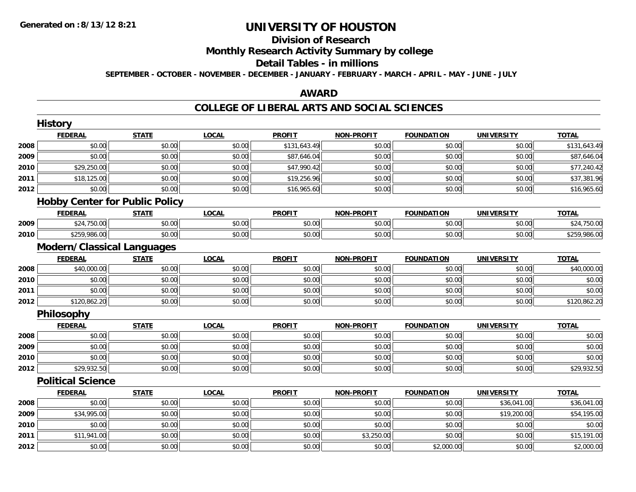#### **Division of Research**

**Monthly Research Activity Summary by college**

#### **Detail Tables - in millions**

**SEPTEMBER - OCTOBER - NOVEMBER - DECEMBER - JANUARY - FEBRUARY - MARCH - APRIL - MAY - JUNE - JULY**

## **AWARD**

|      | <b>History</b>           |                                       |              |               |                   |                   |                   |              |
|------|--------------------------|---------------------------------------|--------------|---------------|-------------------|-------------------|-------------------|--------------|
|      | <b>FEDERAL</b>           | <b>STATE</b>                          | <b>LOCAL</b> | <b>PROFIT</b> | <b>NON-PROFIT</b> | <b>FOUNDATION</b> | <b>UNIVERSITY</b> | <b>TOTAL</b> |
| 2008 | \$0.00                   | \$0.00                                | \$0.00       | \$131,643.49  | \$0.00            | \$0.00            | \$0.00            | \$131,643.49 |
| 2009 | \$0.00                   | \$0.00                                | \$0.00       | \$87,646.04   | \$0.00            | \$0.00            | \$0.00            | \$87,646.04  |
| 2010 | \$29,250.00              | \$0.00                                | \$0.00       | \$47,990.42   | \$0.00            | \$0.00            | \$0.00            | \$77,240.42  |
| 2011 | \$18,125.00              | \$0.00                                | \$0.00       | \$19,256.96   | \$0.00            | \$0.00            | \$0.00            | \$37,381.96  |
| 2012 | \$0.00                   | \$0.00                                | \$0.00       | \$16,965.60   | \$0.00            | \$0.00            | \$0.00            | \$16,965.60  |
|      |                          | <b>Hobby Center for Public Policy</b> |              |               |                   |                   |                   |              |
|      | <b>FEDERAL</b>           | <b>STATE</b>                          | <b>LOCAL</b> | <b>PROFIT</b> | <b>NON-PROFIT</b> | <b>FOUNDATION</b> | <b>UNIVERSITY</b> | <b>TOTAL</b> |
| 2009 | \$24,750.00              | \$0.00                                | \$0.00       | \$0.00        | \$0.00            | \$0.00            | \$0.00            | \$24,750.00  |
| 2010 | \$259,986.00             | \$0.00                                | \$0.00       | \$0.00        | \$0.00            | \$0.00            | \$0.00            | \$259,986.00 |
|      |                          | <b>Modern/Classical Languages</b>     |              |               |                   |                   |                   |              |
|      | <b>FEDERAL</b>           | <b>STATE</b>                          | <b>LOCAL</b> | <b>PROFIT</b> | <b>NON-PROFIT</b> | <b>FOUNDATION</b> | <b>UNIVERSITY</b> | <b>TOTAL</b> |
| 2008 | \$40,000.00              | \$0.00                                | \$0.00       | \$0.00        | \$0.00            | \$0.00            | \$0.00            | \$40,000.00  |
| 2010 | \$0.00                   | \$0.00                                | \$0.00       | \$0.00        | \$0.00            | \$0.00            | \$0.00            | \$0.00       |
| 2011 | \$0.00                   | \$0.00                                | \$0.00       | \$0.00        | \$0.00            | \$0.00            | \$0.00            | \$0.00       |
| 2012 | \$120,862.20             | \$0.00                                | \$0.00       | \$0.00        | \$0.00            | \$0.00            | \$0.00            | \$120,862.20 |
|      | Philosophy               |                                       |              |               |                   |                   |                   |              |
|      | <b>FEDERAL</b>           | <b>STATE</b>                          | <b>LOCAL</b> | <b>PROFIT</b> | <b>NON-PROFIT</b> | <b>FOUNDATION</b> | <b>UNIVERSITY</b> | <b>TOTAL</b> |
| 2008 | \$0.00                   | \$0.00                                | \$0.00       | \$0.00        | \$0.00            | \$0.00            | \$0.00            | \$0.00       |
| 2009 | \$0.00                   | \$0.00                                | \$0.00       | \$0.00        | \$0.00            | \$0.00            | \$0.00            | \$0.00       |
| 2010 | \$0.00                   | \$0.00                                | \$0.00       | \$0.00        | \$0.00            | \$0.00            | \$0.00            | \$0.00       |
| 2012 | \$29,932.50              | \$0.00                                | \$0.00       | \$0.00        | \$0.00            | \$0.00            | \$0.00            | \$29,932.50  |
|      | <b>Political Science</b> |                                       |              |               |                   |                   |                   |              |
|      | <b>FEDERAL</b>           | <b>STATE</b>                          | <b>LOCAL</b> | <b>PROFIT</b> | <b>NON-PROFIT</b> | <b>FOUNDATION</b> | <b>UNIVERSITY</b> | <b>TOTAL</b> |
| 2008 | \$0.00                   | \$0.00                                | \$0.00       | \$0.00        | \$0.00            | \$0.00            | \$36,041.00       | \$36,041.00  |
| 2009 | \$34,995.00              | \$0.00                                | \$0.00       | \$0.00        | \$0.00            | \$0.00            | \$19,200.00       | \$54,195.00  |
| 2010 | \$0.00                   | \$0.00                                | \$0.00       | \$0.00        | \$0.00            | \$0.00            | \$0.00            | \$0.00       |
| 2011 | \$11,941.00              | \$0.00                                | \$0.00       | \$0.00        | \$3,250.00        | \$0.00            | \$0.00            | \$15,191.00  |
| 2012 | \$0.00                   | \$0.00                                | \$0.00       | \$0.00        | \$0.00            | \$2,000.00        | \$0.00            | \$2,000.00   |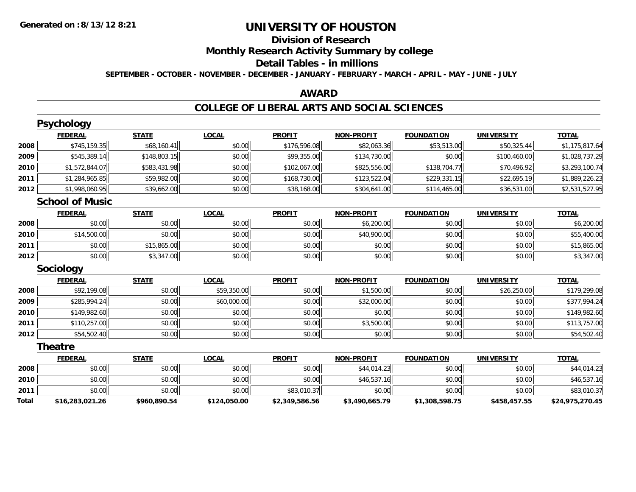# **Division of Research**

**Monthly Research Activity Summary by college**

## **Detail Tables - in millions**

**SEPTEMBER - OCTOBER - NOVEMBER - DECEMBER - JANUARY - FEBRUARY - MARCH - APRIL - MAY - JUNE - JULY**

## **AWARD**

|              | <b>Psychology</b>      |              |              |                |                   |                   |                   |                 |
|--------------|------------------------|--------------|--------------|----------------|-------------------|-------------------|-------------------|-----------------|
|              | <b>FEDERAL</b>         | <b>STATE</b> | <b>LOCAL</b> | <b>PROFIT</b>  | <b>NON-PROFIT</b> | <b>FOUNDATION</b> | <b>UNIVERSITY</b> | <b>TOTAL</b>    |
| 2008         | \$745,159.35           | \$68,160.41  | \$0.00       | \$176,596.08   | \$82,063.36       | \$53,513.00       | \$50,325.44       | \$1,175,817.64  |
| 2009         | \$545,389.14           | \$148,803.15 | \$0.00       | \$99,355.00    | \$134,730.00      | \$0.00            | \$100,460.00      | \$1,028,737.29  |
| 2010         | \$1,572,844.07         | \$583,431.98 | \$0.00       | \$102,067.00   | \$825,556.00      | \$138,704.77      | \$70,496.92       | \$3,293,100.74  |
| 2011         | \$1,284,965.85         | \$59,982.00  | \$0.00       | \$168,730.00   | \$123,522.04      | \$229,331.15      | \$22,695.19       | \$1,889,226.23  |
| 2012         | \$1,998,060.95         | \$39,662.00  | \$0.00       | \$38,168.00    | \$304,641.00      | \$114,465.00      | \$36,531.00       | \$2,531,527.95  |
|              | <b>School of Music</b> |              |              |                |                   |                   |                   |                 |
|              | <b>FEDERAL</b>         | <b>STATE</b> | <b>LOCAL</b> | <b>PROFIT</b>  | <b>NON-PROFIT</b> | <b>FOUNDATION</b> | <b>UNIVERSITY</b> | <b>TOTAL</b>    |
| 2008         | \$0.00                 | \$0.00       | \$0.00       | \$0.00         | \$6,200.00        | \$0.00            | \$0.00            | \$6,200.00      |
| 2010         | \$14,500.00            | \$0.00       | \$0.00       | \$0.00         | \$40,900.00       | \$0.00            | \$0.00            | \$55,400.00     |
| 2011         | \$0.00                 | \$15,865.00  | \$0.00       | \$0.00         | \$0.00            | \$0.00            | \$0.00            | \$15,865.00     |
| 2012         | \$0.00                 | \$3,347.00   | \$0.00       | \$0.00         | \$0.00            | \$0.00            | \$0.00            | \$3,347.00      |
|              | <b>Sociology</b>       |              |              |                |                   |                   |                   |                 |
|              | <b>FEDERAL</b>         | <b>STATE</b> | <b>LOCAL</b> | <b>PROFIT</b>  | <b>NON-PROFIT</b> | <b>FOUNDATION</b> | <b>UNIVERSITY</b> | <b>TOTAL</b>    |
| 2008         | \$92,199.08            | \$0.00       | \$59,350.00  | \$0.00         | \$1,500.00        | \$0.00            | \$26,250.00       | \$179,299.08    |
| 2009         | \$285,994.24           | \$0.00       | \$60,000.00  | \$0.00         | \$32,000.00       | \$0.00            | \$0.00            | \$377,994.24    |
| 2010         | \$149,982.60           | \$0.00       | \$0.00       | \$0.00         | \$0.00            | \$0.00            | \$0.00            | \$149,982.60    |
| 2011         | \$110,257.00           | \$0.00       | \$0.00       | \$0.00         | \$3,500.00        | \$0.00            | \$0.00            | \$113,757.00    |
| 2012         | \$54,502.40            | \$0.00       | \$0.00       | \$0.00         | \$0.00            | \$0.00            | \$0.00            | \$54,502.40     |
|              | Theatre                |              |              |                |                   |                   |                   |                 |
|              | <b>FEDERAL</b>         | <b>STATE</b> | <b>LOCAL</b> | <b>PROFIT</b>  | <b>NON-PROFIT</b> | <b>FOUNDATION</b> | <b>UNIVERSITY</b> | <b>TOTAL</b>    |
| 2008         | \$0.00                 | \$0.00       | \$0.00       | \$0.00         | \$44,014.23       | \$0.00            | \$0.00            | \$44,014.23     |
| 2010         | \$0.00                 | \$0.00       | \$0.00       | \$0.00         | \$46,537.16       | \$0.00            | \$0.00            | \$46,537.16     |
| 2011         | \$0.00                 | \$0.00       | \$0.00       | \$83,010.37    | \$0.00            | \$0.00            | \$0.00            | \$83,010.37     |
| <b>Total</b> | \$16,283,021.26        | \$960,890.54 | \$124,050.00 | \$2,349,586.56 | \$3,490,665.79    | \$1,308,598.75    | \$458,457.55      | \$24,975,270.45 |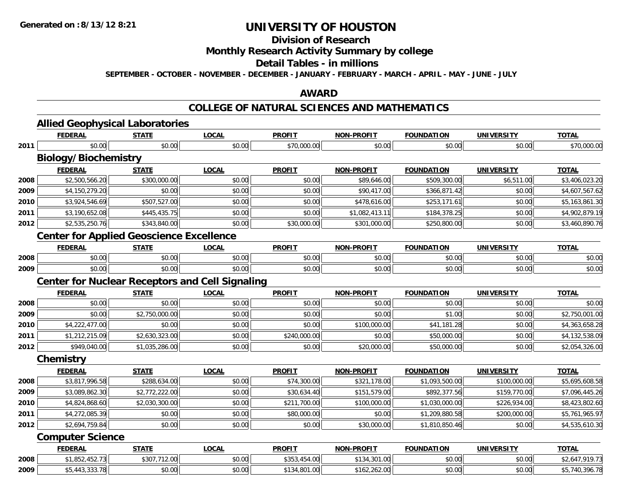## **Division of Research**

## **Monthly Research Activity Summary by college**

#### **Detail Tables - in millions**

**SEPTEMBER - OCTOBER - NOVEMBER - DECEMBER - JANUARY - FEBRUARY - MARCH - APRIL - MAY - JUNE - JULY**

## **AWARD**

## **COLLEGE OF NATURAL SCIENCES AND MATHEMATICS**

|      | <b>Allied Geophysical Laboratories</b>                 |                |              |               |                   |                   |                   |                |
|------|--------------------------------------------------------|----------------|--------------|---------------|-------------------|-------------------|-------------------|----------------|
|      | <b>FEDERAL</b>                                         | <b>STATE</b>   | <b>LOCAL</b> | <b>PROFIT</b> | <b>NON-PROFIT</b> | <b>FOUNDATION</b> | <b>UNIVERSITY</b> | <b>TOTAL</b>   |
| 2011 | \$0.00                                                 | \$0.00         | \$0.00       | \$70,000.00   | \$0.00            | \$0.00            | \$0.00            | \$70,000.00    |
|      | <b>Biology/Biochemistry</b>                            |                |              |               |                   |                   |                   |                |
|      | <b>FEDERAL</b>                                         | <b>STATE</b>   | <b>LOCAL</b> | <b>PROFIT</b> | <b>NON-PROFIT</b> | <b>FOUNDATION</b> | <b>UNIVERSITY</b> | <b>TOTAL</b>   |
| 2008 | \$2,500,566.20                                         | \$300,000.00   | \$0.00       | \$0.00        | \$89,646.00       | \$509,300.00      | \$6,511.00        | \$3,406,023.20 |
| 2009 | \$4,150,279.20                                         | \$0.00         | \$0.00       | \$0.00        | \$90,417.00       | \$366,871.42      | \$0.00            | \$4,607,567.62 |
| 2010 | \$3,924,546.69                                         | \$507,527.00   | \$0.00       | \$0.00        | \$478,616.00      | \$253,171.61      | \$0.00            | \$5,163,861.30 |
| 2011 | \$3,190,652.08                                         | \$445,435.75   | \$0.00       | \$0.00        | \$1,082,413.11    | \$184,378.25      | \$0.00            | \$4,902,879.19 |
| 2012 | \$2,535,250.76                                         | \$343,840.00   | \$0.00       | \$30,000.00   | \$301,000.00      | \$250,800.00      | \$0.00            | \$3,460,890.76 |
|      | <b>Center for Applied Geoscience Excellence</b>        |                |              |               |                   |                   |                   |                |
|      | <b>FEDERAL</b>                                         | <b>STATE</b>   | <b>LOCAL</b> | <b>PROFIT</b> | <b>NON-PROFIT</b> | <b>FOUNDATION</b> | <b>UNIVERSITY</b> | <b>TOTAL</b>   |
| 2008 | \$0.00                                                 | \$0.00         | \$0.00       | \$0.00        | \$0.00            | \$0.00            | \$0.00            | \$0.00         |
| 2009 | \$0.00                                                 | \$0.00         | \$0.00       | \$0.00        | \$0.00            | \$0.00            | \$0.00            | \$0.00         |
|      | <b>Center for Nuclear Receptors and Cell Signaling</b> |                |              |               |                   |                   |                   |                |
|      | <b>FEDERAL</b>                                         | <b>STATE</b>   | <b>LOCAL</b> | <b>PROFIT</b> | <b>NON-PROFIT</b> | <b>FOUNDATION</b> | <b>UNIVERSITY</b> | <b>TOTAL</b>   |
| 2008 | \$0.00                                                 | \$0.00         | \$0.00       | \$0.00        | \$0.00            | \$0.00            | \$0.00            | \$0.00         |
| 2009 | \$0.00                                                 | \$2,750,000.00 | \$0.00       | \$0.00        | \$0.00            | \$1.00            | \$0.00            | \$2,750,001.00 |
| 2010 | \$4,222,477.00                                         | \$0.00         | \$0.00       | \$0.00        | \$100,000.00      | \$41,181.28       | \$0.00            | \$4,363,658.28 |
| 2011 | \$1,212,215.09                                         | \$2,630,323.00 | \$0.00       | \$240,000.00  | \$0.00            | \$50,000.00       | \$0.00            | \$4,132,538.09 |
| 2012 | \$949,040.00                                           | \$1,035,286.00 | \$0.00       | \$0.00        | \$20,000.00       | \$50,000.00       | \$0.00            | \$2,054,326.00 |
|      | Chemistry                                              |                |              |               |                   |                   |                   |                |
|      | <b>FEDERAL</b>                                         | <b>STATE</b>   | <b>LOCAL</b> | <b>PROFIT</b> | <b>NON-PROFIT</b> | <b>FOUNDATION</b> | <b>UNIVERSITY</b> | <b>TOTAL</b>   |
| 2008 | \$3,817,996.58                                         | \$288,634.00   | \$0.00       | \$74,300.00   | \$321,178.00      | \$1,093,500.00    | \$100,000.00      | \$5,695,608.58 |
| 2009 | \$3,089,862.30                                         | \$2,772,222.00 | \$0.00       | \$30,634.40   | \$151,579.00      | \$892,377.56      | \$159,770.00      | \$7,096,445.26 |
| 2010 | \$4,824,868.60                                         | \$2,030,300.00 | \$0.00       | \$211,700.00  | \$100,000.00      | \$1,030,000.00    | \$226,934.00      | \$8,423,802.60 |
| 2011 | \$4,272,085.39                                         | \$0.00         | \$0.00       | \$80,000.00   | \$0.00            | \$1,209,880.58    | \$200,000.00      | \$5,761,965.97 |
| 2012 | \$2,694,759.84                                         | \$0.00         | \$0.00       | \$0.00        | \$30,000.00       | \$1,810,850.46    | \$0.00            | \$4,535,610.30 |
|      | <b>Computer Science</b>                                |                |              |               |                   |                   |                   |                |
|      | <b>FEDERAL</b>                                         | <b>STATE</b>   | <b>LOCAL</b> | <b>PROFIT</b> | <b>NON-PROFIT</b> | <b>FOUNDATION</b> | <b>UNIVERSITY</b> | <b>TOTAL</b>   |
| 2008 | \$1,852,452.73                                         | \$307,712.00   | \$0.00       | \$353,454.00  | \$134,301.00      | \$0.00            | \$0.00            | \$2,647,919.73 |
| 2009 | \$5,443,333.78                                         | \$0.00         | \$0.00       | \$134,801.00  | \$162,262.00      | \$0.00            | \$0.00            | \$5,740,396.78 |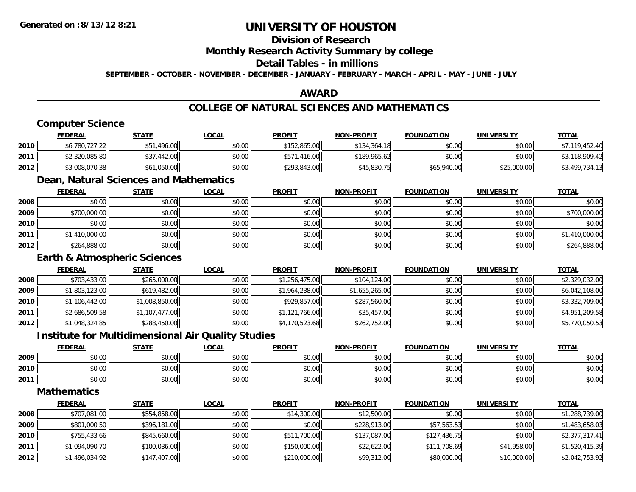## **Division of Research**

**Monthly Research Activity Summary by college**

#### **Detail Tables - in millions**

**SEPTEMBER - OCTOBER - NOVEMBER - DECEMBER - JANUARY - FEBRUARY - MARCH - APRIL - MAY - JUNE - JULY**

## **AWARD**

## **COLLEGE OF NATURAL SCIENCES AND MATHEMATICS**

## **Computer Science**

|      | <b>FEDERAL</b> | <u>STATE</u>    | <u>LOCAL</u> | <b>PROFIT</b>    | <b>NON-PROFIT</b> | <b>FOUNDATION</b> | UNIVERSITY  | <b>TOTAL</b>   |
|------|----------------|-----------------|--------------|------------------|-------------------|-------------------|-------------|----------------|
| 2010 | \$6,780,727.22 | .496.00         | \$0.00       | \$152,865,00     | \$134,364.18      | \$0.00            | \$0.00      | \$7,119,452.40 |
| 2011 | \$2,320,085.80 | .442.00<br>\$37 | \$0.00       | .416.00<br>\$571 | \$189,965.62      | \$0.00            | \$0.00      | \$3,118,909.42 |
| 2012 | \$3,008,070.38 | \$61,050.00     | \$0.00       | \$293,843,00     | \$45,830.75       | \$65,940.00       | \$25,000.00 | \$3,499,734.13 |

## **Dean, Natural Sciences and Mathematics**

|      | <u>FEDERAL</u> | <b>STATE</b> | <u>LOCAL</u> | <b>PROFIT</b> | <b>NON-PROFIT</b> | <b>FOUNDATION</b> | <b>UNIVERSITY</b> | <b>TOTAL</b>   |
|------|----------------|--------------|--------------|---------------|-------------------|-------------------|-------------------|----------------|
| 2008 | \$0.00         | \$0.00       | \$0.00       | \$0.00        | \$0.00            | \$0.00            | \$0.00            | \$0.00         |
| 2009 | \$700,000.00   | \$0.00       | \$0.00       | \$0.00        | \$0.00            | \$0.00            | \$0.00            | \$700,000.00   |
| 2010 | \$0.00         | \$0.00       | \$0.00       | \$0.00        | \$0.00            | \$0.00            | \$0.00            | \$0.00         |
| 2011 | \$1,410,000.00 | \$0.00       | \$0.00       | \$0.00        | \$0.00            | \$0.00            | \$0.00            | \$1,410,000.00 |
| 2012 | \$264,888.00   | \$0.00       | \$0.00       | \$0.00        | \$0.00            | \$0.00            | \$0.00            | \$264,888.00   |

## **Earth & Atmospheric Sciences**

|      | <b>FEDERAL</b> | <b>STATE</b>   | <b>LOCAL</b> | <b>PROFIT</b>  | <b>NON-PROFIT</b> | <b>FOUNDATION</b> | <b>UNIVERSITY</b> | <b>TOTAL</b>   |
|------|----------------|----------------|--------------|----------------|-------------------|-------------------|-------------------|----------------|
| 2008 | \$703,433.00   | \$265,000.00   | \$0.00       | \$1,256,475.00 | \$104,124.00      | \$0.00            | \$0.00            | \$2,329,032.00 |
| 2009 | \$1,803,123.00 | \$619,482.00   | \$0.00       | \$1,964,238.00 | \$1,655,265.00    | \$0.00            | \$0.00            | \$6,042,108.00 |
| 2010 | \$1,106,442.00 | \$1,008,850.00 | \$0.00       | \$929,857.00   | \$287,560.00      | \$0.00            | \$0.00            | \$3,332,709.00 |
| 2011 | \$2,686,509.58 | \$1,107,477.00 | \$0.00       | \$1,121,766.00 | \$35,457.00       | \$0.00            | \$0.00            | \$4,951,209.58 |
| 2012 | \$1,048,324.85 | \$288,450.00   | \$0.00       | \$4,170,523.68 | \$262,752.00      | \$0.00            | \$0.00            | \$5,770,050.53 |

### **Institute for Multidimensional Air Quality Studies**

|      | <b>FEDERAL</b> | <b>STATE</b>    | LOCAL         | <b>PROFIT</b> | <b>NON-PROFIT</b> | <b>FOUNDATION</b> | <b>UNIVERSITY</b> | <u>TOTAL</u> |
|------|----------------|-----------------|---------------|---------------|-------------------|-------------------|-------------------|--------------|
| 2009 | 0000<br>pu.uu  | 0000<br>יש.ט    | 0000<br>JU.UU | \$0.00        | \$0.00            | \$0.00            | \$0.00            | \$0.00       |
| 2010 | 0000<br>DU.UU  | φ.<br>DU.UU     | 0.00<br>JU.UU | \$0.00        | \$0.00            | \$0.00            | \$0.00            | \$0.00       |
| 2011 | 0000<br>vu.uu  | 40.00<br>.JU.UU | \$0.00        | \$0.00        | \$0.00            | \$0.00            | \$0.00            | \$0.00       |

## **Mathematics**

|      | <b>FEDERAL</b> | <u>STATE</u> | <b>LOCAL</b> | <b>PROFIT</b> | <b>NON-PROFIT</b> | <b>FOUNDATION</b> | <b>UNIVERSITY</b> | <b>TOTAL</b>   |
|------|----------------|--------------|--------------|---------------|-------------------|-------------------|-------------------|----------------|
| 2008 | \$707,081.00   | \$554,858.00 | \$0.00       | \$14,300.00   | \$12,500.00       | \$0.00            | \$0.00            | \$1,288,739.00 |
| 2009 | \$801,000.50   | \$396,181.00 | \$0.00       | \$0.00        | \$228,913.00      | \$57,563.53       | \$0.00            | \$1,483,658.03 |
| 2010 | \$755,433.66   | \$845,660.00 | \$0.00       | \$511,700.00  | \$137,087.00      | \$127,436.75      | \$0.00            | \$2,377,317.41 |
| 2011 | \$1,094,090.70 | \$100,036.00 | \$0.00       | \$150,000.00  | \$22,622.00       | \$111,708.69      | \$41,958.00       | \$1,520,415.39 |
| 2012 | \$1,496,034.92 | \$147,407.00 | \$0.00       | \$210,000.00  | \$99,312.00       | \$80,000.00       | \$10,000.00       | \$2,042,753.92 |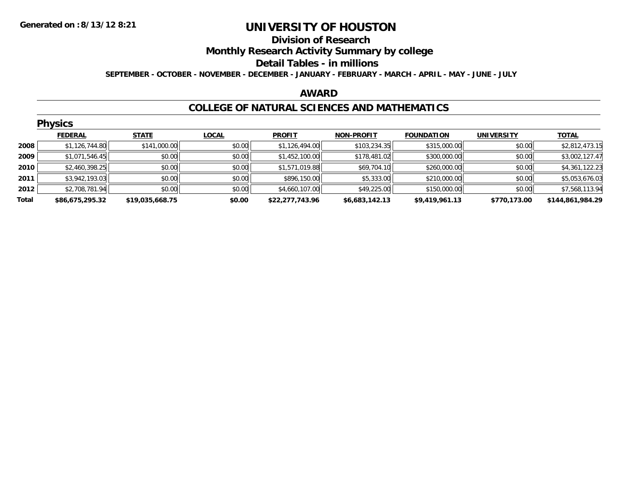#### **Division of Research**

**Monthly Research Activity Summary by college**

#### **Detail Tables - in millions**

**SEPTEMBER - OCTOBER - NOVEMBER - DECEMBER - JANUARY - FEBRUARY - MARCH - APRIL - MAY - JUNE - JULY**

### **AWARD**

### **COLLEGE OF NATURAL SCIENCES AND MATHEMATICS**

|       | <b>Physics</b>  |                 |              |                 |                   |                   |                   |                  |  |  |  |
|-------|-----------------|-----------------|--------------|-----------------|-------------------|-------------------|-------------------|------------------|--|--|--|
|       | <b>FEDERAL</b>  | <b>STATE</b>    | <b>LOCAL</b> | <b>PROFIT</b>   | <b>NON-PROFIT</b> | <b>FOUNDATION</b> | <b>UNIVERSITY</b> | <b>TOTAL</b>     |  |  |  |
| 2008  | \$1,126,744.80  | \$141,000.00    | \$0.00       | \$1,126,494.00  | \$103,234.35      | \$315,000.00      | \$0.00            | \$2,812,473.15   |  |  |  |
| 2009  | \$1,071,546.45  | \$0.00          | \$0.00       | \$1,452,100.00  | \$178,481.02      | \$300,000.00      | \$0.00            | \$3,002,127.47   |  |  |  |
| 2010  | \$2,460,398.25  | \$0.00          | \$0.00       | \$1,571,019.88  | \$69,704.10       | \$260,000.00      | \$0.00            | \$4,361,122.23   |  |  |  |
| 2011  | \$3,942,193.03  | \$0.00          | \$0.00       | \$896,150.00    | \$5,333.00        | \$210,000.00      | \$0.00            | \$5,053,676.03   |  |  |  |
| 2012  | \$2,708,781.94  | \$0.00          | \$0.00       | \$4,660,107.00  | \$49,225.00       | \$150,000.00      | \$0.00            | \$7,568,113.94   |  |  |  |
| Total | \$86,675,295.32 | \$19,035,668.75 | \$0.00       | \$22,277,743.96 | \$6,683,142.13    | \$9,419,961.13    | \$770,173.00      | \$144,861,984.29 |  |  |  |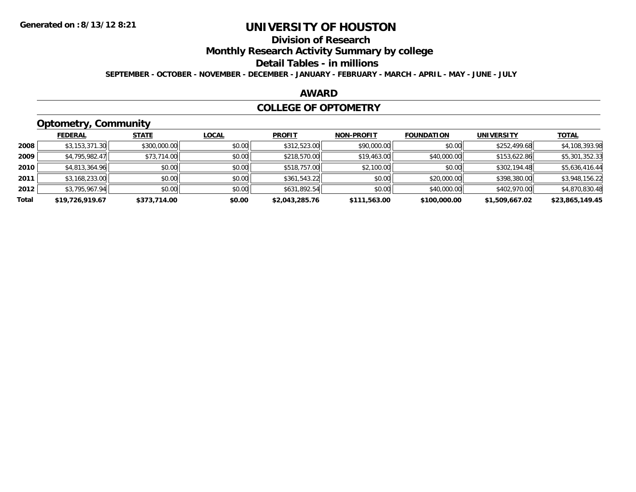## **Division of Research**

**Monthly Research Activity Summary by college**

#### **Detail Tables - in millions**

**SEPTEMBER - OCTOBER - NOVEMBER - DECEMBER - JANUARY - FEBRUARY - MARCH - APRIL - MAY - JUNE - JULY**

### **AWARD**

### **COLLEGE OF OPTOMETRY**

## **Optometry, Community**

|       | ___             |              |              |                |                   |                   |                   |                 |
|-------|-----------------|--------------|--------------|----------------|-------------------|-------------------|-------------------|-----------------|
|       | <b>FEDERAL</b>  | <b>STATE</b> | <b>LOCAL</b> | <b>PROFIT</b>  | <b>NON-PROFIT</b> | <b>FOUNDATION</b> | <b>UNIVERSITY</b> | <u>TOTAL</u>    |
| 2008  | \$3,153,371.30  | \$300,000.00 | \$0.00       | \$312,523.00   | \$90,000.00       | \$0.00            | \$252,499.68      | \$4,108,393.98  |
| 2009  | \$4,795,982.47  | \$73,714.00  | \$0.00       | \$218,570.00   | \$19,463.00       | \$40,000.00       | \$153,622.86      | \$5,301,352.33  |
| 2010  | \$4,813,364.96  | \$0.00       | \$0.00       | \$518,757.00   | \$2,100.00        | \$0.00            | \$302,194.48      | \$5,636,416.44  |
| 2011  | \$3,168,233.00  | \$0.00       | \$0.00       | \$361,543.22   | \$0.00            | \$20,000.00       | \$398,380.00      | \$3,948,156.22  |
| 2012  | \$3,795,967.94  | \$0.00       | \$0.00       | \$631,892.54   | \$0.00            | \$40,000.00       | \$402,970.00      | \$4,870,830.48  |
| Total | \$19,726,919.67 | \$373,714.00 | \$0.00       | \$2,043,285.76 | \$111,563.00      | \$100,000.00      | \$1,509,667.02    | \$23,865,149.45 |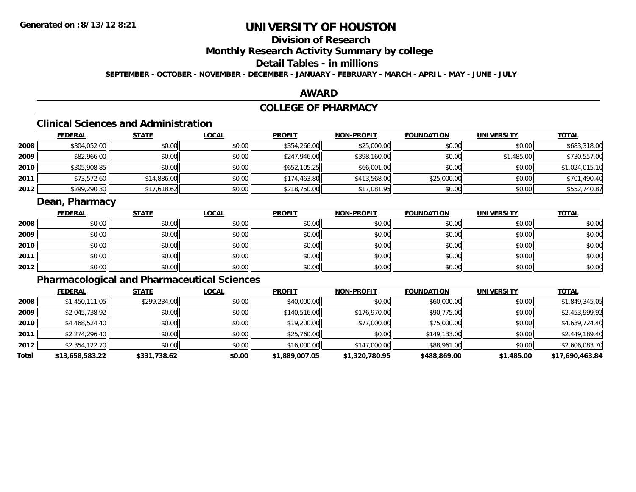## **Division of Research**

**Monthly Research Activity Summary by college**

## **Detail Tables - in millions**

**SEPTEMBER - OCTOBER - NOVEMBER - DECEMBER - JANUARY - FEBRUARY - MARCH - APRIL - MAY - JUNE - JULY**

### **AWARD**

## **COLLEGE OF PHARMACY**

## **Clinical Sciences and Administration**

|      | <b>FEDERAL</b> | <b>STATE</b> | <b>LOCAL</b> | <b>PROFIT</b> | <b>NON-PROFIT</b> | <b>FOUNDATION</b> | <b>UNIVERSITY</b> | <b>TOTAL</b>   |
|------|----------------|--------------|--------------|---------------|-------------------|-------------------|-------------------|----------------|
| 2008 | \$304,052.00   | \$0.00       | \$0.00       | \$354,266.00  | \$25,000.00       | \$0.00            | \$0.00            | \$683,318.00   |
| 2009 | \$82,966.00    | \$0.00       | \$0.00       | \$247,946.00  | \$398,160.00      | \$0.00            | \$1,485.00        | \$730,557.00   |
| 2010 | \$305,908.85   | \$0.00       | \$0.00       | \$652,105.25  | \$66,001.00       | \$0.00            | \$0.00            | \$1,024,015.10 |
| 2011 | \$73,572.60    | \$14,886.00  | \$0.00       | \$174,463.80  | \$413,568.00      | \$25,000.00       | \$0.00            | \$701,490.40   |
| 2012 | \$299,290.30   | \$17,618.62  | \$0.00       | \$218,750.00  | \$17,081.95       | \$0.00            | \$0.00            | \$552,740.87   |

## **Dean, Pharmacy**

|      | <u>FEDERAL</u> | <b>STATE</b> | <u>LOCAL</u> | <b>PROFIT</b> | <b>NON-PROFIT</b> | <b>FOUNDATION</b> | <b>UNIVERSITY</b> | <b>TOTAL</b> |
|------|----------------|--------------|--------------|---------------|-------------------|-------------------|-------------------|--------------|
| 2008 | \$0.00         | \$0.00       | \$0.00       | \$0.00        | \$0.00            | \$0.00            | \$0.00            | \$0.00       |
| 2009 | \$0.00         | \$0.00       | \$0.00       | \$0.00        | \$0.00            | \$0.00            | \$0.00            | \$0.00       |
| 2010 | \$0.00         | \$0.00       | \$0.00       | \$0.00        | \$0.00            | \$0.00            | \$0.00            | \$0.00       |
| 2011 | \$0.00         | \$0.00       | \$0.00       | \$0.00        | \$0.00            | \$0.00            | \$0.00            | \$0.00       |
| 2012 | \$0.00         | \$0.00       | \$0.00       | \$0.00        | \$0.00            | \$0.00            | \$0.00            | \$0.00       |

## **Pharmacological and Pharmaceutical Sciences**

|       | <b>FEDERAL</b>  | <b>STATE</b> | <b>LOCAL</b> | <b>PROFIT</b>  | <b>NON-PROFIT</b> | <b>FOUNDATION</b> | <b>UNIVERSITY</b> | <b>TOTAL</b>    |
|-------|-----------------|--------------|--------------|----------------|-------------------|-------------------|-------------------|-----------------|
| 2008  | \$1,450,111.05  | \$299,234.00 | \$0.00       | \$40,000.00    | \$0.00            | \$60,000.00       | \$0.00            | \$1,849,345.05  |
| 2009  | \$2,045,738.92  | \$0.00       | \$0.00       | \$140,516.00   | \$176,970.00      | \$90,775.00       | \$0.00            | \$2,453,999.92  |
| 2010  | \$4,468,524.40  | \$0.00       | \$0.00       | \$19,200.00    | \$77,000.00       | \$75,000.00       | \$0.00            | \$4,639,724.40  |
| 2011  | \$2,274,296.40  | \$0.00       | \$0.00       | \$25,760.00    | \$0.00            | \$149,133,00      | \$0.00            | \$2,449,189.40  |
| 2012  | \$2,354,122.70  | \$0.00       | \$0.00       | \$16,000.00    | \$147,000.00      | \$88,961.00       | \$0.00            | \$2,606,083.70  |
| Total | \$13,658,583.22 | \$331,738.62 | \$0.00       | \$1,889,007.05 | \$1,320,780.95    | \$488,869.00      | \$1,485.00        | \$17,690,463.84 |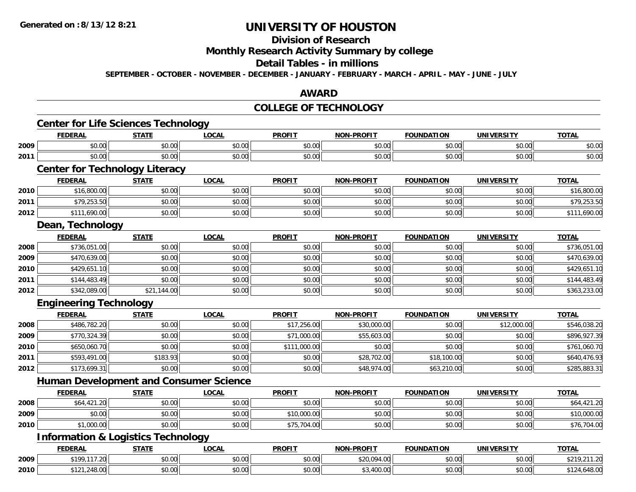## **Division of Research**

**Monthly Research Activity Summary by college**

#### **Detail Tables - in millions**

**SEPTEMBER - OCTOBER - NOVEMBER - DECEMBER - JANUARY - FEBRUARY - MARCH - APRIL - MAY - JUNE - JULY**

## **AWARD**

### **COLLEGE OF TECHNOLOGY**

|      | <b>FEDERAL</b>                                | <b>STATE</b> | <b>LOCAL</b> | <b>PROFIT</b> | <b>NON-PROFIT</b> | <b>FOUNDATION</b> | <b>UNIVERSITY</b> | <b>TOTAL</b> |
|------|-----------------------------------------------|--------------|--------------|---------------|-------------------|-------------------|-------------------|--------------|
| 2009 | \$0.00                                        | \$0.00       | \$0.00       | \$0.00        | \$0.00            | \$0.00            | \$0.00            | \$0.00       |
| 2011 | \$0.00                                        | \$0.00       | \$0.00       | \$0.00        | \$0.00            | \$0.00            | \$0.00            | \$0.00       |
|      | <b>Center for Technology Literacy</b>         |              |              |               |                   |                   |                   |              |
|      | <b>FEDERAL</b>                                | <b>STATE</b> | <b>LOCAL</b> | <b>PROFIT</b> | <b>NON-PROFIT</b> | <b>FOUNDATION</b> | <b>UNIVERSITY</b> | <b>TOTAL</b> |
| 2010 | \$16,800.00                                   | \$0.00       | \$0.00       | \$0.00        | \$0.00            | \$0.00            | \$0.00            | \$16,800.00  |
| 2011 | \$79,253.50                                   | \$0.00       | \$0.00       | \$0.00        | \$0.00            | \$0.00            | \$0.00            | \$79,253.50  |
| 2012 | \$111,690.00                                  | \$0.00       | \$0.00       | \$0.00        | \$0.00            | \$0.00            | \$0.00            | \$111,690.00 |
|      | Dean, Technology                              |              |              |               |                   |                   |                   |              |
|      | <b>FEDERAL</b>                                | <b>STATE</b> | <b>LOCAL</b> | <b>PROFIT</b> | <b>NON-PROFIT</b> | <b>FOUNDATION</b> | <b>UNIVERSITY</b> | <b>TOTAL</b> |
| 2008 | \$736,051.00                                  | \$0.00       | \$0.00       | \$0.00        | \$0.00            | \$0.00            | \$0.00            | \$736,051.00 |
| 2009 | \$470,639.00                                  | \$0.00       | \$0.00       | \$0.00        | \$0.00            | \$0.00            | \$0.00            | \$470,639.00 |
| 2010 | \$429,651.10                                  | \$0.00       | \$0.00       | \$0.00        | \$0.00            | \$0.00            | \$0.00            | \$429,651.10 |
| 2011 | \$144,483.49                                  | \$0.00       | \$0.00       | \$0.00        | \$0.00            | \$0.00            | \$0.00            | \$144,483.49 |
| 2012 | \$342,089.00                                  | \$21,144.00  | \$0.00       | \$0.00        | \$0.00            | \$0.00            | \$0.00            | \$363,233.00 |
|      | <b>Engineering Technology</b>                 |              |              |               |                   |                   |                   |              |
|      | <b>FEDERAL</b>                                | <b>STATE</b> | <b>LOCAL</b> | <b>PROFIT</b> | <b>NON-PROFIT</b> | <b>FOUNDATION</b> | <b>UNIVERSITY</b> | <b>TOTAL</b> |
| 2008 | \$486,782.20                                  | \$0.00       | \$0.00       | \$17,256.00   | \$30,000.00       | \$0.00            | \$12,000.00       | \$546,038.20 |
| 2009 | \$770,324.39                                  | \$0.00       | \$0.00       | \$71,000.00   | \$55,603.00       | \$0.00            | \$0.00            | \$896,927.39 |
| 2010 | \$650,060.70                                  | \$0.00       | \$0.00       | \$111,000.00  | \$0.00            | \$0.00            | \$0.00            | \$761,060.70 |
| 2011 | \$593,491.00                                  | \$183.93     | \$0.00       | \$0.00        | \$28,702.00       | \$18,100.00       | \$0.00            | \$640,476.93 |
| 2012 | \$173,699.31                                  | \$0.00       | \$0.00       | \$0.00        | \$48,974.00       | \$63,210.00       | \$0.00            | \$285,883.31 |
|      | <b>Human Development and Consumer Science</b> |              |              |               |                   |                   |                   |              |
|      | <b>FEDERAL</b>                                | <b>STATE</b> | <b>LOCAL</b> | <b>PROFIT</b> | <b>NON-PROFIT</b> | <b>FOUNDATION</b> | <b>UNIVERSITY</b> | <b>TOTAL</b> |
| 2008 | \$64,421.20                                   | \$0.00       | \$0.00       | \$0.00        | \$0.00            | \$0.00            | \$0.00            | \$64,421.20  |
| 2009 | \$0.00                                        | \$0.00       | \$0.00       | \$10,000.00   | \$0.00            | \$0.00            | \$0.00            | \$10,000.00  |
| 2010 | \$1,000.00                                    | \$0.00       | \$0.00       | \$75,704.00   | \$0.00            | \$0.00            | \$0.00            | \$76,704.00  |
|      | <b>Information &amp; Logistics Technology</b> |              |              |               |                   |                   |                   |              |
|      | <b>FEDERAL</b>                                | <b>STATE</b> | <b>LOCAL</b> | <b>PROFIT</b> | <b>NON-PROFIT</b> | <b>FOUNDATION</b> | <b>UNIVERSITY</b> | <b>TOTAL</b> |
|      |                                               |              |              |               |                   |                   |                   |              |
| 2009 | \$199,117.20                                  | \$0.00       | \$0.00       | \$0.00        | \$20,094.00       | \$0.00            | \$0.00            | \$219,211.20 |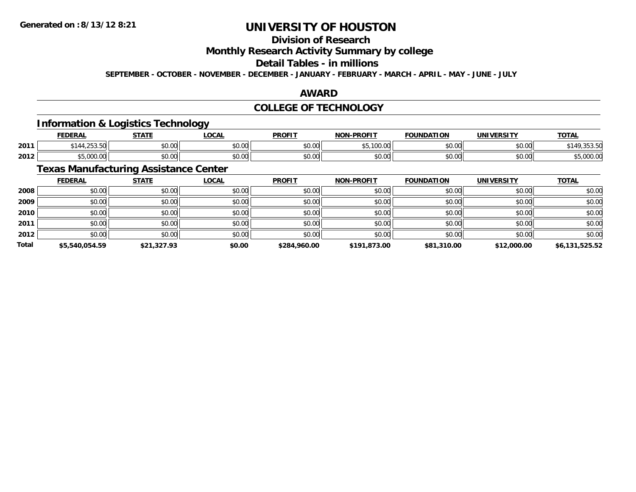## **Division of Research**

**Monthly Research Activity Summary by college**

### **Detail Tables - in millions**

**SEPTEMBER - OCTOBER - NOVEMBER - DECEMBER - JANUARY - FEBRUARY - MARCH - APRIL - MAY - JUNE - JULY**

## **AWARD**

## **COLLEGE OF TECHNOLOGY**

## **Information & Logistics Technology**

|      | <b>FEDERAL</b>                     | <b>STATE</b>     | LOCAL                | <b>PROFIT</b> | <b>-PROFIT</b><br>NON | <b>FOUNDATION</b> | UNIVERSITY | <b>TOTAL</b> |
|------|------------------------------------|------------------|----------------------|---------------|-----------------------|-------------------|------------|--------------|
| 2011 | $\sim$ $\sim$ $\sim$<br>.<br>، د ب | nn nn<br>JU.UU   | 0.00<br><b>DU.UU</b> | \$0.00        | $\leftarrow$<br>ັບ .  | \$0.00            | \$0.00     | <b>JJJ.J</b> |
| 2012 | 0.000<br>.ww.                      | nn nn<br>- PU.UU | 0.00<br><b>DU.UU</b> | \$0.00        | ልስ ለሰ<br>JU.UU        | \$0.00            | \$0.00     | ,uuu.u       |

## **Texas Manufacturing Assistance Center**

|              | <b>FEDERAL</b> | <b>STATE</b> | <u>LOCAL</u> | <b>PROFIT</b> | <b>NON-PROFIT</b> | <b>FOUNDATION</b> | <b>UNIVERSITY</b> | <b>TOTAL</b>   |
|--------------|----------------|--------------|--------------|---------------|-------------------|-------------------|-------------------|----------------|
| 2008         | \$0.00         | \$0.00       | \$0.00       | \$0.00        | \$0.00            | \$0.00            | \$0.00            | \$0.00         |
| 2009         | \$0.00         | \$0.00       | \$0.00       | \$0.00        | \$0.00            | \$0.00            | \$0.00            | \$0.00         |
| 2010         | \$0.00         | \$0.00       | \$0.00       | \$0.00        | \$0.00            | \$0.00            | \$0.00            | \$0.00         |
| 2011         | \$0.00         | \$0.00       | \$0.00       | \$0.00        | \$0.00            | \$0.00            | \$0.00            | \$0.00         |
| 2012         | \$0.00         | \$0.00       | \$0.00       | \$0.00        | \$0.00            | \$0.00            | \$0.00            | \$0.00         |
| <b>Total</b> | \$5,540,054.59 | \$21,327.93  | \$0.00       | \$284,960.00  | \$191,873.00      | \$81,310.00       | \$12,000.00       | \$6,131,525.52 |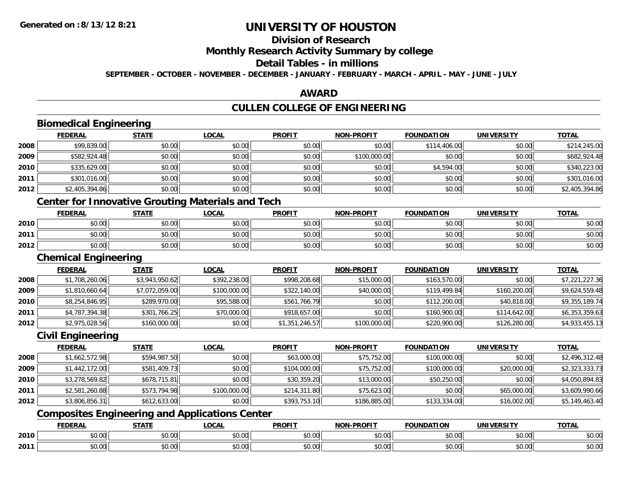**2011**

# **UNIVERSITY OF HOUSTON**

# **Division of Research**

## **Monthly Research Activity Summary by college**

#### **Detail Tables - in millions**

**SEPTEMBER - OCTOBER - NOVEMBER - DECEMBER - JANUARY - FEBRUARY - MARCH - APRIL - MAY - JUNE - JULY**

## **AWARD**

## **CULLEN COLLEGE OF ENGINEERING**

|      | <b>Biomedical Engineering</b> |                |                                                          |                |                   |                   |                   |                |
|------|-------------------------------|----------------|----------------------------------------------------------|----------------|-------------------|-------------------|-------------------|----------------|
|      | <b>FEDERAL</b>                | <b>STATE</b>   | <b>LOCAL</b>                                             | <b>PROFIT</b>  | <b>NON-PROFIT</b> | <b>FOUNDATION</b> | <b>UNIVERSITY</b> | <b>TOTAL</b>   |
| 2008 | \$99,839.00                   | \$0.00         | \$0.00                                                   | \$0.00         | \$0.00            | \$114,406.00      | \$0.00            | \$214,245.00   |
| 2009 | \$582,924.48                  | \$0.00         | \$0.00                                                   | \$0.00         | \$100,000.00      | \$0.00            | \$0.00            | \$682,924.48   |
| 2010 | \$335,629.00                  | \$0.00         | \$0.00                                                   | \$0.00         | \$0.00            | \$4,594.00        | \$0.00            | \$340,223.00   |
| 2011 | \$301,016.00                  | \$0.00         | \$0.00                                                   | \$0.00         | \$0.00            | \$0.00            | \$0.00            | \$301,016.00   |
| 2012 | \$2,405,394.86                | \$0.00         | \$0.00                                                   | \$0.00         | \$0.00            | \$0.00            | \$0.00            | \$2,405,394.86 |
|      |                               |                | <b>Center for Innovative Grouting Materials and Tech</b> |                |                   |                   |                   |                |
|      | <b>FEDERAL</b>                | <b>STATE</b>   | <b>LOCAL</b>                                             | <b>PROFIT</b>  | <b>NON-PROFIT</b> | <b>FOUNDATION</b> | <b>UNIVERSITY</b> | <b>TOTAL</b>   |
| 2010 | \$0.00                        | \$0.00         | \$0.00                                                   | \$0.00         | \$0.00            | \$0.00            | \$0.00            | \$0.00         |
| 2011 | \$0.00                        | \$0.00         | \$0.00                                                   | \$0.00         | \$0.00            | \$0.00            | \$0.00            | \$0.00         |
| 2012 | \$0.00                        | \$0.00         | \$0.00                                                   | \$0.00         | \$0.00            | \$0.00            | \$0.00            | \$0.00         |
|      | <b>Chemical Engineering</b>   |                |                                                          |                |                   |                   |                   |                |
|      | <b>FEDERAL</b>                | <b>STATE</b>   | <b>LOCAL</b>                                             | <b>PROFIT</b>  | <b>NON-PROFIT</b> | <b>FOUNDATION</b> | <b>UNIVERSITY</b> | <b>TOTAL</b>   |
| 2008 | \$1,708,260.06                | \$3,943,950.62 | \$392,238.00                                             | \$998,208.68   | \$15,000.00       | \$163,570.00      | \$0.00            | \$7,221,227.36 |
| 2009 | \$1,810,660.64                | \$7,072,059.00 | \$100,000.00                                             | \$322,140.00   | \$40,000.00       | \$119,499.84      | \$160,200.00      | \$9,624,559.48 |
| 2010 | \$8,254,846.95                | \$289,970.00   | \$95,588.00                                              | \$561,766.79   | \$0.00            | \$112,200.00      | \$40,818.00       | \$9,355,189.74 |
| 2011 | \$4,787,394.38                | \$301,766.25   | \$70,000.00                                              | \$918,657.00   | \$0.00            | \$160,900.00      | \$114,642.00      | \$6,353,359.63 |
| 2012 | \$2,975,028.56                | \$160,000.00   | \$0.00                                                   | \$1,351,246.57 | \$100,000.00      | \$220,900.00      | \$126,280.00      | \$4,933,455.13 |
|      | <b>Civil Engineering</b>      |                |                                                          |                |                   |                   |                   |                |
|      | <b>FEDERAL</b>                | <b>STATE</b>   | <b>LOCAL</b>                                             | <b>PROFIT</b>  | <b>NON-PROFIT</b> | <b>FOUNDATION</b> | <b>UNIVERSITY</b> | <b>TOTAL</b>   |
| 2008 | \$1,662,572.98                | \$594,987.50   | \$0.00                                                   | \$63,000.00    | \$75,752.00       | \$100,000.00      | \$0.00            | \$2,496,312.48 |
| 2009 | \$1,442,172.00                | \$581,409.73   | \$0.00                                                   | \$104,000.00   | \$75,752.00       | \$100,000.00      | \$20,000.00       | \$2,323,333.73 |
| 2010 | \$3,278,569.82                | \$678,715.81   | \$0.00                                                   | \$30,359.20    | \$13,000.00       | \$50,250.00       | \$0.00            | \$4,050,894.83 |
| 2011 | \$2,581,260.88                | \$573,794.98   | \$100,000.00                                             | \$214,311.80   | \$75,623.00       | \$0.00            | \$65,000.00       | \$3,609,990.66 |
| 2012 | \$3,806,856.31                | \$612,633.00   | \$0.00                                                   | \$393,753.10   | \$186,885.00      | \$133,334.00      | \$16,002.00       | \$5,149,463.40 |
|      |                               |                | <b>Composites Engineering and Applications Center</b>    |                |                   |                   |                   |                |
|      | <b>FEDERAL</b>                | <b>STATE</b>   | <b>LOCAL</b>                                             | <b>PROFIT</b>  | <b>NON-PROFIT</b> | <b>FOUNDATION</b> | <b>UNIVERSITY</b> | <b>TOTAL</b>   |
| 2010 | \$0.00                        | \$0.00         | \$0.00                                                   | \$0.00         | \$0.00            | \$0.00            | \$0.00            | \$0.00         |

\$0.00 \$0.00 \$0.00 \$0.00 \$0.00 \$0.00 \$0.00 \$0.00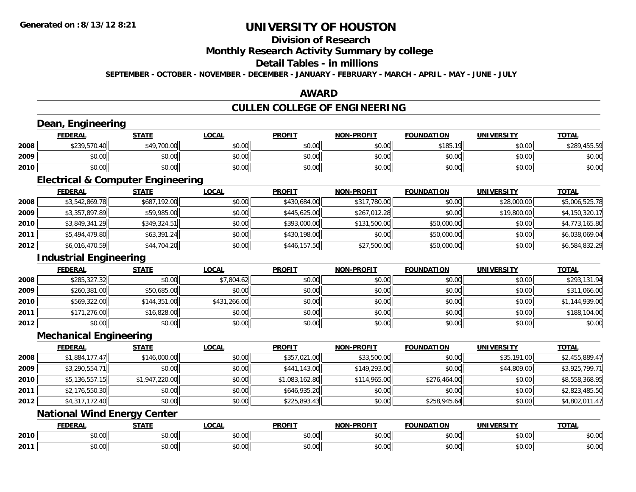## **Division of Research**

### **Monthly Research Activity Summary by college**

## **Detail Tables - in millions**

**SEPTEMBER - OCTOBER - NOVEMBER - DECEMBER - JANUARY - FEBRUARY - MARCH - APRIL - MAY - JUNE - JULY**

## **AWARD**

## **CULLEN COLLEGE OF ENGINEERING**

### **Dean, Engineering**

|      | <b>FEDERAL</b> | <b>STATE</b> | <b>LOCAL</b> | <b>PROFIT</b> | <b>NON-PROFIT</b> | <b>FOUNDATION</b> | <b>UNIVERSITY</b> | <b>TOTAL</b> |
|------|----------------|--------------|--------------|---------------|-------------------|-------------------|-------------------|--------------|
| 2008 | \$239,570.40   | \$49,700.00  | \$0.00       | \$0.00        | \$0.00            | \$185.19          | \$0.00            | \$289,455.59 |
| 2009 | \$0.00         | \$0.00       | \$0.00       | \$0.00        | \$0.00            | \$0.00            | \$0.00            | \$0.00       |
| 2010 | \$0.00         | \$0.00       | \$0.00       | \$0.00        | \$0.00            | \$0.00            | \$0.00            | \$0.00       |

<u> 1980 - Andrea Station Barbara, actor a component de la componentación de la componentación de la componentaci</u>

## **Electrical & Computer Engineering**

|      | <b>FEDERAL</b> | <u>STATE</u> | <b>LOCAL</b> | <b>PROFIT</b> | <b>NON-PROFIT</b> | <b>FOUNDATION</b> | <b>UNIVERSITY</b> | <u>TOTAL</u>   |
|------|----------------|--------------|--------------|---------------|-------------------|-------------------|-------------------|----------------|
| 2008 | \$3,542,869.78 | \$687,192.00 | \$0.00       | \$430,684.00  | \$317,780.00      | \$0.00            | \$28,000.00       | \$5,006,525.78 |
| 2009 | \$3,357,897.89 | \$59,985.00  | \$0.00       | \$445,625.00  | \$267,012.28      | \$0.00            | \$19,800.00       | \$4,150,320.17 |
| 2010 | \$3,849,341.29 | \$349,324.51 | \$0.00       | \$393,000.00  | \$131,500.00      | \$50,000.00       | \$0.00            | \$4,773,165.80 |
| 2011 | \$5,494,479.80 | \$63,391.24  | \$0.00       | \$430,198.00  | \$0.00            | \$50,000.00       | \$0.00            | \$6,038,069.04 |
| 2012 | \$6,016,470.59 | \$44,704.20  | \$0.00       | \$446,157.50  | \$27,500.00       | \$50,000.00       | \$0.00            | \$6,584,832.29 |

## **Industrial Engineering**

|      |                | Industrial Engineering |              |               |                   |                   |                   |                |  |  |  |
|------|----------------|------------------------|--------------|---------------|-------------------|-------------------|-------------------|----------------|--|--|--|
|      | <b>FEDERAL</b> | <b>STATE</b>           | <b>LOCAL</b> | <b>PROFIT</b> | <b>NON-PROFIT</b> | <b>FOUNDATION</b> | <b>UNIVERSITY</b> | <b>TOTAL</b>   |  |  |  |
| 2008 | \$285,327.32   | \$0.00                 | \$7,804.62   | \$0.00        | \$0.00            | \$0.00            | \$0.00            | \$293,131.94   |  |  |  |
| 2009 | \$260,381.00   | \$50,685.00            | \$0.00       | \$0.00        | \$0.00            | \$0.00            | \$0.00            | \$311,066.00   |  |  |  |
| 2010 | \$569,322.00   | \$144,351.00           | \$431,266.00 | \$0.00        | \$0.00            | \$0.00            | \$0.00            | \$1,144,939.00 |  |  |  |
| 2011 | \$171,276.00   | \$16,828.00            | \$0.00       | \$0.00        | \$0.00            | \$0.00            | \$0.00            | \$188,104.00   |  |  |  |
| 2012 | \$0.00         | \$0.00                 | \$0.00       | \$0.00        | \$0.00            | \$0.00            | \$0.00            | \$0.00         |  |  |  |

<u> 1989 - Johann Stoff, deutscher Stoffen und der Stoffen und der Stoffen und der Stoffen und der Stoffen und de</u>

### **Mechanical Engineering**

|      | <b>FEDERAL</b> | <b>STATE</b>   | <u>LOCAL</u> | <b>PROFIT</b>  | <b>NON-PROFIT</b> | <b>FOUNDATION</b> | <b>UNIVERSITY</b> | <b>TOTAL</b>   |
|------|----------------|----------------|--------------|----------------|-------------------|-------------------|-------------------|----------------|
| 2008 | \$1,884,177.47 | \$146,000.00   | \$0.00       | \$357,021.00   | \$33,500.00       | \$0.00            | \$35,191.00       | \$2,455,889.47 |
| 2009 | \$3,290,554.71 | \$0.00         | \$0.00       | \$441,143.00   | \$149,293.00      | \$0.00            | \$44,809.00       | \$3,925,799.71 |
| 2010 | \$5,136,557.15 | \$1,947,220.00 | \$0.00       | \$1,083,162.80 | \$114,965.00      | \$276,464.00      | \$0.00            | \$8,558,368.95 |
| 2011 | \$2,176,550.30 | \$0.00         | \$0.00       | \$646,935.20   | \$0.00            | \$0.00            | \$0.00            | \$2,823,485.50 |
| 2012 | \$4,317,172.40 | \$0.00         | \$0.00       | \$225,893.43   | \$0.00            | \$258,945.64      | \$0.00            | \$4,802,011.47 |

## **National Wind Energy Center**

|      | EENEDAI       | <b>STATE</b>              | 001<br>.UCA            | <b>PROFIT</b> | .                  |               | UNIVERSITY | <b>TOTAL</b> |
|------|---------------|---------------------------|------------------------|---------------|--------------------|---------------|------------|--------------|
| 2010 | 0000<br>DU.UU | $\sim$<br>$\sim$<br>vv.vv | $\sim$ 00<br>vv.vv     | 0000<br>JU.UU | $\sim$ 00<br>JU.UU | 0.00<br>JU.UU | \$0.00     | \$0.00       |
| 2011 | \$0.00        | $\sim$ 0.0 $\sim$<br>JU.U | $\sim$ $\sim$<br>JU.UU | 0000<br>JU.UU | $\sim$ 00<br>JU.UU | 0000<br>JU.UU | \$0.00     | \$0.00       |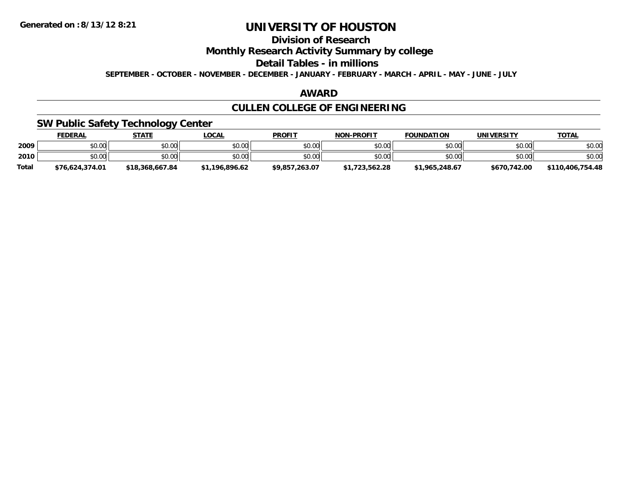## **Division of Research**

**Monthly Research Activity Summary by college**

**Detail Tables - in millions**

**SEPTEMBER - OCTOBER - NOVEMBER - DECEMBER - JANUARY - FEBRUARY - MARCH - APRIL - MAY - JUNE - JULY**

## **AWARD**

## **CULLEN COLLEGE OF ENGINEERING**

## **SW Public Safety Technology Center**

|              | <b>FEDERAL</b>  | <b>STATE</b>    | <u>LOCAL</u>   | <b>PROFIT</b>  | <b>NON-PROFIT</b> | <b>FOUNDATION</b> | UNIVERSITY   | <b>TOTAL</b>     |
|--------------|-----------------|-----------------|----------------|----------------|-------------------|-------------------|--------------|------------------|
| 2009         | \$0.00          | \$0.00          | \$0.00         | \$0.00         | \$0.00            | \$0.00            | \$0.00       | \$0.00           |
| 2010         | \$0.00          | \$0.00          | \$0.00         | \$0.00         | \$0.00            | \$0.00            | \$0.00       | \$0.00           |
| <b>Total</b> | \$76.624.374.01 | \$18,368,667.84 | \$1,196,896.62 | \$9,857,263.07 | \$1,723,562.28    | \$1,965,248.67    | \$670,742.00 | \$110,406,754.48 |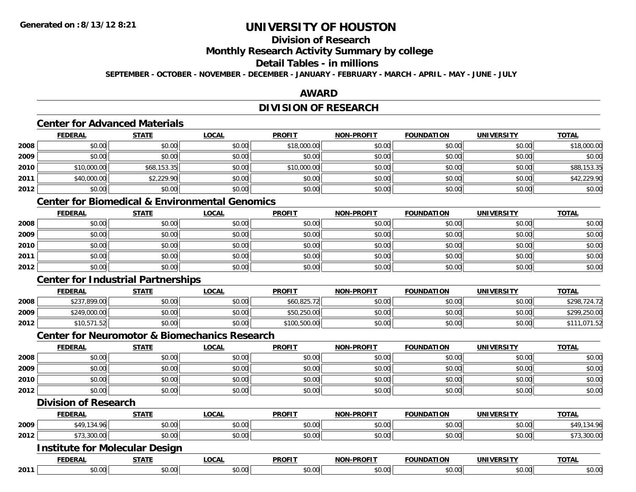## **Division of Research**

**Monthly Research Activity Summary by college**

### **Detail Tables - in millions**

**SEPTEMBER - OCTOBER - NOVEMBER - DECEMBER - JANUARY - FEBRUARY - MARCH - APRIL - MAY - JUNE - JULY**

## **AWARD**

## **DIVISION OF RESEARCH**

## **Center for Advanced Materials**

|      | <b>FEDERAL</b> | <b>STATE</b> | <u>LOCAL</u> | <b>PROFIT</b> | <b>NON-PROFIT</b> | <b>FOUNDATION</b> | <b>UNIVERSITY</b> | <b>TOTAL</b> |
|------|----------------|--------------|--------------|---------------|-------------------|-------------------|-------------------|--------------|
| 2008 | \$0.00         | \$0.00       | \$0.00       | \$18,000.00   | \$0.00            | \$0.00            | \$0.00            | \$18,000.00  |
| 2009 | \$0.00         | \$0.00       | \$0.00       | \$0.00        | \$0.00            | \$0.00            | \$0.00            | \$0.00       |
| 2010 | \$10,000.00    | \$68,153.35  | \$0.00       | \$10,000.00   | \$0.00            | \$0.00            | \$0.00            | \$88,153.35  |
| 2011 | \$40,000.00    | \$2,229.90   | \$0.00       | \$0.00        | \$0.00            | \$0.00            | \$0.00            | \$42,229.90  |
| 2012 | \$0.00         | \$0.00       | \$0.00       | \$0.00        | \$0.00            | \$0.00            | \$0.00            | \$0.00       |

## **Center for Biomedical & Environmental Genomics**

|      | <b>FEDERAL</b> | <u>STATE</u> | <u>LOCAL</u> | <b>PROFIT</b> | <b>NON-PROFIT</b> | <b>FOUNDATION</b> | <b>UNIVERSITY</b> | <b>TOTAL</b> |
|------|----------------|--------------|--------------|---------------|-------------------|-------------------|-------------------|--------------|
| 2008 | \$0.00         | \$0.00       | \$0.00       | \$0.00        | \$0.00            | \$0.00            | \$0.00            | \$0.00       |
| 2009 | \$0.00         | \$0.00       | \$0.00       | \$0.00        | \$0.00            | \$0.00            | \$0.00            | \$0.00       |
| 2010 | \$0.00         | \$0.00       | \$0.00       | \$0.00        | \$0.00            | \$0.00            | \$0.00            | \$0.00       |
| 2011 | \$0.00         | \$0.00       | \$0.00       | \$0.00        | \$0.00            | \$0.00            | \$0.00            | \$0.00       |
| 2012 | \$0.00         | \$0.00       | \$0.00       | \$0.00        | \$0.00            | \$0.00            | \$0.00            | \$0.00       |

## **Center for Industrial Partnerships**

|      | <b>FEDERAL</b> | <b>STATE</b> | <u>LOCAL</u> | <b>PROFIT</b> | <b>NON-PROFIT</b> | <b>FOUNDATION</b> | UNIVERSITY | <b>TOTAL</b> |
|------|----------------|--------------|--------------|---------------|-------------------|-------------------|------------|--------------|
| 2008 | \$237,899.00   | \$0.00       | \$0.00       | \$60.825.72   | \$0.00            | \$0.00            | \$0.00     | \$298,724.72 |
| 2009 | \$249,000.00   | \$0.00       | \$0.00       | \$50,250.00   | \$0.00            | \$0.00            | \$0.00     | \$299,250.00 |
| 2012 | \$10,571.52    | \$0.00       | \$0.00       | \$100,500.00  | \$0.00            | \$0.00            | \$0.00     | 1.071.52     |

### **Center for Neuromotor & Biomechanics Research**

|      | <u>FEDERAL</u> | <b>STATE</b> | <u>LOCAL</u> | <b>PROFIT</b> | <b>NON-PROFIT</b> | <b>FOUNDATION</b> | <b>UNIVERSITY</b> | <b>TOTAL</b> |
|------|----------------|--------------|--------------|---------------|-------------------|-------------------|-------------------|--------------|
| 2008 | \$0.00         | \$0.00       | \$0.00       | \$0.00        | \$0.00            | \$0.00            | \$0.00            | \$0.00       |
| 2009 | \$0.00         | \$0.00       | \$0.00       | \$0.00        | \$0.00            | \$0.00            | \$0.00            | \$0.00       |
| 2010 | \$0.00         | \$0.00       | \$0.00       | \$0.00        | \$0.00            | \$0.00            | \$0.00            | \$0.00       |
| 2012 | \$0.00         | \$0.00       | \$0.00       | \$0.00        | \$0.00            | \$0.00            | \$0.00            | \$0.00       |

### **Division of Research**

|                                       | <u>FEDERAL</u> | <b>STATE</b> | <u>LOCAL</u> | <b>PROFIT</b> | <b>NON-PROFIT</b> | <b>FOUNDATION</b> | UNIVERSITY | <b>TOTAL</b> |
|---------------------------------------|----------------|--------------|--------------|---------------|-------------------|-------------------|------------|--------------|
| 2009                                  | \$49,134.96    | \$0.00       | \$0.00       | \$0.00        | \$0.00            | \$0.00            | \$0.00     | \$49,134.96  |
| 2012                                  | \$73,300.00    | \$0.00       | \$0.00       | \$0.00        | \$0.00            | \$0.00            | \$0.00     | \$73,300.00  |
| <b>Institute for Molecular Design</b> |                |              |              |               |                   |                   |            |              |

|      |              | -----         | <b>LOCAL</b> | <b>PROFIT</b>       | $ -$  | - - -<br>`IND∡         | <b>INIVE</b><br>---- | <b>TOTAL</b><br><b>VIN</b> |
|------|--------------|---------------|--------------|---------------------|-------|------------------------|----------------------|----------------------------|
| 2011 | 0.00<br>ס.טי | 0.00<br>DU.UU | . ഹ<br>→.∪∪⊩ | $\sim$ 00<br>וטט.טי | vv.vv | $\sim$ $\sim$<br>JU.UU | An ooli<br>ง∪.∪บ     | 40.00                      |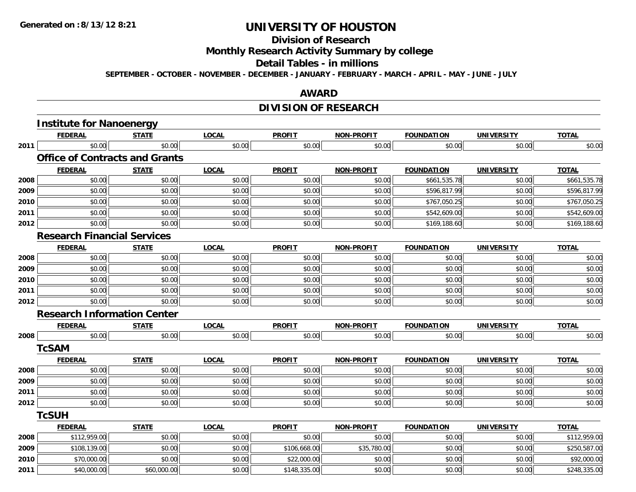## **Division of Research**

**Monthly Research Activity Summary by college**

#### **Detail Tables - in millions**

**SEPTEMBER - OCTOBER - NOVEMBER - DECEMBER - JANUARY - FEBRUARY - MARCH - APRIL - MAY - JUNE - JULY**

### **AWARD**

## **DIVISION OF RESEARCH**

|      | <b>Institute for Nanoenergy</b>       |              |              |               |                   |                   |                   |              |
|------|---------------------------------------|--------------|--------------|---------------|-------------------|-------------------|-------------------|--------------|
|      | <b>FEDERAL</b>                        | <b>STATE</b> | <b>LOCAL</b> | <b>PROFIT</b> | <b>NON-PROFIT</b> | <b>FOUNDATION</b> | <b>UNIVERSITY</b> | <b>TOTAL</b> |
| 2011 | \$0.00                                | \$0.00       | \$0.00       | \$0.00        | \$0.00            | \$0.00            | \$0.00            | \$0.00       |
|      | <b>Office of Contracts and Grants</b> |              |              |               |                   |                   |                   |              |
|      | <b>FEDERAL</b>                        | <b>STATE</b> | <b>LOCAL</b> | <b>PROFIT</b> | <b>NON-PROFIT</b> | <b>FOUNDATION</b> | <b>UNIVERSITY</b> | <b>TOTAL</b> |
| 2008 | \$0.00                                | \$0.00       | \$0.00       | \$0.00        | \$0.00            | \$661,535.78      | \$0.00            | \$661,535.78 |
| 2009 | \$0.00                                | \$0.00       | \$0.00       | \$0.00        | \$0.00            | \$596,817.99      | \$0.00            | \$596,817.99 |
| 2010 | \$0.00                                | \$0.00       | \$0.00       | \$0.00        | \$0.00            | \$767,050.25      | \$0.00            | \$767,050.25 |
| 2011 | \$0.00                                | \$0.00       | \$0.00       | \$0.00        | \$0.00            | \$542,609.00      | \$0.00            | \$542,609.00 |
| 2012 | \$0.00                                | \$0.00       | \$0.00       | \$0.00        | \$0.00            | \$169,188.60      | \$0.00            | \$169,188.60 |
|      | <b>Research Financial Services</b>    |              |              |               |                   |                   |                   |              |
|      | <b>FEDERAL</b>                        | <b>STATE</b> | <b>LOCAL</b> | <b>PROFIT</b> | <b>NON-PROFIT</b> | <b>FOUNDATION</b> | <b>UNIVERSITY</b> | <b>TOTAL</b> |
| 2008 | \$0.00                                | \$0.00       | \$0.00       | \$0.00        | \$0.00            | \$0.00            | \$0.00            | \$0.00       |
| 2009 | \$0.00                                | \$0.00       | \$0.00       | \$0.00        | \$0.00            | \$0.00            | \$0.00            | \$0.00       |
| 2010 | \$0.00                                | \$0.00       | \$0.00       | \$0.00        | \$0.00            | \$0.00            | \$0.00            | \$0.00       |
| 2011 | \$0.00                                | \$0.00       | \$0.00       | \$0.00        | \$0.00            | \$0.00            | \$0.00            | \$0.00       |
| 2012 | \$0.00                                | \$0.00       | \$0.00       | \$0.00        | \$0.00            | \$0.00            | \$0.00            | \$0.00       |
|      | <b>Research Information Center</b>    |              |              |               |                   |                   |                   |              |
|      | <b>FEDERAL</b>                        | <b>STATE</b> | <b>LOCAL</b> | <b>PROFIT</b> | <b>NON-PROFIT</b> | <b>FOUNDATION</b> | <b>UNIVERSITY</b> | <b>TOTAL</b> |
| 2008 | \$0.00                                | \$0.00       | \$0.00       | \$0.00        | \$0.00            | \$0.00            | \$0.00            | \$0.00       |
|      | <b>TcSAM</b>                          |              |              |               |                   |                   |                   |              |
|      | <b>FEDERAL</b>                        | <b>STATE</b> | <b>LOCAL</b> | <b>PROFIT</b> | <b>NON-PROFIT</b> | <b>FOUNDATION</b> | <b>UNIVERSITY</b> | <b>TOTAL</b> |
| 2008 | \$0.00                                | \$0.00       | \$0.00       | \$0.00        | \$0.00            | \$0.00            | \$0.00            | \$0.00       |
| 2009 | \$0.00                                | \$0.00       | \$0.00       | \$0.00        | \$0.00            | \$0.00            | \$0.00            | \$0.00       |
| 2011 | \$0.00                                | \$0.00       | \$0.00       | \$0.00        | \$0.00            | \$0.00            | \$0.00            | \$0.00       |
| 2012 | \$0.00                                | \$0.00       | \$0.00       | \$0.00        | \$0.00            | \$0.00            | \$0.00            | \$0.00       |
|      | <b>TcSUH</b>                          |              |              |               |                   |                   |                   |              |
|      | <b>FEDERAL</b>                        | <b>STATE</b> | <b>LOCAL</b> | <b>PROFIT</b> | <b>NON-PROFIT</b> | <b>FOUNDATION</b> | <b>UNIVERSITY</b> | <b>TOTAL</b> |
| 2008 | \$112,959.00                          | \$0.00       | \$0.00       | \$0.00        | \$0.00            | \$0.00            | \$0.00            | \$112,959.00 |
| 2009 | \$108,139.00                          | \$0.00       | \$0.00       | \$106,668.00  | \$35,780.00       | \$0.00            | \$0.00            | \$250,587.00 |
| 2010 | \$70,000.00                           | \$0.00       | \$0.00       | \$22,000.00   | \$0.00            | \$0.00            | \$0.00            | \$92,000.00  |
| 2011 | \$40,000.00                           | \$60,000.00  | \$0.00       | \$148,335.00  | \$0.00            | \$0.00            | \$0.00            | \$248,335.00 |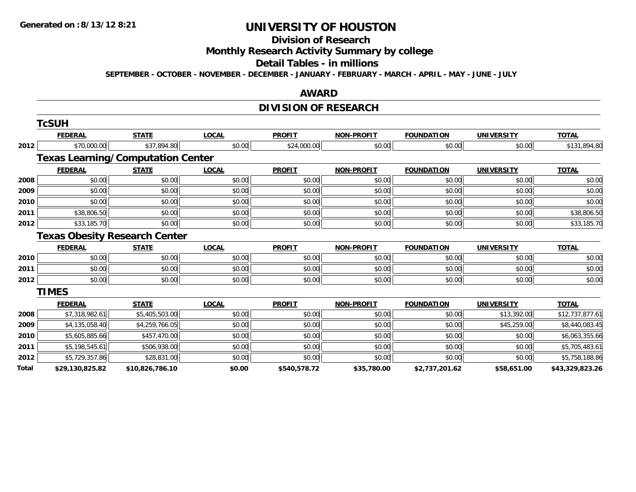#### **Division of Research**

**Monthly Research Activity Summary by college**

#### **Detail Tables - in millions**

**SEPTEMBER - OCTOBER - NOVEMBER - DECEMBER - JANUARY - FEBRUARY - MARCH - APRIL - MAY - JUNE - JULY**

#### **AWARD**

## **DIVISION OF RESEARCH**

|              | <b>TcSUH</b>                             |                 |              |               |                   |                   |                   |                 |
|--------------|------------------------------------------|-----------------|--------------|---------------|-------------------|-------------------|-------------------|-----------------|
|              | <b>FEDERAL</b>                           | <b>STATE</b>    | <b>LOCAL</b> | <b>PROFIT</b> | <b>NON-PROFIT</b> | <b>FOUNDATION</b> | <b>UNIVERSITY</b> | <b>TOTAL</b>    |
| 2012<br>2008 | \$70,000.00                              | \$37,894.80     | \$0.00       | \$24,000.00   | \$0.00            | \$0.00            | \$0.00            | \$131,894.80    |
|              | <b>Texas Learning/Computation Center</b> |                 |              |               |                   |                   |                   |                 |
|              | <b>FEDERAL</b>                           | <b>STATE</b>    | <b>LOCAL</b> | <b>PROFIT</b> | <b>NON-PROFIT</b> | <b>FOUNDATION</b> | <b>UNIVERSITY</b> | <b>TOTAL</b>    |
|              | \$0.00                                   | \$0.00          | \$0.00       | \$0.00        | \$0.00            | \$0.00            | \$0.00            | \$0.00          |
| 2009         | \$0.00                                   | \$0.00          | \$0.00       | \$0.00        | \$0.00            | \$0.00            | \$0.00            | \$0.00          |
| 2010         | \$0.00                                   | \$0.00          | \$0.00       | \$0.00        | \$0.00            | \$0.00            | \$0.00            | \$0.00          |
| 2011         | \$38,806.50                              | \$0.00          | \$0.00       | \$0.00        | \$0.00            | \$0.00            | \$0.00            | \$38,806.50     |
| 2012         | \$33,185.70                              | \$0.00          | \$0.00       | \$0.00        | \$0.00            | \$0.00            | \$0.00            | \$33,185.70     |
|              | <b>Texas Obesity Research Center</b>     |                 |              |               |                   |                   |                   |                 |
|              | <b>FEDERAL</b>                           | <b>STATE</b>    | <b>LOCAL</b> | <b>PROFIT</b> | <b>NON-PROFIT</b> | <b>FOUNDATION</b> | <b>UNIVERSITY</b> | <b>TOTAL</b>    |
| 2010         | \$0.00                                   | \$0.00          | \$0.00       | \$0.00        | \$0.00            | \$0.00            | \$0.00            | \$0.00          |
| 2011         | \$0.00                                   | \$0.00          | \$0.00       | \$0.00        | \$0.00            | \$0.00            | \$0.00            | \$0.00          |
| 2012         | \$0.00                                   | \$0.00          | \$0.00       | \$0.00        | \$0.00            | \$0.00            | \$0.00            | \$0.00          |
|              | <b>TIMES</b>                             |                 |              |               |                   |                   |                   |                 |
|              | <b>FEDERAL</b>                           | <b>STATE</b>    | <b>LOCAL</b> | <b>PROFIT</b> | <b>NON-PROFIT</b> | <b>FOUNDATION</b> | <b>UNIVERSITY</b> | <b>TOTAL</b>    |
| 2008         | \$7,318,982.61                           | \$5,405,503.00  | \$0.00       | \$0.00        | \$0.00            | \$0.00            | \$13,392.00       | \$12,737,877.61 |
| 2009         | \$4,135,058.40                           | \$4,259,766.05  | \$0.00       | \$0.00        | \$0.00            | \$0.00            | \$45,259.00       | \$8,440,083.45  |
| 2010         | \$5,605,885.66                           | \$457,470.00    | \$0.00       | \$0.00        | \$0.00            | \$0.00            | \$0.00            | \$6,063,355.66  |
| 2011         | \$5,198,545.61                           | \$506,938.00    | \$0.00       | \$0.00        | \$0.00            | \$0.00            | \$0.00            | \$5,705,483.61  |
| 2012         | \$5,729,357.86                           | \$28,831.00     | \$0.00       | \$0.00        | \$0.00            | \$0.00            | \$0.00            | \$5,758,188.86  |
| Total        | \$29,130,825.82                          | \$10,826,786.10 | \$0.00       | \$540,578.72  | \$35,780.00       | \$2,737,201.62    | \$58,651.00       | \$43,329,823.26 |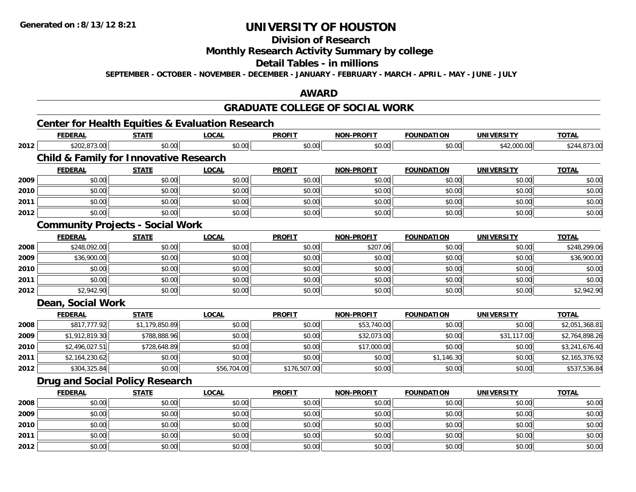**2012**

# **UNIVERSITY OF HOUSTON**

**Division of Research**

**Monthly Research Activity Summary by college**

**Detail Tables - in millions**

**SEPTEMBER - OCTOBER - NOVEMBER - DECEMBER - JANUARY - FEBRUARY - MARCH - APRIL - MAY - JUNE - JULY**

## **AWARD**

### **GRADUATE COLLEGE OF SOCIAL WORK**

# **Center for Health Equities & Evaluation Research**

|      | <b>FEDERAL</b>                                    | <b>STATE</b>   | <b>LOCAL</b> | <b>PROFIT</b> | <b>NON-PROFIT</b> | <b>FOUNDATION</b> | <b>UNIVERSITY</b> | <b>TOTAL</b>   |
|------|---------------------------------------------------|----------------|--------------|---------------|-------------------|-------------------|-------------------|----------------|
| 2012 | \$202,873.00                                      | \$0.00         | \$0.00       | \$0.00        | \$0.00            | \$0.00            | \$42,000.00       | \$244,873.00   |
|      | <b>Child &amp; Family for Innovative Research</b> |                |              |               |                   |                   |                   |                |
|      | <b>FEDERAL</b>                                    | <b>STATE</b>   | <b>LOCAL</b> | <b>PROFIT</b> | <b>NON-PROFIT</b> | <b>FOUNDATION</b> | <b>UNIVERSITY</b> | <b>TOTAL</b>   |
| 2009 | \$0.00                                            | \$0.00         | \$0.00       | \$0.00        | \$0.00            | \$0.00            | \$0.00            | \$0.00         |
| 2010 | \$0.00                                            | \$0.00         | \$0.00       | \$0.00        | \$0.00            | \$0.00            | \$0.00            | \$0.00         |
| 2011 | \$0.00                                            | \$0.00         | \$0.00       | \$0.00        | \$0.00            | \$0.00            | \$0.00            | \$0.00         |
| 2012 | \$0.00                                            | \$0.00         | \$0.00       | \$0.00        | \$0.00            | \$0.00            | \$0.00            | \$0.00         |
|      | <b>Community Projects - Social Work</b>           |                |              |               |                   |                   |                   |                |
|      | <b>FEDERAL</b>                                    | <b>STATE</b>   | <b>LOCAL</b> | <b>PROFIT</b> | <b>NON-PROFIT</b> | <b>FOUNDATION</b> | <b>UNIVERSITY</b> | <b>TOTAL</b>   |
| 2008 | \$248,092.00                                      | \$0.00         | \$0.00       | \$0.00        | \$207.06          | \$0.00            | \$0.00            | \$248,299.06   |
| 2009 | \$36,900.00                                       | \$0.00         | \$0.00       | \$0.00        | \$0.00            | \$0.00            | \$0.00            | \$36,900.00    |
| 2010 | \$0.00                                            | \$0.00         | \$0.00       | \$0.00        | \$0.00            | \$0.00            | \$0.00            | \$0.00         |
| 2011 | \$0.00                                            | \$0.00         | \$0.00       | \$0.00        | \$0.00            | \$0.00            | \$0.00            | \$0.00         |
| 2012 | \$2,942.90                                        | \$0.00         | \$0.00       | \$0.00        | \$0.00            | \$0.00            | \$0.00            | \$2,942.90     |
|      | Dean, Social Work                                 |                |              |               |                   |                   |                   |                |
|      | <b>FEDERAL</b>                                    | <b>STATE</b>   | <b>LOCAL</b> | <b>PROFIT</b> | NON-PROFIT        | <b>FOUNDATION</b> | <b>UNIVERSITY</b> | <b>TOTAL</b>   |
| 2008 | \$817,777.92                                      | \$1,179,850.89 | \$0.00       | \$0.00        | \$53,740.00       | \$0.00            | \$0.00            | \$2,051,368.81 |
| 2009 | \$1,912,819.30                                    | \$788,888.96   | \$0.00       | \$0.00        | \$32,073.00       | \$0.00            | \$31,117.00       | \$2,764,898.26 |
| 2010 | \$2,496,027.51                                    | \$728,648.89   | \$0.00       | \$0.00        | \$17,000.00       | \$0.00            | \$0.00            | \$3,241,676.40 |
| 2011 | \$2,164,230.62                                    | \$0.00         | \$0.00       | \$0.00        | \$0.00            | \$1,146.30        | \$0.00            | \$2,165,376.92 |
| 2012 | \$304,325.84                                      | \$0.00         | \$56,704.00  | \$176,507.00  | \$0.00            | \$0.00            | \$0.00            | \$537,536.84   |
|      | <b>Drug and Social Policy Research</b>            |                |              |               |                   |                   |                   |                |
|      | <b>FEDERAL</b>                                    | <b>STATE</b>   | <b>LOCAL</b> | <b>PROFIT</b> | <b>NON-PROFIT</b> | <b>FOUNDATION</b> | <b>UNIVERSITY</b> | <b>TOTAL</b>   |
| 2008 | \$0.00                                            | \$0.00         | \$0.00       | \$0.00        | \$0.00            | \$0.00            | \$0.00            | \$0.00         |
| 2009 | \$0.00                                            | \$0.00         | \$0.00       | \$0.00        | \$0.00            | \$0.00            | \$0.00            | \$0.00         |
| 2010 | \$0.00                                            | \$0.00         | \$0.00       | \$0.00        | \$0.00            | \$0.00            | \$0.00            | \$0.00         |
| 2011 | \$0.00                                            | \$0.00         | \$0.00       | \$0.00        | \$0.00            | \$0.00            | \$0.00            | \$0.00         |

2 | \$0.00 \$0.00 \$0.00 \$0.00 \$0.00 \$0.00 \$0.00 \$0.00 \$0.00 \$0.00 \$0.00 \$0.00 \$0.00 \$0.00 \$0.00 \$0.00 \$0.00 \$0.0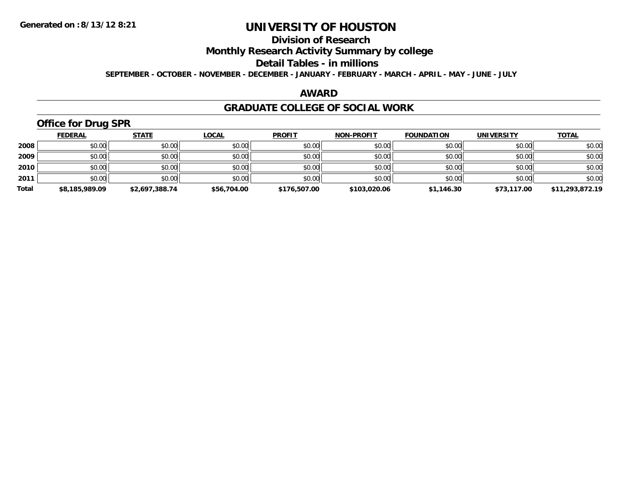## **Division of Research**

**Monthly Research Activity Summary by college**

**Detail Tables - in millions**

**SEPTEMBER - OCTOBER - NOVEMBER - DECEMBER - JANUARY - FEBRUARY - MARCH - APRIL - MAY - JUNE - JULY**

### **AWARD**

### **GRADUATE COLLEGE OF SOCIAL WORK**

## **Office for Drug SPR**

|       | <b>FEDERAL</b> | <u>STATE</u>   | <b>LOCAL</b> | <b>PROFIT</b> | <b>NON-PROFIT</b> | <b>FOUNDATION</b> | <b>UNIVERSITY</b> | <b>TOTAL</b>    |
|-------|----------------|----------------|--------------|---------------|-------------------|-------------------|-------------------|-----------------|
| 2008  | \$0.00         | \$0.00         | \$0.00       | \$0.00        | \$0.00            | \$0.00            | \$0.00            | \$0.00          |
| 2009  | \$0.00         | \$0.00         | \$0.00       | \$0.00        | \$0.00            | \$0.00            | \$0.00            | \$0.00          |
| 2010  | \$0.00         | \$0.00         | \$0.00       | \$0.00        | \$0.00            | \$0.00            | \$0.00            | \$0.00          |
| 2011  | \$0.00         | \$0.00         | \$0.00       | \$0.00        | \$0.00            | \$0.00            | \$0.00            | \$0.00          |
| Total | \$8,185,989.09 | \$2,697,388.74 | \$56,704.00  | \$176,507.00  | \$103,020.06      | \$1,146.30        | \$73,117.00       | \$11,293,872.19 |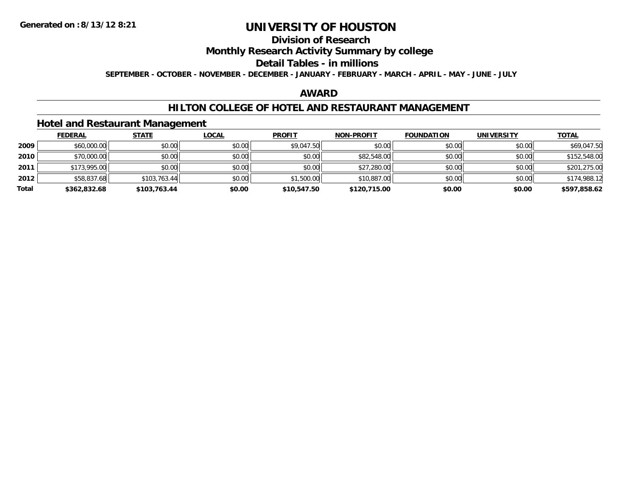## **Division of Research**

## **Monthly Research Activity Summary by college**

### **Detail Tables - in millions**

**SEPTEMBER - OCTOBER - NOVEMBER - DECEMBER - JANUARY - FEBRUARY - MARCH - APRIL - MAY - JUNE - JULY**

## **AWARD**

### **HILTON COLLEGE OF HOTEL AND RESTAURANT MANAGEMENT**

### **Hotel and Restaurant Management**

|       | <b>FEDERAL</b> | <u>STATE</u> | <b>LOCAL</b> | <b>PROFIT</b> | <b>NON-PROFIT</b> | <b>FOUNDATION</b> | <b>UNIVERSITY</b> | <b>TOTAL</b> |
|-------|----------------|--------------|--------------|---------------|-------------------|-------------------|-------------------|--------------|
| 2009  | \$60,000.00    | \$0.00       | \$0.00       | \$9,047.50    | \$0.00            | \$0.00            | \$0.00            | \$69,047.50  |
| 2010  | \$70,000.00    | \$0.00       | \$0.00       | \$0.00        | \$82,548.00       | \$0.00            | \$0.00            | \$152,548.00 |
| 2011  | \$173,995.00   | \$0.00       | \$0.00       | \$0.00        | \$27,280.00       | \$0.00            | \$0.00            | \$201,275.00 |
| 2012  | \$58,837.68    | \$103,763.44 | \$0.00       | \$1,500.00    | \$10,887.00       | \$0.00            | \$0.00            | \$174,988.12 |
| Total | \$362,832.68   | \$103,763.44 | \$0.00       | \$10,547.50   | \$120,715.00      | \$0.00            | \$0.00            | \$597,858.62 |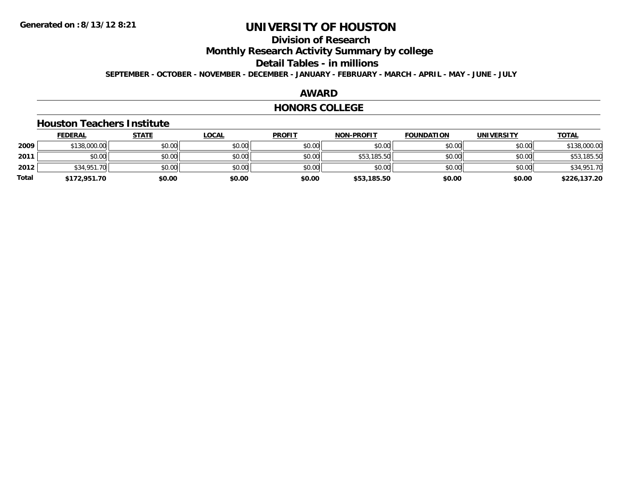## **Division of Research**

**Monthly Research Activity Summary by college**

**Detail Tables - in millions**

**SEPTEMBER - OCTOBER - NOVEMBER - DECEMBER - JANUARY - FEBRUARY - MARCH - APRIL - MAY - JUNE - JULY**

## **AWARD**

### **HONORS COLLEGE**

### **Houston Teachers Institute**

|       | <b>FEDERAL</b> | <u>STATE</u> | <u>LOCAL</u> | <b>PROFIT</b> | <b>NON-PROFIT</b> | <b>FOUNDATION</b> | <b>UNIVERSITY</b> | <b>TOTAL</b> |
|-------|----------------|--------------|--------------|---------------|-------------------|-------------------|-------------------|--------------|
| 2009  | \$138,000.00   | \$0.00       | \$0.00       | \$0.00        | \$0.00            | \$0.00            | \$0.00            | \$138,000.00 |
| 2011  | \$0.00         | \$0.00       | \$0.00       | \$0.00        | \$53,185.50       | \$0.00            | \$0.00            | \$53,185.50  |
| 2012  | \$34,951.70    | \$0.00       | \$0.00       | \$0.00        | \$0.00            | \$0.00            | \$0.00            | \$34,951.70  |
| Total | \$172,951.70   | \$0.00       | \$0.00       | \$0.00        | \$53,185.50       | \$0.00            | \$0.00            | \$226,137.20 |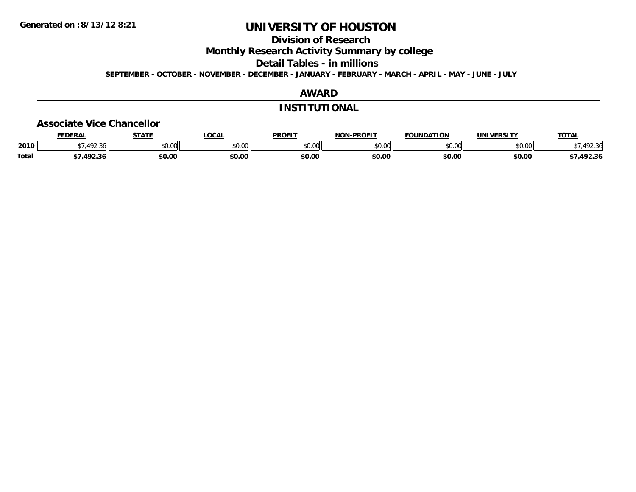## **Division of Research**

**Monthly Research Activity Summary by college**

**Detail Tables - in millions**

**SEPTEMBER - OCTOBER - NOVEMBER - DECEMBER - JANUARY - FEBRUARY - MARCH - APRIL - MAY - JUNE - JULY**

## **AWARD**

### **INSTITUTIONAL**

#### **Associate Vice Chancellor**

|              | <b>FEDERAL</b> | <b>STATE</b> | <b>OCAL</b>                                           | <b>PROFIT</b> | <b>NON-PROFIT</b> | <b>FOUNDATION</b> | UNIVERSITY     | TOTA.  |
|--------------|----------------|--------------|-------------------------------------------------------|---------------|-------------------|-------------------|----------------|--------|
| 2010         | .492.36        | \$0.00       | $\mathsf{A} \cap \mathsf{A} \cap \mathsf{A}$<br>vv.vv | \$0.00        | 0000<br>JU.UU     | \$0.00            | mn n¢<br>pu.uu | 492.36 |
| <b>Total</b> | 1022           | \$0.00       | \$0.00                                                | \$0.00        | \$0.00            | \$0.00            | \$0.00         | 492.36 |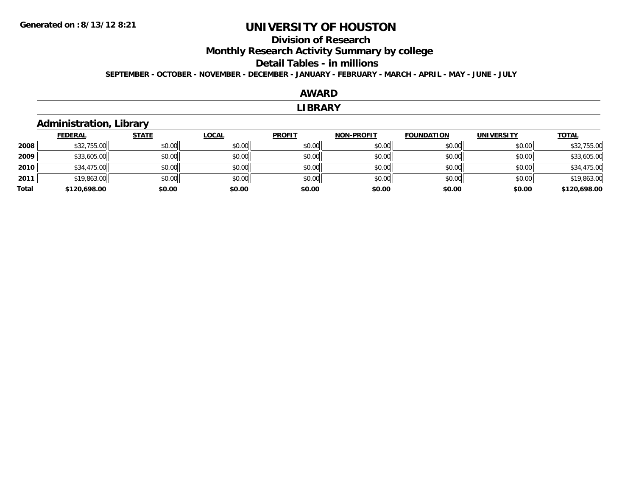## **Division of ResearchMonthly Research Activity Summary by college Detail Tables - in millions**

**SEPTEMBER - OCTOBER - NOVEMBER - DECEMBER - JANUARY - FEBRUARY - MARCH - APRIL - MAY - JUNE - JULY**

### **AWARD**

#### **LIBRARY**

## **Administration, Library**

|       | <b>FEDERAL</b> | <b>STATE</b> | <b>LOCAL</b> | <b>PROFIT</b> | <b>NON-PROFIT</b> | <b>FOUNDATION</b> | <b>UNIVERSITY</b> | <b>TOTAL</b> |
|-------|----------------|--------------|--------------|---------------|-------------------|-------------------|-------------------|--------------|
| 2008  | \$32,755.00    | \$0.00       | \$0.00       | \$0.00        | \$0.00            | \$0.00            | \$0.00            | \$32,755.00  |
| 2009  | \$33,605.00    | \$0.00       | \$0.00       | \$0.00        | \$0.00            | \$0.00            | \$0.00            | \$33,605.00  |
| 2010  | \$34,475.00    | \$0.00       | \$0.00       | \$0.00        | \$0.00            | \$0.00            | \$0.00            | \$34,475.00  |
| 2011  | \$19,863.00    | \$0.00       | \$0.00       | \$0.00        | \$0.00            | \$0.00            | \$0.00            | \$19,863.00  |
| Total | \$120,698.00   | \$0.00       | \$0.00       | \$0.00        | \$0.00            | \$0.00            | \$0.00            | \$120,698.00 |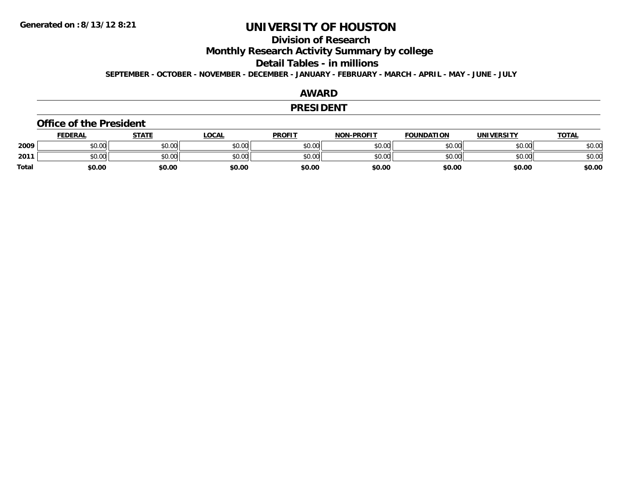## **Division of Research**

**Monthly Research Activity Summary by college**

**Detail Tables - in millions**

**SEPTEMBER - OCTOBER - NOVEMBER - DECEMBER - JANUARY - FEBRUARY - MARCH - APRIL - MAY - JUNE - JULY**

## **AWARD**

### **PRESIDENT**

#### **Office of the President**

|              | <b>FEDERAL</b> | <b>STATE</b> | <b>LOCAL</b> | <b>PROFIT</b> | <b>NON-PROFIT</b> | <b>FOUNDATION</b> | UNIVERSITY | <b>TOTAL</b> |
|--------------|----------------|--------------|--------------|---------------|-------------------|-------------------|------------|--------------|
| 2009         | \$0.00         | \$0.00       | \$0.00       | \$0.00        | \$0.00            | \$0.00            | \$0.00     | \$0.00       |
| 2011         | \$0.00         | \$0.00       | \$0.00       | \$0.00        | \$0.00            | \$0.00            | \$0.00     | \$0.00       |
| <b>Total</b> | \$0.00         | \$0.00       | \$0.00       | \$0.00        | \$0.00            | \$0.00            | \$0.00     | \$0.00       |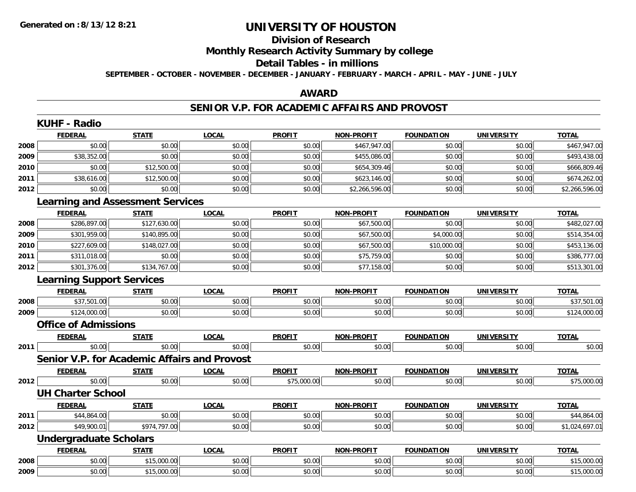#### **Division of Research**

**Monthly Research Activity Summary by college**

#### **Detail Tables - in millions**

**SEPTEMBER - OCTOBER - NOVEMBER - DECEMBER - JANUARY - FEBRUARY - MARCH - APRIL - MAY - JUNE - JULY**

## **AWARD**

### **SENIOR V.P. FOR ACADEMIC AFFAIRS AND PROVOST**

|      | <b>FEDERAL</b>                   | <b>STATE</b>                            | <b>LOCAL</b>                                        | <b>PROFIT</b> | <b>NON-PROFIT</b> | <b>FOUNDATION</b> | <b>UNIVERSITY</b> | <b>TOTAL</b>   |  |  |
|------|----------------------------------|-----------------------------------------|-----------------------------------------------------|---------------|-------------------|-------------------|-------------------|----------------|--|--|
| 2008 | \$0.00                           | \$0.00                                  | \$0.00                                              | \$0.00        | \$467,947.00      | \$0.00            | \$0.00            | \$467,947.00   |  |  |
| 2009 | \$38,352.00                      | \$0.00                                  | \$0.00                                              | \$0.00        | \$455,086.00      | \$0.00            | \$0.00            | \$493,438.00   |  |  |
| 2010 | \$0.00                           | \$12,500.00                             | \$0.00                                              | \$0.00        | \$654,309.46      | \$0.00            | \$0.00            | \$666,809.46   |  |  |
| 2011 | \$38,616.00                      | \$12,500.00                             | \$0.00                                              | \$0.00        | \$623,146.00      | \$0.00            | \$0.00            | \$674,262.00   |  |  |
| 2012 | \$0.00                           | \$0.00                                  | \$0.00                                              | \$0.00        | \$2,266,596.00    | \$0.00            | \$0.00            | \$2,266,596.00 |  |  |
|      |                                  | <b>Learning and Assessment Services</b> |                                                     |               |                   |                   |                   |                |  |  |
|      | <b>FEDERAL</b>                   | <b>STATE</b>                            | <b>LOCAL</b>                                        | <b>PROFIT</b> | <b>NON-PROFIT</b> | <b>FOUNDATION</b> | <b>UNIVERSITY</b> | <b>TOTAL</b>   |  |  |
| 2008 | \$286,897.00                     | \$127,630.00                            | \$0.00                                              | \$0.00        | \$67,500.00       | \$0.00            | \$0.00            | \$482,027.00   |  |  |
| 2009 | \$301,959.00                     | \$140,895.00                            | \$0.00                                              | \$0.00        | \$67,500.00       | \$4,000.00        | \$0.00            | \$514,354.00   |  |  |
| 2010 | \$227,609.00                     | \$148,027.00                            | \$0.00                                              | \$0.00        | \$67,500.00       | \$10,000.00       | \$0.00            | \$453,136.00   |  |  |
| 2011 | \$311,018.00                     | \$0.00                                  | \$0.00                                              | \$0.00        | \$75,759.00       | \$0.00            | \$0.00            | \$386,777.00   |  |  |
| 2012 | \$301,376.00                     | \$134,767.00                            | \$0.00                                              | \$0.00        | \$77,158.00       | \$0.00            | \$0.00            | \$513,301.00   |  |  |
|      | <b>Learning Support Services</b> |                                         |                                                     |               |                   |                   |                   |                |  |  |
|      | <b>FEDERAL</b>                   | <b>STATE</b>                            | <b>LOCAL</b>                                        | <b>PROFIT</b> | <b>NON-PROFIT</b> | <b>FOUNDATION</b> | <b>UNIVERSITY</b> | <b>TOTAL</b>   |  |  |
| 2008 | \$37,501.00                      | \$0.00                                  | \$0.00                                              | \$0.00        | \$0.00            | \$0.00            | \$0.00            | \$37,501.00    |  |  |
| 2009 | \$124,000.00                     | \$0.00                                  | \$0.00                                              | \$0.00        | \$0.00            | \$0.00            | \$0.00            | \$124,000.00   |  |  |
|      | <b>Office of Admissions</b>      |                                         |                                                     |               |                   |                   |                   |                |  |  |
|      | <b>FEDERAL</b>                   | <b>STATE</b>                            | <b>LOCAL</b>                                        | <b>PROFIT</b> | <b>NON-PROFIT</b> | <b>FOUNDATION</b> | <b>UNIVERSITY</b> | <b>TOTAL</b>   |  |  |
| 2011 | \$0.00                           | \$0.00                                  | \$0.00                                              | \$0.00        | \$0.00            | \$0.00            | \$0.00            | \$0.00         |  |  |
|      |                                  |                                         | <b>Senior V.P. for Academic Affairs and Provost</b> |               |                   |                   |                   |                |  |  |
|      | <b>FEDERAL</b>                   | <b>STATE</b>                            | <b>LOCAL</b>                                        | <b>PROFIT</b> | <b>NON-PROFIT</b> | <b>FOUNDATION</b> | <b>UNIVERSITY</b> | <b>TOTAL</b>   |  |  |
| 2012 | \$0.00                           | \$0.00                                  | \$0.00                                              | \$75,000.00   | \$0.00            | \$0.00            | \$0.00            | \$75,000.00    |  |  |
|      | <b>UH Charter School</b>         |                                         |                                                     |               |                   |                   |                   |                |  |  |
|      | <b>FEDERAL</b>                   | <b>STATE</b>                            | <b>LOCAL</b>                                        | <b>PROFIT</b> | <b>NON-PROFIT</b> | <b>FOUNDATION</b> | <b>UNIVERSITY</b> | <b>TOTAL</b>   |  |  |
| 2011 | \$44,864.00                      | \$0.00                                  | \$0.00                                              | \$0.00        | \$0.00            | \$0.00            | \$0.00            | \$44,864.00    |  |  |
| 2012 | \$49,900.01                      | \$974,797.00                            | \$0.00                                              | \$0.00        | \$0.00            | \$0.00            | \$0.00            | \$1,024,697.01 |  |  |
|      | <b>Undergraduate Scholars</b>    |                                         |                                                     |               |                   |                   |                   |                |  |  |
|      | <b>FEDERAL</b>                   | <b>STATE</b>                            | <b>LOCAL</b>                                        | <b>PROFIT</b> | NON-PROFIT        | <b>FOUNDATION</b> | <b>UNIVERSITY</b> | <b>TOTAL</b>   |  |  |
| 2008 | \$0.00                           | \$15,000.00                             | \$0.00                                              | \$0.00        | \$0.00            | \$0.00            | \$0.00            | \$15,000.00    |  |  |
| 2009 | \$0.00                           | \$15,000.00                             | \$0.00                                              | \$0.00        | \$0.00            | \$0.00            | \$0.00            | \$15,000.00    |  |  |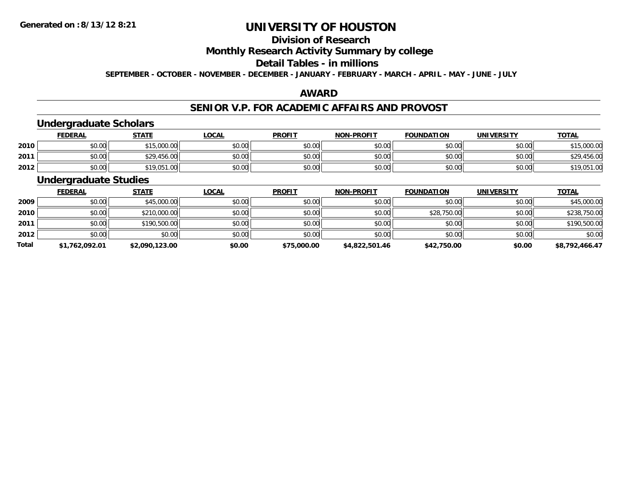## **Division of Research**

## **Monthly Research Activity Summary by college**

#### **Detail Tables - in millions**

**SEPTEMBER - OCTOBER - NOVEMBER - DECEMBER - JANUARY - FEBRUARY - MARCH - APRIL - MAY - JUNE - JULY**

## **AWARD**

## **SENIOR V.P. FOR ACADEMIC AFFAIRS AND PROVOST**

## **Undergraduate Scholars**

|      | <u>FEDERAL</u> | <b>STATE</b> | <u>LOCAL</u> | <b>PROFIT</b> | <b>NON-PROFIT</b> | <b>FOUNDATION</b> | <b>UNIVERSITY</b> | <b>TOTAL</b> |
|------|----------------|--------------|--------------|---------------|-------------------|-------------------|-------------------|--------------|
| 2010 | \$0.00         | \$15,000.00  | \$0.00       | \$0.00        | \$0.00            | \$0.00            | \$0.00            | \$15,000.00  |
| 2011 | \$0.00         | \$29,456.00  | \$0.00       | \$0.00        | \$0.00            | \$0.00            | \$0.00            | \$29,456.00  |
| 2012 | \$0.00         | \$19,051.00  | \$0.00       | \$0.00        | \$0.00            | \$0.00            | \$0.00            | \$19,051.00  |

## **Undergraduate Studies**

|              | <b>FEDERAL</b> | <b>STATE</b>   | <u>LOCAL</u> | <b>PROFIT</b> | <b>NON-PROFIT</b> | <b>FOUNDATION</b> | <b>UNIVERSITY</b> | <b>TOTAL</b>   |
|--------------|----------------|----------------|--------------|---------------|-------------------|-------------------|-------------------|----------------|
| 2009         | \$0.00         | \$45,000.00    | \$0.00       | \$0.00        | \$0.00            | \$0.00            | \$0.00            | \$45,000.00    |
| 2010         | \$0.00         | \$210,000.00   | \$0.00       | \$0.00        | \$0.00            | \$28,750.00       | \$0.00            | \$238,750.00   |
| 2011         | \$0.00         | \$190,500.00   | \$0.00       | \$0.00        | \$0.00            | \$0.00            | \$0.00            | \$190,500.00   |
| 2012         | \$0.00         | \$0.00         | \$0.00       | \$0.00        | \$0.00            | \$0.00            | \$0.00            | \$0.00         |
| <b>Total</b> | \$1,762,092.01 | \$2,090,123.00 | \$0.00       | \$75,000.00   | \$4,822,501.46    | \$42,750.00       | \$0.00            | \$8,792,466.47 |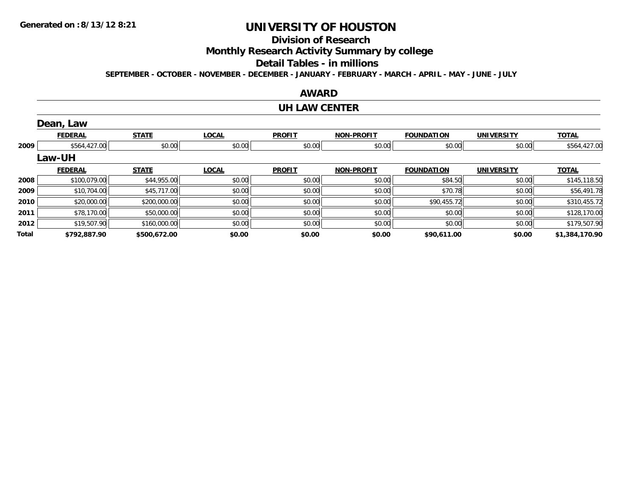## **Division of Research**

**Monthly Research Activity Summary by college**

#### **Detail Tables - in millions**

**SEPTEMBER - OCTOBER - NOVEMBER - DECEMBER - JANUARY - FEBRUARY - MARCH - APRIL - MAY - JUNE - JULY**

### **AWARD**

### **UH LAW CENTER**

|       | Dean, Law      |              |              |               |                   |                   |                   |                |
|-------|----------------|--------------|--------------|---------------|-------------------|-------------------|-------------------|----------------|
|       | <b>FEDERAL</b> | <b>STATE</b> | <b>LOCAL</b> | <b>PROFIT</b> | <b>NON-PROFIT</b> | <b>FOUNDATION</b> | <b>UNIVERSITY</b> | <b>TOTAL</b>   |
| 2009  | \$564,427.00   | \$0.00       | \$0.00       | \$0.00        | \$0.00            | \$0.00            | \$0.00            | \$564,427.00   |
|       | <b>Law-UH</b>  |              |              |               |                   |                   |                   |                |
|       | <b>FEDERAL</b> | <b>STATE</b> | <b>LOCAL</b> | <b>PROFIT</b> | <b>NON-PROFIT</b> | <b>FOUNDATION</b> | <b>UNIVERSITY</b> | <b>TOTAL</b>   |
| 2008  | \$100,079.00   | \$44,955.00  | \$0.00       | \$0.00        | \$0.00            | \$84.50           | \$0.00            | \$145,118.50   |
| 2009  | \$10,704.00    | \$45,717.00  | \$0.00       | \$0.00        | \$0.00            | \$70.78           | \$0.00            | \$56,491.78    |
| 2010  | \$20,000.00    | \$200,000.00 | \$0.00       | \$0.00        | \$0.00            | \$90,455.72       | \$0.00            | \$310,455.72   |
| 2011  | \$78,170.00    | \$50,000.00  | \$0.00       | \$0.00        | \$0.00            | \$0.00            | \$0.00            | \$128,170.00   |
| 2012  | \$19,507.90    | \$160,000.00 | \$0.00       | \$0.00        | \$0.00            | \$0.00            | \$0.00            | \$179,507.90   |
| Total | \$792,887.90   | \$500,672.00 | \$0.00       | \$0.00        | \$0.00            | \$90,611.00       | \$0.00            | \$1,384,170.90 |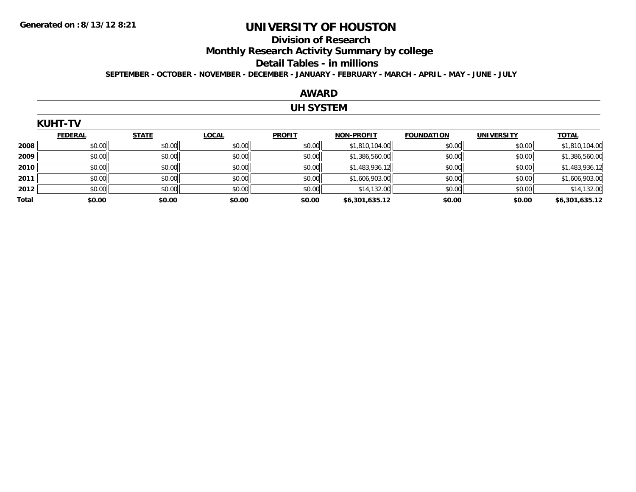#### **Division of Research**

**Monthly Research Activity Summary by college**

#### **Detail Tables - in millions**

**SEPTEMBER - OCTOBER - NOVEMBER - DECEMBER - JANUARY - FEBRUARY - MARCH - APRIL - MAY - JUNE - JULY**

### **AWARD**

### **UH SYSTEM**

|       | <b>KUHT-TV</b> |              |              |               |                   |                   |                   |                |  |  |  |
|-------|----------------|--------------|--------------|---------------|-------------------|-------------------|-------------------|----------------|--|--|--|
|       | <b>FEDERAL</b> | <b>STATE</b> | <b>LOCAL</b> | <b>PROFIT</b> | <b>NON-PROFIT</b> | <b>FOUNDATION</b> | <b>UNIVERSITY</b> | <b>TOTAL</b>   |  |  |  |
| 2008  | \$0.00         | \$0.00       | \$0.00       | \$0.00        | \$1,810,104.00    | \$0.00            | \$0.00            | \$1,810,104.00 |  |  |  |
| 2009  | \$0.00         | \$0.00       | \$0.00       | \$0.00        | \$1,386,560.00    | \$0.00            | \$0.00            | \$1,386,560.00 |  |  |  |
| 2010  | \$0.00         | \$0.00       | \$0.00       | \$0.00        | \$1,483,936.12    | \$0.00            | \$0.00            | \$1,483,936.12 |  |  |  |
| 2011  | \$0.00         | \$0.00       | \$0.00       | \$0.00        | \$1,606,903.00    | \$0.00            | \$0.00            | \$1,606,903.00 |  |  |  |
| 2012  | \$0.00         | \$0.00       | \$0.00       | \$0.00        | \$14,132.00       | \$0.00            | \$0.00            | \$14,132.00    |  |  |  |
| Total | \$0.00         | \$0.00       | \$0.00       | \$0.00        | \$6,301,635.12    | \$0.00            | \$0.00            | \$6,301,635.12 |  |  |  |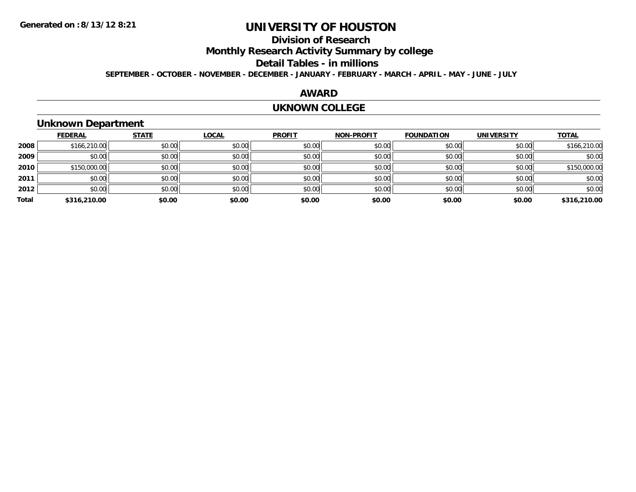## **Division of Research**

**Monthly Research Activity Summary by college**

**Detail Tables - in millions**

**SEPTEMBER - OCTOBER - NOVEMBER - DECEMBER - JANUARY - FEBRUARY - MARCH - APRIL - MAY - JUNE - JULY**

## **AWARD**

### **UKNOWN COLLEGE**

## **Unknown Department**

|       | <b>FEDERAL</b> | <b>STATE</b> | <b>LOCAL</b> | <b>PROFIT</b> | <b>NON-PROFIT</b> | <b>FOUNDATION</b> | <b>UNIVERSITY</b> | <b>TOTAL</b> |
|-------|----------------|--------------|--------------|---------------|-------------------|-------------------|-------------------|--------------|
| 2008  | \$166,210.00   | \$0.00       | \$0.00       | \$0.00        | \$0.00            | \$0.00            | \$0.00            | \$166,210.00 |
| 2009  | \$0.00         | \$0.00       | \$0.00       | \$0.00        | \$0.00            | \$0.00            | \$0.00            | \$0.00       |
| 2010  | \$150,000.00   | \$0.00       | \$0.00       | \$0.00        | \$0.00            | \$0.00            | \$0.00            | \$150,000.00 |
| 2011  | \$0.00         | \$0.00       | \$0.00       | \$0.00        | \$0.00            | \$0.00            | \$0.00            | \$0.00       |
| 2012  | \$0.00         | \$0.00       | \$0.00       | \$0.00        | \$0.00            | \$0.00            | \$0.00            | \$0.00       |
| Total | \$316,210.00   | \$0.00       | \$0.00       | \$0.00        | \$0.00            | \$0.00            | \$0.00            | \$316,210.00 |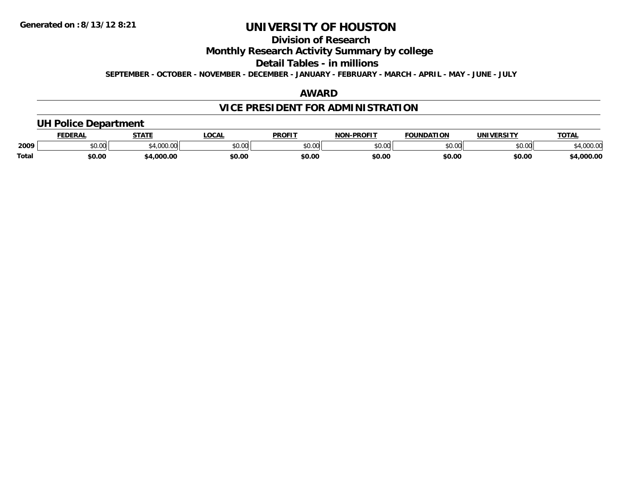## **Division of Research**

**Monthly Research Activity Summary by college**

**Detail Tables - in millions**

**SEPTEMBER - OCTOBER - NOVEMBER - DECEMBER - JANUARY - FEBRUARY - MARCH - APRIL - MAY - JUNE - JULY**

## **AWARD**

## **VICE PRESIDENT FOR ADMINISTRATION**

## **UH Police Department**

|       | <b>FEDERAL</b> | <b>STATE</b>                | <b>LOCAL</b>  | <b>PROFIT</b> | -PROFIT<br>חחו | <b>FOUNDATION</b> | UNIVERSITY | <b>TOTA</b>      |
|-------|----------------|-----------------------------|---------------|---------------|----------------|-------------------|------------|------------------|
| 2009  | ሶስ ሰሰ<br>vv.vv | $^{\ast}$ 1.000.00<br>uuu.u | 0.00<br>PU.UU | 0000<br>JU.UU | 0000<br>ט.טע   | \$0.00            | \$0.00     | מח החו<br>UUU.UU |
| Total | \$0.00         | .000.00                     | \$0.00        | \$0.00        | \$0.00         | \$0.00            | \$0.00     | ,000.00          |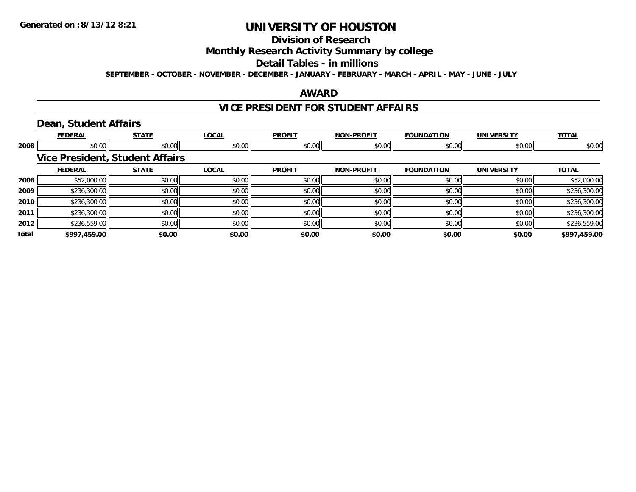## **Division of Research**

**Monthly Research Activity Summary by college**

#### **Detail Tables - in millions**

**SEPTEMBER - OCTOBER - NOVEMBER - DECEMBER - JANUARY - FEBRUARY - MARCH - APRIL - MAY - JUNE - JULY**

### **AWARD**

## **VICE PRESIDENT FOR STUDENT AFFAIRS**

## **Dean, Student Affairs**

|       | <b>FEDERAL</b> | <b>STATE</b>                           | <b>LOCAL</b> | <b>PROFIT</b> | <b>NON-PROFIT</b> | <b>FOUNDATION</b> | <b>UNIVERSITY</b> | <b>TOTAL</b> |
|-------|----------------|----------------------------------------|--------------|---------------|-------------------|-------------------|-------------------|--------------|
| 2008  | \$0.00         | \$0.00                                 | \$0.00       | \$0.00        | \$0.00            | \$0.00            | \$0.00            | \$0.00       |
|       |                | <b>Vice President, Student Affairs</b> |              |               |                   |                   |                   |              |
|       | <b>FEDERAL</b> | <b>STATE</b>                           | <b>LOCAL</b> | <b>PROFIT</b> | <b>NON-PROFIT</b> | <b>FOUNDATION</b> | <b>UNIVERSITY</b> | <b>TOTAL</b> |
| 2008  | \$52,000.00    | \$0.00                                 | \$0.00       | \$0.00        | \$0.00            | \$0.00            | \$0.00            | \$52,000.00  |
| 2009  | \$236,300.00   | \$0.00                                 | \$0.00       | \$0.00        | \$0.00            | \$0.00            | \$0.00            | \$236,300.00 |
| 2010  | \$236,300.00   | \$0.00                                 | \$0.00       | \$0.00        | \$0.00            | \$0.00            | \$0.00            | \$236,300.00 |
| 2011  | \$236,300.00   | \$0.00                                 | \$0.00       | \$0.00        | \$0.00            | \$0.00            | \$0.00            | \$236,300.00 |
| 2012  | \$236,559.00   | \$0.00                                 | \$0.00       | \$0.00        | \$0.00            | \$0.00            | \$0.00            | \$236,559.00 |
| Total | \$997,459.00   | \$0.00                                 | \$0.00       | \$0.00        | \$0.00            | \$0.00            | \$0.00            | \$997,459.00 |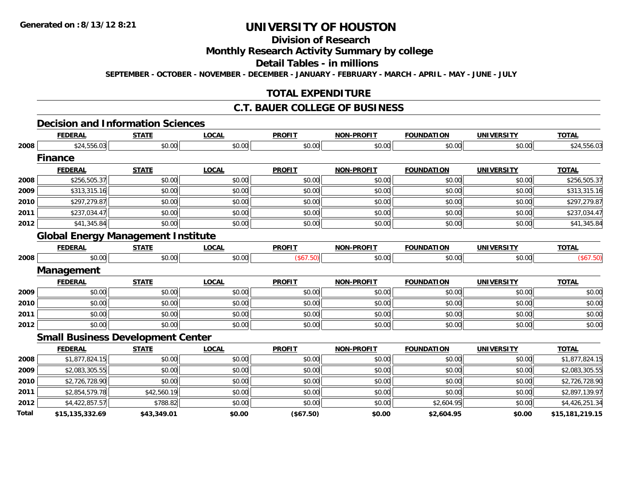**Total**

# **UNIVERSITY OF HOUSTON**

## **Division of Research**

## **Monthly Research Activity Summary by college**

## **Detail Tables - in millions**

**SEPTEMBER - OCTOBER - NOVEMBER - DECEMBER - JANUARY - FEBRUARY - MARCH - APRIL - MAY - JUNE - JULY**

## **TOTAL EXPENDITURE**

## **C.T. BAUER COLLEGE OF BUSINESS**

### **Decision and Information Sciences**

|      | <b>FEDERAL</b>                            | <b>STATE</b> | <b>LOCAL</b> | <b>PROFIT</b> | <b>NON-PROFIT</b> | <b>FOUNDATION</b> | <b>UNIVERSITY</b> | <b>TOTAL</b>   |
|------|-------------------------------------------|--------------|--------------|---------------|-------------------|-------------------|-------------------|----------------|
| 2008 | \$24,556.03                               | \$0.00       | \$0.00       | \$0.00        | \$0.00            | \$0.00            | \$0.00            | \$24,556.03    |
|      | <b>Finance</b>                            |              |              |               |                   |                   |                   |                |
|      | <b>FEDERAL</b>                            | <b>STATE</b> | <b>LOCAL</b> | <b>PROFIT</b> | <b>NON-PROFIT</b> | <b>FOUNDATION</b> | <b>UNIVERSITY</b> | <b>TOTAL</b>   |
| 2008 | \$256,505.37                              | \$0.00       | \$0.00       | \$0.00        | \$0.00            | \$0.00            | \$0.00            | \$256,505.37   |
| 2009 | \$313,315.16                              | \$0.00       | \$0.00       | \$0.00        | \$0.00            | \$0.00            | \$0.00            | \$313,315.16   |
| 2010 | \$297,279.87                              | \$0.00       | \$0.00       | \$0.00        | \$0.00            | \$0.00            | \$0.00            | \$297,279.87   |
| 2011 | \$237,034.47                              | \$0.00       | \$0.00       | \$0.00        | \$0.00            | \$0.00            | \$0.00            | \$237,034.47   |
| 2012 | \$41,345.84                               | \$0.00       | \$0.00       | \$0.00        | \$0.00            | \$0.00            | \$0.00            | \$41,345.84    |
|      | <b>Global Energy Management Institute</b> |              |              |               |                   |                   |                   |                |
|      | <b>FEDERAL</b>                            | <b>STATE</b> | <b>LOCAL</b> | <b>PROFIT</b> | <b>NON-PROFIT</b> | <b>FOUNDATION</b> | <b>UNIVERSITY</b> | <b>TOTAL</b>   |
| 2008 | \$0.00                                    | \$0.00       | \$0.00       | (\$67.50)     | \$0.00            | \$0.00            | \$0.00            | (\$67.50)      |
|      | Management                                |              |              |               |                   |                   |                   |                |
|      | <b>FEDERAL</b>                            | <b>STATE</b> | <b>LOCAL</b> | <b>PROFIT</b> | <b>NON-PROFIT</b> | <b>FOUNDATION</b> | <b>UNIVERSITY</b> | <b>TOTAL</b>   |
| 2009 | \$0.00                                    | \$0.00       | \$0.00       | \$0.00        | \$0.00            | \$0.00            | \$0.00            | \$0.00         |
| 2010 | \$0.00                                    | \$0.00       | \$0.00       | \$0.00        | \$0.00            | \$0.00            | \$0.00            | \$0.00         |
| 2011 | \$0.00                                    | \$0.00       | \$0.00       | \$0.00        | \$0.00            | \$0.00            | \$0.00            | \$0.00         |
| 2012 | \$0.00                                    | \$0.00       | \$0.00       | \$0.00        | \$0.00            | \$0.00            | \$0.00            | \$0.00         |
|      | <b>Small Business Development Center</b>  |              |              |               |                   |                   |                   |                |
|      | <b>FEDERAL</b>                            | <b>STATE</b> | <b>LOCAL</b> | <b>PROFIT</b> | <b>NON-PROFIT</b> | <b>FOUNDATION</b> | <b>UNIVERSITY</b> | <b>TOTAL</b>   |
| 2008 | \$1,877,824.15                            | \$0.00       | \$0.00       | \$0.00        | \$0.00            | \$0.00            | \$0.00            | \$1,877,824.15 |
| 2009 | \$2,083,305.55                            | \$0.00       | \$0.00       | \$0.00        | \$0.00            | \$0.00            | \$0.00            | \$2,083,305.55 |
| 2010 | \$2,726,728.90                            | \$0.00       | \$0.00       | \$0.00        | \$0.00            | \$0.00            | \$0.00            | \$2,726,728.90 |
| 2011 | \$2,854,579.78                            | \$42,560.19  | \$0.00       | \$0.00        | \$0.00            | \$0.00            | \$0.00            | \$2,897,139.97 |
| 2012 | \$4,422,857.57                            | \$788.82     | \$0.00       | \$0.00        | \$0.00            | \$2,604.95        | \$0.00            | \$4,426,251.34 |

**\$15,135,332.69 \$43,349.01 \$0.00 (\$67.50) \$0.00 \$2,604.95 \$0.00 \$15,181,219.15**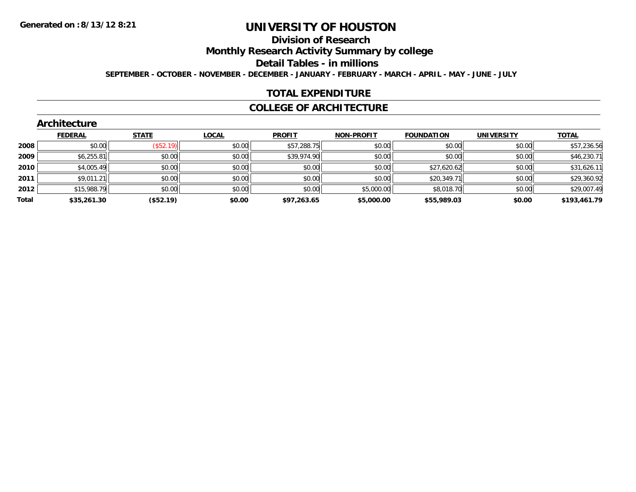## **Division of Research**

**Monthly Research Activity Summary by college**

**Detail Tables - in millions**

**SEPTEMBER - OCTOBER - NOVEMBER - DECEMBER - JANUARY - FEBRUARY - MARCH - APRIL - MAY - JUNE - JULY**

## **TOTAL EXPENDITURE**

### **COLLEGE OF ARCHITECTURE**

|  | Architecture |  |  |
|--|--------------|--|--|
|  |              |  |  |

|       | <b>FEDERAL</b> | <b>STATE</b> | <b>LOCAL</b> | <b>PROFIT</b> | <b>NON-PROFIT</b> | <b>FOUNDATION</b> | <b>UNIVERSITY</b> | <b>TOTAL</b> |
|-------|----------------|--------------|--------------|---------------|-------------------|-------------------|-------------------|--------------|
| 2008  | \$0.00         | (\$52.19)    | \$0.00       | \$57,288.75   | \$0.00            | \$0.00            | \$0.00            | \$57,236.56  |
| 2009  | \$6,255.81     | \$0.00       | \$0.00       | \$39,974.90   | \$0.00            | \$0.00            | \$0.00            | \$46,230.71  |
| 2010  | \$4,005.49     | \$0.00       | \$0.00       | \$0.00        | \$0.00            | \$27,620.62       | \$0.00            | \$31,626.11  |
| 2011  | \$9,011.21     | \$0.00       | \$0.00       | \$0.00        | \$0.00            | \$20,349.71       | \$0.00            | \$29,360.92  |
| 2012  | \$15,988.79    | \$0.00       | \$0.00       | \$0.00        | \$5,000.00        | \$8,018.70        | \$0.00            | \$29,007.49  |
| Total | \$35,261.30    | (\$52.19)    | \$0.00       | \$97,263.65   | \$5,000.00        | \$55,989.03       | \$0.00            | \$193,461.79 |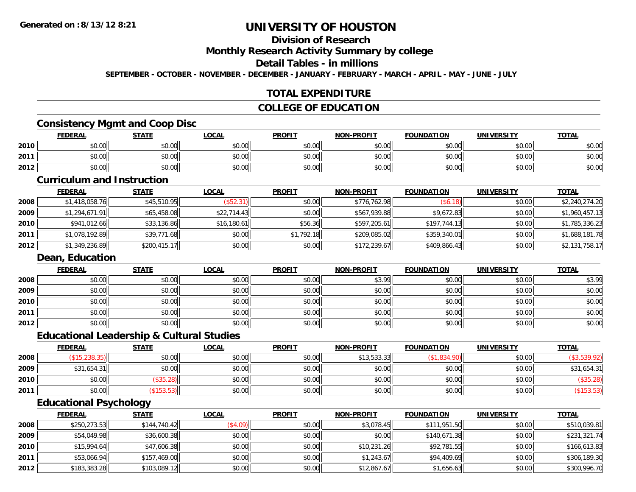# **Division of Research**

**Monthly Research Activity Summary by college**

### **Detail Tables - in millions**

**SEPTEMBER - OCTOBER - NOVEMBER - DECEMBER - JANUARY - FEBRUARY - MARCH - APRIL - MAY - JUNE - JULY**

### **TOTAL EXPENDITURE**

#### **COLLEGE OF EDUCATION**

### **Consistency Mgmt and Coop Disc**

|      | <b>FEDERAL</b> | <b>STATE</b>           | <u>LOCAI</u> | <b>PROFIT</b> | <b>NON-PROFIT</b> | <b>FOUNDATION</b> | <b>UNIVERSITY</b><br>13. J | <b>TOTAL</b> |
|------|----------------|------------------------|--------------|---------------|-------------------|-------------------|----------------------------|--------------|
| 2010 | \$0.00         | \$0.00                 | \$0.00       | \$0.00        | \$0.00            | \$0.00            | \$0.00                     | \$0.00       |
| 2011 | 0000<br>DU.UU  | ⊄∩ ∩∩<br>JU.UU         | \$0.00       | \$0.00        | \$0.00            | \$0.00            | \$0.00                     | \$0.00       |
| 2012 | \$0.00         | $\sim$ $\sim$<br>JU.UU | \$0.00       | \$0.00        | \$0.00            | \$0.00            | \$0.00                     | \$0.00       |

#### **Curriculum and Instruction**

|      | <b>FEDERAL</b> | <b>STATE</b> | <b>LOCAL</b> | <b>PROFIT</b> | <b>NON-PROFIT</b> | <b>FOUNDATION</b> | <b>UNIVERSITY</b> | <b>TOTAL</b>   |
|------|----------------|--------------|--------------|---------------|-------------------|-------------------|-------------------|----------------|
| 2008 | \$1,418,058.76 | \$45,510.95  | (\$52.31)    | \$0.00        | \$776,762.98      | (S6.18)           | \$0.00            | \$2,240,274.20 |
| 2009 | \$1,294,671.91 | \$65,458.08  | \$22,714.43  | \$0.00        | \$567,939.88      | \$9,672.83        | \$0.00            | \$1,960,457.13 |
| 2010 | \$941,012.66   | \$33,136.86  | \$16,180.61  | \$56.36       | \$597,205.61      | \$197,744.13      | \$0.00            | \$1,785,336.23 |
| 2011 | \$1,078,192.89 | \$39,771.68  | \$0.00       | \$1,792.18    | \$209,085.02      | \$359,340.01      | \$0.00            | \$1,688,181.78 |
| 2012 | \$1,349,236.89 | \$200,415.17 | \$0.00       | \$0.00        | \$172,239.67      | \$409,866.43      | \$0.00            | \$2,131,758.17 |

#### **Dean, Education**

|      | <b>FEDERAL</b> | <b>STATE</b> | <b>LOCAL</b> | <b>PROFIT</b> | <b>NON-PROFIT</b> | <b>FOUNDATION</b> | <b>UNIVERSITY</b> | <b>TOTAL</b> |
|------|----------------|--------------|--------------|---------------|-------------------|-------------------|-------------------|--------------|
| 2008 | \$0.00         | \$0.00       | \$0.00       | \$0.00        | \$3.99            | \$0.00            | \$0.00            | \$3.99       |
| 2009 | \$0.00         | \$0.00       | \$0.00       | \$0.00        | \$0.00            | \$0.00            | \$0.00            | \$0.00       |
| 2010 | \$0.00         | \$0.00       | \$0.00       | \$0.00        | \$0.00            | \$0.00            | \$0.00            | \$0.00       |
| 2011 | \$0.00         | \$0.00       | \$0.00       | \$0.00        | \$0.00            | \$0.00            | \$0.00            | \$0.00       |
| 2012 | \$0.00         | \$0.00       | \$0.00       | \$0.00        | \$0.00            | \$0.00            | \$0.00            | \$0.00       |

#### **Educational Leadership & Cultural Studies**

|      | <u>FEDERAL</u> | <u>STATE</u> | <u>LOCAL</u> | <b>PROFIT</b> | <b>NON-PROFIT</b> | <b>FOUNDATION</b> | <b>UNIVERSITY</b> | <b>TOTAL</b> |
|------|----------------|--------------|--------------|---------------|-------------------|-------------------|-------------------|--------------|
| 2008 | (\$15,238.35)  | \$0.00       | \$0.00       | \$0.00        | \$13,533.33       | \$1,834.90        | \$0.00            |              |
| 2009 | \$31,654.31    | \$0.00       | \$0.00       | \$0.00        | \$0.00            | \$0.00            | \$0.00            | \$31,654.31  |
| 2010 | \$0.00         | \$35.28      | \$0.00       | \$0.00        | \$0.00            | \$0.00            | \$0.00            | (\$35.28)    |
| 2011 | \$0.00         | \$153.53     | \$0.00       | \$0.00        | \$0.00            | \$0.00            | \$0.00            |              |

# **Educational Psychology**

|      | <b>FEDERAL</b> | <u>STATE</u> | <b>LOCAL</b> | <b>PROFIT</b> | <b>NON-PROFIT</b> | <b>FOUNDATION</b> | <b>UNIVERSITY</b> | <b>TOTAL</b> |
|------|----------------|--------------|--------------|---------------|-------------------|-------------------|-------------------|--------------|
| 2008 | \$250,273.53   | \$144,740.42 | (\$4.09)     | \$0.00        | \$3,078.45        | \$111,951.50      | \$0.00            | \$510,039.81 |
| 2009 | \$54,049.98    | \$36,600.38  | \$0.00       | \$0.00        | \$0.00            | \$140,671.38      | \$0.00            | \$231,321.74 |
| 2010 | \$15,994.64    | \$47,606.38  | \$0.00       | \$0.00        | \$10,231.26       | \$92,781.55       | \$0.00            | \$166,613.83 |
| 2011 | \$53,066.94    | \$157,469.00 | \$0.00       | \$0.00        | \$1,243.67        | \$94,409.69       | \$0.00            | \$306,189.30 |
| 2012 | \$183,383.28   | \$103,089.12 | \$0.00       | \$0.00        | \$12,867.67       | \$1,656.63        | \$0.00            | \$300,996.70 |

<u> 1989 - Johann Stoff, deutscher Stoff, der Stoff, der Stoff, der Stoff, der Stoff, der Stoff, der Stoff, der S</u>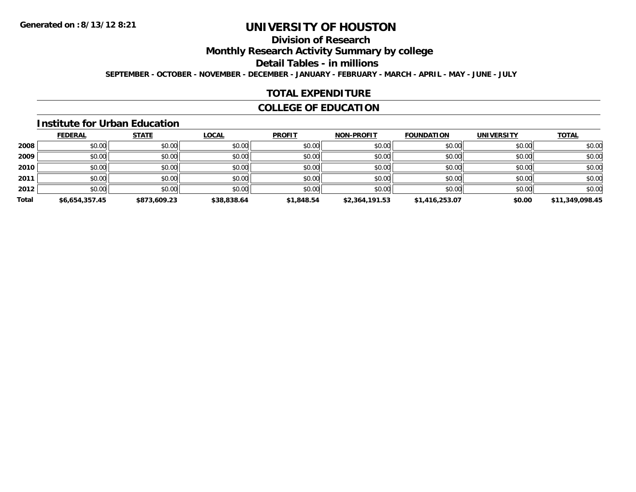# **Division of Research**

**Monthly Research Activity Summary by college**

**Detail Tables - in millions**

**SEPTEMBER - OCTOBER - NOVEMBER - DECEMBER - JANUARY - FEBRUARY - MARCH - APRIL - MAY - JUNE - JULY**

### **TOTAL EXPENDITURE**

### **COLLEGE OF EDUCATION**

#### **Institute for Urban Education**

|       | <b>FEDERAL</b> | <b>STATE</b> | <b>LOCAL</b> | <b>PROFIT</b> | <b>NON-PROFIT</b> | <b>FOUNDATION</b> | <b>UNIVERSITY</b> | <b>TOTAL</b>    |
|-------|----------------|--------------|--------------|---------------|-------------------|-------------------|-------------------|-----------------|
| 2008  | \$0.00         | \$0.00       | \$0.00       | \$0.00        | \$0.00            | \$0.00            | \$0.00            | \$0.00          |
| 2009  | \$0.00         | \$0.00       | \$0.00       | \$0.00        | \$0.00            | \$0.00            | \$0.00            | \$0.00          |
| 2010  | \$0.00         | \$0.00       | \$0.00       | \$0.00        | \$0.00            | \$0.00            | \$0.00            | \$0.00          |
| 2011  | \$0.00         | \$0.00       | \$0.00       | \$0.00        | \$0.00            | \$0.00            | \$0.00            | \$0.00          |
| 2012  | \$0.00         | \$0.00       | \$0.00       | \$0.00        | \$0.00            | \$0.00            | \$0.00            | \$0.00          |
| Total | \$6,654,357.45 | \$873,609.23 | \$38,838.64  | \$1,848.54    | \$2,364,191.53    | \$1,416,253.07    | \$0.00            | \$11,349,098.45 |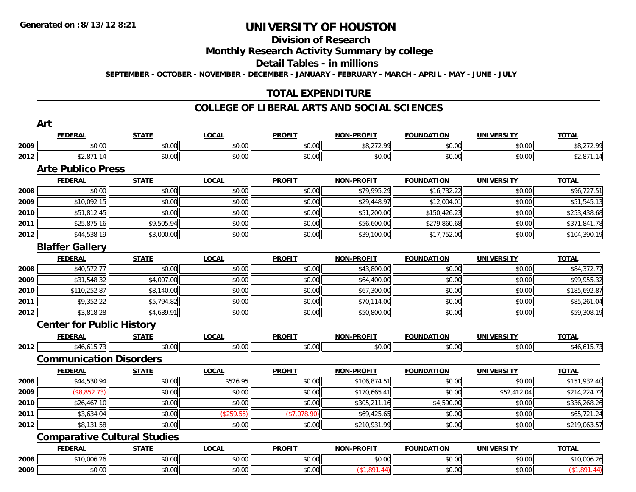# **Division of Research**

**Monthly Research Activity Summary by college**

**Detail Tables - in millions**

**SEPTEMBER - OCTOBER - NOVEMBER - DECEMBER - JANUARY - FEBRUARY - MARCH - APRIL - MAY - JUNE - JULY**

### **TOTAL EXPENDITURE**

#### **COLLEGE OF LIBERAL ARTS AND SOCIAL SCIENCES**

|      | <b>FEDERAL</b>                      | <b>STATE</b> | <b>LOCAL</b> | <b>PROFIT</b> | <b>NON-PROFIT</b> | <b>FOUNDATION</b> | <b>UNIVERSITY</b> | <b>TOTAL</b> |
|------|-------------------------------------|--------------|--------------|---------------|-------------------|-------------------|-------------------|--------------|
| 2009 | \$0.00                              | \$0.00       | \$0.00       | \$0.00        | \$8,272.99        | \$0.00            | \$0.00            | \$8,272.99   |
| 2012 | \$2,871.14                          | \$0.00       | \$0.00       | \$0.00        | \$0.00            | \$0.00            | \$0.00            | \$2,871.14   |
|      | <b>Arte Publico Press</b>           |              |              |               |                   |                   |                   |              |
|      | <b>FEDERAL</b>                      | <b>STATE</b> | <b>LOCAL</b> | <b>PROFIT</b> | <b>NON-PROFIT</b> | <b>FOUNDATION</b> | <b>UNIVERSITY</b> | <b>TOTAL</b> |
| 2008 | \$0.00                              | \$0.00       | \$0.00       | \$0.00        | \$79,995.29       | \$16,732.22       | \$0.00            | \$96,727.51  |
| 2009 | \$10,092.15                         | \$0.00       | \$0.00       | \$0.00        | \$29,448.97       | \$12,004.01       | \$0.00            | \$51,545.13  |
| 2010 | \$51,812.45                         | \$0.00       | \$0.00       | \$0.00        | \$51,200.00       | \$150,426.23      | \$0.00            | \$253,438.68 |
| 2011 | \$25,875.16                         | \$9,505.94   | \$0.00       | \$0.00        | \$56,600.00       | \$279,860.68      | \$0.00            | \$371,841.78 |
| 2012 | \$44,538.19                         | \$3,000.00   | \$0.00       | \$0.00        | \$39,100.00       | \$17,752.00       | \$0.00            | \$104,390.19 |
|      | <b>Blaffer Gallery</b>              |              |              |               |                   |                   |                   |              |
|      | <b>FEDERAL</b>                      | <b>STATE</b> | <b>LOCAL</b> | <b>PROFIT</b> | <b>NON-PROFIT</b> | <b>FOUNDATION</b> | <b>UNIVERSITY</b> | <b>TOTAL</b> |
| 2008 | \$40,572.77                         | \$0.00       | \$0.00       | \$0.00        | \$43,800.00       | \$0.00            | \$0.00            | \$84,372.77  |
| 2009 | \$31,548.32                         | \$4,007.00   | \$0.00       | \$0.00        | \$64,400.00       | \$0.00            | \$0.00            | \$99,955.32  |
| 2010 | \$110,252.87                        | \$8,140.00   | \$0.00       | \$0.00        | \$67,300.00       | \$0.00            | \$0.00            | \$185,692.87 |
| 2011 | \$9,352.22                          | \$5,794.82   | \$0.00       | \$0.00        | \$70,114.00       | \$0.00            | \$0.00            | \$85,261.04  |
| 2012 | \$3,818.28                          | \$4,689.91   | \$0.00       | \$0.00        | \$50,800.00       | \$0.00            | \$0.00            | \$59,308.19  |
|      | <b>Center for Public History</b>    |              |              |               |                   |                   |                   |              |
|      | <b>FEDERAL</b>                      | <b>STATE</b> | <b>LOCAL</b> | <b>PROFIT</b> | <b>NON-PROFIT</b> | <b>FOUNDATION</b> | <b>UNIVERSITY</b> | <b>TOTAL</b> |
| 2012 | \$46,615.73                         | \$0.00       | \$0.00       | \$0.00        | \$0.00            | \$0.00            | \$0.00            | \$46,615.73  |
|      | <b>Communication Disorders</b>      |              |              |               |                   |                   |                   |              |
|      | <b>FEDERAL</b>                      | <b>STATE</b> | <b>LOCAL</b> | <b>PROFIT</b> | <b>NON-PROFIT</b> | <b>FOUNDATION</b> | <b>UNIVERSITY</b> | <b>TOTAL</b> |
| 2008 | \$44,530.94                         | \$0.00       | \$526.95     | \$0.00        | \$106,874.51      | \$0.00            | \$0.00            | \$151,932.40 |
| 2009 | (\$8,852.73)                        | \$0.00       | \$0.00       | \$0.00        | \$170,665.41      | \$0.00            | \$52,412.04       | \$214,224.72 |
| 2010 | \$26,467.10                         | \$0.00       | \$0.00       | \$0.00        | \$305,211.16      | \$4,590.00        | \$0.00            | \$336,268.26 |
| 2011 | \$3,634.04                          | \$0.00       | (\$259.55)   | (\$7,078.90)  | \$69,425.65       | \$0.00            | \$0.00            | \$65,721.24  |
| 2012 | \$8,131.58                          | \$0.00       | \$0.00       | \$0.00        | \$210,931.99      | \$0.00            | \$0.00            | \$219,063.57 |
|      | <b>Comparative Cultural Studies</b> |              |              |               |                   |                   |                   |              |
|      | <b>FEDERAL</b>                      | <b>STATE</b> | <b>LOCAL</b> | <b>PROFIT</b> | <b>NON-PROFIT</b> | <b>FOUNDATION</b> | <b>UNIVERSITY</b> | <b>TOTAL</b> |
| 2008 | \$10,006.26                         | \$0.00       | \$0.00       | \$0.00        | \$0.00            | \$0.00            | \$0.00            | \$10,006.26  |
| 2009 | \$0.00                              | \$0.00       | \$0.00       | \$0.00        | (\$1,891.44)      | \$0.00            | \$0.00            | (\$1,891.44) |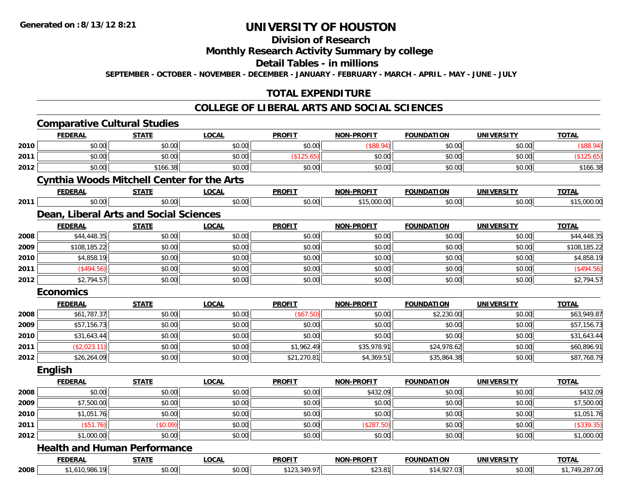# **Division of Research**

**Monthly Research Activity Summary by college**

**Detail Tables - in millions**

**SEPTEMBER - OCTOBER - NOVEMBER - DECEMBER - JANUARY - FEBRUARY - MARCH - APRIL - MAY - JUNE - JULY**

# **TOTAL EXPENDITURE**

#### **COLLEGE OF LIBERAL ARTS AND SOCIAL SCIENCES**

|      | <b>Comparative Cultural Studies</b>               |              |              |               |                   |                   |                   |                |
|------|---------------------------------------------------|--------------|--------------|---------------|-------------------|-------------------|-------------------|----------------|
|      | <b>FEDERAL</b>                                    | <b>STATE</b> | <b>LOCAL</b> | <b>PROFIT</b> | <b>NON-PROFIT</b> | <b>FOUNDATION</b> | <b>UNIVERSITY</b> | <b>TOTAL</b>   |
| 2010 | \$0.00                                            | \$0.00       | \$0.00       | \$0.00        | $($ \$88.94)      | \$0.00            | \$0.00            | (\$88.94)      |
| 2011 | \$0.00                                            | \$0.00       | \$0.00       | (\$125.65)    | \$0.00            | \$0.00            | \$0.00            | (\$125.65)     |
| 2012 | \$0.00                                            | \$166.38     | \$0.00       | \$0.00        | \$0.00            | \$0.00            | \$0.00            | \$166.38       |
|      | <b>Cynthia Woods Mitchell Center for the Arts</b> |              |              |               |                   |                   |                   |                |
|      | <b>FEDERAL</b>                                    | <u>STATE</u> | <b>LOCAL</b> | <b>PROFIT</b> | <b>NON-PROFIT</b> | <b>FOUNDATION</b> | <b>UNIVERSITY</b> | <b>TOTAL</b>   |
| 2011 | \$0.00                                            | \$0.00       | \$0.00       | \$0.00        | \$15,000.00       | \$0.00            | \$0.00            | \$15,000.00    |
|      | Dean, Liberal Arts and Social Sciences            |              |              |               |                   |                   |                   |                |
|      | <b>FEDERAL</b>                                    | <b>STATE</b> | <b>LOCAL</b> | <b>PROFIT</b> | <b>NON-PROFIT</b> | <b>FOUNDATION</b> | <b>UNIVERSITY</b> | <b>TOTAL</b>   |
| 2008 | \$44,448.35                                       | \$0.00       | \$0.00       | \$0.00        | \$0.00            | \$0.00            | \$0.00            | \$44,448.35    |
| 2009 | \$108,185.22                                      | \$0.00       | \$0.00       | \$0.00        | \$0.00            | \$0.00            | \$0.00            | \$108,185.22   |
| 2010 | \$4,858.19                                        | \$0.00       | \$0.00       | \$0.00        | \$0.00            | \$0.00            | \$0.00            | \$4,858.19     |
| 2011 | (\$494.56)                                        | \$0.00       | \$0.00       | \$0.00        | \$0.00            | \$0.00            | \$0.00            | (\$494.56)     |
| 2012 | \$2,794.57                                        | \$0.00       | \$0.00       | \$0.00        | \$0.00            | \$0.00            | \$0.00            | \$2,794.57     |
|      | <b>Economics</b>                                  |              |              |               |                   |                   |                   |                |
|      | <b>FEDERAL</b>                                    | <b>STATE</b> | <b>LOCAL</b> | <b>PROFIT</b> | <b>NON-PROFIT</b> | <b>FOUNDATION</b> | <b>UNIVERSITY</b> | <b>TOTAL</b>   |
| 2008 | \$61,787.37                                       | \$0.00       | \$0.00       | (\$67.50)     | \$0.00            | \$2,230.00        | \$0.00            | \$63,949.87    |
| 2009 | \$57,156.73                                       | \$0.00       | \$0.00       | \$0.00        | \$0.00            | \$0.00            | \$0.00            | \$57,156.73    |
| 2010 | \$31,643.44                                       | \$0.00       | \$0.00       | \$0.00        | \$0.00            | \$0.00            | \$0.00            | \$31,643.44    |
| 2011 | (\$2,023.11)                                      | \$0.00       | \$0.00       | \$1,962.49    | \$35,978.91       | \$24,978.62       | \$0.00            | \$60,896.91    |
| 2012 | \$26,264.09                                       | \$0.00       | \$0.00       | \$21,270.81   | \$4,369.51        | \$35,864.38       | \$0.00            | \$87,768.79    |
|      | English                                           |              |              |               |                   |                   |                   |                |
|      | <b>FEDERAL</b>                                    | <b>STATE</b> | <b>LOCAL</b> | <b>PROFIT</b> | <b>NON-PROFIT</b> | <b>FOUNDATION</b> | <b>UNIVERSITY</b> | <b>TOTAL</b>   |
| 2008 | \$0.00                                            | \$0.00       | \$0.00       | \$0.00        | \$432.09          | \$0.00            | \$0.00            | \$432.09       |
| 2009 | \$7,500.00                                        | \$0.00       | \$0.00       | \$0.00        | \$0.00            | \$0.00            | \$0.00            | \$7,500.00     |
| 2010 | \$1,051.76                                        | \$0.00       | \$0.00       | \$0.00        | \$0.00            | \$0.00            | \$0.00            | \$1,051.76     |
| 2011 | (\$51.76)                                         | (\$0.09)     | \$0.00       | \$0.00        | (\$287.50)        | \$0.00            | \$0.00            | (\$339.35)     |
| 2012 | \$1,000.00                                        | \$0.00       | \$0.00       | \$0.00        | \$0.00            | \$0.00            | \$0.00            | \$1,000.00     |
|      | <b>Health and Human Performance</b>               |              |              |               |                   |                   |                   |                |
|      | <b>FEDERAL</b>                                    | <b>STATE</b> | <b>LOCAL</b> | <b>PROFIT</b> | <b>NON-PROFIT</b> | <b>FOUNDATION</b> | <b>UNIVERSITY</b> | <b>TOTAL</b>   |
| 2008 | \$1,610,986.19                                    | \$0.00       | \$0.00       | \$123,349.97  | \$23.81           | \$14,927.03       | \$0.00            | \$1,749,287.00 |
|      |                                                   |              |              |               |                   |                   |                   |                |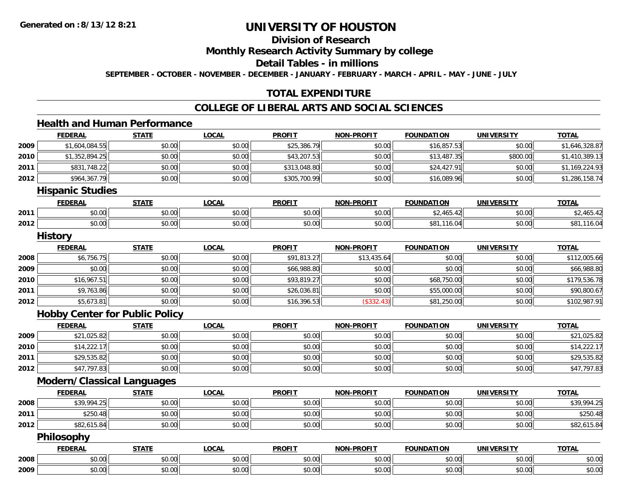# **Division of Research**

**Monthly Research Activity Summary by college**

**Detail Tables - in millions**

**SEPTEMBER - OCTOBER - NOVEMBER - DECEMBER - JANUARY - FEBRUARY - MARCH - APRIL - MAY - JUNE - JULY**

# **TOTAL EXPENDITURE**

#### **COLLEGE OF LIBERAL ARTS AND SOCIAL SCIENCES**

# **Health and Human Performance**

|      | <b>FEDERAL</b>                    | <b>STATE</b>                          | <b>LOCAL</b> | <b>PROFIT</b> | <b>NON-PROFIT</b> | <b>FOUNDATION</b> | <b>UNIVERSITY</b> | <b>TOTAL</b>   |
|------|-----------------------------------|---------------------------------------|--------------|---------------|-------------------|-------------------|-------------------|----------------|
| 2009 | \$1,604,084.55                    | \$0.00                                | \$0.00       | \$25,386.79   | \$0.00            | \$16,857.53       | \$0.00            | \$1,646,328.87 |
| 2010 | \$1,352,894.25                    | \$0.00                                | \$0.00       | \$43,207.53   | \$0.00            | \$13,487.35       | \$800.00          | \$1,410,389.13 |
| 2011 | \$831,748.22                      | \$0.00                                | \$0.00       | \$313,048.80  | \$0.00            | \$24,427.91       | \$0.00            | \$1,169,224.93 |
| 2012 | \$964,367.79                      | \$0.00                                | \$0.00       | \$305,700.99  | \$0.00            | \$16,089.96       | \$0.00            | \$1,286,158.74 |
|      | <b>Hispanic Studies</b>           |                                       |              |               |                   |                   |                   |                |
|      | <b>FEDERAL</b>                    | <b>STATE</b>                          | <b>LOCAL</b> | <b>PROFIT</b> | <b>NON-PROFIT</b> | <b>FOUNDATION</b> | <b>UNIVERSITY</b> | <b>TOTAL</b>   |
| 2011 | \$0.00                            | \$0.00                                | \$0.00       | \$0.00        | \$0.00            | \$2,465.42        | \$0.00            | \$2,465.42     |
| 2012 | \$0.00                            | \$0.00                                | \$0.00       | \$0.00        | \$0.00            | \$81,116.04       | \$0.00            | \$81,116.04    |
|      | <b>History</b>                    |                                       |              |               |                   |                   |                   |                |
|      | <b>FEDERAL</b>                    | <b>STATE</b>                          | <b>LOCAL</b> | <b>PROFIT</b> | <b>NON-PROFIT</b> | <b>FOUNDATION</b> | <b>UNIVERSITY</b> | <b>TOTAL</b>   |
| 2008 | \$6,756.75                        | \$0.00                                | \$0.00       | \$91,813.27   | \$13,435.64       | \$0.00            | \$0.00            | \$112,005.66   |
| 2009 | \$0.00                            | \$0.00                                | \$0.00       | \$66,988.80   | \$0.00            | \$0.00            | \$0.00            | \$66,988.80    |
| 2010 | \$16,967.51                       | \$0.00                                | \$0.00       | \$93,819.27   | \$0.00            | \$68,750.00       | \$0.00            | \$179,536.78   |
| 2011 | \$9,763.86                        | \$0.00                                | \$0.00       | \$26,036.81   | \$0.00            | \$55,000.00       | \$0.00            | \$90,800.67    |
| 2012 | \$5,673.81                        | \$0.00                                | \$0.00       | \$16,396.53   | (\$332.43)        | \$81,250.00       | \$0.00            | \$102,987.91   |
|      |                                   | <b>Hobby Center for Public Policy</b> |              |               |                   |                   |                   |                |
|      | <b>FEDERAL</b>                    | <b>STATE</b>                          | <b>LOCAL</b> | <b>PROFIT</b> | <b>NON-PROFIT</b> | <b>FOUNDATION</b> | <b>UNIVERSITY</b> | <b>TOTAL</b>   |
| 2009 | \$21,025.82                       | \$0.00                                | \$0.00       | \$0.00        | \$0.00            | \$0.00            | \$0.00            | \$21,025.82    |
| 2010 | \$14,222.17                       | \$0.00                                | \$0.00       | \$0.00        | \$0.00            | \$0.00            | \$0.00            | \$14,222.17    |
| 2011 | \$29,535.82                       | \$0.00                                | \$0.00       | \$0.00        | \$0.00            | \$0.00            | \$0.00            | \$29,535.82    |
| 2012 | \$47,797.83                       | \$0.00                                | \$0.00       | \$0.00        | \$0.00            | \$0.00            | \$0.00            | \$47,797.83    |
|      | <b>Modern/Classical Languages</b> |                                       |              |               |                   |                   |                   |                |
|      | <b>FEDERAL</b>                    | <b>STATE</b>                          | <b>LOCAL</b> | <b>PROFIT</b> | <b>NON-PROFIT</b> | <b>FOUNDATION</b> | <b>UNIVERSITY</b> | <b>TOTAL</b>   |
| 2008 | \$39,994.25                       | \$0.00                                | \$0.00       | \$0.00        | \$0.00            | \$0.00            | \$0.00            | \$39,994.25    |
| 2011 | \$250.48                          | \$0.00                                | \$0.00       | \$0.00        | \$0.00            | \$0.00            | \$0.00            | \$250.48       |
| 2012 | \$82,615.84                       | \$0.00                                | \$0.00       | \$0.00        | \$0.00            | \$0.00            | \$0.00            | \$82,615.84    |
|      | Philosophy                        |                                       |              |               |                   |                   |                   |                |
|      | <b>FEDERAL</b>                    | <b>STATE</b>                          | <b>LOCAL</b> | <b>PROFIT</b> | <b>NON-PROFIT</b> | <b>FOUNDATION</b> | <b>UNIVERSITY</b> | <b>TOTAL</b>   |
| 2008 | \$0.00                            | \$0.00                                | \$0.00       | \$0.00        | \$0.00            | \$0.00            | \$0.00            | \$0.00         |
| 2009 | \$0.00                            | \$0.00                                | \$0.00       | \$0.00        | \$0.00            | \$0.00            | \$0.00            | \$0.00         |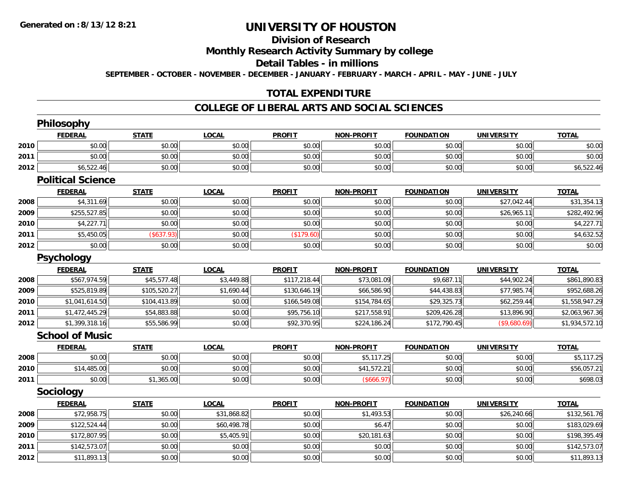# **Division of Research**

**Monthly Research Activity Summary by college**

**Detail Tables - in millions**

**SEPTEMBER - OCTOBER - NOVEMBER - DECEMBER - JANUARY - FEBRUARY - MARCH - APRIL - MAY - JUNE - JULY**

# **TOTAL EXPENDITURE**

#### **COLLEGE OF LIBERAL ARTS AND SOCIAL SCIENCES**

|      | Philosophy               |              |              |               |                   |                   |                   |                |
|------|--------------------------|--------------|--------------|---------------|-------------------|-------------------|-------------------|----------------|
|      | <b>FEDERAL</b>           | <b>STATE</b> | <b>LOCAL</b> | <b>PROFIT</b> | <b>NON-PROFIT</b> | <b>FOUNDATION</b> | <b>UNIVERSITY</b> | <b>TOTAL</b>   |
| 2010 | \$0.00                   | \$0.00       | \$0.00       | \$0.00        | \$0.00            | \$0.00            | \$0.00            | \$0.00         |
| 2011 | \$0.00                   | \$0.00       | \$0.00       | \$0.00        | \$0.00            | \$0.00            | \$0.00            | \$0.00         |
| 2012 | \$6,522.46               | \$0.00       | \$0.00       | \$0.00        | \$0.00            | \$0.00            | \$0.00            | \$6,522.46     |
|      | <b>Political Science</b> |              |              |               |                   |                   |                   |                |
|      | <b>FEDERAL</b>           | <b>STATE</b> | <b>LOCAL</b> | <b>PROFIT</b> | <b>NON-PROFIT</b> | <b>FOUNDATION</b> | <b>UNIVERSITY</b> | <b>TOTAL</b>   |
| 2008 | \$4,311.69               | \$0.00       | \$0.00       | \$0.00        | \$0.00            | \$0.00            | \$27,042.44       | \$31,354.13    |
| 2009 | \$255,527.85             | \$0.00       | \$0.00       | \$0.00        | \$0.00            | \$0.00            | \$26,965.11       | \$282,492.96   |
| 2010 | \$4,227.71               | \$0.00       | \$0.00       | \$0.00        | \$0.00            | \$0.00            | \$0.00            | \$4,227.71     |
| 2011 | \$5,450.05               | (\$637.93)   | \$0.00       | (\$179.60)    | \$0.00            | \$0.00            | \$0.00            | \$4,632.52     |
| 2012 | \$0.00                   | \$0.00       | \$0.00       | \$0.00        | \$0.00            | \$0.00            | \$0.00            | \$0.00         |
|      | <b>Psychology</b>        |              |              |               |                   |                   |                   |                |
|      | <b>FEDERAL</b>           | <b>STATE</b> | <b>LOCAL</b> | <b>PROFIT</b> | <b>NON-PROFIT</b> | <b>FOUNDATION</b> | <b>UNIVERSITY</b> | <b>TOTAL</b>   |
| 2008 | \$567,974.59             | \$45,577.48  | \$3,449.88   | \$117,218.44  | \$73,081.09       | \$9,687.11        | \$44,902.24       | \$861,890.83   |
| 2009 | \$525,819.89             | \$105,520.27 | \$1,690.44   | \$130,646.19  | \$66,586.90       | \$44,438.83       | \$77,985.74       | \$952,688.26   |
| 2010 | \$1,041,614.50           | \$104,413.89 | \$0.00       | \$166,549.08  | \$154,784.65      | \$29,325.73       | \$62,259.44       | \$1,558,947.29 |
| 2011 | \$1,472,445.29           | \$54,883.88  | \$0.00       | \$95,756.10   | \$217,558.91      | \$209,426.28      | \$13,896.90       | \$2,063,967.36 |
| 2012 | \$1,399,318.16           | \$55,586.99  | \$0.00       | \$92,370.95   | \$224,186.24      | \$172,790.45      | (\$9,680.69)      | \$1,934,572.10 |
|      | <b>School of Music</b>   |              |              |               |                   |                   |                   |                |
|      | <b>FEDERAL</b>           | <b>STATE</b> | <b>LOCAL</b> | <b>PROFIT</b> | <b>NON-PROFIT</b> | <b>FOUNDATION</b> | <b>UNIVERSITY</b> | <b>TOTAL</b>   |
| 2008 | \$0.00                   | \$0.00       | \$0.00       | \$0.00        | \$5,117.25        | \$0.00            | \$0.00            | \$5,117.25     |
| 2010 | \$14,485.00              | \$0.00       | \$0.00       | \$0.00        | \$41,572.21       | \$0.00            | \$0.00            | \$56,057.21    |
| 2011 | \$0.00                   | \$1,365.00   | \$0.00       | \$0.00        | (\$666.97)        | \$0.00            | \$0.00            | \$698.03       |
|      | Sociology                |              |              |               |                   |                   |                   |                |
|      | <b>FEDERAL</b>           | <b>STATE</b> | <b>LOCAL</b> | <b>PROFIT</b> | <b>NON-PROFIT</b> | <b>FOUNDATION</b> | <b>UNIVERSITY</b> | <b>TOTAL</b>   |
| 2008 | \$72,958.75              | \$0.00       | \$31,868.82  | \$0.00        | \$1,493.53        | \$0.00            | \$26,240.66       | \$132,561.76   |
| 2009 | \$122,524.44             | \$0.00       | \$60,498.78  | \$0.00        | \$6.47            | \$0.00            | \$0.00            | \$183,029.69   |
| 2010 | \$172,807.95             | \$0.00       | \$5,405.91   | \$0.00        | \$20,181.63       | \$0.00            | \$0.00            | \$198,395.49   |
| 2011 | \$142,573.07             | \$0.00       | \$0.00       | \$0.00        | \$0.00            | \$0.00            | \$0.00            | \$142,573.07   |
| 2012 | \$11,893.13              | \$0.00       | \$0.00       | \$0.00        | \$0.00            | \$0.00            | \$0.00            | \$11,893.13    |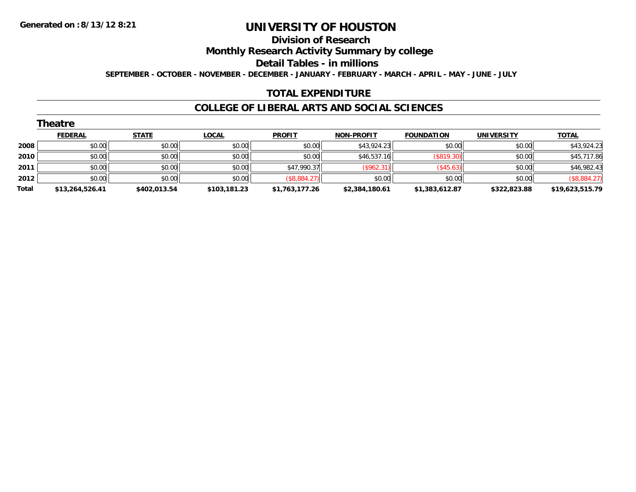# **Division of Research**

**Monthly Research Activity Summary by college**

**Detail Tables - in millions**

**SEPTEMBER - OCTOBER - NOVEMBER - DECEMBER - JANUARY - FEBRUARY - MARCH - APRIL - MAY - JUNE - JULY**

#### **TOTAL EXPENDITURE**

#### **COLLEGE OF LIBERAL ARTS AND SOCIAL SCIENCES**

|       | Theatre         |              |              |                |                   |                   |                   |                 |  |  |  |  |
|-------|-----------------|--------------|--------------|----------------|-------------------|-------------------|-------------------|-----------------|--|--|--|--|
|       | <b>FEDERAL</b>  | <b>STATE</b> | <u>LOCAL</u> | <b>PROFIT</b>  | <b>NON-PROFIT</b> | <b>FOUNDATION</b> | <b>UNIVERSITY</b> | <b>TOTAL</b>    |  |  |  |  |
| 2008  | \$0.00          | \$0.00       | \$0.00       | \$0.00         | \$43,924.23       | \$0.00            | \$0.00            | \$43,924.23     |  |  |  |  |
| 2010  | \$0.00          | \$0.00       | \$0.00       | \$0.00         | \$46,537.16       | (S819.30)         | \$0.00            | \$45,717.86     |  |  |  |  |
| 2011  | \$0.00          | \$0.00       | \$0.00       | \$47,990.37    | (\$962.31)        | (\$45.63)         | \$0.00            | \$46,982.43     |  |  |  |  |
| 2012  | \$0.00          | \$0.00       | \$0.00       | (\$8,884.27)   | \$0.00            | \$0.00            | \$0.00            | (\$8,884.27)    |  |  |  |  |
| Total | \$13,264,526.41 | \$402,013.54 | \$103,181.23 | \$1,763,177.26 | \$2,384,180.61    | \$1,383,612.87    | \$322,823.88      | \$19,623,515.79 |  |  |  |  |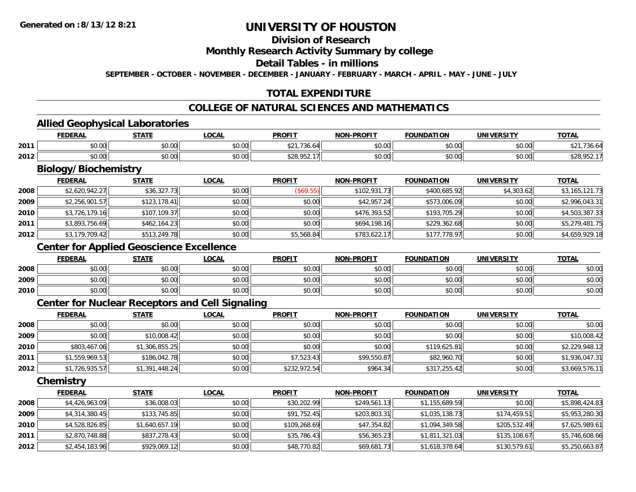# **Division of Research**

#### **Monthly Research Activity Summary by college**

#### **Detail Tables - in millions**

**SEPTEMBER - OCTOBER - NOVEMBER - DECEMBER - JANUARY - FEBRUARY - MARCH - APRIL - MAY - JUNE - JULY**

# **TOTAL EXPENDITURE**

# **COLLEGE OF NATURAL SCIENCES AND MATHEMATICS**

#### **Allied Geophysical Laboratories**

|      | <b>FEDERAL</b>     | STATE         | LOCAL                                        | <b>PROFIT</b>                               | NON-<br>-PROFIT        | <b>FOUNDATION</b> | <b>UNIVERSITY</b> | <u>TOTAL</u>              |
|------|--------------------|---------------|----------------------------------------------|---------------------------------------------|------------------------|-------------------|-------------------|---------------------------|
| 2011 | $\sim$ 00<br>vu.uu | 0.00<br>JU.UU | $\mathsf{A} \cap \mathsf{A}$<br><b>DU.UU</b> | $\overline{\phantom{a}}$<br>ሐ ጣ ብ<br>'36.6' | $n \cap \neg$<br>JU.UU | \$0.00            | \$0.00            | 1.00.                     |
| 2012 | $\sim$ 00<br>JU.UU | \$0.00        | \$0.00                                       | \$20005217<br>JLU. JJL.                     | ልስ ሀህ<br>JU.UU         | \$0.00            | \$0.00            | <b>COO OL</b><br>DZ8.YOZ. |

# **Biology/Biochemistry**

|      | <b>FEDERAL</b> | <b>STATE</b> | <b>LOCAL</b> | <b>PROFIT</b> | <b>NON-PROFIT</b> | <b>FOUNDATION</b> | <b>UNIVERSITY</b> | <b>TOTAL</b>   |
|------|----------------|--------------|--------------|---------------|-------------------|-------------------|-------------------|----------------|
| 2008 | \$2,620,942.27 | \$36,327.73  | \$0.00       | (S69.55)      | \$102,931.73      | \$400,685.92      | \$4,303.62        | \$3,165,121.73 |
| 2009 | \$2,256,901.57 | \$123,178.41 | \$0.00       | \$0.00        | \$42,957.24       | \$573,006.09      | \$0.00            | \$2,996,043.31 |
| 2010 | \$3,726,179.16 | \$107,109.37 | \$0.00       | \$0.00        | \$476,393.52      | \$193,705.29      | \$0.00            | \$4,503,387.33 |
| 2011 | \$3,893,756.69 | \$462,164.23 | \$0.00       | \$0.00        | \$694,198.16      | \$229,362.68      | \$0.00            | \$5,279,481.75 |
| 2012 | \$3,179,709.42 | \$513,249.78 | \$0.00       | \$5,568.84    | \$783,622.17      | \$177,778.97      | \$0.00            | \$4,659,929.18 |

# **Center for Applied Geoscience Excellence**

|      | <b>FEDERAL</b> | <b>STATE</b> | <u>_OCAL</u> | <b>PROFIT</b> | <b>NON-PROFIT</b> | <b>FOUNDATION</b> | <b>UNIVERSITY</b> | <b>TOTAL</b> |
|------|----------------|--------------|--------------|---------------|-------------------|-------------------|-------------------|--------------|
| 2008 | \$0.00         | \$0.00       | \$0.00       | \$0.00        | \$0.00            | \$0.00            | \$0.00            | \$0.00       |
| 2009 | \$0.00         | \$0.00       | \$0.00       | \$0.00        | \$0.00            | \$0.00            | \$0.00            | \$0.00       |
| 2010 | \$0.00         | \$0.00       | \$0.00       | \$0.00        | \$0.00            | \$0.00            | \$0.00            | \$0.00       |

### **Center for Nuclear Receptors and Cell Signaling**

|      | <b>FEDERAL</b> | <b>STATE</b>   | <u>LOCAL</u> | <b>PROFIT</b> | <b>NON-PROFIT</b> | <b>FOUNDATION</b> | <b>UNIVERSITY</b> | <b>TOTAL</b>   |
|------|----------------|----------------|--------------|---------------|-------------------|-------------------|-------------------|----------------|
| 2008 | \$0.00         | \$0.00         | \$0.00       | \$0.00        | \$0.00            | \$0.00            | \$0.00            | \$0.00         |
| 2009 | \$0.00         | \$10,008.42    | \$0.00       | \$0.00        | \$0.00            | \$0.00            | \$0.00            | \$10,008.42    |
| 2010 | \$803,467.06   | \$1,306,855.25 | \$0.00       | \$0.00        | \$0.00            | \$119,625.81      | \$0.00            | \$2,229,948.12 |
| 2011 | \$1,559,969.53 | \$186,042.78   | \$0.00       | \$7,523.43    | \$99,550.87       | \$82,960.70       | \$0.00            | \$1,936,047.31 |
| 2012 | \$1,726,935.57 | \$1,391,448.24 | \$0.00       | \$232,972.54  | \$964.34          | \$317,255.42      | \$0.00            | \$3,669,576.11 |

**Chemistry**

|      | <b>FEDERAL</b> | <b>STATE</b>   | <u>LOCAL</u> | <b>PROFIT</b> | <b>NON-PROFIT</b> | <b>FOUNDATION</b> | <b>UNIVERSITY</b> | <b>TOTAL</b>   |
|------|----------------|----------------|--------------|---------------|-------------------|-------------------|-------------------|----------------|
| 2008 | \$4,426,963.09 | \$36,008.03    | \$0.00       | \$30,202.99   | \$249,561.13      | \$1,155,689.59    | \$0.00            | \$5,898,424.83 |
| 2009 | \$4,314,380.45 | \$133,745.85   | \$0.00       | \$91,752.45   | \$203,803.31      | \$1,035,138.73    | \$174,459.51      | \$5,953,280.30 |
| 2010 | \$4,528,826.85 | \$1,640,657.19 | \$0.00       | \$109,268.69  | \$47,354.82       | \$1,094,349.58    | \$205,532.49      | \$7,625,989.61 |
| 2011 | \$2,870,748.88 | \$837,278.43   | \$0.00       | \$35,786.43   | \$56,365.23       | \$1,811,321.03    | \$135,108.67      | \$5,746,608.66 |
| 2012 | \$2,454,183.96 | \$929,069.12   | \$0.00       | \$48,770.82   | \$69,681.73       | \$1,618,378.64    | \$130,579.61      | \$5,250,663.87 |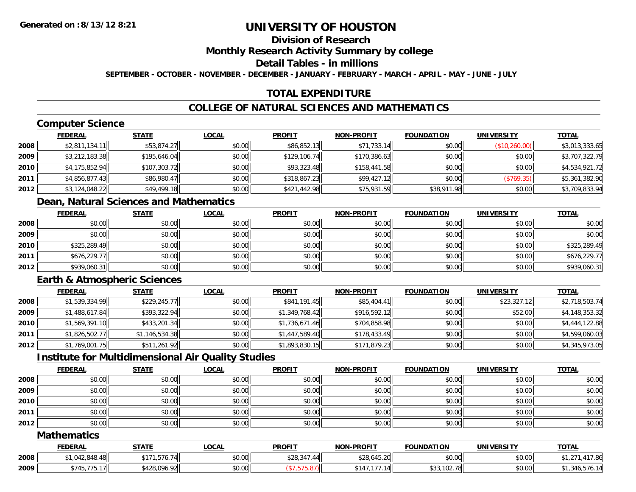# **Division of Research**

**Monthly Research Activity Summary by college**

**Detail Tables - in millions**

**SEPTEMBER - OCTOBER - NOVEMBER - DECEMBER - JANUARY - FEBRUARY - MARCH - APRIL - MAY - JUNE - JULY**

# **TOTAL EXPENDITURE**

# **COLLEGE OF NATURAL SCIENCES AND MATHEMATICS**

# **Computer Science**

|      | <b>FEDERAL</b> | <b>STATE</b> | <b>LOCAL</b> | <b>PROFIT</b> | <b>NON-PROFIT</b> | <b>FOUNDATION</b> | <b>UNIVERSITY</b> | <b>TOTAL</b>   |
|------|----------------|--------------|--------------|---------------|-------------------|-------------------|-------------------|----------------|
| 2008 | \$2,811,134.11 | \$53,874.27  | \$0.00       | \$86,852.13   | \$71,733.14       | \$0.00            | (\$10,260.00)     | \$3,013,333.65 |
| 2009 | \$3,212,183.38 | \$195,646.04 | \$0.00       | \$129,106.74  | \$170,386.63      | \$0.00            | \$0.00            | \$3,707,322.79 |
| 2010 | \$4,175,852.94 | \$107,303.72 | \$0.00       | \$93,323.48   | \$158,441.58      | \$0.00            | \$0.00            | \$4,534,921.72 |
| 2011 | \$4,856,877.43 | \$86,980.47  | \$0.00       | \$318,867.23  | \$99,427.12       | \$0.00            | (\$769.35)        | \$5,361,382.90 |
| 2012 | \$3,124,048.22 | \$49,499.18  | \$0.00       | \$421,442.98  | \$75,931.59       | \$38,911.98       | \$0.00            | \$3,709,833.94 |

# **Dean, Natural Sciences and Mathematics**

|      | <b>FEDERAL</b> | <b>STATE</b> | <b>LOCAL</b> | <b>PROFIT</b> | <b>NON-PROFIT</b> | <b>FOUNDATION</b> | <b>UNIVERSITY</b> | <b>TOTAL</b> |
|------|----------------|--------------|--------------|---------------|-------------------|-------------------|-------------------|--------------|
| 2008 | \$0.00         | \$0.00       | \$0.00       | \$0.00        | \$0.00            | \$0.00            | \$0.00            | \$0.00       |
| 2009 | \$0.00         | \$0.00       | \$0.00       | \$0.00        | \$0.00            | \$0.00            | \$0.00            | \$0.00       |
| 2010 | \$325,289.49   | \$0.00       | \$0.00       | \$0.00        | \$0.00            | \$0.00            | \$0.00            | \$325,289.49 |
| 2011 | \$676,229.77   | \$0.00       | \$0.00       | \$0.00        | \$0.00            | \$0.00            | \$0.00            | \$676,229.77 |
| 2012 | \$939,060.31   | \$0.00       | \$0.00       | \$0.00        | \$0.00            | \$0.00            | \$0.00            | \$939,060.31 |

# **Earth & Atmospheric Sciences**

|      | <b>FEDERAL</b> | <b>STATE</b>   | <u>LOCAL</u> | <b>PROFIT</b>  | <b>NON-PROFIT</b> | <b>FOUNDATION</b> | <b>UNIVERSITY</b> | <b>TOTAL</b>   |
|------|----------------|----------------|--------------|----------------|-------------------|-------------------|-------------------|----------------|
| 2008 | \$1,539,334.99 | \$229,245.77   | \$0.00       | \$841,191.45   | \$85,404.41       | \$0.00            | \$23,327.12       | \$2,718,503.74 |
| 2009 | \$1,488,617.84 | \$393,322.94   | \$0.00       | \$1,349,768.42 | \$916,592.12      | \$0.00            | \$52.00           | \$4,148,353.32 |
| 2010 | \$1,569,391.10 | \$433,201.34   | \$0.00       | \$1,736,671.46 | \$704,858.98      | \$0.00            | \$0.00            | \$4,444,122.88 |
| 2011 | \$1,826,502.77 | \$1,146,534.38 | \$0.00       | \$1,447,589.40 | \$178,433.49      | \$0.00            | \$0.00            | \$4,599,060.03 |
| 2012 | \$1,769,001.75 | \$511,261.92   | \$0.00       | \$1,893,830.15 | \$171,879.23      | \$0.00            | \$0.00            | \$4,345,973.05 |

# **Institute for Multidimensional Air Quality Studies**

|      | <b>FEDERAL</b> | <b>STATE</b> | <u>LOCAL</u> | <b>PROFIT</b> | <b>NON-PROFIT</b> | <b>FOUNDATION</b> | <b>UNIVERSITY</b> | <b>TOTAL</b> |
|------|----------------|--------------|--------------|---------------|-------------------|-------------------|-------------------|--------------|
| 2008 | \$0.00         | \$0.00       | \$0.00       | \$0.00        | \$0.00            | \$0.00            | \$0.00            | \$0.00       |
| 2009 | \$0.00         | \$0.00       | \$0.00       | \$0.00        | \$0.00            | \$0.00            | \$0.00            | \$0.00       |
| 2010 | \$0.00         | \$0.00       | \$0.00       | \$0.00        | \$0.00            | \$0.00            | \$0.00            | \$0.00       |
| 2011 | \$0.00         | \$0.00       | \$0.00       | \$0.00        | \$0.00            | \$0.00            | \$0.00            | \$0.00       |
| 2012 | \$0.00         | \$0.00       | \$0.00       | \$0.00        | \$0.00            | \$0.00            | \$0.00            | \$0.00       |

#### **Mathematics**

|      | <b>FEDERAL</b>                                                                         | <b>STATE</b>            | <b>LOCAI</b> | <b>PROFIT</b>     | <b>N-PROFIT</b><br>NON-                                             | <b>FOUNDATION</b> | <b>UNIVERSITY</b> | <b>TOTAL</b> |
|------|----------------------------------------------------------------------------------------|-------------------------|--------------|-------------------|---------------------------------------------------------------------|-------------------|-------------------|--------------|
| 2008 | $^{\circ}$ 1 0 1 0 $^{\circ}$ 0 1 0 $^{\circ}$ 1 0 $^{\circ}$<br>៸.୪4୪.4୪<br>$. U + A$ | ----<br>¢17′<br>,576.74 | \$0.00       | 0.2021<br>\$28,34 | 15.00<br>428A<br>\$28.645.20                                        | \$0.00            | \$0.00            |              |
| 2009 | \$745,775.17<br>75.17                                                                  | \$428,096.92            | \$0.00       |                   | $\rightarrow$ $\rightarrow$ $\rightarrow$<br>0.117<br>1 A I<br>14 د | \$33,102.78       | \$0.00            | 1.340.570.14 |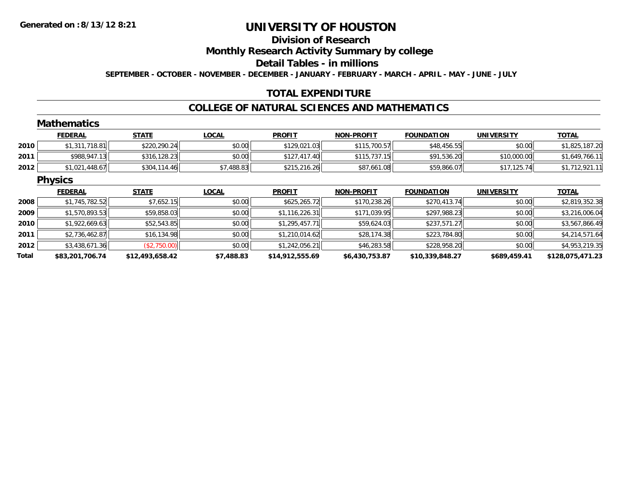#### **Division of Research**

**Monthly Research Activity Summary by college**

**Detail Tables - in millions**

**SEPTEMBER - OCTOBER - NOVEMBER - DECEMBER - JANUARY - FEBRUARY - MARCH - APRIL - MAY - JUNE - JULY**

# **TOTAL EXPENDITURE**

#### **COLLEGE OF NATURAL SCIENCES AND MATHEMATICS**

#### **MathematicsFEDERAL STATE LOCAL PROFIT NON-PROFIT FOUNDATION UNIVERSITY TOTALTOTAL 20100** \$1,311,718.81 \$220,290.24 \$220,290.24 \$0.00 \$109,021.03 \$115,700.57 \$115,700.57 \$48,456.55 \$0.00 \$1,825,187.20 **20111** \$988,947.13 \$316,128.23 \$0.00 \$10.00 \$127,417.40 \$115,737.15 \$91,536.20 \$10,000.00 \$1,649,766.11 **2012** \$1,021,448.67 \$304,114.46 \$7,488.83 \$215,216.26 \$87,661.08 \$59,866.07 \$17,125.74 \$1,712,921.11 **Physics FEDERAL STATE LOCAL PROFIT NON-PROFIT FOUNDATION UNIVERSITY TOTALTOTAL 2008**8 \$1,745,782.52 \\$7,652.15 \$7,652.15 \$0.00 \$625,265.72 \$170,238.26 \$270,413.74 \$0.00 \$2,819,352.38 **20099** \$1,570,893.53|| \$59,858.03|| \$0.00|| \$1,116,226.31|| \$171,039.95|| \$297,988.23|| \$0.00|| \$3,216,006.04 **20100** \$1,922,669.63| \$52,543.85| \$0.00| \$1,295,457.71| \$59,624.03| \$237,571.27| \$0.00| \$3,567,866.49 **2011**1 \$2,736,462.87|| \$16,134.98|| \$0.00|| \$1,210,014.62|| \$28,174.38|| \$223,784.80|| \$0.00|| \$4,214,571.64 **2012** \$3,438,671.36 (\$2,750.00) \$0.00 \$1,242,056.21 \$46,283.58 \$228,958.20 \$0.00 \$4,953,219.35 **Total\$83,201,706.74 \$12,493,658.42 \$7,488.83 \$14,912,555.69 \$6,430,753.87 \$10,339,848.27 \$689,459.41 \$128,075,471.23**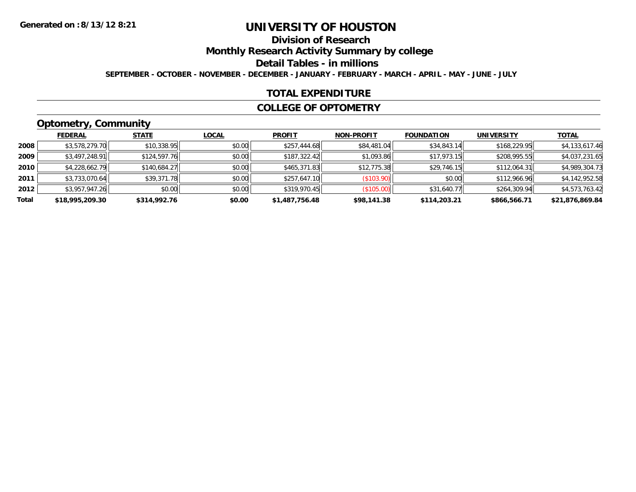# **Division of Research**

**Monthly Research Activity Summary by college**

**Detail Tables - in millions**

**SEPTEMBER - OCTOBER - NOVEMBER - DECEMBER - JANUARY - FEBRUARY - MARCH - APRIL - MAY - JUNE - JULY**

### **TOTAL EXPENDITURE**

#### **COLLEGE OF OPTOMETRY**

# **Optometry, Community**

|       | <b>FEDERAL</b>  | <b>STATE</b> | <u>LOCAL</u> | <b>PROFIT</b>  | <b>NON-PROFIT</b> | <b>FOUNDATION</b> | <b>UNIVERSITY</b> | <b>TOTAL</b>    |
|-------|-----------------|--------------|--------------|----------------|-------------------|-------------------|-------------------|-----------------|
| 2008  | \$3,578,279.70  | \$10,338.95  | \$0.00       | \$257,444.68   | \$84,481.04       | \$34,843.14       | \$168,229.95      | \$4,133,617.46  |
| 2009  | \$3,497,248.91  | \$124,597.76 | \$0.00       | \$187,322.42   | \$1.093.86        | \$17,973.15       | \$208,995.55      | \$4,037,231.65  |
| 2010  | \$4,228,662.79  | \$140,684.27 | \$0.00       | \$465,371.83   | \$12,775.38       | \$29,746.15       | \$112,064.31      | \$4,989,304.73  |
| 2011  | \$3,733,070.64  | \$39,371.78  | \$0.00       | \$257,647.10   | (\$103.90)        | \$0.00            | \$112,966.96      | \$4,142,952.58  |
| 2012  | \$3,957,947.26  | \$0.00       | \$0.00       | \$319,970.45   | (\$105.00)        | \$31,640.77       | \$264,309.94      | \$4,573,763.42  |
| Total | \$18,995,209.30 | \$314,992.76 | \$0.00       | \$1,487,756.48 | \$98,141.38       | \$114,203.21      | \$866,566.71      | \$21,876,869.84 |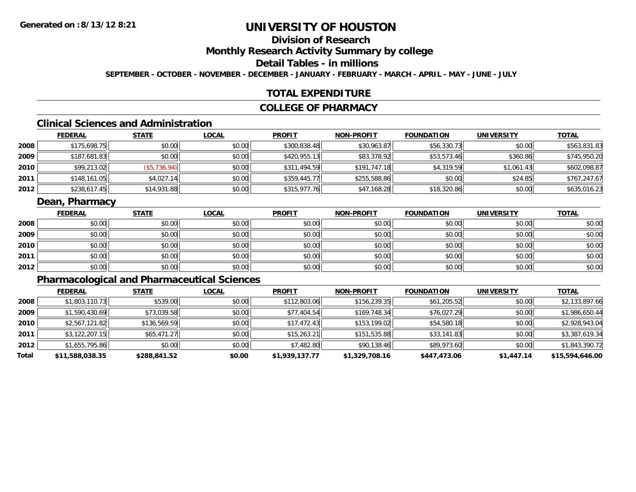# **Division of Research**

**Monthly Research Activity Summary by college**

**Detail Tables - in millions**

**SEPTEMBER - OCTOBER - NOVEMBER - DECEMBER - JANUARY - FEBRUARY - MARCH - APRIL - MAY - JUNE - JULY**

### **TOTAL EXPENDITURE**

#### **COLLEGE OF PHARMACY**

# **Clinical Sciences and Administration**

|      | <b>FEDERAL</b> | <b>STATE</b> | <u>LOCAL</u> | <b>PROFIT</b> | <b>NON-PROFIT</b> | <b>FOUNDATION</b> | <b>UNIVERSITY</b> | <u>TOTAL</u> |
|------|----------------|--------------|--------------|---------------|-------------------|-------------------|-------------------|--------------|
| 2008 | \$175,698.75   | \$0.00       | \$0.00       | \$300,838.48  | \$30,963.87       | \$56,330.73       | \$0.00            | \$563,831.83 |
| 2009 | \$187,681.83   | \$0.00       | \$0.00       | \$420,955.13  | \$83,378.92       | \$53,573.46       | \$360.86          | \$745,950.20 |
| 2010 | \$99,213.02    | (\$5,736.94) | \$0.00       | \$311,494.59  | \$191,747.18      | \$4,319.59        | \$1,061.43        | \$602,098.87 |
| 2011 | \$148,161.05   | \$4,027.14   | \$0.00       | \$359,445.77  | \$255,588.86      | \$0.00            | \$24.85           | \$767,247.67 |
| 2012 | \$238,617.45   | \$14,931.88  | \$0.00       | \$315,977.76  | \$47,168.28       | \$18,320.86       | \$0.00            | \$635,016.23 |

### **Dean, Pharmacy**

|      | <u>FEDERAL</u> | <b>STATE</b> | <u>LOCAL</u> | <b>PROFIT</b> | <b>NON-PROFIT</b> | <b>FOUNDATION</b> | <b>UNIVERSITY</b> | <b>TOTAL</b> |
|------|----------------|--------------|--------------|---------------|-------------------|-------------------|-------------------|--------------|
| 2008 | \$0.00         | \$0.00       | \$0.00       | \$0.00        | \$0.00            | \$0.00            | \$0.00            | \$0.00       |
| 2009 | \$0.00         | \$0.00       | \$0.00       | \$0.00        | \$0.00            | \$0.00            | \$0.00            | \$0.00       |
| 2010 | \$0.00         | \$0.00       | \$0.00       | \$0.00        | \$0.00            | \$0.00            | \$0.00            | \$0.00       |
| 2011 | \$0.00         | \$0.00       | \$0.00       | \$0.00        | \$0.00            | \$0.00            | \$0.00            | \$0.00       |
| 2012 | \$0.00         | \$0.00       | \$0.00       | \$0.00        | \$0.00            | \$0.00            | \$0.00            | \$0.00       |

# **Pharmacological and Pharmaceutical Sciences**

|       | <b>FEDERAL</b>  | <b>STATE</b> | <b>LOCAL</b> | <b>PROFIT</b>  | <b>NON-PROFIT</b> | <b>FOUNDATION</b> | <b>UNIVERSITY</b> | <b>TOTAL</b>    |
|-------|-----------------|--------------|--------------|----------------|-------------------|-------------------|-------------------|-----------------|
| 2008  | \$1,803,110.73  | \$539.00     | \$0.00       | \$112,803.06   | \$156,239.35      | \$61,205.52       | \$0.00            | \$2,133,897.66  |
| 2009  | \$1,590,430.69  | \$73,039.58  | \$0.00       | \$77,404.54    | \$169,748.34      | \$76,027.29       | \$0.00            | \$1,986,650.44  |
| 2010  | \$2,567,121.82  | \$136,569.59 | \$0.00       | \$17,472.43    | \$153,199.02      | \$54,580.18       | \$0.00            | \$2,928,943.04  |
| 2011  | \$3,122,207.15  | \$65.471.27  | \$0.00       | \$15.263.21    | \$151,535.88      | \$33,141.83       | \$0.00            | \$3,387,619.34  |
| 2012  | \$1,655,795.86  | \$0.00       | \$0.00       | \$7,482.80     | \$90,138.46       | \$89,973.60       | \$0.00            | \$1,843,390.72  |
| Total | \$11,588,038.35 | \$288,841.52 | \$0.00       | \$1,939,137.77 | \$1,329,708.16    | \$447,473.06      | \$1,447.14        | \$15,594,646.00 |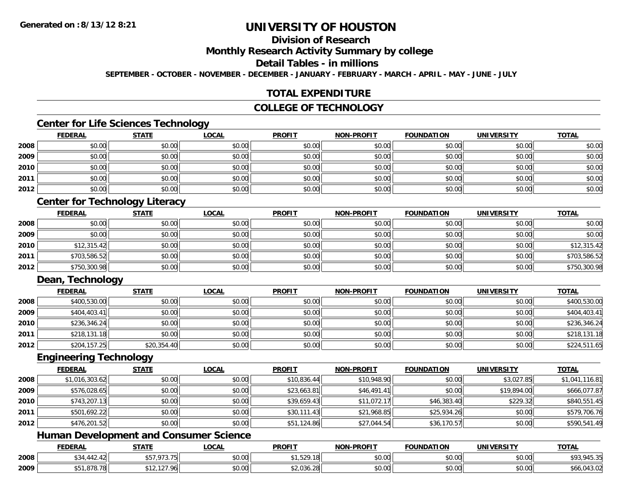# **Division of Research**

**Monthly Research Activity Summary by college**

**Detail Tables - in millions**

**SEPTEMBER - OCTOBER - NOVEMBER - DECEMBER - JANUARY - FEBRUARY - MARCH - APRIL - MAY - JUNE - JULY**

### **TOTAL EXPENDITURE**

### **COLLEGE OF TECHNOLOGY**

# **Center for Life Sciences Technology**

|      | <b>FEDERAL</b> | <b>STATE</b> | <b>LOCAL</b> | <b>PROFIT</b> | <b>NON-PROFIT</b> | <b>FOUNDATION</b> | <b>UNIVERSITY</b> | <b>TOTAL</b> |
|------|----------------|--------------|--------------|---------------|-------------------|-------------------|-------------------|--------------|
| 2008 | \$0.00         | \$0.00       | \$0.00       | \$0.00        | \$0.00            | \$0.00            | \$0.00            | \$0.00       |
| 2009 | \$0.00         | \$0.00       | \$0.00       | \$0.00        | \$0.00            | \$0.00            | \$0.00            | \$0.00       |
| 2010 | \$0.00         | \$0.00       | \$0.00       | \$0.00        | \$0.00            | \$0.00            | \$0.00            | \$0.00       |
| 2011 | \$0.00         | \$0.00       | \$0.00       | \$0.00        | \$0.00            | \$0.00            | \$0.00            | \$0.00       |
| 2012 | \$0.00         | \$0.00       | \$0.00       | \$0.00        | \$0.00            | \$0.00            | \$0.00            | \$0.00       |

# **Center for Technology Literacy**

|      | <b>FEDERAL</b> | <b>STATE</b> | <u>LOCAL</u> | <b>PROFIT</b> | <b>NON-PROFIT</b> | <b>FOUNDATION</b> | <b>UNIVERSITY</b> | <b>TOTAL</b> |
|------|----------------|--------------|--------------|---------------|-------------------|-------------------|-------------------|--------------|
| 2008 | \$0.00         | \$0.00       | \$0.00       | \$0.00        | \$0.00            | \$0.00            | \$0.00            | \$0.00       |
| 2009 | \$0.00         | \$0.00       | \$0.00       | \$0.00        | \$0.00            | \$0.00            | \$0.00            | \$0.00       |
| 2010 | \$12,315.42    | \$0.00       | \$0.00       | \$0.00        | \$0.00            | \$0.00            | \$0.00            | \$12,315.42  |
| 2011 | \$703,586.52   | \$0.00       | \$0.00       | \$0.00        | \$0.00            | \$0.00            | \$0.00            | \$703,586.52 |
| 2012 | \$750,300.98   | \$0.00       | \$0.00       | \$0.00        | \$0.00            | \$0.00            | \$0.00            | \$750,300.98 |

# **Dean, Technology**

|      | <u>FEDERAL</u> | <b>STATE</b> | <b>LOCAL</b> | <b>PROFIT</b> | <b>NON-PROFIT</b> | <b>FOUNDATION</b> | <b>UNIVERSITY</b> | <b>TOTAL</b> |
|------|----------------|--------------|--------------|---------------|-------------------|-------------------|-------------------|--------------|
| 2008 | \$400,530.00   | \$0.00       | \$0.00       | \$0.00        | \$0.00            | \$0.00            | \$0.00            | \$400,530.00 |
| 2009 | \$404,403.41   | \$0.00       | \$0.00       | \$0.00        | \$0.00            | \$0.00            | \$0.00            | \$404,403.41 |
| 2010 | \$236,346.24   | \$0.00       | \$0.00       | \$0.00        | \$0.00            | \$0.00            | \$0.00            | \$236,346.24 |
| 2011 | \$218,131.18   | \$0.00       | \$0.00       | \$0.00        | \$0.00            | \$0.00            | \$0.00            | \$218,131.18 |
| 2012 | \$204,157.25   | \$20,354.40  | \$0.00       | \$0.00        | \$0.00            | \$0.00            | \$0.00            | \$224,511.65 |

#### **Engineering Technology**

|      | <b>FEDERAL</b> | <b>STATE</b> | <u>LOCAL</u> | <b>PROFIT</b> | <b>NON-PROFIT</b> | <b>FOUNDATION</b> | <b>UNIVERSITY</b> | <b>TOTAL</b>   |
|------|----------------|--------------|--------------|---------------|-------------------|-------------------|-------------------|----------------|
| 2008 | \$1,016,303.62 | \$0.00       | \$0.00       | \$10,836.44   | \$10,948.90       | \$0.00            | \$3,027.85        | \$1,041,116.81 |
| 2009 | \$576,028.65   | \$0.00       | \$0.00       | \$23,663.81   | \$46,491.41       | \$0.00            | \$19,894.00       | \$666,077.87   |
| 2010 | \$743,207.13   | \$0.00       | \$0.00       | \$39,659.43   | \$11,072.17       | \$46,383.40       | \$229.32          | \$840,551.45   |
| 2011 | \$501,692.22   | \$0.00       | \$0.00       | \$30,111.43   | \$21,968.85       | \$25,934.26       | \$0.00            | \$579,706.76   |
| 2012 | \$476,201.52   | \$0.00       | \$0.00       | \$51,124.86   | \$27,044.54       | \$36,170.57       | \$0.00            | \$590,541.49   |

# **Human Development and Consumer Science**

|      | <b>FEDERAL</b> | <b>STATE</b>                                        | LOCAL                     | <b>PROFIT</b>                             | <b>N-PROFIT</b><br><b>NONI</b> | <b>FOUNDATION</b> | <b>UNIVERSITY</b> | <b>TOTAL</b>            |
|------|----------------|-----------------------------------------------------|---------------------------|-------------------------------------------|--------------------------------|-------------------|-------------------|-------------------------|
| 2008 | $\overline{a}$ | 2727<br>,,,,,,                                      | $\sim$<br>$\sim$<br>vv.vv | L E 20<br>-<br>7. ا بر عاب                | 0000<br><b>JU.UU</b>           | \$0.00            | \$0.00            | $1 - 2 -$<br>,,,,,,,,,, |
| 2009 | 070. <u>70</u> | $\sim$ 407 0/ $^{\prime}$<br>, <u>, ,</u><br>$\sim$ | $\sim$ 00<br>PU.UU        | $\uparrow$ 0.01<br>$\sim$<br>ا ا8∠,∪30.∠∀ | 0000<br><b>JU.UU</b>           | \$0.00            | \$0.00            | \$66,043.02             |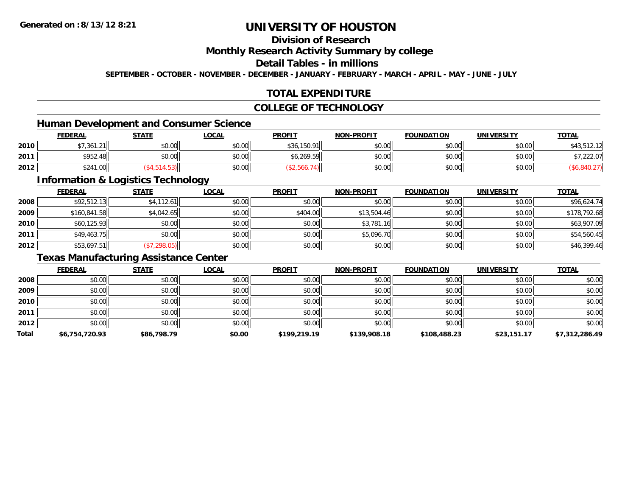# **Division of Research**

**Monthly Research Activity Summary by college**

**Detail Tables - in millions**

**SEPTEMBER - OCTOBER - NOVEMBER - DECEMBER - JANUARY - FEBRUARY - MARCH - APRIL - MAY - JUNE - JULY**

# **TOTAL EXPENDITURE**

### **COLLEGE OF TECHNOLOGY**

# **Human Development and Consumer Science**

|      | <b>FEDERAL</b> | <b>STATE</b>   | <b>_OCAL</b> | <b>PROFIT</b> | <b>NON-PROFIT</b> | <b>FOUNDATION</b> | <b>UNIVERSITY</b> | <b>TOTAL</b> |
|------|----------------|----------------|--------------|---------------|-------------------|-------------------|-------------------|--------------|
| 2010 | $*726121$      | 40.00<br>JU.UU | \$0.00       | \$36,150.91   | \$0.00            | \$0.00            | \$0.00            | 543,5        |
| 2011 | \$952.48       | ⊄∩ ∩∩<br>JU.UU | \$0.00       | \$6.269.59    | \$0.00            | mn n¢<br>JU.UU    | \$0.00            | ,222.07      |
| 2012 | \$241.00       |                | \$0.00       |               | \$0.00            | \$0.00            | \$0.00            |              |

<u> 1989 - Johann Stoff, deutscher Stoffen und der Stoffen und der Stoffen und der Stoffen und der Stoffen und de</u>

### **Information & Logistics Technology**

|      | <b>FEDERAL</b> | <b>STATE</b> | <b>LOCAL</b> | <b>PROFIT</b> | <b>NON-PROFIT</b> | <b>FOUNDATION</b> | <b>UNIVERSITY</b> | <b>TOTAL</b> |
|------|----------------|--------------|--------------|---------------|-------------------|-------------------|-------------------|--------------|
| 2008 | \$92,512.13    | \$4,112.61   | \$0.00       | \$0.00        | \$0.00            | \$0.00            | \$0.00            | \$96,624.74  |
| 2009 | \$160,841.58   | \$4,042.65   | \$0.00       | \$404.00      | \$13,504.46       | \$0.00            | \$0.00            | \$178,792.68 |
| 2010 | \$60,125.93    | \$0.00       | \$0.00       | \$0.00        | \$3,781.16        | \$0.00            | \$0.00            | \$63,907.09  |
| 2011 | \$49,463.75    | \$0.00       | \$0.00       | \$0.00        | \$5,096.70        | \$0.00            | \$0.00            | \$54,560.45  |
| 2012 | \$53,697.51    | (\$7,298.05) | \$0.00       | \$0.00        | \$0.00            | \$0.00            | \$0.00            | \$46,399.46  |

# **Texas Manufacturing Assistance Center**

|       | <b>FEDERAL</b> | <b>STATE</b> | <u>LOCAL</u> | <b>PROFIT</b> | <b>NON-PROFIT</b> | <b>FOUNDATION</b> | <b>UNIVERSITY</b> | <b>TOTAL</b>   |
|-------|----------------|--------------|--------------|---------------|-------------------|-------------------|-------------------|----------------|
| 2008  | \$0.00         | \$0.00       | \$0.00       | \$0.00        | \$0.00            | \$0.00            | \$0.00            | \$0.00         |
| 2009  | \$0.00         | \$0.00       | \$0.00       | \$0.00        | \$0.00            | \$0.00            | \$0.00            | \$0.00         |
| 2010  | \$0.00         | \$0.00       | \$0.00       | \$0.00        | \$0.00            | \$0.00            | \$0.00            | \$0.00         |
| 2011  | \$0.00         | \$0.00       | \$0.00       | \$0.00        | \$0.00            | \$0.00            | \$0.00            | \$0.00         |
| 2012  | \$0.00         | \$0.00       | \$0.00       | \$0.00        | \$0.00            | \$0.00            | \$0.00            | \$0.00         |
| Total | \$6,754,720.93 | \$86,798.79  | \$0.00       | \$199,219.19  | \$139,908.18      | \$108,488.23      | \$23,151.17       | \$7,312,286.49 |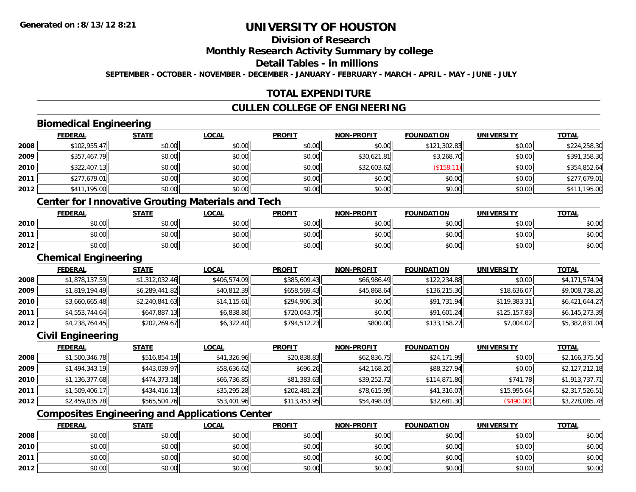# **Division of Research**

**Monthly Research Activity Summary by college**

**Detail Tables - in millions**

**SEPTEMBER - OCTOBER - NOVEMBER - DECEMBER - JANUARY - FEBRUARY - MARCH - APRIL - MAY - JUNE - JULY**

# **TOTAL EXPENDITURE**

# **CULLEN COLLEGE OF ENGINEERING**

# **Biomedical Engineering**

|      | <b>FEDERAL</b> | <b>STATE</b> | <b>LOCAL</b> | <b>PROFIT</b> | <b>NON-PROFIT</b> | <b>FOUNDATION</b> | <b>UNIVERSITY</b> | <u>TOTAL</u> |
|------|----------------|--------------|--------------|---------------|-------------------|-------------------|-------------------|--------------|
| 2008 | \$102,955.47   | \$0.00       | \$0.00       | \$0.00        | \$0.00            | \$121,302.83      | \$0.00            | \$224,258.30 |
| 2009 | \$357,467.79   | \$0.00       | \$0.00       | \$0.00        | \$30,621.81       | \$3,268.70        | \$0.00            | \$391,358.30 |
| 2010 | \$322,407.13   | \$0.00       | \$0.00       | \$0.00        | \$32,603.62       | (\$158.11         | \$0.00            | \$354,852.64 |
| 2011 | \$277,679.01   | \$0.00       | \$0.00       | \$0.00        | \$0.00            | \$0.00            | \$0.00            | \$277,679.01 |
| 2012 | \$411,195.00   | \$0.00       | \$0.00       | \$0.00        | \$0.00            | \$0.00            | \$0.00            | \$411,195.00 |

# **Center for Innovative Grouting Materials and Tech**

|      | <u>FEDERAL</u> | <b>STATE</b> | <u>LOCAL</u>  | <b>PROFIT</b> | <b>NON-PROFIT</b> | <b>FOUNDATION</b> | UNIVERSITY | <b>TOTAL</b> |
|------|----------------|--------------|---------------|---------------|-------------------|-------------------|------------|--------------|
| 2010 | \$0.00         | \$0.00       | 0.00<br>JU.UU | \$0.00        | \$0.00            | \$0.00            | \$0.00     | \$0.00       |
| 2011 | \$0.00         | \$0.00       | \$0.00        | \$0.00        | \$0.00            | \$0.00            | \$0.00     | \$0.00       |
| 2012 | \$0.00         | \$0.00       | \$0.00        | \$0.00        | \$0.00            | \$0.00            | \$0.00     | \$0.00       |

#### **Chemical Engineering**

|      | <b>FEDERAL</b> | <b>STATE</b>   | <b>LOCAL</b> | <b>PROFIT</b> | <b>NON-PROFIT</b> | <b>FOUNDATION</b> | <b>UNIVERSITY</b> | <b>TOTAL</b>   |
|------|----------------|----------------|--------------|---------------|-------------------|-------------------|-------------------|----------------|
| 2008 | \$1,878,137.59 | \$1,312,032.46 | \$406,574.09 | \$385,609.43  | \$66,986.49       | \$122,234.88      | \$0.00            | \$4,171,574.94 |
| 2009 | \$1,819,194.49 | \$6,289,441.82 | \$40,812.39  | \$658,569.43  | \$45,868.64       | \$136,215.36      | \$18,636.07       | \$9,008,738.20 |
| 2010 | \$3,660,665.48 | \$2,240,841.63 | \$14, 115.61 | \$294,906.30  | \$0.00            | \$91,731.94       | \$119,383.31      | \$6,421,644.27 |
| 2011 | \$4,553,744.64 | \$647,887.13   | \$6,838.80   | \$720,043.75  | \$0.00            | \$91,601.24       | \$125,157.83      | \$6,145,273.39 |
| 2012 | \$4,238,764.45 | \$202,269.67   | \$6,322.40   | \$794,512.23  | \$800.00          | \$133,158.27      | \$7,004.02        | \$5,382,831.04 |

### **Civil Engineering**

|      | <b>FEDERAL</b> | <b>STATE</b> | <b>LOCAL</b> | <b>PROFIT</b> | <b>NON-PROFIT</b> | <b>FOUNDATION</b> | <b>UNIVERSITY</b> | <b>TOTAL</b>   |
|------|----------------|--------------|--------------|---------------|-------------------|-------------------|-------------------|----------------|
| 2008 | \$1,500,346.78 | \$516,854.19 | \$41,326.96  | \$20,838.83   | \$62,836.75       | \$24,171.99       | \$0.00            | \$2,166,375.50 |
| 2009 | \$1,494,343.19 | \$443,039.97 | \$58,636.62  | \$696.26      | \$42,168.20       | \$88,327.94       | \$0.00            | \$2,127,212.18 |
| 2010 | \$1,136,377.68 | \$474,373.18 | \$66,736.85  | \$81,383.63   | \$39,252.72       | \$114,871.86      | \$741.78          | \$1,913,737.71 |
| 2011 | \$1,509,406.17 | \$434.416.13 | \$35,295.28  | \$202,481.23  | \$78,615.99       | \$41,316.07       | \$15,995.64       | \$2,317,526.51 |
| 2012 | \$2,459,035.78 | \$565,504.76 | \$53,401.96  | \$113,453.95  | \$54,498.03       | \$32,681.30       | (\$490.00)        | \$3,278,085.78 |

# **Composites Engineering and Applications Center**

|      | <b>FEDERAL</b> | <b>STATE</b> | <u>LOCAL</u> | <b>PROFIT</b> | <b>NON-PROFIT</b> | <b>FOUNDATION</b> | <b>UNIVERSITY</b> | <b>TOTAL</b> |
|------|----------------|--------------|--------------|---------------|-------------------|-------------------|-------------------|--------------|
| 2008 | \$0.00         | \$0.00       | \$0.00       | \$0.00        | \$0.00            | \$0.00            | \$0.00            | \$0.00       |
| 2010 | \$0.00         | \$0.00       | \$0.00       | \$0.00        | \$0.00            | \$0.00            | \$0.00            | \$0.00       |
| 2011 | \$0.00         | \$0.00       | \$0.00       | \$0.00        | \$0.00            | \$0.00            | \$0.00            | \$0.00       |
| 2012 | \$0.00         | \$0.00       | \$0.00       | \$0.00        | \$0.00            | \$0.00            | \$0.00            | \$0.00       |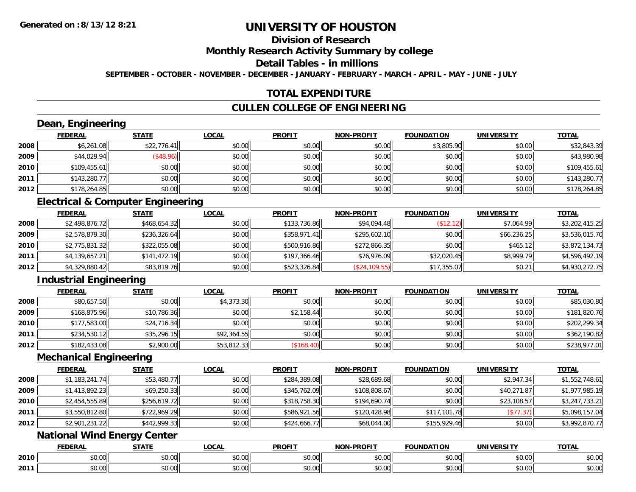# **Division of Research**

**Monthly Research Activity Summary by college**

**Detail Tables - in millions**

**SEPTEMBER - OCTOBER - NOVEMBER - DECEMBER - JANUARY - FEBRUARY - MARCH - APRIL - MAY - JUNE - JULY**

### **TOTAL EXPENDITURE**

# **CULLEN COLLEGE OF ENGINEERING**

# **Dean, Engineering**

|      | <b>FEDERAL</b> | <b>STATE</b> | <b>LOCAL</b> | <b>PROFIT</b> | <b>NON-PROFIT</b> | <b>FOUNDATION</b> | <b>UNIVERSITY</b> | <b>TOTAL</b> |
|------|----------------|--------------|--------------|---------------|-------------------|-------------------|-------------------|--------------|
| 2008 | \$6,261.08     | \$22,776.41  | \$0.00       | \$0.00        | \$0.00            | \$3,805.90        | \$0.00            | \$32,843.39  |
| 2009 | \$44,029.94    | (\$48.96)    | \$0.00       | \$0.00        | \$0.00            | \$0.00            | \$0.00            | \$43,980.98  |
| 2010 | \$109,455.61   | \$0.00       | \$0.00       | \$0.00        | \$0.00            | \$0.00            | \$0.00            | \$109,455.61 |
| 2011 | \$143,280.77   | \$0.00       | \$0.00       | \$0.00        | \$0.00            | \$0.00            | \$0.00            | \$143,280.77 |
| 2012 | \$178,264.85   | \$0.00       | \$0.00       | \$0.00        | \$0.00            | \$0.00            | \$0.00            | \$178,264.85 |

# **Electrical & Computer Engineering**

|      | <b>FEDERAL</b> | <u>STATE</u> | <b>LOCAL</b> | <b>PROFIT</b> | <b>NON-PROFIT</b> | <b>FOUNDATION</b> | <b>UNIVERSITY</b> | <b>TOTAL</b>   |
|------|----------------|--------------|--------------|---------------|-------------------|-------------------|-------------------|----------------|
| 2008 | \$2,498,876.72 | \$468,654.32 | \$0.00       | \$133,736.86  | \$94,094.48       | (\$12.12)         | \$7,064.99        | \$3,202,415.25 |
| 2009 | \$2,578,879.30 | \$236,326.64 | \$0.00       | \$358,971.41  | \$295,602.10      | \$0.00            | \$66.236.25       | \$3,536,015.70 |
| 2010 | \$2,775,831.32 | \$322,055.08 | \$0.00       | \$500,916.86  | \$272.866.35      | \$0.00            | \$465.12          | \$3,872,134.73 |
| 2011 | \$4,139,657.21 | \$141,472.19 | \$0.00       | \$197,366.46  | \$76,976.09       | \$32,020.45       | \$8,999.79        | \$4,596,492.19 |
| 2012 | \$4,329,880.42 | \$83,819.76  | \$0.00       | \$523,326.84  | (\$24,109.55)     | \$17,355.07       | \$0.21            | \$4,930,272.75 |

# **Industrial Engineering**

|      | <b>FEDERAL</b> | <u>STATE</u> | <u>LOCAL</u> | <b>PROFIT</b> | <b>NON-PROFIT</b> | <b>FOUNDATION</b> | <b>UNIVERSITY</b> | <b>TOTAL</b> |
|------|----------------|--------------|--------------|---------------|-------------------|-------------------|-------------------|--------------|
| 2008 | \$80,657.50    | \$0.00       | \$4,373.30   | \$0.00        | \$0.00            | \$0.00            | \$0.00            | \$85,030.80  |
| 2009 | \$168,875.96   | \$10,786.36  | \$0.00       | \$2,158.44    | \$0.00            | \$0.00            | \$0.00            | \$181,820.76 |
| 2010 | \$177,583.00   | \$24,716.34  | \$0.00       | \$0.00        | \$0.00            | \$0.00            | \$0.00            | \$202,299.34 |
| 2011 | \$234,530.12   | \$35,296.15  | \$92,364.55  | \$0.00        | \$0.00            | \$0.00            | \$0.00            | \$362,190.82 |
| 2012 | \$182,433.08   | \$2,900.00   | \$53,812.33  | ( \$168.40    | \$0.00            | \$0.00            | \$0.00            | \$238,977.01 |

#### **Mechanical Engineering**

|      | <b>FEDERAL</b> | <b>STATE</b> | <b>LOCAL</b> | <b>PROFIT</b> | <b>NON-PROFIT</b> | <b>FOUNDATION</b> | <b>UNIVERSITY</b> | <b>TOTAL</b>   |
|------|----------------|--------------|--------------|---------------|-------------------|-------------------|-------------------|----------------|
| 2008 | \$1,183,241.74 | \$53,480.77  | \$0.00       | \$284,389.08  | \$28,689.68       | \$0.00            | \$2,947.34        | \$1,552,748.61 |
| 2009 | \$1,413,892.23 | \$69,250.33  | \$0.00       | \$345,762.09  | \$108,808.67      | \$0.00            | \$40,271.87       | \$1,977,985.19 |
| 2010 | \$2,454,555.89 | \$256,619.72 | \$0.00       | \$318,758.30  | \$194,690.74      | \$0.00            | \$23,108.57       | \$3,247,733.21 |
| 2011 | \$3,550,812.80 | \$722,969.29 | \$0.00       | \$586,921.56  | \$120,428.98      | \$117,101.78      | (\$77.37)         | \$5,098,157.04 |
| 2012 | \$2,901,231.22 | \$442,999.33 | \$0.00       | \$424,666.77  | \$68,044.00       | \$155,929.46      | \$0.00            | \$3,992,870.77 |

# **National Wind Energy Center**

|      | <b>FEBER!</b><br>LI\ <i>r</i> | <b>STATI</b>  | <b>OCA</b><br>-UUAL | <b>DDOEIT</b><br>ו חשו | <b>DDOEL1</b><br><b>ארות</b> | <b>DATION</b>            | UNIVERSITY             | <b>TATI</b>               |
|------|-------------------------------|---------------|---------------------|------------------------|------------------------------|--------------------------|------------------------|---------------------------|
| 2010 | ልስ ስስ<br>DU.UU                | $\sim$<br>ט.ט | $\sim$ 00<br>DU.UU  | $\sim$ $\sim$<br>JU.UU | $\sim$ $\sim$<br>vv.vv       | \$0.00                   | $\sim$ $\sim$<br>JU.UU | ሐሴ ሰሰ<br>JU.UU            |
| 2011 | ልስ ስስ<br>DU.UU                | 0 t<br>ט.ט    | 0.00<br>vu.uu       | $\cdots$<br>vv.vv      | 0.00<br>JU.UU                | $n \cap \Omega$<br>JU.UU | 0.001<br><b>JU.UU</b>  | $\sim$ 00<br><b>JU.UU</b> |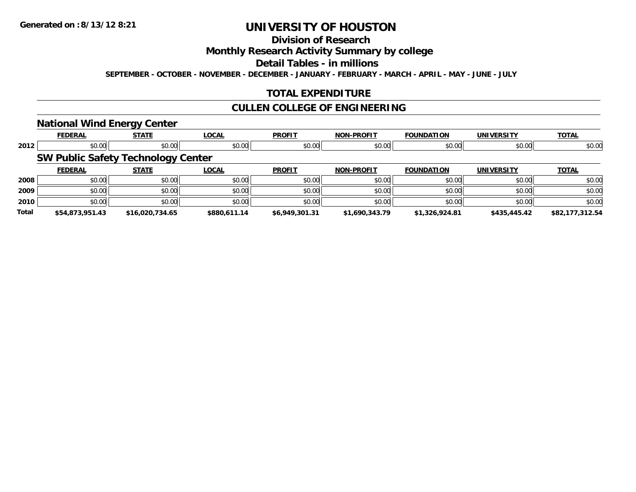# **Division of Research**

### **Monthly Research Activity Summary by college**

#### **Detail Tables - in millions**

**SEPTEMBER - OCTOBER - NOVEMBER - DECEMBER - JANUARY - FEBRUARY - MARCH - APRIL - MAY - JUNE - JULY**

# **TOTAL EXPENDITURE**

### **CULLEN COLLEGE OF ENGINEERING**

### **National Wind Energy Center**

|              | <b>FEDERAL</b>                            | --<br><b>STATE</b> | <b>LOCAL</b> | <b>PROFIT</b>  | <b>NON-PROFIT</b> | <b>FOUNDATION</b> | <b>UNIVERSITY</b> | <b>TOTAL</b>    |
|--------------|-------------------------------------------|--------------------|--------------|----------------|-------------------|-------------------|-------------------|-----------------|
| 2012         | \$0.00                                    | \$0.00             | \$0.00       | \$0.00         | \$0.00            | \$0.00            | \$0.00            | \$0.00          |
|              | <b>SW Public Safety Technology Center</b> |                    |              |                |                   |                   |                   |                 |
|              | <b>FEDERAL</b>                            | <b>STATE</b>       | <b>LOCAL</b> | <b>PROFIT</b>  | <b>NON-PROFIT</b> | <b>FOUNDATION</b> | <b>UNIVERSITY</b> | <b>TOTAL</b>    |
| 2008         | \$0.00                                    | \$0.00             | \$0.00       | \$0.00         | \$0.00            | \$0.00            | \$0.00            | \$0.00          |
| 2009         | \$0.00                                    | \$0.00             | \$0.00       | \$0.00         | \$0.00            | \$0.00            | \$0.00            | \$0.00          |
| 2010         | \$0.00                                    | \$0.00             | \$0.00       | \$0.00         | \$0.00            | \$0.00            | \$0.00            | \$0.00          |
| <b>Total</b> | \$54,873,951.43                           | \$16,020,734.65    | \$880,611.14 | \$6,949,301.31 | \$1,690,343.79    | \$1,326,924.81    | \$435,445.42      | \$82,177,312.54 |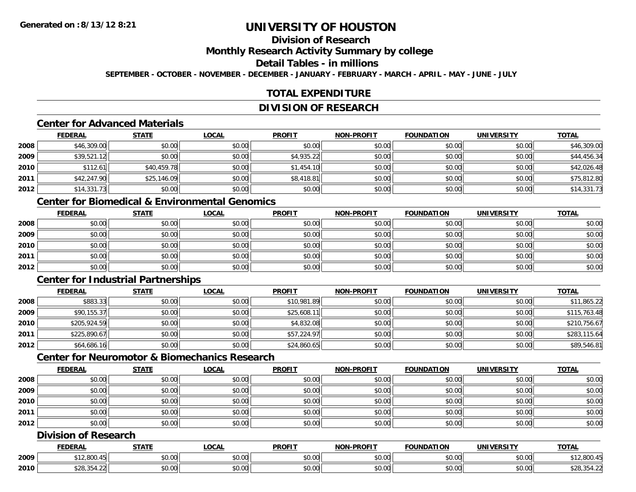# **Division of Research**

**Monthly Research Activity Summary by college**

### **Detail Tables - in millions**

**SEPTEMBER - OCTOBER - NOVEMBER - DECEMBER - JANUARY - FEBRUARY - MARCH - APRIL - MAY - JUNE - JULY**

# **TOTAL EXPENDITURE**

#### **DIVISION OF RESEARCH**

# **Center for Advanced Materials**

|      | <b>FEDERAL</b> | <b>STATE</b> | <b>LOCAL</b> | <b>PROFIT</b> | <b>NON-PROFIT</b> | <b>FOUNDATION</b> | <b>UNIVERSITY</b> | <u>TOTAL</u> |
|------|----------------|--------------|--------------|---------------|-------------------|-------------------|-------------------|--------------|
| 2008 | \$46,309.00    | \$0.00       | \$0.00       | \$0.00        | \$0.00            | \$0.00            | \$0.00            | \$46,309.00  |
| 2009 | \$39,521.12    | \$0.00       | \$0.00       | \$4,935.22    | \$0.00            | \$0.00            | \$0.00            | \$44,456.34  |
| 2010 | \$112.61       | \$40,459.78  | \$0.00       | \$1,454.10    | \$0.00            | \$0.00            | \$0.00            | \$42,026.48  |
| 2011 | \$42,247.90    | \$25,146.09  | \$0.00       | \$8,418.81    | \$0.00            | \$0.00            | \$0.00            | \$75,812.80  |
| 2012 | \$14,331.73    | \$0.00       | \$0.00       | \$0.00        | \$0.00            | \$0.00            | \$0.00            | \$14,331.73  |

# **Center for Biomedical & Environmental Genomics**

|      | <b>FEDERAL</b> | <b>STATE</b> | <b>LOCAL</b> | <b>PROFIT</b> | <b>NON-PROFIT</b> | <b>FOUNDATION</b> | <b>UNIVERSITY</b> | <b>TOTAL</b> |
|------|----------------|--------------|--------------|---------------|-------------------|-------------------|-------------------|--------------|
| 2008 | \$0.00         | \$0.00       | \$0.00       | \$0.00        | \$0.00            | \$0.00            | \$0.00            | \$0.00       |
| 2009 | \$0.00         | \$0.00       | \$0.00       | \$0.00        | \$0.00            | \$0.00            | \$0.00            | \$0.00       |
| 2010 | \$0.00         | \$0.00       | \$0.00       | \$0.00        | \$0.00            | \$0.00            | \$0.00            | \$0.00       |
| 2011 | \$0.00         | \$0.00       | \$0.00       | \$0.00        | \$0.00            | \$0.00            | \$0.00            | \$0.00       |
| 2012 | \$0.00         | \$0.00       | \$0.00       | \$0.00        | \$0.00            | \$0.00            | \$0.00            | \$0.00       |

# **Center for Industrial Partnerships**

|      | <b>FEDERAL</b> | <b>STATE</b> | <b>LOCAL</b> | <b>PROFIT</b> | <b>NON-PROFIT</b> | <b>FOUNDATION</b> | <b>UNIVERSITY</b> | <b>TOTAL</b> |
|------|----------------|--------------|--------------|---------------|-------------------|-------------------|-------------------|--------------|
| 2008 | \$883.33       | \$0.00       | \$0.00       | \$10,981.89   | \$0.00            | \$0.00            | \$0.00            | \$11,865.22  |
| 2009 | \$90,155.37    | \$0.00       | \$0.00       | \$25,608.11   | \$0.00            | \$0.00            | \$0.00            | \$115,763.48 |
| 2010 | \$205,924.59   | \$0.00       | \$0.00       | \$4,832.08    | \$0.00            | \$0.00            | \$0.00            | \$210,756.67 |
| 2011 | \$225,890.67   | \$0.00       | \$0.00       | \$57,224.97   | \$0.00            | \$0.00            | \$0.00            | \$283,115.64 |
| 2012 | \$64,686.16    | \$0.00       | \$0.00       | \$24,860.65   | \$0.00            | \$0.00            | \$0.00            | \$89,546.81  |

# **Center for Neuromotor & Biomechanics Research**

|      | <u>FEDERAL</u> | <b>STATE</b> | <b>LOCAL</b> | <b>PROFIT</b> | <b>NON-PROFIT</b> | <b>FOUNDATION</b> | <b>UNIVERSITY</b> | <b>TOTAL</b> |
|------|----------------|--------------|--------------|---------------|-------------------|-------------------|-------------------|--------------|
| 2008 | \$0.00         | \$0.00       | \$0.00       | \$0.00        | \$0.00            | \$0.00            | \$0.00            | \$0.00       |
| 2009 | \$0.00         | \$0.00       | \$0.00       | \$0.00        | \$0.00            | \$0.00            | \$0.00            | \$0.00       |
| 2010 | \$0.00         | \$0.00       | \$0.00       | \$0.00        | \$0.00            | \$0.00            | \$0.00            | \$0.00       |
| 2011 | \$0.00         | \$0.00       | \$0.00       | \$0.00        | \$0.00            | \$0.00            | \$0.00            | \$0.00       |
| 2012 | \$0.00         | \$0.00       | \$0.00       | \$0.00        | \$0.00            | \$0.00            | \$0.00            | \$0.00       |

# **Division of Research**

|      | <b>FEDERAL</b>                        | <b>CTATI</b><br>- 31 A . | <b>OCAL</b>               | <b>PROFIT</b> | $-DD$ $\cap$<br><b>NIONI</b> | <b>FOUNDATION</b> | UNIVERSITY                | <b>TOTAL</b>                 |
|------|---------------------------------------|--------------------------|---------------------------|---------------|------------------------------|-------------------|---------------------------|------------------------------|
| 2009 | 000<br>٠.<br>12.000                   | \$0.00                   | $\sim$<br>$\sim$<br>vv.vv | 0000<br>DU.UG | 0.00<br>DU.UU                | \$0.00            | $\sim$ 00<br><b>JU.UU</b> | 0 <sup>0</sup><br>າ I ∠,o∪ບ. |
| 2010 | $\sim$ $\sim$ $\sim$<br>$\sim$ $\sim$ | \$0.00                   | $\sim$<br>PU.UU           | 0000<br>DU.UG | 0.00<br><b>DU.UU</b>         | \$0.00            | $\sim$ 00<br><b>JU.UU</b> |                              |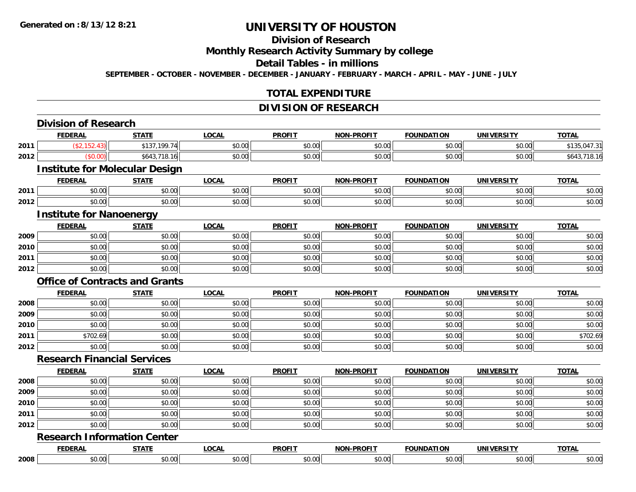# **Division of Research**

**Monthly Research Activity Summary by college**

**Detail Tables - in millions**

**SEPTEMBER - OCTOBER - NOVEMBER - DECEMBER - JANUARY - FEBRUARY - MARCH - APRIL - MAY - JUNE - JULY**

### **TOTAL EXPENDITURE**

### **DIVISION OF RESEARCH**

|      | <b>Division of Research</b>           |              |              |               |                   |                   |                   |              |
|------|---------------------------------------|--------------|--------------|---------------|-------------------|-------------------|-------------------|--------------|
|      | <b>FEDERAL</b>                        | <b>STATE</b> | <b>LOCAL</b> | <b>PROFIT</b> | <b>NON-PROFIT</b> | <b>FOUNDATION</b> | <b>UNIVERSITY</b> | <b>TOTAL</b> |
| 2011 | (\$2,152.43)                          | \$137,199.74 | \$0.00       | \$0.00        | \$0.00            | \$0.00            | \$0.00            | \$135,047.31 |
| 2012 | (\$0.00)                              | \$643,718.16 | \$0.00       | \$0.00        | \$0.00            | \$0.00            | \$0.00            | \$643,718.16 |
|      | <b>Institute for Molecular Design</b> |              |              |               |                   |                   |                   |              |
|      | <b>FEDERAL</b>                        | <b>STATE</b> | <b>LOCAL</b> | <b>PROFIT</b> | <b>NON-PROFIT</b> | <b>FOUNDATION</b> | <b>UNIVERSITY</b> | <b>TOTAL</b> |
| 2011 | \$0.00                                | \$0.00       | \$0.00       | \$0.00        | \$0.00            | \$0.00            | \$0.00            | \$0.00       |
| 2012 | \$0.00                                | \$0.00       | \$0.00       | \$0.00        | \$0.00            | \$0.00            | \$0.00            | \$0.00       |
|      | <b>Institute for Nanoenergy</b>       |              |              |               |                   |                   |                   |              |
|      | <b>FEDERAL</b>                        | <b>STATE</b> | <b>LOCAL</b> | <b>PROFIT</b> | <b>NON-PROFIT</b> | <b>FOUNDATION</b> | <b>UNIVERSITY</b> | <b>TOTAL</b> |
| 2009 | \$0.00                                | \$0.00       | \$0.00       | \$0.00        | \$0.00            | \$0.00            | \$0.00            | \$0.00       |
| 2010 | \$0.00                                | \$0.00       | \$0.00       | \$0.00        | \$0.00            | \$0.00            | \$0.00            | \$0.00       |
| 2011 | \$0.00                                | \$0.00       | \$0.00       | \$0.00        | \$0.00            | \$0.00            | \$0.00            | \$0.00       |
| 2012 | \$0.00                                | \$0.00       | \$0.00       | \$0.00        | \$0.00            | \$0.00            | \$0.00            | \$0.00       |
|      | <b>Office of Contracts and Grants</b> |              |              |               |                   |                   |                   |              |
|      | <b>FEDERAL</b>                        | <b>STATE</b> | <b>LOCAL</b> | <b>PROFIT</b> | <b>NON-PROFIT</b> | <b>FOUNDATION</b> | <b>UNIVERSITY</b> | <b>TOTAL</b> |
| 2008 | \$0.00                                | \$0.00       | \$0.00       | \$0.00        | \$0.00            | \$0.00            | \$0.00            | \$0.00       |
| 2009 | \$0.00                                | \$0.00       | \$0.00       | \$0.00        | \$0.00            | \$0.00            | \$0.00            | \$0.00       |
| 2010 | \$0.00                                | \$0.00       | \$0.00       | \$0.00        | \$0.00            | \$0.00            | \$0.00            | \$0.00       |
| 2011 | \$702.69                              | \$0.00       | \$0.00       | \$0.00        | \$0.00            | \$0.00            | \$0.00            | \$702.69     |
| 2012 | \$0.00                                | \$0.00       | \$0.00       | \$0.00        | \$0.00            | \$0.00            | \$0.00            | \$0.00       |
|      | <b>Research Financial Services</b>    |              |              |               |                   |                   |                   |              |
|      | <b>FEDERAL</b>                        | <b>STATE</b> | <b>LOCAL</b> | <b>PROFIT</b> | <b>NON-PROFIT</b> | <b>FOUNDATION</b> | <b>UNIVERSITY</b> | <b>TOTAL</b> |
| 2008 | \$0.00                                | \$0.00       | \$0.00       | \$0.00        | \$0.00            | \$0.00            | \$0.00            | \$0.00       |
| 2009 | \$0.00                                | \$0.00       | \$0.00       | \$0.00        | \$0.00            | \$0.00            | \$0.00            | \$0.00       |
| 2010 | \$0.00                                | \$0.00       | \$0.00       | \$0.00        | \$0.00            | \$0.00            | \$0.00            | \$0.00       |
| 2011 | \$0.00                                | \$0.00       | \$0.00       | \$0.00        | \$0.00            | \$0.00            | \$0.00            | \$0.00       |
| 2012 | \$0.00                                | \$0.00       | \$0.00       | \$0.00        | \$0.00            | \$0.00            | \$0.00            | \$0.00       |
|      | <b>Research Information Center</b>    |              |              |               |                   |                   |                   |              |
|      | <b>FEDERAL</b>                        | <b>STATE</b> | <b>LOCAL</b> | <b>PROFIT</b> | <b>NON-PROFIT</b> | <b>FOUNDATION</b> | <b>UNIVERSITY</b> | <b>TOTAL</b> |
| 2008 | \$0.00                                | \$0.00       | \$0.00       | \$0.00        | \$0.00            | \$0.00            | \$0.00            | \$0.00       |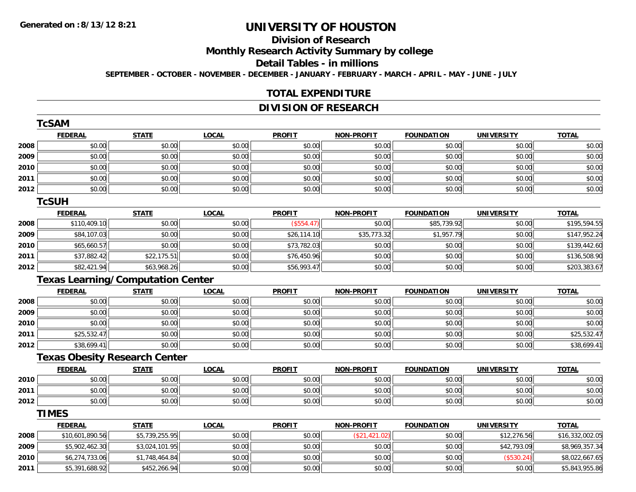# **Division of Research**

**Monthly Research Activity Summary by college**

**Detail Tables - in millions**

**SEPTEMBER - OCTOBER - NOVEMBER - DECEMBER - JANUARY - FEBRUARY - MARCH - APRIL - MAY - JUNE - JULY**

### **TOTAL EXPENDITURE**

# **DIVISION OF RESEARCH**

|      | <b>TcSAM</b>                             |                |              |               |                   |                   |                   |                 |
|------|------------------------------------------|----------------|--------------|---------------|-------------------|-------------------|-------------------|-----------------|
|      | <b>FEDERAL</b>                           | <b>STATE</b>   | <b>LOCAL</b> | <b>PROFIT</b> | <b>NON-PROFIT</b> | <b>FOUNDATION</b> | <b>UNIVERSITY</b> | <b>TOTAL</b>    |
| 2008 | \$0.00                                   | \$0.00         | \$0.00       | \$0.00        | \$0.00            | \$0.00            | \$0.00            | \$0.00          |
| 2009 | \$0.00                                   | \$0.00         | \$0.00       | \$0.00        | \$0.00            | \$0.00            | \$0.00            | \$0.00          |
| 2010 | \$0.00                                   | \$0.00         | \$0.00       | \$0.00        | \$0.00            | \$0.00            | \$0.00            | \$0.00          |
| 2011 | \$0.00                                   | \$0.00         | \$0.00       | \$0.00        | \$0.00            | \$0.00            | \$0.00            | \$0.00          |
| 2012 | \$0.00                                   | \$0.00         | \$0.00       | \$0.00        | \$0.00            | \$0.00            | \$0.00            | \$0.00          |
|      | <b>TcSUH</b>                             |                |              |               |                   |                   |                   |                 |
|      | <b>FEDERAL</b>                           | <b>STATE</b>   | <b>LOCAL</b> | <b>PROFIT</b> | <b>NON-PROFIT</b> | <b>FOUNDATION</b> | <b>UNIVERSITY</b> | <b>TOTAL</b>    |
| 2008 | \$110,409.10                             | \$0.00         | \$0.00       | (\$554.47)    | \$0.00            | \$85,739.92       | \$0.00            | \$195,594.55    |
| 2009 | \$84,107.03                              | \$0.00         | \$0.00       | \$26,114.10   | \$35,773.32       | \$1,957.79        | \$0.00            | \$147,952.24    |
| 2010 | \$65,660.57                              | \$0.00         | \$0.00       | \$73,782.03   | \$0.00            | \$0.00            | \$0.00            | \$139,442.60    |
| 2011 | \$37,882.42                              | \$22,175.51    | \$0.00       | \$76,450.96   | \$0.00            | \$0.00            | \$0.00            | \$136,508.90    |
| 2012 | \$82,421.94                              | \$63,968.26    | \$0.00       | \$56,993.47   | \$0.00            | \$0.00            | \$0.00            | \$203,383.67    |
|      | <b>Texas Learning/Computation Center</b> |                |              |               |                   |                   |                   |                 |
|      | <b>FEDERAL</b>                           | <b>STATE</b>   | <b>LOCAL</b> | <b>PROFIT</b> | <b>NON-PROFIT</b> | <b>FOUNDATION</b> | <b>UNIVERSITY</b> | <b>TOTAL</b>    |
| 2008 | \$0.00                                   | \$0.00         | \$0.00       | \$0.00        | \$0.00            | \$0.00            | \$0.00            | \$0.00          |
| 2009 | \$0.00                                   | \$0.00         | \$0.00       | \$0.00        | \$0.00            | \$0.00            | \$0.00            | \$0.00          |
| 2010 | \$0.00                                   | \$0.00         | \$0.00       | \$0.00        | \$0.00            | \$0.00            | \$0.00            | \$0.00          |
| 2011 | \$25,532.47                              | \$0.00         | \$0.00       | \$0.00        | \$0.00            | \$0.00            | \$0.00            | \$25,532.47     |
| 2012 | \$38,699.41                              | \$0.00         | \$0.00       | \$0.00        | \$0.00            | \$0.00            | \$0.00            | \$38,699.41     |
|      | <b>Texas Obesity Research Center</b>     |                |              |               |                   |                   |                   |                 |
|      | <b>FEDERAL</b>                           | <b>STATE</b>   | <b>LOCAL</b> | <b>PROFIT</b> | <b>NON-PROFIT</b> | <b>FOUNDATION</b> | <b>UNIVERSITY</b> | <b>TOTAL</b>    |
| 2010 | \$0.00                                   | \$0.00         | \$0.00       | \$0.00        | \$0.00            | \$0.00            | \$0.00            | \$0.00          |
| 2011 | \$0.00                                   | \$0.00         | \$0.00       | \$0.00        | \$0.00            | \$0.00            | \$0.00            | \$0.00          |
| 2012 | \$0.00                                   | \$0.00         | \$0.00       | \$0.00        | \$0.00            | \$0.00            | \$0.00            | \$0.00          |
|      | <b>TIMES</b>                             |                |              |               |                   |                   |                   |                 |
|      | <b>FEDERAL</b>                           | <b>STATE</b>   | <b>LOCAL</b> | <b>PROFIT</b> | <b>NON-PROFIT</b> | <b>FOUNDATION</b> | <b>UNIVERSITY</b> | <b>TOTAL</b>    |
| 2008 | \$10,601,890.56                          | \$5,739,255.95 | \$0.00       | \$0.00        | (\$21,421.02)     | \$0.00            | \$12,276.56       | \$16,332,002.05 |
| 2009 | \$5,902,462.30                           | \$3,024,101.95 | \$0.00       | \$0.00        | \$0.00            | \$0.00            | \$42,793.09       | \$8,969,357.34  |
| 2010 | \$6,274,733.06                           | \$1,748,464.84 | \$0.00       | \$0.00        | \$0.00            | \$0.00            | (\$530.24)        | \$8,022,667.65  |
| 2011 | \$5,391,688.92                           | \$452,266.94   | \$0.00       | \$0.00        | \$0.00            | \$0.00            | \$0.00            | \$5,843,955.86  |

\$5,391,688.92 \$452,266.94 \$0.00 \$0.00 \$0.00 \$0.00 \$0.00 \$5,843,955.86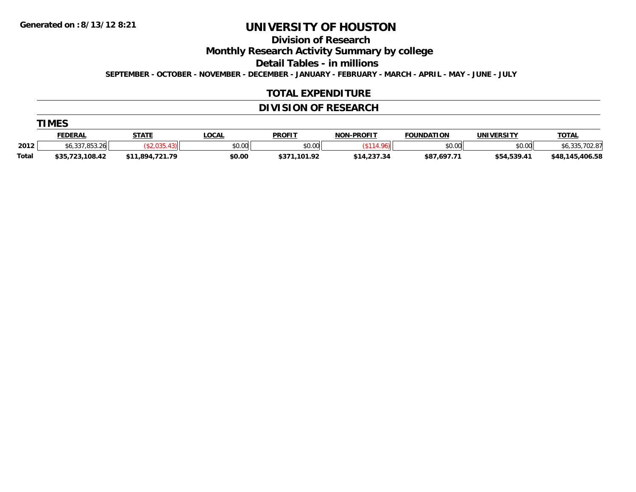**Division of Research**

**Monthly Research Activity Summary by college**

**Detail Tables - in millions**

**SEPTEMBER - OCTOBER - NOVEMBER - DECEMBER - JANUARY - FEBRUARY - MARCH - APRIL - MAY - JUNE - JULY**

#### **TOTAL EXPENDITURE**

# **DIVISION OF RESEARCH**

|              | <b>TIMES</b>    |                 |              |               |                   |                   |                   |                 |  |  |  |  |
|--------------|-----------------|-----------------|--------------|---------------|-------------------|-------------------|-------------------|-----------------|--|--|--|--|
|              | <b>FEDERAL</b>  | <u>STATE</u>    | <u>LOCAL</u> | <b>PROFIT</b> | <b>NON-PROFIT</b> | <b>FOUNDATION</b> | <b>UNIVERSITY</b> | <b>TOTAL</b>    |  |  |  |  |
| 2012         | \$6,337,853.26  |                 | \$0.00       | \$0.00        |                   | \$0.00            | \$0.00            | \$6,335,702.87  |  |  |  |  |
| <b>Total</b> | \$35,723,108.42 | \$11,894,721.79 | \$0.00       | \$371.101.92  | \$14,237.34       | \$87,697.71       | \$54,539.41       | \$48,145,406.58 |  |  |  |  |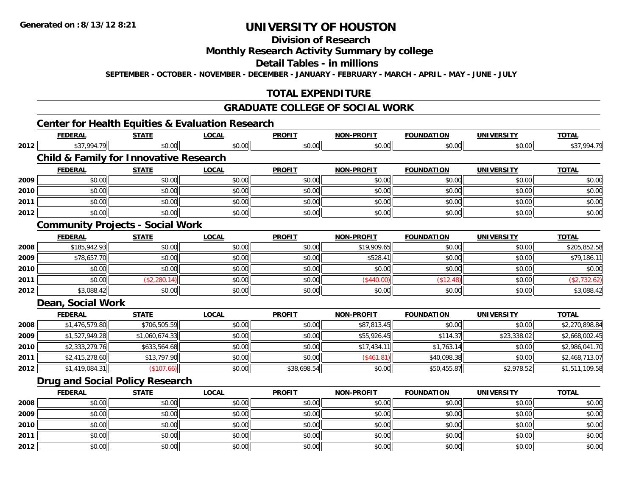# **Division of Research**

### **Monthly Research Activity Summary by college**

**Detail Tables - in millions**

**SEPTEMBER - OCTOBER - NOVEMBER - DECEMBER - JANUARY - FEBRUARY - MARCH - APRIL - MAY - JUNE - JULY**

# **TOTAL EXPENDITURE**

# **GRADUATE COLLEGE OF SOCIAL WORK**

# **Center for Health Equities & Evaluation Research**

|      | <b>FEDERAL</b>    | <b>STATE</b>                                      | <b>LOCAL</b> | <b>PROFIT</b> | <b>NON-PROFIT</b> | <b>FOUNDATION</b> | <b>UNIVERSITY</b> | <b>TOTAL</b>   |
|------|-------------------|---------------------------------------------------|--------------|---------------|-------------------|-------------------|-------------------|----------------|
| 2012 | \$37,994.79       | \$0.00                                            | \$0.00       | \$0.00        | \$0.00            | \$0.00            | \$0.00            | \$37,994.79    |
|      |                   | <b>Child &amp; Family for Innovative Research</b> |              |               |                   |                   |                   |                |
|      | <b>FEDERAL</b>    | <b>STATE</b>                                      | <b>LOCAL</b> | <b>PROFIT</b> | <b>NON-PROFIT</b> | <b>FOUNDATION</b> | <b>UNIVERSITY</b> | <b>TOTAL</b>   |
| 2009 | \$0.00            | \$0.00                                            | \$0.00       | \$0.00        | \$0.00            | \$0.00            | \$0.00            | \$0.00         |
| 2010 | \$0.00            | \$0.00                                            | \$0.00       | \$0.00        | \$0.00            | \$0.00            | \$0.00            | \$0.00         |
| 2011 | \$0.00            | \$0.00                                            | \$0.00       | \$0.00        | \$0.00            | \$0.00            | \$0.00            | \$0.00         |
| 2012 | \$0.00            | \$0.00                                            | \$0.00       | \$0.00        | \$0.00            | \$0.00            | \$0.00            | \$0.00         |
|      |                   | <b>Community Projects - Social Work</b>           |              |               |                   |                   |                   |                |
|      | <b>FEDERAL</b>    | <b>STATE</b>                                      | <b>LOCAL</b> | <b>PROFIT</b> | <b>NON-PROFIT</b> | <b>FOUNDATION</b> | <b>UNIVERSITY</b> | <b>TOTAL</b>   |
| 2008 | \$185,942.93      | \$0.00                                            | \$0.00       | \$0.00        | \$19,909.65       | \$0.00            | \$0.00            | \$205,852.58   |
| 2009 | \$78,657.70       | \$0.00                                            | \$0.00       | \$0.00        | \$528.41          | \$0.00            | \$0.00            | \$79,186.11    |
| 2010 | \$0.00            | \$0.00                                            | \$0.00       | \$0.00        | \$0.00            | \$0.00            | \$0.00            | \$0.00         |
| 2011 | \$0.00            | (\$2,280.14)                                      | \$0.00       | \$0.00        | (\$440.00)        | (\$12.48)         | \$0.00            | (\$2,732.62)   |
| 2012 | \$3,088.42        | \$0.00                                            | \$0.00       | \$0.00        | \$0.00            | \$0.00            | \$0.00            | \$3,088.42     |
|      | Dean, Social Work |                                                   |              |               |                   |                   |                   |                |
|      | <b>FEDERAL</b>    | <b>STATE</b>                                      | <b>LOCAL</b> | <b>PROFIT</b> | <b>NON-PROFIT</b> | <b>FOUNDATION</b> | <b>UNIVERSITY</b> | <b>TOTAL</b>   |
| 2008 | \$1,476,579.80    | \$706,505.59                                      | \$0.00       | \$0.00        | \$87,813.45       | \$0.00            | \$0.00            | \$2,270,898.84 |
| 2009 | \$1,527,949.28    | \$1,060,674.33                                    | \$0.00       | \$0.00        | \$55,926.45       | \$114.37          | \$23,338.02       | \$2,668,002.45 |
| 2010 | \$2,333,279.76    | \$633,564.68                                      | \$0.00       | \$0.00        | \$17,434.11       | \$1,763.14        | \$0.00            | \$2,986,041.70 |
| 2011 | \$2,415,278.60    | \$13,797.90                                       | \$0.00       | \$0.00        | (\$461.81)        | \$40,098.38       | \$0.00            | \$2,468,713.07 |
| 2012 | \$1,419,084.31    | (\$107.66)                                        | \$0.00       | \$38,698.54   | \$0.00            | \$50,455.87       | \$2,978.52        | \$1,511,109.58 |
|      |                   | <b>Drug and Social Policy Research</b>            |              |               |                   |                   |                   |                |
|      | <b>FEDERAL</b>    | <b>STATE</b>                                      | <b>LOCAL</b> | <b>PROFIT</b> | <b>NON-PROFIT</b> | <b>FOUNDATION</b> | <b>UNIVERSITY</b> | <b>TOTAL</b>   |
| 2008 | \$0.00            | \$0.00                                            | \$0.00       | \$0.00        | \$0.00            | \$0.00            | \$0.00            | \$0.00         |
| 2009 | \$0.00            | \$0.00                                            | \$0.00       | \$0.00        | \$0.00            | \$0.00            | \$0.00            | \$0.00         |
| 2010 | \$0.00            | \$0.00                                            | \$0.00       | \$0.00        | \$0.00            | \$0.00            | \$0.00            | \$0.00         |
| 2011 | \$0.00            | \$0.00                                            | \$0.00       | \$0.00        | \$0.00            | \$0.00            | \$0.00            | \$0.00         |
| 2012 | \$0.00            | \$0.00                                            | \$0.00       | \$0.00        | \$0.00            | \$0.00            | \$0.00            | \$0.00         |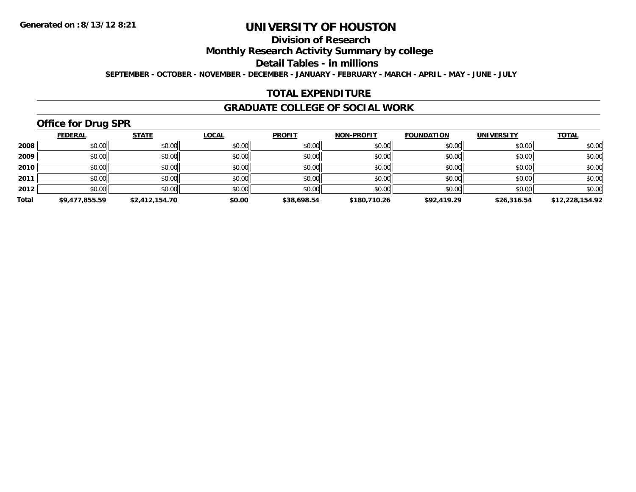# **Division of Research**

**Monthly Research Activity Summary by college**

**Detail Tables - in millions**

**SEPTEMBER - OCTOBER - NOVEMBER - DECEMBER - JANUARY - FEBRUARY - MARCH - APRIL - MAY - JUNE - JULY**

### **TOTAL EXPENDITURE**

#### **GRADUATE COLLEGE OF SOCIAL WORK**

# **Office for Drug SPR**

|       | <b>FEDERAL</b> | <b>STATE</b>   | <b>LOCAL</b> | <b>PROFIT</b> | <b>NON-PROFIT</b> | <b>FOUNDATION</b> | <b>UNIVERSITY</b> | <b>TOTAL</b>    |
|-------|----------------|----------------|--------------|---------------|-------------------|-------------------|-------------------|-----------------|
| 2008  | \$0.00         | \$0.00         | \$0.00       | \$0.00        | \$0.00            | \$0.00            | \$0.00            | \$0.00          |
| 2009  | \$0.00         | \$0.00         | \$0.00       | \$0.00        | \$0.00            | \$0.00            | \$0.00            | \$0.00          |
| 2010  | \$0.00         | \$0.00         | \$0.00       | \$0.00        | \$0.00            | \$0.00            | \$0.00            | \$0.00          |
| 2011  | \$0.00         | \$0.00         | \$0.00       | \$0.00        | \$0.00            | \$0.00            | \$0.00            | \$0.00          |
| 2012  | \$0.00         | \$0.00         | \$0.00       | \$0.00        | \$0.00            | \$0.00            | \$0.00            | \$0.00          |
| Total | \$9,477,855.59 | \$2,412,154.70 | \$0.00       | \$38,698.54   | \$180,710.26      | \$92,419.29       | \$26,316.54       | \$12,228,154.92 |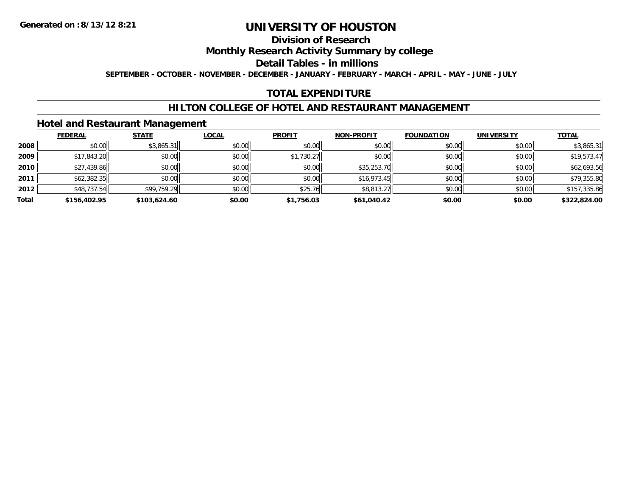### **Division of Research**

**Monthly Research Activity Summary by college**

**Detail Tables - in millions**

**SEPTEMBER - OCTOBER - NOVEMBER - DECEMBER - JANUARY - FEBRUARY - MARCH - APRIL - MAY - JUNE - JULY**

# **TOTAL EXPENDITURE**

### **HILTON COLLEGE OF HOTEL AND RESTAURANT MANAGEMENT**

#### **Hotel and Restaurant Management**

|       | <b>FEDERAL</b> | <b>STATE</b> | <u>LOCAL</u> | <b>PROFIT</b> | <b>NON-PROFIT</b> | <b>FOUNDATION</b> | <b>UNIVERSITY</b> | <b>TOTAL</b> |
|-------|----------------|--------------|--------------|---------------|-------------------|-------------------|-------------------|--------------|
| 2008  | \$0.00         | \$3,865.31   | \$0.00       | \$0.00        | \$0.00            | \$0.00            | \$0.00            | \$3,865.31   |
| 2009  | \$17,843.20    | \$0.00       | \$0.00       | \$1,730.27    | \$0.00            | \$0.00            | \$0.00            | \$19,573.47  |
| 2010  | \$27,439.86    | \$0.00       | \$0.00       | \$0.00        | \$35,253.70       | \$0.00            | \$0.00            | \$62,693.56  |
| 2011  | \$62,382.35    | \$0.00       | \$0.00       | \$0.00        | \$16,973.45       | \$0.00            | \$0.00            | \$79,355.80  |
| 2012  | \$48,737.54    | \$99,759.29  | \$0.00       | \$25.76       | $$8,813.27$       | \$0.00            | \$0.00            | \$157,335.86 |
| Total | \$156,402.95   | \$103,624.60 | \$0.00       | \$1,756.03    | \$61,040.42       | \$0.00            | \$0.00            | \$322,824.00 |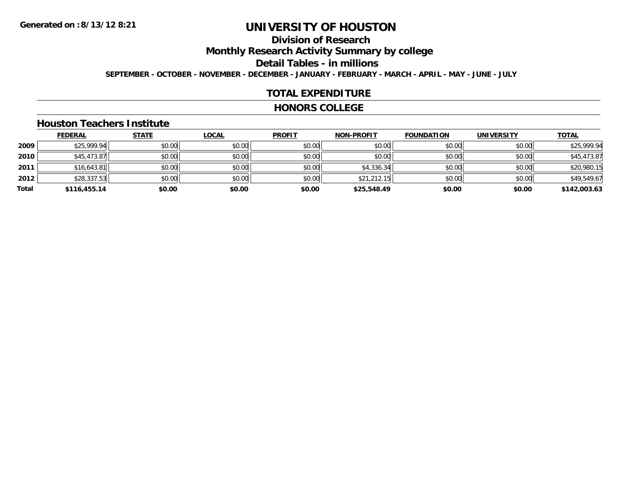# **Division of Research**

**Monthly Research Activity Summary by college**

**Detail Tables - in millions**

**SEPTEMBER - OCTOBER - NOVEMBER - DECEMBER - JANUARY - FEBRUARY - MARCH - APRIL - MAY - JUNE - JULY**

### **TOTAL EXPENDITURE**

#### **HONORS COLLEGE**

#### **Houston Teachers Institute**

|       | <b>FEDERAL</b> | <b>STATE</b> | <b>LOCAL</b> | <b>PROFIT</b> | <b>NON-PROFIT</b> | <b>FOUNDATION</b> | <b>UNIVERSITY</b> | <b>TOTAL</b> |
|-------|----------------|--------------|--------------|---------------|-------------------|-------------------|-------------------|--------------|
| 2009  | \$25,999.94    | \$0.00       | \$0.00       | \$0.00        | \$0.00            | \$0.00            | \$0.00            | \$25,999.94  |
| 2010  | \$45,473.87    | \$0.00       | \$0.00       | \$0.00        | \$0.00            | \$0.00            | \$0.00            | \$45,473.87  |
| 2011  | \$16,643.81    | \$0.00       | \$0.00       | \$0.00        | \$4,336.34        | \$0.00            | \$0.00            | \$20,980.15  |
| 2012  | \$28,337.53    | \$0.00       | \$0.00       | \$0.00        | \$21,212.15       | \$0.00            | \$0.00            | \$49,549.67  |
| Total | \$116,455.14   | \$0.00       | \$0.00       | \$0.00        | \$25,548.49       | \$0.00            | \$0.00            | \$142,003.63 |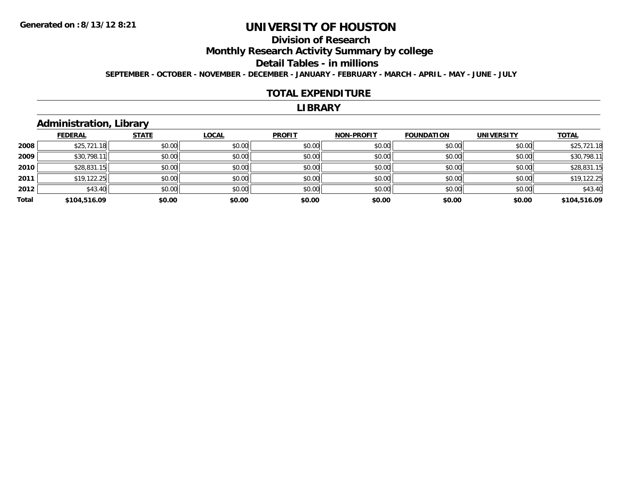# **Division of Research**

**Monthly Research Activity Summary by college**

**Detail Tables - in millions**

**SEPTEMBER - OCTOBER - NOVEMBER - DECEMBER - JANUARY - FEBRUARY - MARCH - APRIL - MAY - JUNE - JULY**

#### **TOTAL EXPENDITURE**

#### **LIBRARY**

### **Administration, Library**

|       | <b>FEDERAL</b> | <b>STATE</b> | <b>LOCAL</b> | <b>PROFIT</b> | NON-PROFIT | <b>FOUNDATION</b> | <b>UNIVERSITY</b> | <b>TOTAL</b> |
|-------|----------------|--------------|--------------|---------------|------------|-------------------|-------------------|--------------|
|       |                |              |              |               |            |                   |                   |              |
| 2008  | \$25,721.18    | \$0.00       | \$0.00       | \$0.00        | \$0.00     | \$0.00            | \$0.00            | \$25,721.18  |
| 2009  | \$30,798.11    | \$0.00       | \$0.00       | \$0.00        | \$0.00     | \$0.00            | \$0.00            | \$30,798.11  |
| 2010  | \$28,831.15    | \$0.00       | \$0.00       | \$0.00        | \$0.00     | \$0.00            | \$0.00            | \$28,831.15  |
| 2011  | \$19,122.25    | \$0.00       | \$0.00       | \$0.00        | \$0.00     | \$0.00            | \$0.00            | \$19,122.25  |
| 2012  | \$43.40        | \$0.00       | \$0.00       | \$0.00        | \$0.00     | \$0.00            | \$0.00            | \$43.40      |
| Total | \$104,516.09   | \$0.00       | \$0.00       | \$0.00        | \$0.00     | \$0.00            | \$0.00            | \$104,516.09 |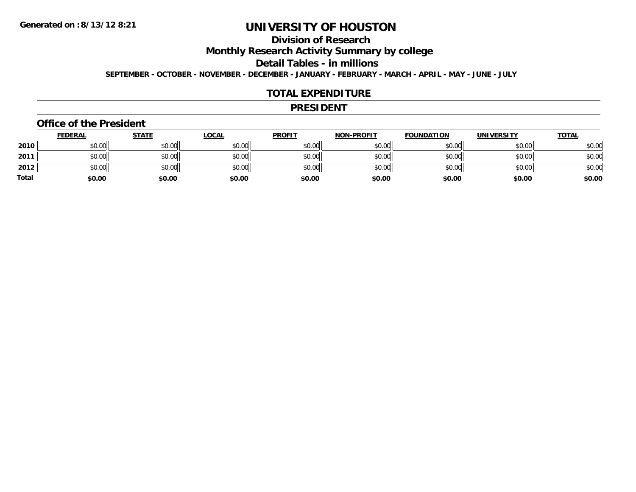# **Division of Research**

**Monthly Research Activity Summary by college**

**Detail Tables - in millions**

**SEPTEMBER - OCTOBER - NOVEMBER - DECEMBER - JANUARY - FEBRUARY - MARCH - APRIL - MAY - JUNE - JULY**

### **TOTAL EXPENDITURE**

#### **PRESIDENT**

#### **Office of the President**

|              | <b>FEDERAL</b> | <u>STATE</u> | <u>LOCAL</u> | <b>PROFIT</b> | <b>NON-PROFIT</b> | <b>FOUNDATION</b> | <b>UNIVERSITY</b> | <b>TOTAL</b> |
|--------------|----------------|--------------|--------------|---------------|-------------------|-------------------|-------------------|--------------|
| 2010         | \$0.00         | \$0.00       | \$0.00       | \$0.00        | \$0.00            | \$0.00            | \$0.00            | \$0.00       |
| 2011         | \$0.00         | \$0.00       | \$0.00       | \$0.00        | \$0.00            | \$0.00            | \$0.00            | \$0.00       |
| 2012         | \$0.00         | \$0.00       | \$0.00       | \$0.00        | \$0.00            | \$0.00            | \$0.00            | \$0.00       |
| <b>Total</b> | \$0.00         | \$0.00       | \$0.00       | \$0.00        | \$0.00            | \$0.00            | \$0.00            | \$0.00       |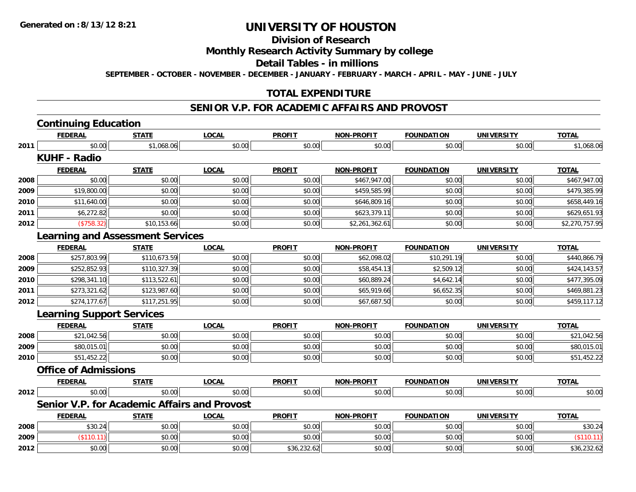# **Division of Research**

#### **Monthly Research Activity Summary by college**

**Detail Tables - in millions**

**SEPTEMBER - OCTOBER - NOVEMBER - DECEMBER - JANUARY - FEBRUARY - MARCH - APRIL - MAY - JUNE - JULY**

### **TOTAL EXPENDITURE**

#### **SENIOR V.P. FOR ACADEMIC AFFAIRS AND PROVOST**

|      | <b>Continuing Education</b>      |                                              |              |               |                   |                   |                   |                |
|------|----------------------------------|----------------------------------------------|--------------|---------------|-------------------|-------------------|-------------------|----------------|
|      | <b>FEDERAL</b>                   | <b>STATE</b>                                 | <b>LOCAL</b> | <b>PROFIT</b> | <b>NON-PROFIT</b> | <b>FOUNDATION</b> | <b>UNIVERSITY</b> | <b>TOTAL</b>   |
| 2011 | \$0.00                           | \$1,068.06                                   | \$0.00       | \$0.00        | \$0.00            | \$0.00            | \$0.00            | \$1,068.06     |
|      | <b>KUHF - Radio</b>              |                                              |              |               |                   |                   |                   |                |
|      | <b>FEDERAL</b>                   | <b>STATE</b>                                 | <b>LOCAL</b> | <b>PROFIT</b> | <b>NON-PROFIT</b> | <b>FOUNDATION</b> | <b>UNIVERSITY</b> | <b>TOTAL</b>   |
| 2008 | \$0.00                           | \$0.00                                       | \$0.00       | \$0.00        | \$467,947.00      | \$0.00            | \$0.00            | \$467,947.00   |
| 2009 | \$19,800.00                      | \$0.00                                       | \$0.00       | \$0.00        | \$459,585.99      | \$0.00            | \$0.00            | \$479,385.99   |
| 2010 | \$11,640.00                      | \$0.00                                       | \$0.00       | \$0.00        | \$646,809.16      | \$0.00            | \$0.00            | \$658,449.16   |
| 2011 | \$6,272.82                       | \$0.00                                       | \$0.00       | \$0.00        | \$623,379.11      | \$0.00            | \$0.00            | \$629,651.93   |
| 2012 | (\$758.32)                       | \$10,153.66                                  | \$0.00       | \$0.00        | \$2,261,362.61    | \$0.00            | \$0.00            | \$2,270,757.95 |
|      |                                  | <b>Learning and Assessment Services</b>      |              |               |                   |                   |                   |                |
|      | <b>FEDERAL</b>                   | <b>STATE</b>                                 | <b>LOCAL</b> | <b>PROFIT</b> | <b>NON-PROFIT</b> | <b>FOUNDATION</b> | <b>UNIVERSITY</b> | <b>TOTAL</b>   |
| 2008 | \$257,803.99                     | \$110,673.59                                 | \$0.00       | \$0.00        | \$62,098.02       | \$10,291.19       | \$0.00            | \$440,866.79   |
| 2009 | \$252,852.93                     | \$110,327.39                                 | \$0.00       | \$0.00        | \$58,454.13       | \$2,509.12        | \$0.00            | \$424,143.57   |
| 2010 | \$298,341.10                     | \$113,522.61                                 | \$0.00       | \$0.00        | \$60,889.24       | \$4,642.14        | \$0.00            | \$477,395.09   |
| 2011 | \$273,321.62                     | \$123,987.60                                 | \$0.00       | \$0.00        | \$65,919.66       | \$6,652.35        | \$0.00            | \$469,881.23   |
| 2012 | \$274,177.67                     | \$117,251.95                                 | \$0.00       | \$0.00        | \$67,687.50       | \$0.00            | \$0.00            | \$459,117.12   |
|      | <b>Learning Support Services</b> |                                              |              |               |                   |                   |                   |                |
|      | <b>FEDERAL</b>                   | <b>STATE</b>                                 | <b>LOCAL</b> | <b>PROFIT</b> | <b>NON-PROFIT</b> | <b>FOUNDATION</b> | <b>UNIVERSITY</b> | <b>TOTAL</b>   |
| 2008 | \$21,042.56                      | \$0.00                                       | \$0.00       | \$0.00        | \$0.00            | \$0.00            | \$0.00            | \$21,042.56    |
| 2009 | \$80,015.01                      | \$0.00                                       | \$0.00       | \$0.00        | \$0.00            | \$0.00            | \$0.00            | \$80,015.01    |
| 2010 | \$51,452.22                      | \$0.00                                       | \$0.00       | \$0.00        | \$0.00            | \$0.00            | \$0.00            | \$51,452.22    |
|      | <b>Office of Admissions</b>      |                                              |              |               |                   |                   |                   |                |
|      | <b>FEDERAL</b>                   | <b>STATE</b>                                 | <b>LOCAL</b> | <b>PROFIT</b> | <b>NON-PROFIT</b> | <b>FOUNDATION</b> | <b>UNIVERSITY</b> | <b>TOTAL</b>   |
| 2012 | \$0.00                           | \$0.00                                       | \$0.00       | \$0.00        | \$0.00            | \$0.00            | \$0.00            | \$0.00         |
|      |                                  | Senior V.P. for Academic Affairs and Provost |              |               |                   |                   |                   |                |
|      | <b>FEDERAL</b>                   | <b>STATE</b>                                 | <b>LOCAL</b> | <b>PROFIT</b> | <b>NON-PROFIT</b> | <b>FOUNDATION</b> | <b>UNIVERSITY</b> | <b>TOTAL</b>   |
| 2008 | \$30.24                          | \$0.00                                       | \$0.00       | \$0.00        | \$0.00            | \$0.00            | \$0.00            | \$30.24        |
| 2009 | (\$110.11)                       | \$0.00                                       | \$0.00       | \$0.00        | \$0.00            | \$0.00            | \$0.00            | (\$110.11)     |
| 2012 | \$0.00                           | \$0.00                                       | \$0.00       | \$36,232.62   | \$0.00            | \$0.00            | \$0.00            | \$36,232.62    |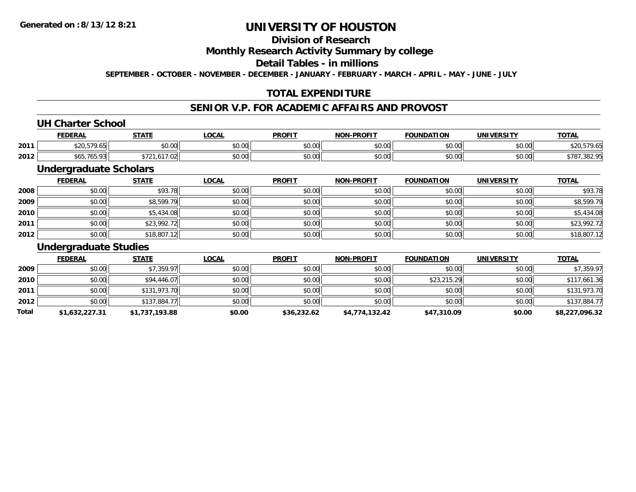# **Division of Research**

**Monthly Research Activity Summary by college**

**Detail Tables - in millions**

**SEPTEMBER - OCTOBER - NOVEMBER - DECEMBER - JANUARY - FEBRUARY - MARCH - APRIL - MAY - JUNE - JULY**

# **TOTAL EXPENDITURE**

### **SENIOR V.P. FOR ACADEMIC AFFAIRS AND PROVOST**

#### **UH Charter School**

|      | <b>FEDERAL</b>             | <b>CTATE</b>            | <b>OCAL</b>          | <b>PROFIT</b>                                        | -PROFIT<br>NON- | <b>FOUNDATION</b> | <b>UNIVERSITY</b> | <b>TOTAL</b>                    |
|------|----------------------------|-------------------------|----------------------|------------------------------------------------------|-----------------|-------------------|-------------------|---------------------------------|
| 2011 | $\cdots$ $\cdots$ $\cdots$ | 0000<br>JU.UU           | 0000<br><b>JU.UU</b> | $\uparrow$ $\uparrow$ $\uparrow$ $\uparrow$<br>JU.UU | 0000<br>PO.OO   | \$0.00            | \$0.00            |                                 |
| 2012 | /05.931<br>◡               | $- - -$<br>7.00<br>. U2 | 0000<br><b>JU.UU</b> | JU.UU                                                | 0000<br>JU.UU   | \$0.00            | \$0.00            | 20000<br>302.9،<br><b>J</b> / O |

### **Undergraduate Scholars**

|      | <b>FEDERAL</b> | <b>STATE</b> | <u>LOCAL</u> | <b>PROFIT</b> | <b>NON-PROFIT</b> | <b>FOUNDATION</b> | <b>UNIVERSITY</b> | <b>TOTAL</b> |
|------|----------------|--------------|--------------|---------------|-------------------|-------------------|-------------------|--------------|
| 2008 | \$0.00         | \$93.78      | \$0.00       | \$0.00        | \$0.00            | \$0.00            | \$0.00            | \$93.78      |
| 2009 | \$0.00         | \$8,599.79   | \$0.00       | \$0.00        | \$0.00            | \$0.00            | \$0.00            | \$8,599.79   |
| 2010 | \$0.00         | \$5,434.08   | \$0.00       | \$0.00        | \$0.00            | \$0.00            | \$0.00            | \$5,434.08   |
| 2011 | \$0.00         | \$23,992.72  | \$0.00       | \$0.00        | \$0.00            | \$0.00            | \$0.00            | \$23,992.72  |
| 2012 | \$0.00         | \$18,807.12  | \$0.00       | \$0.00        | \$0.00            | \$0.00            | \$0.00            | \$18,807.12  |

#### **Undergraduate Studies**

|       | <b>FEDERAL</b> | <b>STATE</b>   | <u>LOCAL</u> | <b>PROFIT</b> | <b>NON-PROFIT</b> | <b>FOUNDATION</b> | <b>UNIVERSITY</b> | <b>TOTAL</b>   |
|-------|----------------|----------------|--------------|---------------|-------------------|-------------------|-------------------|----------------|
| 2009  | \$0.00         | \$7,359.97     | \$0.00       | \$0.00        | \$0.00            | \$0.00            | \$0.00            | \$7,359.97     |
| 2010  | \$0.00         | \$94,446.07    | \$0.00       | \$0.00        | \$0.00            | \$23,215.29       | \$0.00            | \$117,661.36   |
| 2011  | \$0.00         | \$131,973.70   | \$0.00       | \$0.00        | \$0.00            | \$0.00            | \$0.00            | \$131,973.70   |
| 2012  | \$0.00         | \$137,884.77   | \$0.00       | \$0.00        | \$0.00            | \$0.00            | \$0.00            | \$137,884.77   |
| Total | \$1,632,227.31 | \$1,737,193.88 | \$0.00       | \$36,232.62   | \$4,774,132.42    | \$47,310.09       | \$0.00            | \$8,227,096.32 |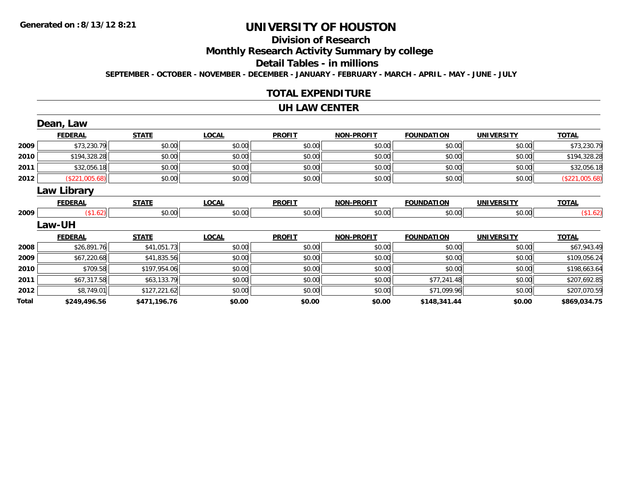# **Division of Research**

**Monthly Research Activity Summary by college**

**Detail Tables - in millions**

**SEPTEMBER - OCTOBER - NOVEMBER - DECEMBER - JANUARY - FEBRUARY - MARCH - APRIL - MAY - JUNE - JULY**

### **TOTAL EXPENDITURE**

#### **UH LAW CENTER**

|       | Dean, Law      |              |              |               |                   |                   |                   |                |
|-------|----------------|--------------|--------------|---------------|-------------------|-------------------|-------------------|----------------|
|       | <b>FEDERAL</b> | <b>STATE</b> | <b>LOCAL</b> | <b>PROFIT</b> | <b>NON-PROFIT</b> | <b>FOUNDATION</b> | <b>UNIVERSITY</b> | <b>TOTAL</b>   |
| 2009  | \$73,230.79    | \$0.00       | \$0.00       | \$0.00        | \$0.00            | \$0.00            | \$0.00            | \$73,230.79    |
| 2010  | \$194,328.28   | \$0.00       | \$0.00       | \$0.00        | \$0.00            | \$0.00            | \$0.00            | \$194,328.28   |
| 2011  | \$32,056.18    | \$0.00       | \$0.00       | \$0.00        | \$0.00            | \$0.00            | \$0.00            | \$32,056.18    |
| 2012  | (\$221,005.68) | \$0.00       | \$0.00       | \$0.00        | \$0.00            | \$0.00            | \$0.00            | (\$221,005.68) |
|       | Law Library    |              |              |               |                   |                   |                   |                |
|       | <b>FEDERAL</b> | <b>STATE</b> | <b>LOCAL</b> | <b>PROFIT</b> | <b>NON-PROFIT</b> | <b>FOUNDATION</b> | <b>UNIVERSITY</b> | <b>TOTAL</b>   |
| 2009  | (\$1.62)       | \$0.00       | \$0.00       | \$0.00        | \$0.00            | \$0.00            | \$0.00            | (\$1.62)       |
|       | <b>Law-UH</b>  |              |              |               |                   |                   |                   |                |
|       | <b>FEDERAL</b> | <b>STATE</b> | <b>LOCAL</b> | <b>PROFIT</b> | <b>NON-PROFIT</b> | <b>FOUNDATION</b> | <b>UNIVERSITY</b> | <b>TOTAL</b>   |
| 2008  | \$26,891.76    | \$41,051.73  | \$0.00       | \$0.00        | \$0.00            | \$0.00            | \$0.00            | \$67,943.49    |
| 2009  | \$67,220.68    | \$41,835.56  | \$0.00       | \$0.00        | \$0.00            | \$0.00            | \$0.00            | \$109,056.24   |
| 2010  | \$709.58       | \$197,954.06 | \$0.00       | \$0.00        | \$0.00            | \$0.00            | \$0.00            | \$198,663.64   |
| 2011  | \$67,317.58    | \$63,133.79  | \$0.00       | \$0.00        | \$0.00            | \$77,241.48       | \$0.00            | \$207,692.85   |
| 2012  | \$8,749.01     | \$127,221.62 | \$0.00       | \$0.00        | \$0.00            | \$71,099.96       | \$0.00            | \$207,070.59   |
| Total | \$249,496.56   | \$471,196.76 | \$0.00       | \$0.00        | \$0.00            | \$148,341.44      | \$0.00            | \$869,034.75   |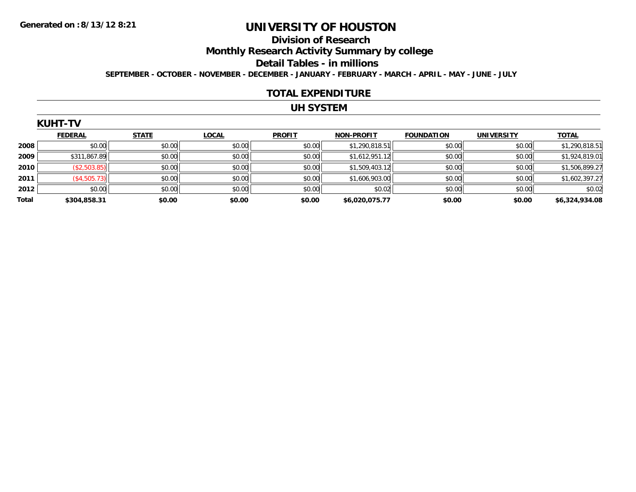#### **Division of Research**

**Monthly Research Activity Summary by college**

**Detail Tables - in millions**

**SEPTEMBER - OCTOBER - NOVEMBER - DECEMBER - JANUARY - FEBRUARY - MARCH - APRIL - MAY - JUNE - JULY**

#### **TOTAL EXPENDITURE**

### **UH SYSTEM**

|  | KUHT |  |
|--|------|--|
|  |      |  |

|       | <b>FEDERAL</b> | <b>STATE</b> | <b>LOCAL</b> | <b>PROFIT</b> | NON-PROFIT     | <b>FOUNDATION</b> | <b>UNIVERSITY</b> | <b>TOTAL</b>   |
|-------|----------------|--------------|--------------|---------------|----------------|-------------------|-------------------|----------------|
| 2008  | \$0.00         | \$0.00       | \$0.00       | \$0.00        | \$1,290,818.51 | \$0.00            | \$0.00            | \$1,290,818.51 |
| 2009  | \$311,867.89   | \$0.00       | \$0.00       | \$0.00        | \$1,612,951.12 | \$0.00            | \$0.00            | \$1,924,819.01 |
| 2010  | (\$2,503.85)   | \$0.00       | \$0.00       | \$0.00        | \$1,509,403.12 | \$0.00            | \$0.00            | \$1,506,899.27 |
| 2011  | (\$4,505.73)   | \$0.00       | \$0.00       | \$0.00        | \$1,606,903.00 | \$0.00            | \$0.00            | \$1,602,397.27 |
| 2012  | \$0.00         | \$0.00       | \$0.00       | \$0.00        | \$0.02         | \$0.00            | \$0.00            | \$0.02         |
| Total | \$304,858.31   | \$0.00       | \$0.00       | \$0.00        | \$6.020.075.77 | \$0.00            | \$0.00            | \$6,324,934.08 |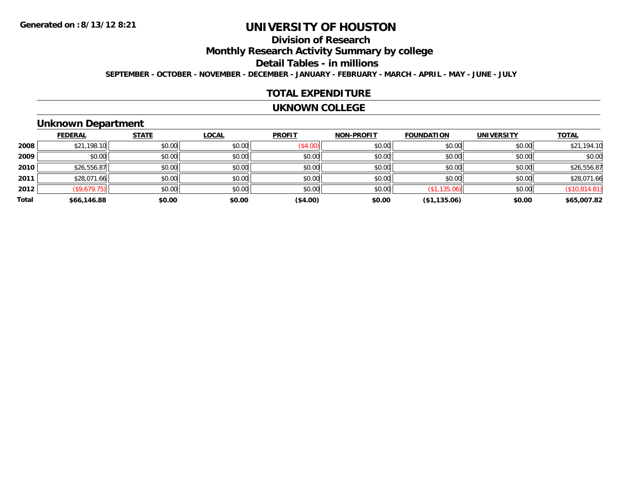# **Division of Research**

**Monthly Research Activity Summary by college**

**Detail Tables - in millions**

**SEPTEMBER - OCTOBER - NOVEMBER - DECEMBER - JANUARY - FEBRUARY - MARCH - APRIL - MAY - JUNE - JULY**

#### **TOTAL EXPENDITURE**

#### **UKNOWN COLLEGE**

#### **Unknown Department**

|       | <b>FEDERAL</b> | <b>STATE</b> | <b>LOCAL</b> | <b>PROFIT</b> | <b>NON-PROFIT</b> | <b>FOUNDATION</b> | <b>UNIVERSITY</b> | <b>TOTAL</b>  |
|-------|----------------|--------------|--------------|---------------|-------------------|-------------------|-------------------|---------------|
| 2008  | \$21,198.10    | \$0.00       | \$0.00       | (\$4.00)      | \$0.00            | \$0.00            | \$0.00            | \$21,194.10   |
| 2009  | \$0.00         | \$0.00       | \$0.00       | \$0.00        | \$0.00            | \$0.00            | \$0.00            | \$0.00        |
| 2010  | \$26,556.87    | \$0.00       | \$0.00       | \$0.00        | \$0.00            | \$0.00            | \$0.00            | \$26,556.87   |
| 2011  | \$28,071.66    | \$0.00       | \$0.00       | \$0.00        | \$0.00            | \$0.00            | \$0.00            | \$28,071.66   |
| 2012  | (\$9,679.75)   | \$0.00       | \$0.00       | \$0.00        | \$0.00            | (\$1,135.06)      | \$0.00            | (\$10,814.81) |
| Total | \$66,146.88    | \$0.00       | \$0.00       | (\$4.00)      | \$0.00            | (\$1,135.06)      | \$0.00            | \$65,007.82   |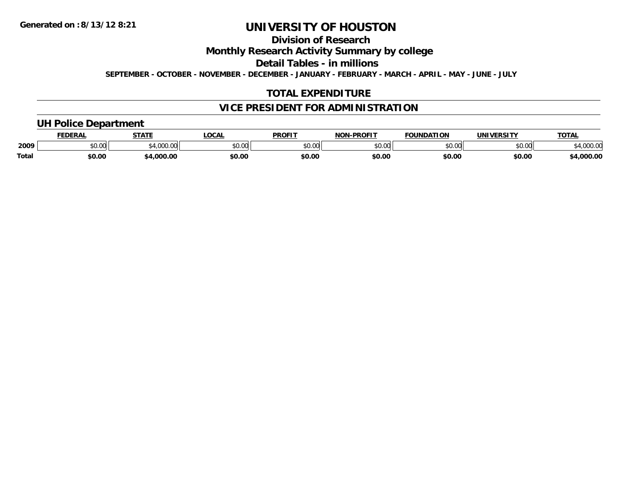**Division of Research**

**Monthly Research Activity Summary by college**

**Detail Tables - in millions**

**SEPTEMBER - OCTOBER - NOVEMBER - DECEMBER - JANUARY - FEBRUARY - MARCH - APRIL - MAY - JUNE - JULY**

# **TOTAL EXPENDITURE**

# **VICE PRESIDENT FOR ADMINISTRATION**

### **UH Police Department**

|       | <b>FDERA</b>   | <b>STATE</b> | <b>LOCAL</b>   | <b>PROFIT</b>       | <b>DDAEIT</b><br>NAR      | ΠΟΝ<br><b>FAUNIDAT</b> | INIVE<br>EDCITY | <b>TOTA</b>             |
|-------|----------------|--------------|----------------|---------------------|---------------------------|------------------------|-----------------|-------------------------|
| 2009  | ሐሴ ሰሰ<br>י. שע | $\sim$       | ტი იი<br>טט.טע | 0000<br>JU.UU       | $\sim$ 00<br>. UU<br>, پ, | \$0.00                 | ሶስ ሰስ<br>PU.UU  | $\sim$ $\sim$<br>,uu.uv |
| Total | \$0.00         | nnn.         | \$0.00         | <b>¢∩ ∩</b><br>⊅∪.∪ | \$0.00                    | \$0.00                 | \$0.00          | 000.00                  |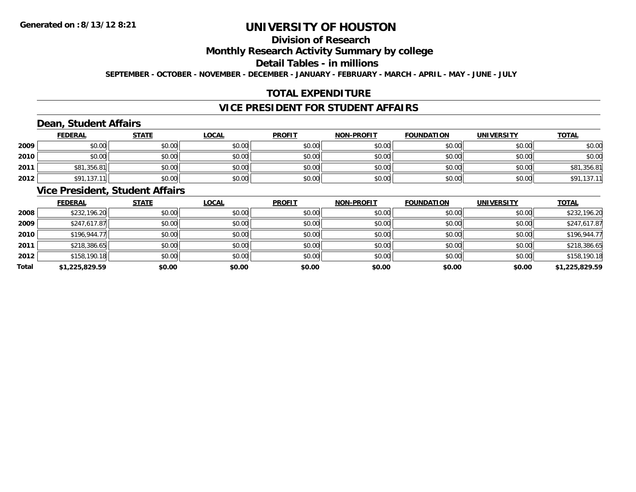# **Division of Research**

**Monthly Research Activity Summary by college**

**Detail Tables - in millions**

**SEPTEMBER - OCTOBER - NOVEMBER - DECEMBER - JANUARY - FEBRUARY - MARCH - APRIL - MAY - JUNE - JULY**

# **TOTAL EXPENDITURE**

# **VICE PRESIDENT FOR STUDENT AFFAIRS**

# **Dean, Student Affairs**

|      | <b>FEDERAL</b> | <b>STATE</b> | <u>LOCAL</u> | <b>PROFIT</b> | <b>NON-PROFIT</b> | <b>FOUNDATION</b> | <b>UNIVERSITY</b> | <b>TOTAL</b> |
|------|----------------|--------------|--------------|---------------|-------------------|-------------------|-------------------|--------------|
| 2009 | \$0.00         | \$0.00       | \$0.00       | \$0.00        | \$0.00            | \$0.00            | \$0.00            | \$0.00       |
| 2010 | \$0.00         | \$0.00       | \$0.00       | \$0.00        | \$0.00            | \$0.00            | \$0.00            | \$0.00       |
| 2011 | \$81,356.81    | \$0.00       | \$0.00       | \$0.00        | \$0.00            | \$0.00            | \$0.00            | \$81,356.81  |
| 2012 | \$91,137.1     | \$0.00       | \$0.00       | \$0.00        | \$0.00            | \$0.00            | \$0.00            | \$91,137.11  |

#### **Vice President, Student Affairs**

|       | <b>FEDERAL</b> | <b>STATE</b> | LOCAL  | <b>PROFIT</b> | <b>NON-PROFIT</b> | <b>FOUNDATION</b> | <b>UNIVERSITY</b> | <b>TOTAL</b>   |
|-------|----------------|--------------|--------|---------------|-------------------|-------------------|-------------------|----------------|
| 2008  | \$232,196.20   | \$0.00       | \$0.00 | \$0.00        | \$0.00            | \$0.00            | \$0.00            | \$232,196.20   |
| 2009  | \$247,617.87   | \$0.00       | \$0.00 | \$0.00        | \$0.00            | \$0.00            | \$0.00            | \$247,617.87   |
| 2010  | \$196,944.77   | \$0.00       | \$0.00 | \$0.00        | \$0.00            | \$0.00            | \$0.00            | \$196,944.77   |
| 2011  | \$218,386.65   | \$0.00       | \$0.00 | \$0.00        | \$0.00            | \$0.00            | \$0.00            | \$218,386.65   |
| 2012  | \$158,190.18   | \$0.00       | \$0.00 | \$0.00        | \$0.00            | \$0.00            | \$0.00            | \$158,190.18   |
| Total | \$1,225,829.59 | \$0.00       | \$0.00 | \$0.00        | \$0.00            | \$0.00            | \$0.00            | \$1,225,829.59 |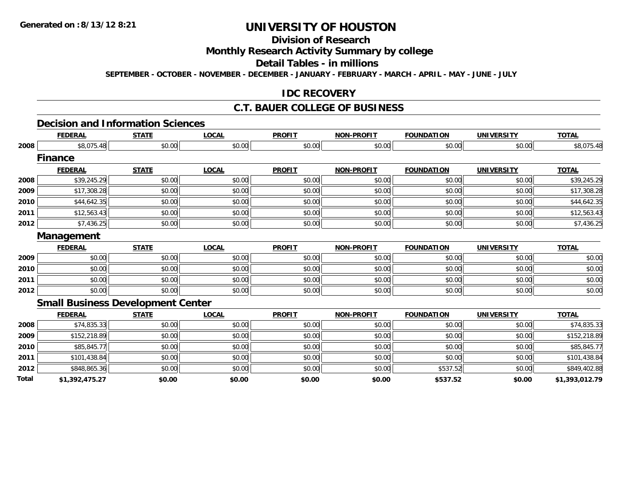# **Division of Research**

### **Monthly Research Activity Summary by college**

#### **Detail Tables - in millions**

**SEPTEMBER - OCTOBER - NOVEMBER - DECEMBER - JANUARY - FEBRUARY - MARCH - APRIL - MAY - JUNE - JULY**

### **IDC RECOVERY**

#### **C.T. BAUER COLLEGE OF BUSINESS**

#### **Decision and Information Sciences**

|       | <b>FEDERAL</b> | <b>STATE</b>                             | <b>LOCAL</b> | <b>PROFIT</b> | <b>NON-PROFIT</b> | <b>FOUNDATION</b> | <b>UNIVERSITY</b> | <b>TOTAL</b>   |
|-------|----------------|------------------------------------------|--------------|---------------|-------------------|-------------------|-------------------|----------------|
| 2008  | \$8,075.48     | \$0.00                                   | \$0.00       | \$0.00        | \$0.00            | \$0.00            | \$0.00            | \$8,075.48     |
|       | <b>Finance</b> |                                          |              |               |                   |                   |                   |                |
|       | <b>FEDERAL</b> | <b>STATE</b>                             | <b>LOCAL</b> | <b>PROFIT</b> | <b>NON-PROFIT</b> | <b>FOUNDATION</b> | <b>UNIVERSITY</b> | <b>TOTAL</b>   |
| 2008  | \$39,245.29    | \$0.00                                   | \$0.00       | \$0.00        | \$0.00            | \$0.00            | \$0.00            | \$39,245.29    |
| 2009  | \$17,308.28    | \$0.00                                   | \$0.00       | \$0.00        | \$0.00            | \$0.00            | \$0.00            | \$17,308.28    |
| 2010  | \$44,642.35    | \$0.00                                   | \$0.00       | \$0.00        | \$0.00            | \$0.00            | \$0.00            | \$44,642.35    |
| 2011  | \$12,563.43    | \$0.00                                   | \$0.00       | \$0.00        | \$0.00            | \$0.00            | \$0.00            | \$12,563.43    |
| 2012  | \$7,436.25     | \$0.00                                   | \$0.00       | \$0.00        | \$0.00            | \$0.00            | \$0.00            | \$7,436.25     |
|       | Management     |                                          |              |               |                   |                   |                   |                |
|       | <b>FEDERAL</b> | <b>STATE</b>                             | <b>LOCAL</b> | <b>PROFIT</b> | <b>NON-PROFIT</b> | <b>FOUNDATION</b> | <b>UNIVERSITY</b> | <b>TOTAL</b>   |
| 2009  | \$0.00         | \$0.00                                   | \$0.00       | \$0.00        | \$0.00            | \$0.00            | \$0.00            | \$0.00         |
| 2010  | \$0.00         | \$0.00                                   | \$0.00       | \$0.00        | \$0.00            | \$0.00            | \$0.00            | \$0.00         |
| 2011  | \$0.00         | \$0.00                                   | \$0.00       | \$0.00        | \$0.00            | \$0.00            | \$0.00            | \$0.00         |
| 2012  | \$0.00         | \$0.00                                   | \$0.00       | \$0.00        | \$0.00            | \$0.00            | \$0.00            | \$0.00         |
|       |                | <b>Small Business Development Center</b> |              |               |                   |                   |                   |                |
|       | <b>FEDERAL</b> | <b>STATE</b>                             | <b>LOCAL</b> | <b>PROFIT</b> | <b>NON-PROFIT</b> | <b>FOUNDATION</b> | <b>UNIVERSITY</b> | <b>TOTAL</b>   |
| 2008  | \$74,835.33    | \$0.00                                   | \$0.00       | \$0.00        | \$0.00            | \$0.00            | \$0.00            | \$74,835.33    |
| 2009  | \$152,218.89   | \$0.00                                   | \$0.00       | \$0.00        | \$0.00            | \$0.00            | \$0.00            | \$152,218.89   |
| 2010  | \$85,845.77    | \$0.00                                   | \$0.00       | \$0.00        | \$0.00            | \$0.00            | \$0.00            | \$85,845.77    |
| 2011  | \$101,438.84   | \$0.00                                   | \$0.00       | \$0.00        | \$0.00            | \$0.00            | \$0.00            | \$101,438.84   |
| 2012  | \$848,865.36   | \$0.00                                   | \$0.00       | \$0.00        | \$0.00            | \$537.52          | \$0.00            | \$849,402.88   |
| Total | \$1,392,475.27 | \$0.00                                   | \$0.00       | \$0.00        | \$0.00            | \$537.52          | \$0.00            | \$1,393,012.79 |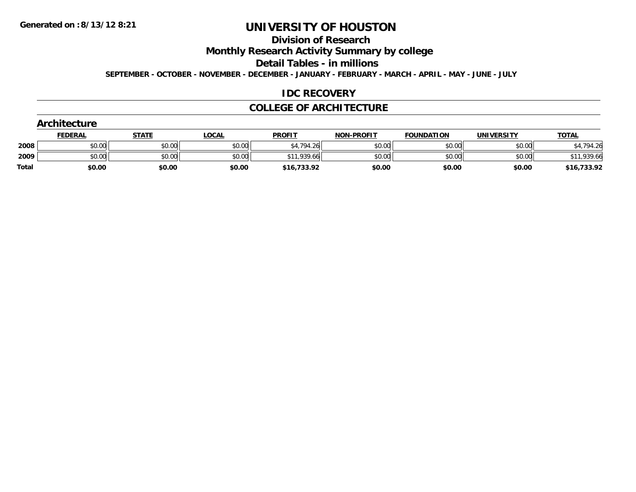# **Division of Research**

**Monthly Research Activity Summary by college**

**Detail Tables - in millions**

**SEPTEMBER - OCTOBER - NOVEMBER - DECEMBER - JANUARY - FEBRUARY - MARCH - APRIL - MAY - JUNE - JULY**

#### **IDC RECOVERY**

#### **COLLEGE OF ARCHITECTURE**

|              | Architecture   |              |              |               |                   |                   |                   |              |
|--------------|----------------|--------------|--------------|---------------|-------------------|-------------------|-------------------|--------------|
|              | <b>FEDERAL</b> | <b>STATE</b> | <u>LOCAL</u> | <b>PROFIT</b> | <b>NON-PROFIT</b> | <b>FOUNDATION</b> | <b>UNIVERSITY</b> | <b>TOTAL</b> |
| 2008         | \$0.00         | \$0.00       | \$0.00       | \$4,794.26    | \$0.00            | \$0.00            | \$0.00            | \$4,794.26   |
| 2009         | \$0.00         | \$0.00       | \$0.00       | \$11,939.66   | \$0.00            | \$0.00            | \$0.00            | \$11,939.66  |
| <b>Total</b> | \$0.00         | \$0.00       | \$0.00       | \$16,733.92   | \$0.00            | \$0.00            | \$0.00            | \$16,733.92  |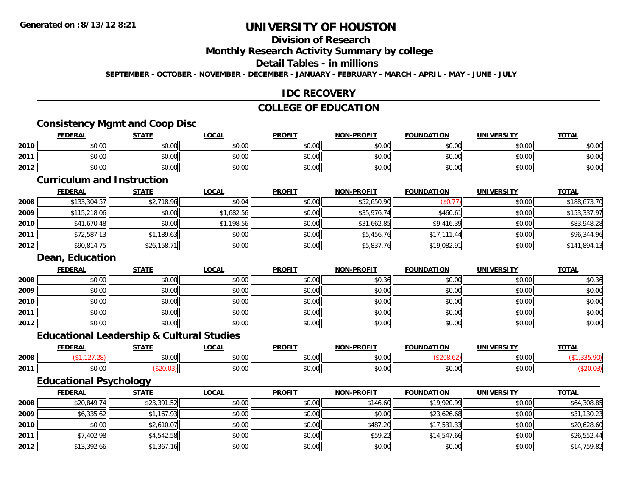### **Division of Research**

**Monthly Research Activity Summary by college**

#### **Detail Tables - in millions**

**SEPTEMBER - OCTOBER - NOVEMBER - DECEMBER - JANUARY - FEBRUARY - MARCH - APRIL - MAY - JUNE - JULY**

#### **IDC RECOVERY**

### **COLLEGE OF EDUCATION**

#### **Consistency Mgmt and Coop Disc**

|      | <b>FEDERAL</b> | <b>STATE</b> | <b>OCAL</b> | <b>PROFIT</b> | <b>NON-PROFIT</b> | <b>FOUNDATION</b> | <b>UNIVERSITY</b> | <b>TOTAL</b> |
|------|----------------|--------------|-------------|---------------|-------------------|-------------------|-------------------|--------------|
| 2010 | \$0.00         | \$0.00       | \$0.00      | \$0.00        | \$0.00            | \$0.00            | \$0.00            | \$0.00       |
| 2011 | \$0.00         | \$0.00       | \$0.00      | \$0.00        | \$0.00            | \$0.00            | \$0.00            | \$0.00       |
| 2012 | \$0.00         | \$0.00       | \$0.00      | \$0.00        | \$0.00            | \$0.00            | \$0.00            | \$0.00       |

#### **Curriculum and Instruction**

|      | <b>FEDERAL</b> | <b>STATE</b> | <u>LOCAL</u> | <b>PROFIT</b> | <b>NON-PROFIT</b> | <b>FOUNDATION</b> | UNIVERSITY | <b>TOTAL</b> |
|------|----------------|--------------|--------------|---------------|-------------------|-------------------|------------|--------------|
| 2008 | \$133,304.57   | \$2,718.96   | \$0.04       | \$0.00        | \$52,650.90       | (\$0.77)          | \$0.00     | \$188,673.70 |
| 2009 | \$115,218.06   | \$0.00       | \$1,682.56   | \$0.00        | \$35,976.74       | \$460.61          | \$0.00     | \$153,337.97 |
| 2010 | \$41,670.48    | \$0.00       | \$1,198.56   | \$0.00        | \$31,662.85       | \$9,416.39        | \$0.00     | \$83,948.28  |
| 2011 | \$72,587.13    | \$1,189.63   | \$0.00       | \$0.00        | \$5,456.76        | \$17,111.44       | \$0.00     | \$96,344.96  |
| 2012 | \$90,814.75    | \$26,158.71  | \$0.00       | \$0.00        | \$5,837.76        | \$19,082.91       | \$0.00     | \$141,894.13 |

#### **Dean, Education**

|      | <b>FEDERAL</b> | <b>STATE</b> | <u>LOCAL</u> | <b>PROFIT</b> | <b>NON-PROFIT</b> | <b>FOUNDATION</b> | <b>UNIVERSITY</b> | <b>TOTAL</b> |
|------|----------------|--------------|--------------|---------------|-------------------|-------------------|-------------------|--------------|
| 2008 | \$0.00         | \$0.00       | \$0.00       | \$0.00        | \$0.36            | \$0.00            | \$0.00            | \$0.36       |
| 2009 | \$0.00         | \$0.00       | \$0.00       | \$0.00        | \$0.00            | \$0.00            | \$0.00            | \$0.00       |
| 2010 | \$0.00         | \$0.00       | \$0.00       | \$0.00        | \$0.00            | \$0.00            | \$0.00            | \$0.00       |
| 2011 | \$0.00         | \$0.00       | \$0.00       | \$0.00        | \$0.00            | \$0.00            | \$0.00            | \$0.00       |
| 2012 | \$0.00         | \$0.00       | \$0.00       | \$0.00        | \$0.00            | \$0.00            | \$0.00            | \$0.00       |

#### **Educational Leadership & Cultural Studies**

|      |      | ----                   | 00N                           | <b>DDOEIT</b>                             | ------<br><b>NICH</b>  | .<br>.               |                               | $-2$ |
|------|------|------------------------|-------------------------------|-------------------------------------------|------------------------|----------------------|-------------------------------|------|
| 2008 |      | $\sim$ $\sim$<br>pu.uu | $\sim$ $\sim$ $\sim$<br>40.00 | $\uparrow$ $\uparrow$ $\uparrow$<br>JU.UL | $\sim$ $\sim$<br>vv.vv |                      | $\sim$ $\sim$<br><b>JU.UU</b> |      |
| 2011 | יש.ש |                        | $\sim$ $\sim$ $\sim$<br>vo.oo | $\sim$ $\sim$<br>יש.טע                    | $\sim$ $\sim$<br>ט.טע  | $\sim$ $\sim$<br>ט.ט | $\sim$ $\sim$<br>vv.vv        |      |

### **Educational Psychology**

|      | <b>FEDERAL</b> | <b>STATE</b> | <u>LOCAL</u> | <b>PROFIT</b> | <b>NON-PROFIT</b> | <b>FOUNDATION</b> | UNIVERSITY | <b>TOTAL</b> |
|------|----------------|--------------|--------------|---------------|-------------------|-------------------|------------|--------------|
| 2008 | \$20,849.74    | \$23,391.52  | \$0.00       | \$0.00        | \$146.60          | \$19,920.99       | \$0.00     | \$64,308.85  |
| 2009 | \$6,335.62     | \$1,167.93   | \$0.00       | \$0.00        | \$0.00            | \$23,626.68       | \$0.00     | \$31,130.23  |
| 2010 | \$0.00         | \$2,610.07   | \$0.00       | \$0.00        | \$487.20          | \$17,531.33       | \$0.00     | \$20,628.60  |
| 2011 | \$7,402.98     | \$4,542.58   | \$0.00       | \$0.00        | \$59.22           | \$14,547.66       | \$0.00     | \$26,552.44  |
| 2012 | \$13,392.66    | \$1,367.16   | \$0.00       | \$0.00        | \$0.00            | \$0.00            | \$0.00     | \$14,759.82  |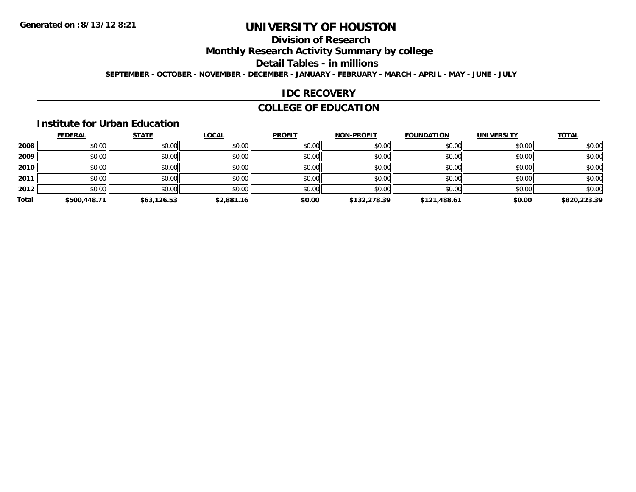### **Division of Research**

**Monthly Research Activity Summary by college**

**Detail Tables - in millions**

**SEPTEMBER - OCTOBER - NOVEMBER - DECEMBER - JANUARY - FEBRUARY - MARCH - APRIL - MAY - JUNE - JULY**

### **IDC RECOVERY**

### **COLLEGE OF EDUCATION**

#### **Institute for Urban Education**

|       | <b>FEDERAL</b> | <b>STATE</b> | <b>LOCAL</b> | <b>PROFIT</b> | <b>NON-PROFIT</b> | <b>FOUNDATION</b> | <b>UNIVERSITY</b> | <b>TOTAL</b> |
|-------|----------------|--------------|--------------|---------------|-------------------|-------------------|-------------------|--------------|
| 2008  | \$0.00         | \$0.00       | \$0.00       | \$0.00        | \$0.00            | \$0.00            | \$0.00            | \$0.00       |
| 2009  | \$0.00         | \$0.00       | \$0.00       | \$0.00        | \$0.00            | \$0.00            | \$0.00            | \$0.00       |
| 2010  | \$0.00         | \$0.00       | \$0.00       | \$0.00        | \$0.00            | \$0.00            | \$0.00            | \$0.00       |
| 2011  | \$0.00         | \$0.00       | \$0.00       | \$0.00        | \$0.00            | \$0.00            | \$0.00            | \$0.00       |
| 2012  | \$0.00         | \$0.00       | \$0.00       | \$0.00        | \$0.00            | \$0.00            | \$0.00            | \$0.00       |
| Total | \$500,448.71   | \$63,126.53  | \$2,881.16   | \$0.00        | \$132,278.39      | \$121,488.61      | \$0.00            | \$820,223.39 |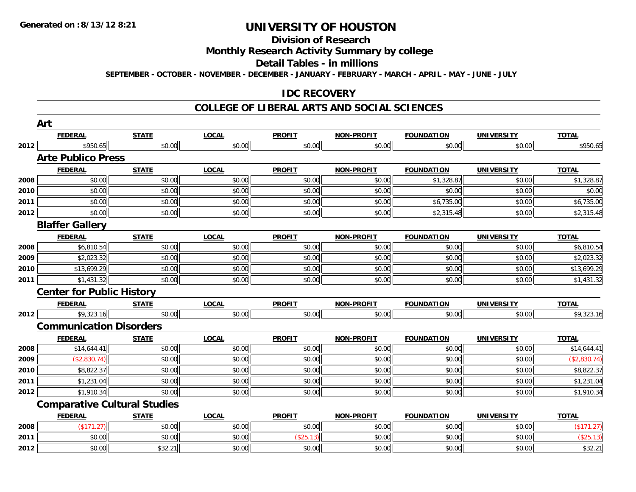### **Division of Research**

**Monthly Research Activity Summary by college**

**Detail Tables - in millions**

**SEPTEMBER - OCTOBER - NOVEMBER - DECEMBER - JANUARY - FEBRUARY - MARCH - APRIL - MAY - JUNE - JULY**

### **IDC RECOVERY**

#### **COLLEGE OF LIBERAL ARTS AND SOCIAL SCIENCES**

|      | Art                                 |              |              |               |                   |                   |                   |              |
|------|-------------------------------------|--------------|--------------|---------------|-------------------|-------------------|-------------------|--------------|
|      | <b>FEDERAL</b>                      | <b>STATE</b> | <b>LOCAL</b> | <b>PROFIT</b> | NON-PROFIT        | <b>FOUNDATION</b> | <b>UNIVERSITY</b> | <b>TOTAL</b> |
| 2012 | \$950.65                            | \$0.00       | \$0.00       | \$0.00        | \$0.00            | \$0.00            | \$0.00            | \$950.65     |
|      | <b>Arte Publico Press</b>           |              |              |               |                   |                   |                   |              |
|      | <b>FEDERAL</b>                      | <b>STATE</b> | <b>LOCAL</b> | <b>PROFIT</b> | <b>NON-PROFIT</b> | <b>FOUNDATION</b> | <b>UNIVERSITY</b> | <b>TOTAL</b> |
| 2008 | \$0.00                              | \$0.00       | \$0.00       | \$0.00        | \$0.00            | \$1,328.87        | \$0.00            | \$1,328.87   |
| 2010 | \$0.00                              | \$0.00       | \$0.00       | \$0.00        | \$0.00            | \$0.00            | \$0.00            | \$0.00       |
| 2011 | \$0.00                              | \$0.00       | \$0.00       | \$0.00        | \$0.00            | \$6,735.00        | \$0.00            | \$6,735.00   |
| 2012 | \$0.00                              | \$0.00       | \$0.00       | \$0.00        | \$0.00            | \$2,315.48        | \$0.00            | \$2,315.48   |
|      | <b>Blaffer Gallery</b>              |              |              |               |                   |                   |                   |              |
|      | <b>FEDERAL</b>                      | <b>STATE</b> | <b>LOCAL</b> | <b>PROFIT</b> | <b>NON-PROFIT</b> | <b>FOUNDATION</b> | <b>UNIVERSITY</b> | <b>TOTAL</b> |
| 2008 | \$6,810.54                          | \$0.00       | \$0.00       | \$0.00        | \$0.00            | \$0.00            | \$0.00            | \$6,810.54   |
| 2009 | \$2,023.32                          | \$0.00       | \$0.00       | \$0.00        | \$0.00            | \$0.00            | \$0.00            | \$2,023.32   |
| 2010 | \$13,699.29                         | \$0.00       | \$0.00       | \$0.00        | \$0.00            | \$0.00            | \$0.00            | \$13,699.29  |
| 2011 | \$1,431.32                          | \$0.00       | \$0.00       | \$0.00        | \$0.00            | \$0.00            | \$0.00            | \$1,431.32   |
|      | <b>Center for Public History</b>    |              |              |               |                   |                   |                   |              |
|      | <b>FEDERAL</b>                      | <b>STATE</b> | <b>LOCAL</b> | <b>PROFIT</b> | <b>NON-PROFIT</b> | <b>FOUNDATION</b> | <b>UNIVERSITY</b> | <b>TOTAL</b> |
| 2012 | \$9,323.16                          | \$0.00       | \$0.00       | \$0.00        | \$0.00            | \$0.00            | \$0.00            | \$9,323.16   |
|      | <b>Communication Disorders</b>      |              |              |               |                   |                   |                   |              |
|      | <b>FEDERAL</b>                      | <b>STATE</b> | <b>LOCAL</b> | <b>PROFIT</b> | NON-PROFIT        | <b>FOUNDATION</b> | <b>UNIVERSITY</b> | <b>TOTAL</b> |
| 2008 | \$14,644.41                         | \$0.00       | \$0.00       | \$0.00        | \$0.00            | \$0.00            | \$0.00            | \$14,644.41  |
| 2009 | (\$2,830.74)                        | \$0.00       | \$0.00       | \$0.00        | \$0.00            | \$0.00            | \$0.00            | (\$2,830.74) |
| 2010 | \$8,822.37                          | \$0.00       | \$0.00       | \$0.00        | \$0.00            | \$0.00            | \$0.00            | \$8,822.37   |
| 2011 | \$1,231.04                          | \$0.00       | \$0.00       | \$0.00        | \$0.00            | \$0.00            | \$0.00            | \$1,231.04   |
| 2012 | \$1,910.34                          | \$0.00       | \$0.00       | \$0.00        | \$0.00            | \$0.00            | \$0.00            | \$1,910.34   |
|      | <b>Comparative Cultural Studies</b> |              |              |               |                   |                   |                   |              |
|      | <b>FEDERAL</b>                      | <b>STATE</b> | <b>LOCAL</b> | <b>PROFIT</b> | <b>NON-PROFIT</b> | <b>FOUNDATION</b> | <b>UNIVERSITY</b> | <b>TOTAL</b> |
| 2008 | (\$171.27)                          | \$0.00       | \$0.00       | \$0.00        | \$0.00            | \$0.00            | \$0.00            | (\$171.27)   |
| 2011 | \$0.00                              | \$0.00       | \$0.00       | (\$25.13)     | \$0.00            | \$0.00            | \$0.00            | (\$25.13)    |
| 2012 | \$0.00                              | \$32.21      | \$0.00       | \$0.00        | \$0.00            | \$0.00            | \$0.00            | \$32.21      |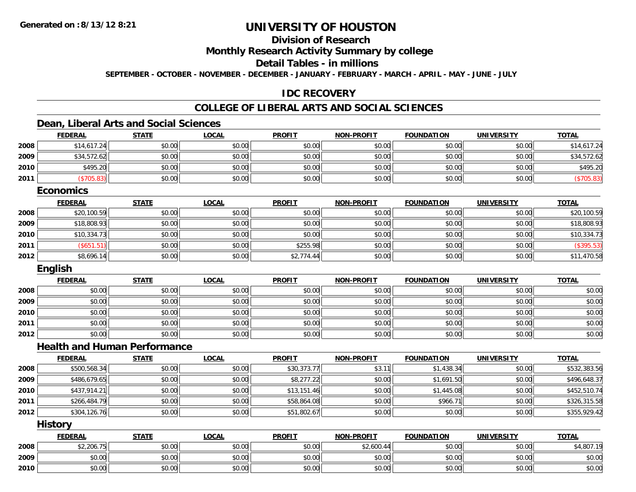### **Division of Research**

**Monthly Research Activity Summary by college**

**Detail Tables - in millions**

**SEPTEMBER - OCTOBER - NOVEMBER - DECEMBER - JANUARY - FEBRUARY - MARCH - APRIL - MAY - JUNE - JULY**

### **IDC RECOVERY**

### **COLLEGE OF LIBERAL ARTS AND SOCIAL SCIENCES**

### **Dean, Liberal Arts and Social Sciences**

|      | <b>FEDERAL</b>                      | <b>STATE</b> | <b>LOCAL</b> | <b>PROFIT</b> | <b>NON-PROFIT</b> | <b>FOUNDATION</b> | <b>UNIVERSITY</b> | <b>TOTAL</b> |
|------|-------------------------------------|--------------|--------------|---------------|-------------------|-------------------|-------------------|--------------|
| 2008 | \$14,617.24                         | \$0.00       | \$0.00       | \$0.00        | \$0.00            | \$0.00            | \$0.00            | \$14,617.24  |
| 2009 | \$34,572.62                         | \$0.00       | \$0.00       | \$0.00        | \$0.00            | \$0.00            | \$0.00            | \$34,572.62  |
| 2010 | \$495.20                            | \$0.00       | \$0.00       | \$0.00        | \$0.00            | \$0.00            | \$0.00            | \$495.20     |
| 2011 | (\$705.83)                          | \$0.00       | \$0.00       | \$0.00        | \$0.00            | \$0.00            | \$0.00            | (\$705.83)   |
|      | <b>Economics</b>                    |              |              |               |                   |                   |                   |              |
|      | <b>FEDERAL</b>                      | <b>STATE</b> | <b>LOCAL</b> | <b>PROFIT</b> | <b>NON-PROFIT</b> | <b>FOUNDATION</b> | <b>UNIVERSITY</b> | <b>TOTAL</b> |
| 2008 | \$20,100.59                         | \$0.00       | \$0.00       | \$0.00        | \$0.00            | \$0.00            | \$0.00            | \$20,100.59  |
| 2009 | \$18,808.93                         | \$0.00       | \$0.00       | \$0.00        | \$0.00            | \$0.00            | \$0.00            | \$18,808.93  |
| 2010 | \$10,334.73                         | \$0.00       | \$0.00       | \$0.00        | \$0.00            | \$0.00            | \$0.00            | \$10,334.73  |
| 2011 | (\$651.51)                          | \$0.00       | \$0.00       | \$255.98      | \$0.00            | \$0.00            | \$0.00            | (\$395.53)   |
| 2012 | \$8,696.14                          | \$0.00       | \$0.00       | \$2,774.44    | \$0.00            | \$0.00            | \$0.00            | \$11,470.58  |
|      | English                             |              |              |               |                   |                   |                   |              |
|      | <b>FEDERAL</b>                      | <b>STATE</b> | <b>LOCAL</b> | <b>PROFIT</b> | <b>NON-PROFIT</b> | <b>FOUNDATION</b> | <b>UNIVERSITY</b> | <b>TOTAL</b> |
| 2008 | \$0.00                              | \$0.00       | \$0.00       | \$0.00        | \$0.00            | \$0.00            | \$0.00            | \$0.00       |
| 2009 | \$0.00                              | \$0.00       | \$0.00       | \$0.00        | \$0.00            | \$0.00            | \$0.00            | \$0.00       |
| 2010 | \$0.00                              | \$0.00       | \$0.00       | \$0.00        | \$0.00            | \$0.00            | \$0.00            | \$0.00       |
| 2011 | \$0.00                              | \$0.00       | \$0.00       | \$0.00        | \$0.00            | \$0.00            | \$0.00            | \$0.00       |
| 2012 | \$0.00                              | \$0.00       | \$0.00       | \$0.00        | \$0.00            | \$0.00            | \$0.00            | \$0.00       |
|      | <b>Health and Human Performance</b> |              |              |               |                   |                   |                   |              |
|      | <b>FEDERAL</b>                      | <b>STATE</b> | <b>LOCAL</b> | <b>PROFIT</b> | <b>NON-PROFIT</b> | <b>FOUNDATION</b> | <b>UNIVERSITY</b> | <b>TOTAL</b> |
| 2008 | \$500,568.34                        | \$0.00       | \$0.00       | \$30,373.77   | \$3.11            | \$1,438.34        | \$0.00            | \$532,383.56 |
| 2009 | \$486,679.65                        | \$0.00       | \$0.00       | \$8,277.22    | \$0.00            | \$1,691.50        | \$0.00            | \$496,648.37 |
| 2010 | \$437,914.21                        | \$0.00       | \$0.00       | \$13,151.46   | \$0.00            | \$1,445.08        | \$0.00            | \$452,510.74 |
| 2011 | \$266,484.79                        | \$0.00       | \$0.00       | \$58,864.08   | \$0.00            | \$966.71          | \$0.00            | \$326,315.58 |
| 2012 | \$304,126.76                        | \$0.00       | \$0.00       | \$51,802.67   | \$0.00            | \$0.00            | \$0.00            | \$355,929.42 |
|      | <b>History</b>                      |              |              |               |                   |                   |                   |              |
|      | <b>FEDERAL</b>                      | <b>STATE</b> | <b>LOCAL</b> | <b>PROFIT</b> | <b>NON-PROFIT</b> | <b>FOUNDATION</b> | <b>UNIVERSITY</b> | <b>TOTAL</b> |
| 2008 | \$2,206.75                          | \$0.00       | \$0.00       | \$0.00        | \$2,600.44        | \$0.00            | \$0.00            | \$4,807.19   |
| 2009 | \$0.00                              | \$0.00       | \$0.00       | \$0.00        | \$0.00            | \$0.00            | \$0.00            | \$0.00       |
| 2010 | \$0.00                              | \$0.00       | \$0.00       | \$0.00        | \$0.00            | \$0.00            | \$0.00            | \$0.00       |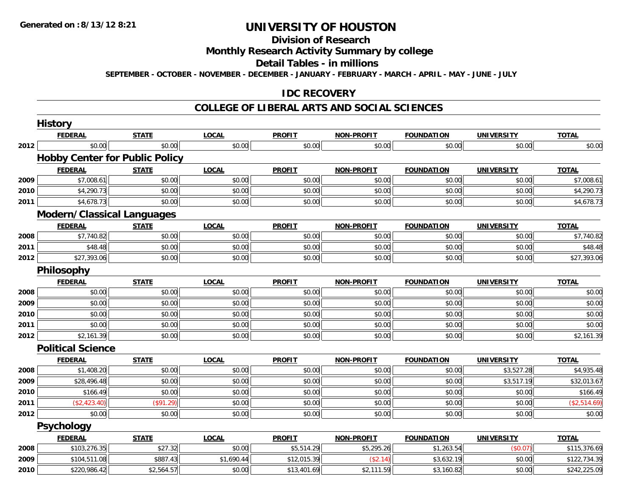## **Division of Research**

**Monthly Research Activity Summary by college**

**Detail Tables - in millions**

**SEPTEMBER - OCTOBER - NOVEMBER - DECEMBER - JANUARY - FEBRUARY - MARCH - APRIL - MAY - JUNE - JULY**

### **IDC RECOVERY**

#### **COLLEGE OF LIBERAL ARTS AND SOCIAL SCIENCES**

|      | <b>History</b>                        |              |              |               |                   |                   |                   |              |
|------|---------------------------------------|--------------|--------------|---------------|-------------------|-------------------|-------------------|--------------|
|      | <b>FEDERAL</b>                        | <b>STATE</b> | <b>LOCAL</b> | <b>PROFIT</b> | <b>NON-PROFIT</b> | <b>FOUNDATION</b> | <b>UNIVERSITY</b> | <b>TOTAL</b> |
| 2012 | \$0.00                                | \$0.00       | \$0.00       | \$0.00        | \$0.00            | \$0.00            | \$0.00            | \$0.00       |
|      | <b>Hobby Center for Public Policy</b> |              |              |               |                   |                   |                   |              |
|      | <b>FEDERAL</b>                        | <b>STATE</b> | <b>LOCAL</b> | <b>PROFIT</b> | <b>NON-PROFIT</b> | <b>FOUNDATION</b> | <b>UNIVERSITY</b> | <b>TOTAL</b> |
| 2009 | \$7,008.61                            | \$0.00       | \$0.00       | \$0.00        | \$0.00            | \$0.00            | \$0.00            | \$7,008.61   |
| 2010 | \$4,290.73                            | \$0.00       | \$0.00       | \$0.00        | \$0.00            | \$0.00            | \$0.00            | \$4,290.73   |
| 2011 | \$4,678.73                            | \$0.00       | \$0.00       | \$0.00        | \$0.00            | \$0.00            | \$0.00            | \$4,678.73   |
|      | <b>Modern/Classical Languages</b>     |              |              |               |                   |                   |                   |              |
|      | <b>FEDERAL</b>                        | <b>STATE</b> | <b>LOCAL</b> | <b>PROFIT</b> | <b>NON-PROFIT</b> | <b>FOUNDATION</b> | <b>UNIVERSITY</b> | <b>TOTAL</b> |
| 2008 | \$7,740.82                            | \$0.00       | \$0.00       | \$0.00        | \$0.00            | \$0.00            | \$0.00            | \$7,740.82   |
| 2011 | \$48.48                               | \$0.00       | \$0.00       | \$0.00        | \$0.00            | \$0.00            | \$0.00            | \$48.48      |
| 2012 | \$27,393.06                           | \$0.00       | \$0.00       | \$0.00        | \$0.00            | \$0.00            | \$0.00            | \$27,393.06  |
|      | Philosophy                            |              |              |               |                   |                   |                   |              |
|      | <b>FEDERAL</b>                        | <b>STATE</b> | <b>LOCAL</b> | <b>PROFIT</b> | <b>NON-PROFIT</b> | <b>FOUNDATION</b> | <b>UNIVERSITY</b> | <b>TOTAL</b> |
| 2008 | \$0.00                                | \$0.00       | \$0.00       | \$0.00        | \$0.00            | \$0.00            | \$0.00            | \$0.00       |
| 2009 | \$0.00                                | \$0.00       | \$0.00       | \$0.00        | \$0.00            | \$0.00            | \$0.00            | \$0.00       |
| 2010 | \$0.00                                | \$0.00       | \$0.00       | \$0.00        | \$0.00            | \$0.00            | \$0.00            | \$0.00       |
| 2011 | \$0.00                                | \$0.00       | \$0.00       | \$0.00        | \$0.00            | \$0.00            | \$0.00            | \$0.00       |
| 2012 | \$2,161.39                            | \$0.00       | \$0.00       | \$0.00        | \$0.00            | \$0.00            | \$0.00            | \$2,161.39   |
|      | <b>Political Science</b>              |              |              |               |                   |                   |                   |              |
|      | <b>FEDERAL</b>                        | <b>STATE</b> | <b>LOCAL</b> | <b>PROFIT</b> | <b>NON-PROFIT</b> | <b>FOUNDATION</b> | <b>UNIVERSITY</b> | <b>TOTAL</b> |
| 2008 | \$1,408.20                            | \$0.00       | \$0.00       | \$0.00        | \$0.00            | \$0.00            | \$3,527.28        | \$4,935.48   |
| 2009 | \$28,496.48                           | \$0.00       | \$0.00       | \$0.00        | \$0.00            | \$0.00            | \$3,517.19        | \$32,013.67  |
| 2010 | \$166.49                              | \$0.00       | \$0.00       | \$0.00        | \$0.00            | \$0.00            | \$0.00            | \$166.49     |
| 2011 | (\$2,423.40)                          | (\$91.29)    | \$0.00       | \$0.00        | \$0.00            | \$0.00            | \$0.00            | (\$2,514.69) |
| 2012 | \$0.00                                | \$0.00       | \$0.00       | \$0.00        | \$0.00            | \$0.00            | \$0.00            | \$0.00       |
|      | Psychology                            |              |              |               |                   |                   |                   |              |
|      | <b>FEDERAL</b>                        | <b>STATE</b> | <b>LOCAL</b> | <b>PROFIT</b> | <b>NON-PROFIT</b> | <b>FOUNDATION</b> | <b>UNIVERSITY</b> | <b>TOTAL</b> |
| 2008 | \$103,276.35                          | \$27.32      | \$0.00       | \$5,514.29    | \$5,295.26        | \$1,263.54        | (\$0.07)          | \$115,376.69 |
| 2009 | \$104,511.08                          | \$887.43     | \$1,690.44   | \$12,015.39   | (\$2.14)          | \$3,632.19        | \$0.00            | \$122,734.39 |
| 2010 | \$220,986.42                          | \$2,564.57   | \$0.00       | \$13,401.69   | \$2,111.59        | \$3,160.82        | \$0.00            | \$242,225.09 |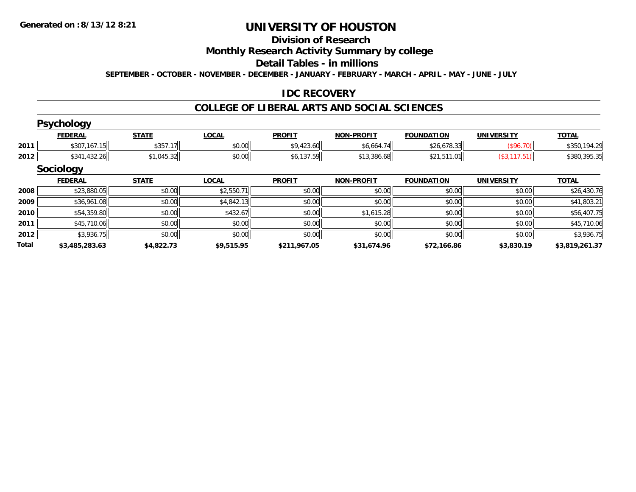#### **Division of Research**

**Monthly Research Activity Summary by college**

**Detail Tables - in millions**

**SEPTEMBER - OCTOBER - NOVEMBER - DECEMBER - JANUARY - FEBRUARY - MARCH - APRIL - MAY - JUNE - JULY**

### **IDC RECOVERY**

#### **COLLEGE OF LIBERAL ARTS AND SOCIAL SCIENCES**

|       | <b>Psychology</b> |              |              |               |                   |                   |                   |                |
|-------|-------------------|--------------|--------------|---------------|-------------------|-------------------|-------------------|----------------|
|       | <b>FEDERAL</b>    | <b>STATE</b> | <b>LOCAL</b> | <b>PROFIT</b> | <b>NON-PROFIT</b> | <b>FOUNDATION</b> | <b>UNIVERSITY</b> | <b>TOTAL</b>   |
| 2011  | \$307,167.15      | \$357.17     | \$0.00       | \$9,423.60    | \$6,664.74        | \$26,678.33       | (\$96.70)         | \$350,194.29   |
| 2012  | \$341,432.26      | \$1,045.32   | \$0.00       | \$6,137.59    | \$13,386.68       | \$21,511.01       | (\$3,117.51)      | \$380,395.35   |
|       | <b>Sociology</b>  |              |              |               |                   |                   |                   |                |
|       | <b>FEDERAL</b>    | <b>STATE</b> | <b>LOCAL</b> | <b>PROFIT</b> | <b>NON-PROFIT</b> | <b>FOUNDATION</b> | <b>UNIVERSITY</b> | <b>TOTAL</b>   |
| 2008  | \$23,880.05       | \$0.00       | \$2,550.71   | \$0.00        | \$0.00            | \$0.00            | \$0.00            | \$26,430.76    |
| 2009  | \$36,961.08       | \$0.00       | \$4,842.13   | \$0.00        | \$0.00            | \$0.00            | \$0.00            | \$41,803.21    |
| 2010  | \$54,359.80       | \$0.00       | \$432.67     | \$0.00        | \$1,615.28        | \$0.00            | \$0.00            | \$56,407.75    |
| 2011  | \$45,710.06       | \$0.00       | \$0.00       | \$0.00        | \$0.00            | \$0.00            | \$0.00            | \$45,710.06    |
| 2012  | \$3,936.75        | \$0.00       | \$0.00       | \$0.00        | \$0.00            | \$0.00            | \$0.00            | \$3,936.75     |
| Total | \$3,485,283.63    | \$4,822.73   | \$9,515.95   | \$211,967.05  | \$31,674.96       | \$72,166.86       | \$3,830.19        | \$3,819,261.37 |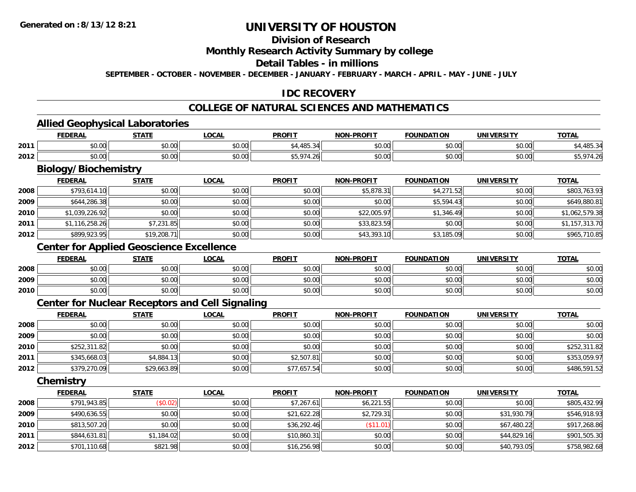### **Division of Research**

#### **Monthly Research Activity Summary by college**

#### **Detail Tables - in millions**

**SEPTEMBER - OCTOBER - NOVEMBER - DECEMBER - JANUARY - FEBRUARY - MARCH - APRIL - MAY - JUNE - JULY**

### **IDC RECOVERY**

### **COLLEGE OF NATURAL SCIENCES AND MATHEMATICS**

#### **Allied Geophysical Laboratories**

|      | <b>FEDERAL</b>                   | - 2787F                | <b>OCAL</b>                                           | <b>PROFIT</b>         | <b>BBAFIT</b><br>וחו | ΊΟΝ            | <br>INI | <b>TOTA</b><br>. АІ |
|------|----------------------------------|------------------------|-------------------------------------------------------|-----------------------|----------------------|----------------|---------|---------------------|
| 2011 | $\sim$<br>$\sim$<br>טט.טע        | $\sim$ $\sim$<br>vu.vu | $\mathfrak{c} \cap \mathfrak{c} \cap$<br><b>JU.UU</b> | 10T                   | 0000<br>vu.ou        | 0 <sub>n</sub> | \$0.00  | 4 O E               |
| 2012 | $\sim$<br>$\sim$ $\sim$<br>₽U.UU | ტი იი<br>vv.vv         | \$0.00                                                | $\uparrow$ $\uparrow$ | 0000<br>vv.vv        | 0.00           | \$0.00  |                     |

# **Biology/Biochemistry**

|      | <b>FEDERAL</b> | <u>STATE</u> | <b>LOCAL</b> | <b>PROFIT</b> | <b>NON-PROFIT</b> | <b>FOUNDATION</b> | <b>UNIVERSITY</b> | <b>TOTAL</b>   |
|------|----------------|--------------|--------------|---------------|-------------------|-------------------|-------------------|----------------|
| 2008 | \$793,614.10   | \$0.00       | \$0.00       | \$0.00        | \$5,878.31        | \$4,271.52        | \$0.00            | \$803,763.93   |
| 2009 | \$644,286.38   | \$0.00       | \$0.00       | \$0.00        | \$0.00            | \$5,594.43        | \$0.00            | \$649,880.81   |
| 2010 | \$1,039,226.92 | \$0.00       | \$0.00       | \$0.00        | \$22,005.97       | \$1,346.49        | \$0.00            | \$1,062,579.38 |
| 2011 | \$1,116,258.26 | \$7,231.85   | \$0.00       | \$0.00        | \$33,823.59       | \$0.00            | \$0.00            | \$1,157,313.70 |
| 2012 | \$899,923.95   | \$19,208.71  | \$0.00       | \$0.00        | \$43,393.10       | \$3,185.09        | \$0.00            | \$965,710.85   |

### **Center for Applied Geoscience Excellence**

|      | <b>FEDERAL</b> | <b>STATE</b> | <u>_OCAL</u> | <b>PROFIT</b> | <b>NON-PROFIT</b> | <b>FOUNDATION</b> | <b>UNIVERSITY</b> | <b>TOTAL</b> |
|------|----------------|--------------|--------------|---------------|-------------------|-------------------|-------------------|--------------|
| 2008 | \$0.00         | \$0.00       | \$0.00       | \$0.00        | \$0.00            | \$0.00            | \$0.00            | \$0.00       |
| 2009 | \$0.00         | \$0.00       | \$0.00       | \$0.00        | \$0.00            | \$0.00            | \$0.00            | \$0.00       |
| 2010 | \$0.00         | \$0.00       | \$0.00       | \$0.00        | \$0.00            | \$0.00            | \$0.00            | \$0.00       |

### **Center for Nuclear Receptors and Cell Signaling**

|      | <b>FEDERAL</b> | <u>STATE</u> | <u>LOCAL</u> | <b>PROFIT</b> | <b>NON-PROFIT</b> | <b>FOUNDATION</b> | <b>UNIVERSITY</b> | <b>TOTAL</b> |
|------|----------------|--------------|--------------|---------------|-------------------|-------------------|-------------------|--------------|
| 2008 | \$0.00         | \$0.00       | \$0.00       | \$0.00        | \$0.00            | \$0.00            | \$0.00            | \$0.00       |
| 2009 | \$0.00         | \$0.00       | \$0.00       | \$0.00        | \$0.00            | \$0.00            | \$0.00            | \$0.00       |
| 2010 | \$252,311.82   | \$0.00       | \$0.00       | \$0.00        | \$0.00            | \$0.00            | \$0.00            | \$252,311.82 |
| 2011 | \$345,668.03   | \$4,884.13   | \$0.00       | \$2,507.81    | \$0.00            | \$0.00            | \$0.00            | \$353,059.97 |
| 2012 | \$379,270.09   | \$29,663.89  | \$0.00       | \$77,657.54   | \$0.00            | \$0.00            | \$0.00            | \$486,591.52 |

**Chemistry**

|      | <b>FEDERAL</b> | <b>STATE</b> | <b>LOCAL</b> | <b>PROFIT</b> | <b>NON-PROFIT</b> | <b>FOUNDATION</b> | <b>UNIVERSITY</b> | <u>TOTAL</u> |
|------|----------------|--------------|--------------|---------------|-------------------|-------------------|-------------------|--------------|
| 2008 | \$791,943.85   | (\$0.02)     | \$0.00       | \$7,267.61    | \$6,221.55        | \$0.00            | \$0.00            | \$805,432.99 |
| 2009 | \$490,636.55   | \$0.00       | \$0.00       | \$21,622.28   | \$2,729.31        | \$0.00            | \$31,930.79       | \$546,918.93 |
| 2010 | \$813,507.20   | \$0.00       | \$0.00       | \$36,292.46   | (\$11.01)         | \$0.00            | \$67,480.22       | \$917,268.86 |
| 2011 | \$844,631.81   | \$1,184.02   | \$0.00       | \$10,860.31   | \$0.00            | \$0.00            | \$44,829.16       | \$901,505.30 |
| 2012 | \$701,110.68   | \$821.98     | \$0.00       | \$16,256.98   | \$0.00            | \$0.00            | \$40,793.05       | \$758,982.68 |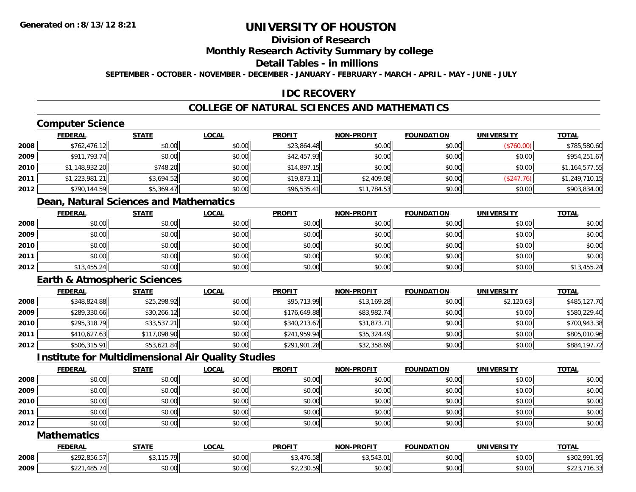### **Division of Research**

**Monthly Research Activity Summary by college**

**Detail Tables - in millions**

**SEPTEMBER - OCTOBER - NOVEMBER - DECEMBER - JANUARY - FEBRUARY - MARCH - APRIL - MAY - JUNE - JULY**

### **IDC RECOVERY**

### **COLLEGE OF NATURAL SCIENCES AND MATHEMATICS**

## **Computer Science**

|      | <u>FEDERAL</u> | <b>STATE</b> | <b>LOCAL</b> | <b>PROFIT</b> | <b>NON-PROFIT</b> | <b>FOUNDATION</b> | <b>UNIVERSITY</b> | <b>TOTAL</b>   |
|------|----------------|--------------|--------------|---------------|-------------------|-------------------|-------------------|----------------|
| 2008 | \$762,476.12   | \$0.00       | \$0.00       | \$23,864.48   | \$0.00            | \$0.00            | (\$760.00)        | \$785,580.60   |
| 2009 | \$911,793.74   | \$0.00       | \$0.00       | \$42,457.93   | \$0.00            | \$0.00            | \$0.00            | \$954,251.67   |
| 2010 | \$1,148,932.20 | \$748.20     | \$0.00       | \$14,897.15   | \$0.00            | \$0.00            | \$0.00            | \$1,164,577.55 |
| 2011 | \$1,223,981.21 | \$3,694.52   | \$0.00       | \$19,873.11   | \$2,409.08        | \$0.00            | (S247.76)         | \$1,249,710.15 |
| 2012 | \$790,144.59   | \$5,369.47   | \$0.00       | \$96,535.41   | \$11,784.53       | \$0.00            | \$0.00            | \$903,834.00   |

### **Dean, Natural Sciences and Mathematics**

|      | <b>FEDERAL</b> | <b>STATE</b> | <b>LOCAL</b> | <b>PROFIT</b> | <b>NON-PROFIT</b> | <b>FOUNDATION</b> | <b>UNIVERSITY</b> | <b>TOTAL</b> |
|------|----------------|--------------|--------------|---------------|-------------------|-------------------|-------------------|--------------|
| 2008 | \$0.00         | \$0.00       | \$0.00       | \$0.00        | \$0.00            | \$0.00            | \$0.00            | \$0.00       |
| 2009 | \$0.00         | \$0.00       | \$0.00       | \$0.00        | \$0.00            | \$0.00            | \$0.00            | \$0.00       |
| 2010 | \$0.00         | \$0.00       | \$0.00       | \$0.00        | \$0.00            | \$0.00            | \$0.00            | \$0.00       |
| 2011 | \$0.00         | \$0.00       | \$0.00       | \$0.00        | \$0.00            | \$0.00            | \$0.00            | \$0.00       |
| 2012 | \$13,455.24    | \$0.00       | \$0.00       | \$0.00        | \$0.00            | \$0.00            | \$0.00            | \$13,455.24  |

### **Earth & Atmospheric Sciences**

|      | <b>FEDERAL</b> | <b>STATE</b> | <b>LOCAL</b> | <b>PROFIT</b> | <b>NON-PROFIT</b> | <b>FOUNDATION</b> | <b>UNIVERSITY</b> | <b>TOTAL</b> |
|------|----------------|--------------|--------------|---------------|-------------------|-------------------|-------------------|--------------|
| 2008 | \$348,824.88   | \$25,298.92  | \$0.00       | \$95,713.99   | \$13,169.28       | \$0.00            | \$2,120.63        | \$485,127.70 |
| 2009 | \$289,330.66   | \$30,266.12  | \$0.00       | \$176,649.88  | \$83,982.74       | \$0.00            | \$0.00            | \$580,229.40 |
| 2010 | \$295,318.79   | \$33,537.21  | \$0.00       | \$340,213.67  | \$31,873.71       | \$0.00            | \$0.00            | \$700,943.38 |
| 2011 | \$410,627.63   | \$117,098.90 | \$0.00       | \$241,959.94  | \$35,324.49       | \$0.00            | \$0.00            | \$805,010.96 |
| 2012 | \$506,315.91   | \$53,621.84  | \$0.00       | \$291,901.28  | \$32,358.69       | \$0.00            | \$0.00            | \$884,197.72 |

### **Institute for Multidimensional Air Quality Studies**

|      | <b>FEDERAL</b> | <u>STATE</u> | <u>LOCAL</u> | <b>PROFIT</b> | <b>NON-PROFIT</b> | <b>FOUNDATION</b> | <b>UNIVERSITY</b> | <b>TOTAL</b> |
|------|----------------|--------------|--------------|---------------|-------------------|-------------------|-------------------|--------------|
| 2008 | \$0.00         | \$0.00       | \$0.00       | \$0.00        | \$0.00            | \$0.00            | \$0.00            | \$0.00       |
| 2009 | \$0.00         | \$0.00       | \$0.00       | \$0.00        | \$0.00            | \$0.00            | \$0.00            | \$0.00       |
| 2010 | \$0.00         | \$0.00       | \$0.00       | \$0.00        | \$0.00            | \$0.00            | \$0.00            | \$0.00       |
| 2011 | \$0.00         | \$0.00       | \$0.00       | \$0.00        | \$0.00            | \$0.00            | \$0.00            | \$0.00       |
| 2012 | \$0.00         | \$0.00       | \$0.00       | \$0.00        | \$0.00            | \$0.00            | \$0.00            | \$0.00       |

#### **Mathematics**

|      | <b>FEDERAL</b>                                 | <b>STATE</b>           | <b>_OCAL</b>       | <b>PROFIT</b>                                 | NON-PROFIT                                                                                                                                                                                                                                                                                                                                                                                      | <b>FOUNDATION</b> | UNIVERSITY | <b>TOTAL</b>                  |
|------|------------------------------------------------|------------------------|--------------------|-----------------------------------------------|-------------------------------------------------------------------------------------------------------------------------------------------------------------------------------------------------------------------------------------------------------------------------------------------------------------------------------------------------------------------------------------------------|-------------------|------------|-------------------------------|
| 2008 | $\uparrow$ 000 054 $\uparrow$<br>, 6.006, 242¢ | $325 - 72$<br>, ,<br>. | 0000<br>vu.uu      | $\overline{a}$<br><b>53</b><br><b>JU.U.U.</b> | $\bigwedge_{i=1}^{n} \bigwedge_{i=1}^{n} \bigwedge_{i=1}^{n} \bigwedge_{i=1}^{n} \bigwedge_{i=1}^{n} \bigwedge_{i=1}^{n} \bigwedge_{i=1}^{n} \bigwedge_{i=1}^{n} \bigwedge_{i=1}^{n} \bigwedge_{i=1}^{n} \bigwedge_{i=1}^{n} \bigwedge_{i=1}^{n} \bigwedge_{i=1}^{n} \bigwedge_{i=1}^{n} \bigwedge_{i=1}^{n} \bigwedge_{i=1}^{n} \bigwedge_{i=1}^{n} \bigwedge_{i=1}^{n} \bigwedge$<br>י ט, ט ק | \$0.00            | \$0.00     | $$202.001$ $$7$<br>DJUZ.      |
| 2009 | .485.7<br><b>ሰገገ</b> ባ<br>ΛL<br>DZZ I          | ልስ ለሰ<br>JU.UU         | $\sim$ 00<br>JU.UU | $\sim$ $\sim$ $\sim$ $\sim$ $\sim$            | 0.00<br>JU.UU                                                                                                                                                                                                                                                                                                                                                                                   | \$0.00            | \$0.00     | $\sim$ $\sim$ $\sim$<br>10.33 |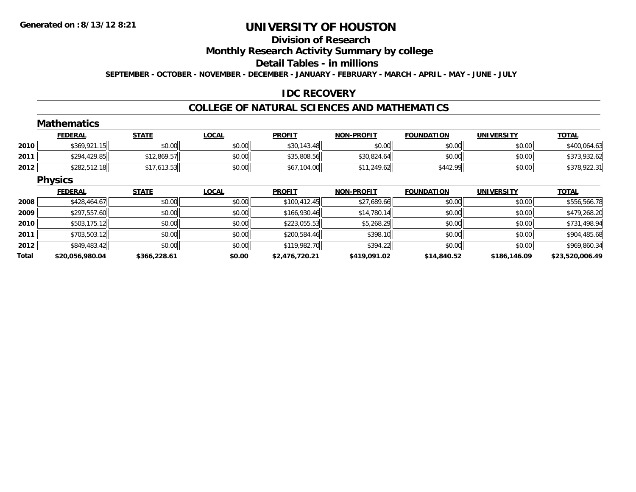#### **Division of Research**

**Monthly Research Activity Summary by college**

**Detail Tables - in millions**

**SEPTEMBER - OCTOBER - NOVEMBER - DECEMBER - JANUARY - FEBRUARY - MARCH - APRIL - MAY - JUNE - JULY**

### **IDC RECOVERY**

#### **COLLEGE OF NATURAL SCIENCES AND MATHEMATICS**

|       | <b>Mathematics</b> |              |              |                |                   |                   |                   |                 |
|-------|--------------------|--------------|--------------|----------------|-------------------|-------------------|-------------------|-----------------|
|       | <b>FEDERAL</b>     | <b>STATE</b> | <b>LOCAL</b> | <b>PROFIT</b>  | <b>NON-PROFIT</b> | <b>FOUNDATION</b> | <b>UNIVERSITY</b> | <b>TOTAL</b>    |
| 2010  | \$369,921.15       | \$0.00       | \$0.00       | \$30,143.48    | \$0.00            | \$0.00            | \$0.00            | \$400,064.63    |
| 2011  | \$294,429.85       | \$12,869.57  | \$0.00       | \$35,808.56    | \$30,824.64       | \$0.00            | \$0.00            | \$373,932.62    |
| 2012  | \$282,512.18       | \$17,613.53  | \$0.00       | \$67,104.00    | \$11,249.62       | \$442.99          | \$0.00            | \$378,922.31    |
|       | <b>Physics</b>     |              |              |                |                   |                   |                   |                 |
|       | <b>FEDERAL</b>     | <b>STATE</b> | <b>LOCAL</b> | <b>PROFIT</b>  | <b>NON-PROFIT</b> | <b>FOUNDATION</b> | <b>UNIVERSITY</b> | <b>TOTAL</b>    |
| 2008  | \$428,464.67       | \$0.00       | \$0.00       | \$100,412.45   | \$27,689.66       | \$0.00            | \$0.00            | \$556,566.78    |
| 2009  | \$297,557.60       | \$0.00       | \$0.00       | \$166,930.46   | \$14,780.14       | \$0.00            | \$0.00            | \$479,268.20    |
| 2010  | \$503,175.12       | \$0.00       | \$0.00       | \$223,055.53   | \$5,268.29        | \$0.00            | \$0.00            | \$731,498.94    |
| 2011  | \$703,503.12       | \$0.00       | \$0.00       | \$200,584.46   | \$398.10          | \$0.00            | \$0.00            | \$904,485.68    |
| 2012  | \$849,483.42       | \$0.00       | \$0.00       | \$119,982.70   | \$394.22          | \$0.00            | \$0.00            | \$969,860.34    |
| Total | \$20,056,980.04    | \$366,228.61 | \$0.00       | \$2,476,720.21 | \$419,091.02      | \$14,840.52       | \$186,146.09      | \$23,520,006.49 |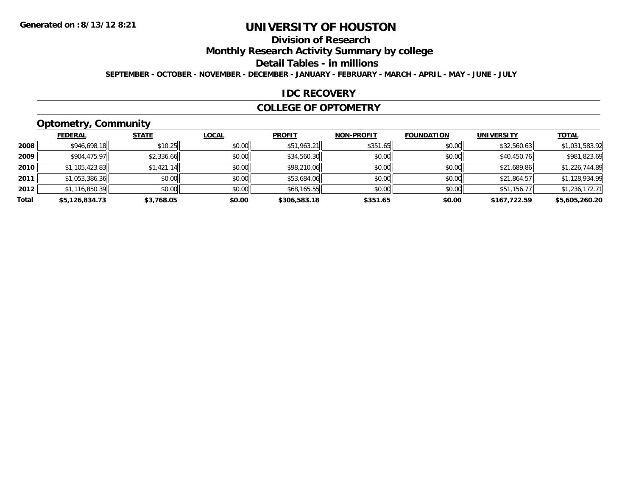## **Division of Research**

**Monthly Research Activity Summary by college**

**Detail Tables - in millions**

**SEPTEMBER - OCTOBER - NOVEMBER - DECEMBER - JANUARY - FEBRUARY - MARCH - APRIL - MAY - JUNE - JULY**

#### **IDC RECOVERY**

#### **COLLEGE OF OPTOMETRY**

## **Optometry, Community**

|       | ___            |              |              |               |                   |                   |                   |                |
|-------|----------------|--------------|--------------|---------------|-------------------|-------------------|-------------------|----------------|
|       | <b>FEDERAL</b> | <b>STATE</b> | <b>LOCAL</b> | <b>PROFIT</b> | <b>NON-PROFIT</b> | <b>FOUNDATION</b> | <b>UNIVERSITY</b> | <b>TOTAL</b>   |
| 2008  | \$946,698.18   | \$10.25      | \$0.00       | \$51,963.21   | \$351.65          | \$0.00            | \$32,560.63       | \$1,031,583.92 |
| 2009  | \$904,475.97   | \$2,336.66   | \$0.00       | \$34,560.30   | \$0.00            | \$0.00            | \$40,450.76       | \$981,823.69   |
| 2010  | \$1,105,423.83 | \$1,421.14   | \$0.00       | \$98,210.06   | \$0.00            | \$0.00            | \$21,689.86       | \$1,226,744.89 |
| 2011  | \$1,053,386.36 | \$0.00       | \$0.00       | \$53,684.06   | \$0.00            | \$0.00            | \$21,864.57       | \$1,128,934.99 |
| 2012  | \$1,116,850.39 | \$0.00       | \$0.00       | \$68,165.55   | \$0.00            | \$0.00            | \$51,156.77       | \$1,236,172.71 |
| Total | \$5,126,834.73 | \$3.768.05   | \$0.00       | \$306,583.18  | \$351.65          | \$0.00            | \$167,722.59      | \$5,605,260.20 |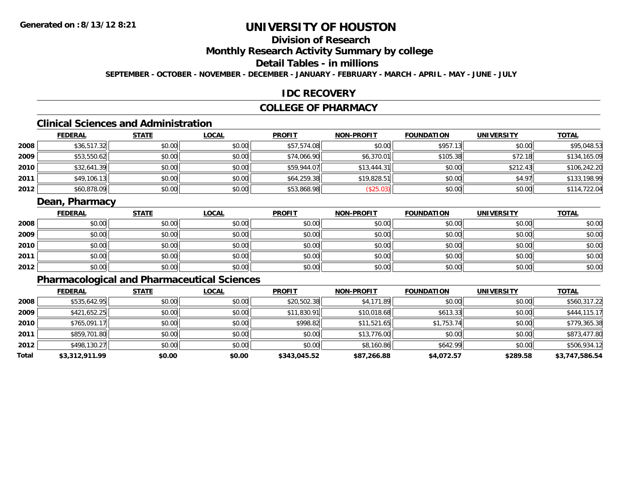## **Division of Research**

**Monthly Research Activity Summary by college**

### **Detail Tables - in millions**

**SEPTEMBER - OCTOBER - NOVEMBER - DECEMBER - JANUARY - FEBRUARY - MARCH - APRIL - MAY - JUNE - JULY**

#### **IDC RECOVERY**

### **COLLEGE OF PHARMACY**

## **Clinical Sciences and Administration**

|      | <b>FEDERAL</b> | <b>STATE</b> | <u>LOCAL</u> | <b>PROFIT</b> | <b>NON-PROFIT</b> | <b>FOUNDATION</b> | <b>UNIVERSITY</b> | <b>TOTAL</b> |
|------|----------------|--------------|--------------|---------------|-------------------|-------------------|-------------------|--------------|
| 2008 | \$36,517.32    | \$0.00       | \$0.00       | \$57,574.08   | \$0.00            | \$957.13          | \$0.00            | \$95,048.53  |
| 2009 | \$53,550.62    | \$0.00       | \$0.00       | \$74,066.90   | \$6,370.01        | \$105.38          | \$72.18           | \$134,165.09 |
| 2010 | \$32,641.39    | \$0.00       | \$0.00       | \$59,944.07   | \$13,444.31       | \$0.00            | \$212.43          | \$106,242.20 |
| 2011 | \$49,106.13    | \$0.00       | \$0.00       | \$64,259.38   | \$19,828.51       | \$0.00            | \$4.97            | \$133,198.99 |
| 2012 | \$60,878.09    | \$0.00       | \$0.00       | \$53,868.98   | \$25.03           | \$0.00            | \$0.00            | \$114,722.04 |

### **Dean, Pharmacy**

|      | <b>FEDERAL</b> | <b>STATE</b> | <b>LOCAL</b> | <b>PROFIT</b> | <b>NON-PROFIT</b> | <b>FOUNDATION</b> | <b>UNIVERSITY</b> | <b>TOTAL</b> |
|------|----------------|--------------|--------------|---------------|-------------------|-------------------|-------------------|--------------|
| 2008 | \$0.00         | \$0.00       | \$0.00       | \$0.00        | \$0.00            | \$0.00            | \$0.00            | \$0.00       |
| 2009 | \$0.00         | \$0.00       | \$0.00       | \$0.00        | \$0.00            | \$0.00            | \$0.00            | \$0.00       |
| 2010 | \$0.00         | \$0.00       | \$0.00       | \$0.00        | \$0.00            | \$0.00            | \$0.00            | \$0.00       |
| 2011 | \$0.00         | \$0.00       | \$0.00       | \$0.00        | \$0.00            | \$0.00            | \$0.00            | \$0.00       |
| 2012 | \$0.00         | \$0.00       | \$0.00       | \$0.00        | \$0.00            | \$0.00            | \$0.00            | \$0.00       |

## **Pharmacological and Pharmaceutical Sciences**

|       | <b>FEDERAL</b> | <b>STATE</b> | <b>LOCAL</b> | <b>PROFIT</b> | <b>NON-PROFIT</b> | <b>FOUNDATION</b> | <b>UNIVERSITY</b> | <u>TOTAL</u>   |
|-------|----------------|--------------|--------------|---------------|-------------------|-------------------|-------------------|----------------|
| 2008  | \$535,642.95   | \$0.00       | \$0.00       | \$20,502.38   | \$4,171.89        | \$0.00            | \$0.00            | \$560,317.22   |
| 2009  | \$421,652.25   | \$0.00       | \$0.00       | \$11,830.91   | \$10,018.68       | \$613.33          | \$0.00            | \$444,115.17   |
| 2010  | \$765,091.17   | \$0.00       | \$0.00       | \$998.82      | \$11,521.65       | \$1,753.74        | \$0.00            | \$779,365.38   |
| 2011  | \$859,701.80   | \$0.00       | \$0.00       | \$0.00        | \$13,776.00       | \$0.00            | \$0.00            | \$873,477.80   |
| 2012  | \$498,130.27   | \$0.00       | \$0.00       | \$0.00        | \$8,160.86        | \$642.99          | \$0.00            | \$506,934.12   |
| Total | \$3,312,911.99 | \$0.00       | \$0.00       | \$343,045.52  | \$87,266.88       | \$4,072.57        | \$289.58          | \$3,747,586.54 |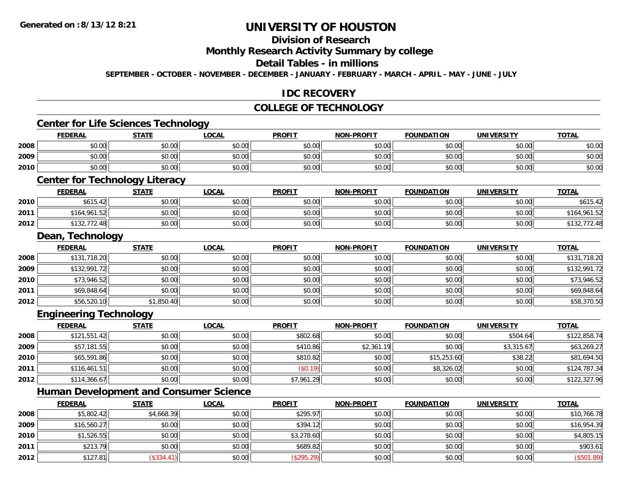## **Division of Research**

**Monthly Research Activity Summary by college**

#### **Detail Tables - in millions**

**SEPTEMBER - OCTOBER - NOVEMBER - DECEMBER - JANUARY - FEBRUARY - MARCH - APRIL - MAY - JUNE - JULY**

### **IDC RECOVERY**

#### **COLLEGE OF TECHNOLOGY**

## **Center for Life Sciences Technology**

|      | <b>FEDERAL</b> | <b>STATE</b> | LOCAL  | <b>PROFIT</b> | <b>NON-PROFIT</b> | <b>FOUNDATION</b> | <b>UNIVERSITY</b> | <b>TOTAL</b> |
|------|----------------|--------------|--------|---------------|-------------------|-------------------|-------------------|--------------|
| 2008 | \$0.00         | \$0.00       | \$0.00 | \$0.00        | \$0.00            | \$0.00            | \$0.00            | \$0.00       |
| 2009 | \$0.00         | \$0.00       | \$0.00 | \$0.00        | \$0.00            | \$0.00            | \$0.00            | \$0.00       |
| 2010 | \$0.00         | \$0.00       | \$0.00 | \$0.00        | \$0.00            | \$0.00            | \$0.00            | \$0.00       |
|      |                |              |        |               |                   |                   |                   |              |

### **Center for Technology Literacy**

|      | <b>FEDERAL</b>     | <b>STATE</b>                                | <b>LOCAL</b>             | <b>PROFIT</b> | <b>M-PROFIT</b><br><b>NIONI</b> | <b>FOUNDATION</b> | UNIVERSITY | <b>TOTAL</b>      |
|------|--------------------|---------------------------------------------|--------------------------|---------------|---------------------------------|-------------------|------------|-------------------|
| 2010 | A / 4F<br>\$615.42 | $\mathfrak{c}\cap\mathfrak{c}\cap$<br>JU.UU | $\circ$ $\circ$<br>JU.UU | \$0.00        | \$0.0C                          | \$0.00            | \$0.00     | \$615.42          |
| 2011 | \$164.961.52       | 40.00<br>PU.UU                              | \$0.00                   | \$0.00        | \$0.00                          | \$0.00            | \$0.00     | ,961.52<br>\$164. |
| 2012 | $- - -$<br>\$132.  | 40.00<br>DU.UU                              | \$0.00                   | \$0.00        | \$0.00                          | \$0.00            | \$0.00     | 2.48 ،            |

#### **Dean, Technology**

|      | <b>FEDERAL</b> | <u>STATE</u> | <u>LOCAL</u> | <b>PROFIT</b> | <b>NON-PROFIT</b> | <b>FOUNDATION</b> | <b>UNIVERSITY</b> | <b>TOTAL</b> |
|------|----------------|--------------|--------------|---------------|-------------------|-------------------|-------------------|--------------|
| 2008 | \$131,718.20   | \$0.00       | \$0.00       | \$0.00        | \$0.00            | \$0.00            | \$0.00            | \$131,718.20 |
| 2009 | \$132,991.72   | \$0.00       | \$0.00       | \$0.00        | \$0.00            | \$0.00            | \$0.00            | \$132,991.72 |
| 2010 | \$73,946.52    | \$0.00       | \$0.00       | \$0.00        | \$0.00            | \$0.00            | \$0.00            | \$73,946.52  |
| 2011 | \$69,848.64    | \$0.00       | \$0.00       | \$0.00        | \$0.00            | \$0.00            | \$0.00            | \$69,848.64  |
| 2012 | \$56,520.10    | \$1,850.40   | \$0.00       | \$0.00        | \$0.00            | \$0.00            | \$0.00            | \$58,370.50  |

#### **Engineering Technology**

|      | <b>FEDERAL</b> | <u>STATE</u> | <u>LOCAL</u> | <b>PROFIT</b> | <b>NON-PROFIT</b> | <b>FOUNDATION</b> | <b>UNIVERSITY</b> | <b>TOTAL</b> |
|------|----------------|--------------|--------------|---------------|-------------------|-------------------|-------------------|--------------|
| 2008 | \$121,551.42   | \$0.00       | \$0.00       | \$802.68      | \$0.00            | \$0.00            | \$504.64          | \$122,858.74 |
| 2009 | \$57,181.55    | \$0.00       | \$0.00       | \$410.86      | \$2,361.19        | \$0.00            | \$3,315.67        | \$63,269.27  |
| 2010 | \$65,591.86    | \$0.00       | \$0.00       | \$810.82      | \$0.00            | \$15,253.60       | \$38.22           | \$81,694.50  |
| 2011 | \$116,461.51   | \$0.00       | \$0.00       | (S0.19)       | \$0.00            | \$8,326.02        | \$0.00            | \$124,787.34 |
| 2012 | \$114,366.67   | \$0.00       | \$0.00       | \$7,961.29    | \$0.00            | \$0.00            | \$0.00            | \$122,327.96 |

### **Human Development and Consumer Science**

|      | <u>FEDERAL</u> | <u>STATE</u> | <u>LOCAL</u> | <b>PROFIT</b> | <b>NON-PROFIT</b> | <b>FOUNDATION</b> | <b>UNIVERSITY</b> | <b>TOTAL</b> |
|------|----------------|--------------|--------------|---------------|-------------------|-------------------|-------------------|--------------|
| 2008 | \$5,802.42     | \$4,668.39   | \$0.00       | \$295.97      | \$0.00            | \$0.00            | \$0.00            | \$10,766.78  |
| 2009 | \$16,560.27    | \$0.00       | \$0.00       | \$394.12      | \$0.00            | \$0.00            | \$0.00            | \$16,954.39  |
| 2010 | \$1,526.55     | \$0.00       | \$0.00       | \$3,278.60    | \$0.00            | \$0.00            | \$0.00            | \$4,805.15   |
| 2011 | \$213.79       | \$0.00       | \$0.00       | \$689.82      | \$0.00            | \$0.00            | \$0.00            | \$903.61     |
| 2012 | \$127.81       | (\$334.41)   | \$0.00       | (\$295.29)    | \$0.00            | \$0.00            | \$0.00            | (\$501.89)   |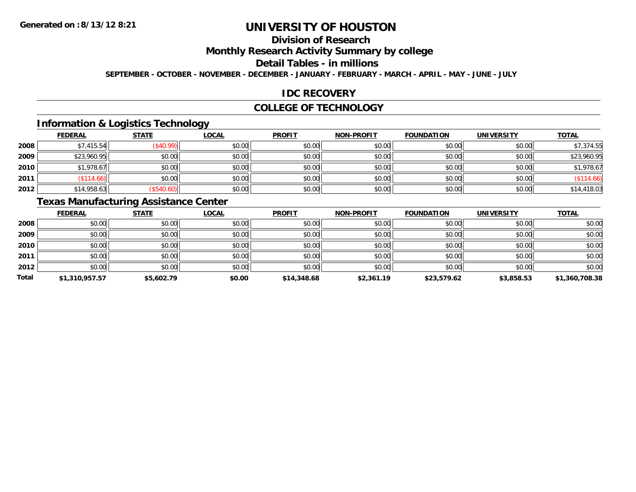## **Division of Research**

**Monthly Research Activity Summary by college**

**Detail Tables - in millions**

**SEPTEMBER - OCTOBER - NOVEMBER - DECEMBER - JANUARY - FEBRUARY - MARCH - APRIL - MAY - JUNE - JULY**

### **IDC RECOVERY**

#### **COLLEGE OF TECHNOLOGY**

### **Information & Logistics Technology**

|      | <b>FEDERAL</b> | <b>STATE</b> | <u>LOCAL</u> | <b>PROFIT</b> | <b>NON-PROFIT</b> | <b>FOUNDATION</b> | <b>UNIVERSITY</b> | <b>TOTAL</b> |
|------|----------------|--------------|--------------|---------------|-------------------|-------------------|-------------------|--------------|
| 2008 | \$7,415.54     | \$40.99      | \$0.00       | \$0.00        | \$0.00            | \$0.00            | \$0.00            | \$7,374.55   |
| 2009 | \$23,960.95    | \$0.00       | \$0.00       | \$0.00        | \$0.00            | \$0.00            | \$0.00            | \$23,960.95  |
| 2010 | \$1,978.67     | \$0.00       | \$0.00       | \$0.00        | \$0.00            | \$0.00            | \$0.00            | \$1,978.67   |
| 2011 | \$114.66       | \$0.00       | \$0.00       | \$0.00        | \$0.00            | \$0.00            | \$0.00            | $(\$114.66)$ |
| 2012 | \$14,958.63    | \$540.60     | \$0.00       | \$0.00        | \$0.00            | \$0.00            | \$0.00            | \$14,418.03  |

## **Texas Manufacturing Assistance Center**

|              | <b>FEDERAL</b> | <b>STATE</b> | <b>LOCAL</b> | <b>PROFIT</b> | <b>NON-PROFIT</b> | <b>FOUNDATION</b> | <b>UNIVERSITY</b> | <b>TOTAL</b>   |
|--------------|----------------|--------------|--------------|---------------|-------------------|-------------------|-------------------|----------------|
| 2008         | \$0.00         | \$0.00       | \$0.00       | \$0.00        | \$0.00            | \$0.00            | \$0.00            | \$0.00         |
| 2009         | \$0.00         | \$0.00       | \$0.00       | \$0.00        | \$0.00            | \$0.00            | \$0.00            | \$0.00         |
| 2010         | \$0.00         | \$0.00       | \$0.00       | \$0.00        | \$0.00            | \$0.00            | \$0.00            | \$0.00         |
| 2011         | \$0.00         | \$0.00       | \$0.00       | \$0.00        | \$0.00            | \$0.00            | \$0.00            | \$0.00         |
| 2012         | \$0.00         | \$0.00       | \$0.00       | \$0.00        | \$0.00            | \$0.00            | \$0.00            | \$0.00         |
| <b>Total</b> | \$1,310,957.57 | \$5,602.79   | \$0.00       | \$14,348.68   | \$2,361.19        | \$23,579.62       | \$3,858.53        | \$1,360,708.38 |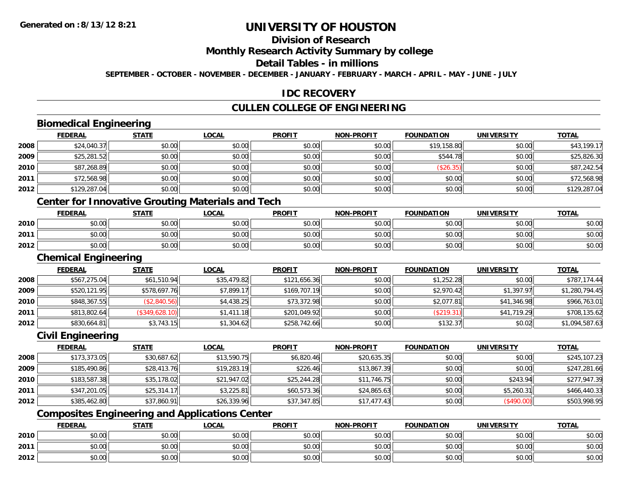## **Division of Research**

**Monthly Research Activity Summary by college**

#### **Detail Tables - in millions**

**SEPTEMBER - OCTOBER - NOVEMBER - DECEMBER - JANUARY - FEBRUARY - MARCH - APRIL - MAY - JUNE - JULY**

### **IDC RECOVERY**

### **CULLEN COLLEGE OF ENGINEERING**

### **Biomedical Engineering**

|      | <b>FEDERAL</b> | <b>STATE</b> | <b>LOCAL</b> | <b>PROFIT</b> | <b>NON-PROFIT</b> | <b>FOUNDATION</b> | <b>UNIVERSITY</b> | <b>TOTAL</b> |
|------|----------------|--------------|--------------|---------------|-------------------|-------------------|-------------------|--------------|
| 2008 | \$24,040.37    | \$0.00       | \$0.00       | \$0.00        | \$0.00            | \$19,158.80       | \$0.00            | \$43,199.17  |
| 2009 | \$25,281.52    | \$0.00       | \$0.00       | \$0.00        | \$0.00            | \$544.78          | \$0.00            | \$25,826.30  |
| 2010 | \$87,268.89    | \$0.00       | \$0.00       | \$0.00        | \$0.00            | (\$26.35)         | \$0.00            | \$87,242.54  |
| 2011 | \$72,568.98    | \$0.00       | \$0.00       | \$0.00        | \$0.00            | \$0.00            | \$0.00            | \$72,568.98  |
| 2012 | \$129,287.04   | \$0.00       | \$0.00       | \$0.00        | \$0.00            | \$0.00            | \$0.00            | \$129,287.04 |
|      |                |              |              |               |                   |                   |                   |              |

#### **Center for Innovative Grouting Materials and Tech**

|      | <b>FEDERAL</b> | <b>STATE</b> | <b>LOCAL</b>                                            | <b>PROFIT</b> | <b>NON-PROFIT</b> | <b>FOUNDATION</b> | UNIVERSITY | <b>TOTAL</b> |
|------|----------------|--------------|---------------------------------------------------------|---------------|-------------------|-------------------|------------|--------------|
| 2010 | \$0.00         | \$0.00       | 0000<br>DU.UU                                           | \$0.00        | 40.00<br>JU.UU    | ≮∩ ∩∩<br>JU.UU    | \$0.00     | \$0.00       |
| 2011 | \$0.00         | \$0.00       | $\mathfrak{c}\cap\mathfrak{c}\cap\mathfrak{c}$<br>DU.UU | \$0.00        | 40.00<br>⊅∪.∪U    | \$0.00            | \$0.00     | \$0.00       |
| 2012 | \$0.00         | \$0.00       | \$0.00                                                  | \$0.00        | \$0.00            | \$0.00            | \$0.00     | \$0.00       |

#### **Chemical Engineering**

|      | <b>Chemical Engineering</b> |                |              |               |                   |                   |                   |                |  |  |
|------|-----------------------------|----------------|--------------|---------------|-------------------|-------------------|-------------------|----------------|--|--|
|      | <b>FEDERAL</b>              | <b>STATE</b>   | <b>LOCAL</b> | <b>PROFIT</b> | <b>NON-PROFIT</b> | <b>FOUNDATION</b> | <b>UNIVERSITY</b> | <b>TOTAL</b>   |  |  |
| 2008 | \$567,275.04                | \$61,510.94    | \$35,479.82  | \$121,656.36  | \$0.00            | \$1,252.28        | \$0.00            | \$787,174.44   |  |  |
| 2009 | \$520,121.95                | \$578,697.76   | \$7,899.17   | \$169,707.19  | \$0.00            | \$2,970.42        | \$1,397.97        | \$1,280,794.45 |  |  |
| 2010 | \$848,367.55                | (\$2,840.56)   | \$4,438.25   | \$73,372.98   | \$0.00            | \$2,077.81        | \$41,346.98       | \$966,763.01   |  |  |
| 2011 | \$813,802.64                | (\$349,628.10) | \$1,411.18   | \$201,049.92  | \$0.00            | (\$219.31)        | \$41,719.29       | \$708,135.62   |  |  |
| 2012 | \$830,664.81                | \$3,743.15     | \$1,304.62   | \$258,742.66  | \$0.00            | \$132.37          | \$0.02            | \$1,094,587.63 |  |  |

#### **Civil Engineering**

|      | <b>FEDERAL</b> | <u>STATE</u> | <b>LOCAL</b> | <b>PROFIT</b> | <b>NON-PROFIT</b> | <b>FOUNDATION</b> | UNIVERSITY | <b>TOTAL</b> |
|------|----------------|--------------|--------------|---------------|-------------------|-------------------|------------|--------------|
| 2008 | \$173,373.05   | \$30,687.62  | \$13,590.75  | \$6,820.46    | \$20,635.35       | \$0.00            | \$0.00     | \$245,107.23 |
| 2009 | \$185,490.86   | \$28,413.76  | \$19,283.19  | \$226.46      | \$13,867.39       | \$0.00            | \$0.00     | \$247,281.66 |
| 2010 | \$183,587.38   | \$35,178.02  | \$21,947.02  | \$25,244.28   | \$11,746.75       | \$0.00            | \$243.94   | \$277,947.39 |
| 2011 | \$347,201.05   | \$25,314.17  | \$3,225.81   | \$60,573.36   | \$24,865.63       | \$0.00            | \$5,260.31 | \$466,440.33 |
| 2012 | \$385,462.80   | \$37,860.91  | \$26,339.96  | \$37,347.85   | \$17,477.43       | \$0.00            | (\$490.00) | \$503,998.95 |

### **Composites Engineering and Applications Center**

|      | <b>FEDERAL</b>               | <b>STATE</b> | _OCAL          | <b>PROFIT</b> | <b>NON-PROFIT</b> | <b>FOUNDATION</b> | <b>UNIVERSITY</b> | <b>TOTAL</b> |
|------|------------------------------|--------------|----------------|---------------|-------------------|-------------------|-------------------|--------------|
| 2010 | $\sim$<br>טע.טע              | \$0.00       | ስስ ስስ<br>JU.UU | \$0.00        | \$0.00            | \$0.00            | \$0.00            | \$0.00       |
| 2011 | <b>↑∩</b><br>$\sim$<br>וטטוע | \$0.00       | ስስ ስስ<br>DU.UU | \$0.00        | \$0.00            | \$0.00            | \$0.00            | \$0.00       |
| 2012 | <b>↑^</b><br>$\sim$<br>וטטוע | \$0.00       | \$0.00         | \$0.00        | \$0.00            | \$0.00            | \$0.00            | \$0.00       |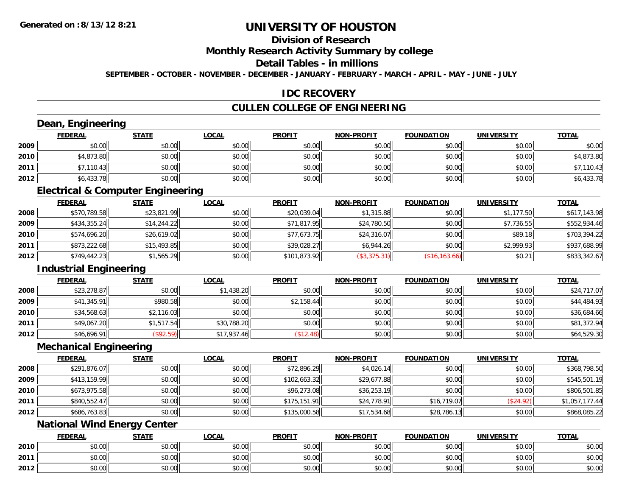## **Division of Research**

**Monthly Research Activity Summary by college**

#### **Detail Tables - in millions**

**SEPTEMBER - OCTOBER - NOVEMBER - DECEMBER - JANUARY - FEBRUARY - MARCH - APRIL - MAY - JUNE - JULY**

### **IDC RECOVERY**

### **CULLEN COLLEGE OF ENGINEERING**

# **Dean, Engineering**

|      | <b>FEDERAL</b> | <b>STATE</b> | <u>LOCAL</u> | <b>PROFIT</b> | <b>NON-PROFIT</b> | <b>FOUNDATION</b> | <b>UNIVERSITY</b> | <b>TOTAL</b> |
|------|----------------|--------------|--------------|---------------|-------------------|-------------------|-------------------|--------------|
| 2009 | \$0.00         | \$0.00       | \$0.00       | \$0.00        | \$0.00            | \$0.00            | \$0.00            | \$0.00       |
| 2010 | \$4,873.80     | \$0.00       | \$0.00       | \$0.00        | \$0.00            | \$0.00            | \$0.00            | \$4,873.80   |
| 2011 | \$7,110.43     | \$0.00       | \$0.00       | \$0.00        | \$0.00            | \$0.00            | \$0.00            | ,110.43      |
| 2012 | \$6,433.78     | \$0.00       | \$0.00       | \$0.00        | \$0.00            | \$0.00            | \$0.00            | \$6,433.78   |

<u> 1980 - Johann Stoff, deutscher Stoff, deutscher Stoff, der Stoff, der Stoff, der Stoff, der Stoff, der Stoff</u>

#### **Electrical & Computer Engineering**

|      | <b>FEDERAL</b> | <u>STATE</u> | <b>LOCAL</b> | <b>PROFIT</b> | <b>NON-PROFIT</b> | <b>FOUNDATION</b> | <b>UNIVERSITY</b> | <b>TOTAL</b> |
|------|----------------|--------------|--------------|---------------|-------------------|-------------------|-------------------|--------------|
| 2008 | \$570,789.58   | \$23,821.99  | \$0.00       | \$20,039.04   | \$1,315.88        | \$0.00            | \$1,177.50        | \$617,143.98 |
| 2009 | \$434,355.24   | \$14,244.22  | \$0.00       | \$71,817.95   | \$24,780.50       | \$0.00            | \$7,736.55        | \$552,934.46 |
| 2010 | \$574,696.20   | \$26,619.02  | \$0.00       | \$77,673.75   | \$24,316.07       | \$0.00            | \$89.18           | \$703,394.22 |
| 2011 | \$873,222.68   | \$15,493.85  | \$0.00       | \$39,028.27   | \$6,944.26        | \$0.00            | \$2.999.93        | \$937,688.99 |
| 2012 | \$749,442.23   | \$1,565.29   | \$0.00       | \$101,873.92  | (\$3,375.31)      | (\$16,163.66)     | \$0.21            | \$833,342.67 |

### **Industrial Engineering**

|      | <b>FEDERAL</b> | <b>STATE</b> | <b>LOCAL</b> | <b>PROFIT</b> | <b>NON-PROFIT</b> | <b>FOUNDATION</b> | <b>UNIVERSITY</b> | <b>TOTAL</b> |
|------|----------------|--------------|--------------|---------------|-------------------|-------------------|-------------------|--------------|
| 2008 | \$23,278.87    | \$0.00       | \$1,438.20   | \$0.00        | \$0.00            | \$0.00            | \$0.00            | \$24,717.07  |
| 2009 | \$41,345.91    | \$980.58     | \$0.00       | \$2,158.44    | \$0.00            | \$0.00            | \$0.00            | \$44,484.93  |
| 2010 | \$34,568.63    | \$2,116.03   | \$0.00       | \$0.00        | \$0.00            | \$0.00            | \$0.00            | \$36,684.66  |
| 2011 | \$49,067.20    | \$1,517.54   | \$30,788.20  | \$0.00        | \$0.00            | \$0.00            | \$0.00            | \$81,372.94  |
| 2012 | \$46,696.91    | (\$92.59)    | \$17,937.46  | \$12.48]      | \$0.00            | \$0.00            | \$0.00            | \$64,529.30  |

#### **Mechanical Engineering**

|      | <b>FEDERAL</b> | <b>STATE</b> | <u>LOCAL</u> | <b>PROFIT</b> | <b>NON-PROFIT</b> | <b>FOUNDATION</b> | <b>UNIVERSITY</b> | <b>TOTAL</b>   |
|------|----------------|--------------|--------------|---------------|-------------------|-------------------|-------------------|----------------|
| 2008 | \$291,876.07   | \$0.00       | \$0.00       | \$72,896.29   | \$4,026.14        | \$0.00            | \$0.00            | \$368,798.50   |
| 2009 | \$413,159.99   | \$0.00       | \$0.00       | \$102,663.32  | \$29,677.88       | \$0.00            | \$0.00            | \$545,501.19   |
| 2010 | \$673,975.58   | \$0.00       | \$0.00       | \$96,273.08   | \$36,253.19       | \$0.00            | \$0.00            | \$806,501.85   |
| 2011 | \$840,552.47   | \$0.00       | \$0.00       | \$175,151.91  | \$24,778.91       | \$16,719.07       | (\$24.92)         | \$1,057,177.44 |
| 2012 | \$686,763.83   | \$0.00       | \$0.00       | \$135,000.58  | \$17,534.68       | \$28,786.13       | \$0.00            | \$868,085.22   |

### **National Wind Energy Center**

|      | <b>FEDERAL</b>     | <b>STATE</b> | <u>LOCAL</u> | <b>PROFIT</b> | <b>I-PROFIT</b><br>NON- | <b>FOUNDATION</b> | <b>UNIVERSITY</b> | <b>TOTAL</b> |
|------|--------------------|--------------|--------------|---------------|-------------------------|-------------------|-------------------|--------------|
| 2010 | <b>00</b><br>JU.UU | \$0.00       | \$0.00       | \$0.00        | \$0.00                  | \$0.00            | \$0.00            | \$0.00       |
| 2011 | ሶስ ሰሰ<br>PU.UU     | \$0.00       | \$0.00       | \$0.00        | \$0.00                  | \$0.00            | \$0.00            | \$0.00       |
| 2012 | 0000<br>JU.UU      | \$0.00       | \$0.00       | \$0.00        | \$0.00                  | \$0.00            | \$0.00            | \$0.00       |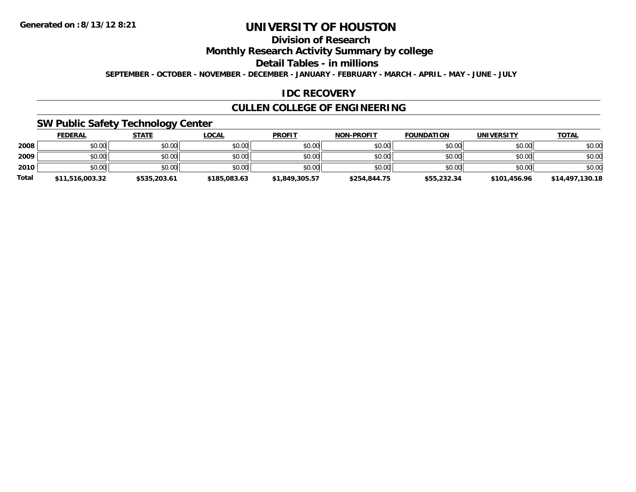## **Division of Research**

**Monthly Research Activity Summary by college**

**Detail Tables - in millions**

**SEPTEMBER - OCTOBER - NOVEMBER - DECEMBER - JANUARY - FEBRUARY - MARCH - APRIL - MAY - JUNE - JULY**

### **IDC RECOVERY**

### **CULLEN COLLEGE OF ENGINEERING**

### **SW Public Safety Technology Center**

|              | <b>FEDERAL</b>  | <b>STATE</b> | <u>LOCAL</u> | <b>PROFIT</b>  | <b>NON-PROFIT</b> | <b>FOUNDATION</b> | <b>UNIVERSITY</b> | <b>TOTAL</b>    |
|--------------|-----------------|--------------|--------------|----------------|-------------------|-------------------|-------------------|-----------------|
| 2008         | \$0.00          | \$0.00       | \$0.00       | \$0.00         | \$0.00            | \$0.00            | \$0.00            | \$0.00          |
| 2009         | \$0.00          | \$0.00       | \$0.00       | \$0.00         | \$0.00            | \$0.00            | \$0.00            | \$0.00          |
| 2010         | \$0.00          | \$0.00       | \$0.00       | \$0.00         | \$0.00            | \$0.00            | \$0.00            | \$0.00          |
| <b>Total</b> | \$11,516,003.32 | \$535,203.61 | \$185,083.63 | \$1,849,305.57 | \$254,844.75      | \$55,232.34       | \$101.456.96      | \$14,497,130.18 |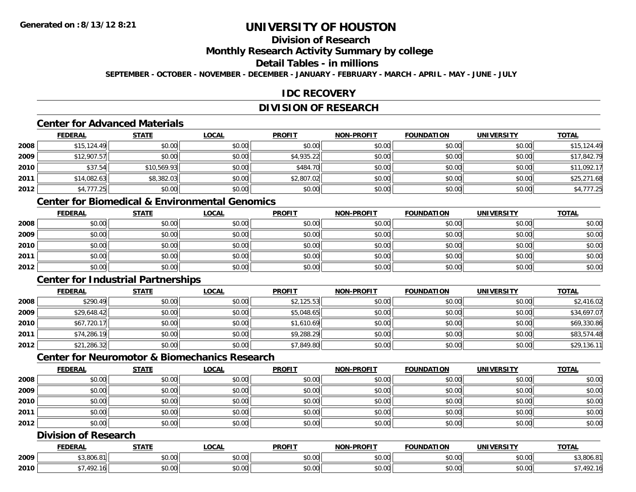## **Division of Research**

**Monthly Research Activity Summary by college**

#### **Detail Tables - in millions**

**SEPTEMBER - OCTOBER - NOVEMBER - DECEMBER - JANUARY - FEBRUARY - MARCH - APRIL - MAY - JUNE - JULY**

### **IDC RECOVERY**

### **DIVISION OF RESEARCH**

### **Center for Advanced Materials**

|      | <b>FEDERAL</b> | <b>STATE</b> | <b>LOCAL</b> | <b>PROFIT</b> | <b>NON-PROFIT</b> | <b>FOUNDATION</b> | <b>UNIVERSITY</b> | <b>TOTAL</b> |
|------|----------------|--------------|--------------|---------------|-------------------|-------------------|-------------------|--------------|
| 2008 | \$15, 124.49   | \$0.00       | \$0.00       | \$0.00        | \$0.00            | \$0.00            | \$0.00            | \$15,124.49  |
| 2009 | \$12,907.57    | \$0.00       | \$0.00       | \$4,935.22    | \$0.00            | \$0.00            | \$0.00            | \$17,842.79  |
| 2010 | \$37.54        | \$10,569.93  | \$0.00       | \$484.70      | \$0.00            | \$0.00            | \$0.00            | \$11,092.17  |
| 2011 | \$14,082.63    | \$8,382.03   | \$0.00       | \$2,807.02    | \$0.00            | \$0.00            | \$0.00            | \$25,271.68  |
| 2012 | \$4,777.25     | \$0.00       | \$0.00       | \$0.00        | \$0.00            | \$0.00            | \$0.00            | \$4,777.25   |

### **Center for Biomedical & Environmental Genomics**

|      | <u>FEDERAL</u> | <u>STATE</u> | <u>LOCAL</u> | <b>PROFIT</b> | <b>NON-PROFIT</b> | <b>FOUNDATION</b> | <b>UNIVERSITY</b> | <b>TOTAL</b> |
|------|----------------|--------------|--------------|---------------|-------------------|-------------------|-------------------|--------------|
| 2008 | \$0.00         | \$0.00       | \$0.00       | \$0.00        | \$0.00            | \$0.00            | \$0.00            | \$0.00       |
| 2009 | \$0.00         | \$0.00       | \$0.00       | \$0.00        | \$0.00            | \$0.00            | \$0.00            | \$0.00       |
| 2010 | \$0.00         | \$0.00       | \$0.00       | \$0.00        | \$0.00            | \$0.00            | \$0.00            | \$0.00       |
| 2011 | \$0.00         | \$0.00       | \$0.00       | \$0.00        | \$0.00            | \$0.00            | \$0.00            | \$0.00       |
| 2012 | \$0.00         | \$0.00       | \$0.00       | \$0.00        | \$0.00            | \$0.00            | \$0.00            | \$0.00       |

## **Center for Industrial Partnerships**

|      | <u>FEDERAL</u> | <b>STATE</b> | <b>LOCAL</b> | <b>PROFIT</b> | <b>NON-PROFIT</b> | <b>FOUNDATION</b> | <b>UNIVERSITY</b> | <b>TOTAL</b> |
|------|----------------|--------------|--------------|---------------|-------------------|-------------------|-------------------|--------------|
| 2008 | \$290.49       | \$0.00       | \$0.00       | \$2,125.53    | \$0.00            | \$0.00            | \$0.00            | \$2,416.02   |
| 2009 | \$29,648.42    | \$0.00       | \$0.00       | \$5,048.65    | \$0.00            | \$0.00            | \$0.00            | \$34,697.07  |
| 2010 | \$67,720.17    | \$0.00       | \$0.00       | \$1,610.69    | \$0.00            | \$0.00            | \$0.00            | \$69,330.86  |
| 2011 | \$74,286.19    | \$0.00       | \$0.00       | \$9,288.29    | \$0.00            | \$0.00            | \$0.00            | \$83,574.48  |
| 2012 | \$21,286.32    | \$0.00       | \$0.00       | \$7,849.80    | \$0.00            | \$0.00            | \$0.00            | \$29,136.11  |

### **Center for Neuromotor & Biomechanics Research**

|      | <b>FEDERAL</b> | <b>STATE</b> | <b>LOCAL</b> | <b>PROFIT</b> | <b>NON-PROFIT</b> | <b>FOUNDATION</b> | <b>UNIVERSITY</b> | <b>TOTAL</b> |
|------|----------------|--------------|--------------|---------------|-------------------|-------------------|-------------------|--------------|
| 2008 | \$0.00         | \$0.00       | \$0.00       | \$0.00        | \$0.00            | \$0.00            | \$0.00            | \$0.00       |
| 2009 | \$0.00         | \$0.00       | \$0.00       | \$0.00        | \$0.00            | \$0.00            | \$0.00            | \$0.00       |
| 2010 | \$0.00         | \$0.00       | \$0.00       | \$0.00        | \$0.00            | \$0.00            | \$0.00            | \$0.00       |
| 2011 | \$0.00         | \$0.00       | \$0.00       | \$0.00        | \$0.00            | \$0.00            | \$0.00            | \$0.00       |
| 2012 | \$0.00         | \$0.00       | \$0.00       | \$0.00        | \$0.00            | \$0.00            | \$0.00            | \$0.00       |

### **Division of Research**

|      | ∠DERAI             | <b>STATI</b>       | .OCAI              | <b>PROFIT</b> | <b>LPROFIT</b><br><b>NON</b> | $\sim$<br>$\sim$ INDA                                                                                                                                                                                                                                                                                                                                                                                                                                                | <b>INIVE</b><br>ne: | TOTAL       |
|------|--------------------|--------------------|--------------------|---------------|------------------------------|----------------------------------------------------------------------------------------------------------------------------------------------------------------------------------------------------------------------------------------------------------------------------------------------------------------------------------------------------------------------------------------------------------------------------------------------------------------------|---------------------|-------------|
| 2009 | $+2.001$           | <b>↑∩</b><br>₽∪.∪∪ | $\sim$ 00<br>DU.UU | 0000<br>DU.UU | \$0.00                       | $\mathsf{A}\cap\mathsf{A}\cap\mathsf{A}\cap\mathsf{A}\cap\mathsf{A}\cap\mathsf{A}\cap\mathsf{A}\cap\mathsf{A}\cap\mathsf{A}\cap\mathsf{A}\cap\mathsf{A}\cap\mathsf{A}\cap\mathsf{A}\cap\mathsf{A}\cap\mathsf{A}\cap\mathsf{A}\cap\mathsf{A}\cap\mathsf{A}\cap\mathsf{A}\cap\mathsf{A}\cap\mathsf{A}\cap\mathsf{A}\cap\mathsf{A}\cap\mathsf{A}\cap\mathsf{A}\cap\mathsf{A}\cap\mathsf{A}\cap\mathsf{A}\cap\mathsf{A}\cap\mathsf{A}\cap\mathsf{A}\cap\mathsf$<br>vv.vv | $\sim$ 00<br>vu.vu  | 3,806.8     |
| 2010 | $\sqrt{2}$<br>71 U | $\triangle$<br>ט.ט | ሶስ ሰሰ<br>DU.UG     | 0.00<br>DU.UG | \$0.00                       | 0000<br>vv.vv                                                                                                                                                                                                                                                                                                                                                                                                                                                        | امہ مہ<br>vu.vu     | $.19^\circ$ |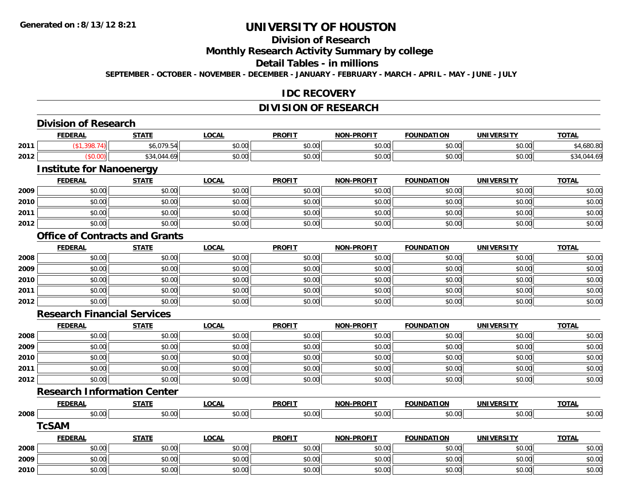## **Division of Research**

**Monthly Research Activity Summary by college**

**Detail Tables - in millions**

**SEPTEMBER - OCTOBER - NOVEMBER - DECEMBER - JANUARY - FEBRUARY - MARCH - APRIL - MAY - JUNE - JULY**

#### **IDC RECOVERY**

# **DIVISION OF RESEARCH**

|      | <b>Division of Research</b>           |              |              |               |                   |                   |                   |              |
|------|---------------------------------------|--------------|--------------|---------------|-------------------|-------------------|-------------------|--------------|
|      | <b>FEDERAL</b>                        | <b>STATE</b> | <b>LOCAL</b> | <b>PROFIT</b> | <b>NON-PROFIT</b> | <b>FOUNDATION</b> | <b>UNIVERSITY</b> | <b>TOTAL</b> |
| 2011 | (\$1,398.74)                          | \$6,079.54   | \$0.00       | \$0.00        | \$0.00            | \$0.00            | \$0.00            | \$4,680.80   |
| 2012 | (\$0.00)                              | \$34,044.69  | \$0.00       | \$0.00        | \$0.00            | \$0.00            | \$0.00            | \$34,044.69  |
|      | <b>Institute for Nanoenergy</b>       |              |              |               |                   |                   |                   |              |
|      | <b>FEDERAL</b>                        | <b>STATE</b> | <b>LOCAL</b> | <b>PROFIT</b> | <b>NON-PROFIT</b> | <b>FOUNDATION</b> | <b>UNIVERSITY</b> | <b>TOTAL</b> |
| 2009 | \$0.00                                | \$0.00       | \$0.00       | \$0.00        | \$0.00            | \$0.00            | \$0.00            | \$0.00       |
| 2010 | \$0.00                                | \$0.00       | \$0.00       | \$0.00        | \$0.00            | \$0.00            | \$0.00            | \$0.00       |
| 2011 | \$0.00                                | \$0.00       | \$0.00       | \$0.00        | \$0.00            | \$0.00            | \$0.00            | \$0.00       |
| 2012 | \$0.00                                | \$0.00       | \$0.00       | \$0.00        | \$0.00            | \$0.00            | \$0.00            | \$0.00       |
|      | <b>Office of Contracts and Grants</b> |              |              |               |                   |                   |                   |              |
|      | <b>FEDERAL</b>                        | <b>STATE</b> | <b>LOCAL</b> | <b>PROFIT</b> | <b>NON-PROFIT</b> | <b>FOUNDATION</b> | <b>UNIVERSITY</b> | <b>TOTAL</b> |
| 2008 | \$0.00                                | \$0.00       | \$0.00       | \$0.00        | \$0.00            | \$0.00            | \$0.00            | \$0.00       |
| 2009 | \$0.00                                | \$0.00       | \$0.00       | \$0.00        | \$0.00            | \$0.00            | \$0.00            | \$0.00       |
| 2010 | \$0.00                                | \$0.00       | \$0.00       | \$0.00        | \$0.00            | \$0.00            | \$0.00            | \$0.00       |
| 2011 | \$0.00                                | \$0.00       | \$0.00       | \$0.00        | \$0.00            | \$0.00            | \$0.00            | \$0.00       |
| 2012 | \$0.00                                | \$0.00       | \$0.00       | \$0.00        | \$0.00            | \$0.00            | \$0.00            | \$0.00       |
|      | <b>Research Financial Services</b>    |              |              |               |                   |                   |                   |              |
|      | <b>FEDERAL</b>                        | <b>STATE</b> | <b>LOCAL</b> | <b>PROFIT</b> | <b>NON-PROFIT</b> | <b>FOUNDATION</b> | <b>UNIVERSITY</b> | <b>TOTAL</b> |
| 2008 | \$0.00                                | \$0.00       | \$0.00       | \$0.00        | \$0.00            | \$0.00            | \$0.00            | \$0.00       |
| 2009 | \$0.00                                | \$0.00       | \$0.00       | \$0.00        | \$0.00            | \$0.00            | \$0.00            | \$0.00       |
| 2010 | \$0.00                                | \$0.00       | \$0.00       | \$0.00        | \$0.00            | \$0.00            | \$0.00            | \$0.00       |
| 2011 | \$0.00                                | \$0.00       | \$0.00       | \$0.00        | \$0.00            | \$0.00            | \$0.00            | \$0.00       |
| 2012 | \$0.00                                | \$0.00       | \$0.00       | \$0.00        | \$0.00            | \$0.00            | \$0.00            | \$0.00       |
|      | <b>Research Information Center</b>    |              |              |               |                   |                   |                   |              |
|      | <b>FEDERAL</b>                        | <b>STATE</b> | <b>LOCAL</b> | <b>PROFIT</b> | <b>NON-PROFIT</b> | <b>FOUNDATION</b> | <b>UNIVERSITY</b> | <b>TOTAL</b> |
| 2008 | \$0.00                                | \$0.00       | \$0.00       | \$0.00        | \$0.00            | \$0.00            | \$0.00            | \$0.00       |
|      | <b>TcSAM</b>                          |              |              |               |                   |                   |                   |              |
|      | <b>FEDERAL</b>                        | <b>STATE</b> | <b>LOCAL</b> | <b>PROFIT</b> | <b>NON-PROFIT</b> | <b>FOUNDATION</b> | <b>UNIVERSITY</b> | <b>TOTAL</b> |
| 2008 | \$0.00                                | \$0.00       | \$0.00       | \$0.00        | \$0.00            | \$0.00            | \$0.00            | \$0.00       |
| 2009 | \$0.00                                | \$0.00       | \$0.00       | \$0.00        | \$0.00            | \$0.00            | \$0.00            | \$0.00       |
| 2010 | \$0.00                                | \$0.00       | \$0.00       | \$0.00        | \$0.00            | \$0.00            | \$0.00            | \$0.00       |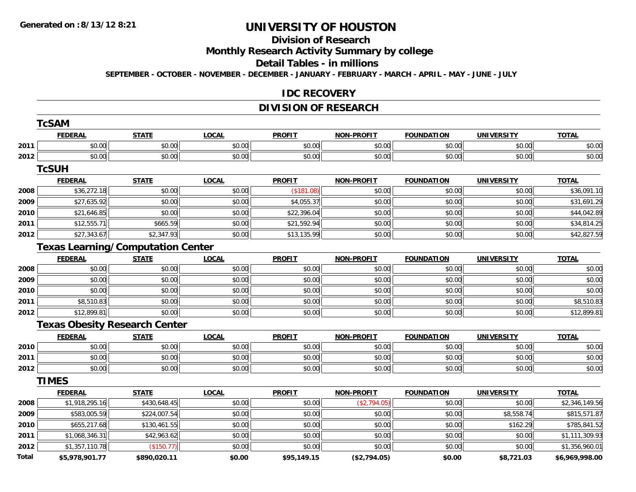## **Division of Research**

**Monthly Research Activity Summary by college**

**Detail Tables - in millions**

**SEPTEMBER - OCTOBER - NOVEMBER - DECEMBER - JANUARY - FEBRUARY - MARCH - APRIL - MAY - JUNE - JULY**

#### **IDC RECOVERY**

### **DIVISION OF RESEARCH**

|       | <b>TcSAM</b>   |                                          |              |               |                   |                   |                   |                |
|-------|----------------|------------------------------------------|--------------|---------------|-------------------|-------------------|-------------------|----------------|
|       | <b>FEDERAL</b> | <b>STATE</b>                             | <b>LOCAL</b> | <b>PROFIT</b> | <b>NON-PROFIT</b> | <b>FOUNDATION</b> | <b>UNIVERSITY</b> | <b>TOTAL</b>   |
| 2011  | \$0.00         | \$0.00                                   | \$0.00       | \$0.00        | \$0.00            | \$0.00            | \$0.00            | \$0.00         |
| 2012  | \$0.00         | \$0.00                                   | \$0.00       | \$0.00        | \$0.00            | \$0.00            | \$0.00            | \$0.00         |
|       | <b>TcSUH</b>   |                                          |              |               |                   |                   |                   |                |
|       | <b>FEDERAL</b> | <b>STATE</b>                             | <b>LOCAL</b> | <b>PROFIT</b> | <b>NON-PROFIT</b> | <b>FOUNDATION</b> | <b>UNIVERSITY</b> | <b>TOTAL</b>   |
| 2008  | \$36,272.18    | \$0.00                                   | \$0.00       | (\$181.08)    | \$0.00            | \$0.00            | \$0.00            | \$36,091.10    |
| 2009  | \$27,635.92    | \$0.00                                   | \$0.00       | \$4,055.37    | \$0.00            | \$0.00            | \$0.00            | \$31,691.29    |
| 2010  | \$21,646.85    | \$0.00                                   | \$0.00       | \$22,396.04   | \$0.00            | \$0.00            | \$0.00            | \$44,042.89    |
| 2011  | \$12,555.71    | \$665.59                                 | \$0.00       | \$21,592.94   | \$0.00            | \$0.00            | \$0.00            | \$34,814.25    |
| 2012  | \$27,343.67    | \$2,347.93                               | \$0.00       | \$13,135.99   | \$0.00            | \$0.00            | \$0.00            | \$42,827.59    |
|       |                | <b>Texas Learning/Computation Center</b> |              |               |                   |                   |                   |                |
|       | <b>FEDERAL</b> | <b>STATE</b>                             | <b>LOCAL</b> | <b>PROFIT</b> | <b>NON-PROFIT</b> | <b>FOUNDATION</b> | <b>UNIVERSITY</b> | <b>TOTAL</b>   |
| 2008  | \$0.00         | \$0.00                                   | \$0.00       | \$0.00        | \$0.00            | \$0.00            | \$0.00            | \$0.00         |
| 2009  | \$0.00         | \$0.00                                   | \$0.00       | \$0.00        | \$0.00            | \$0.00            | \$0.00            | \$0.00         |
| 2010  | \$0.00         | \$0.00                                   | \$0.00       | \$0.00        | \$0.00            | \$0.00            | \$0.00            | \$0.00         |
| 2011  | \$8,510.83     | \$0.00                                   | \$0.00       | \$0.00        | \$0.00            | \$0.00            | \$0.00            | \$8,510.83     |
| 2012  | \$12,899.81    | \$0.00                                   | \$0.00       | \$0.00        | \$0.00            | \$0.00            | \$0.00            | \$12,899.81    |
|       |                | <b>Texas Obesity Research Center</b>     |              |               |                   |                   |                   |                |
|       | <b>FEDERAL</b> | <b>STATE</b>                             | <b>LOCAL</b> | <b>PROFIT</b> | <b>NON-PROFIT</b> | <b>FOUNDATION</b> | <b>UNIVERSITY</b> | <b>TOTAL</b>   |
| 2010  | \$0.00         | \$0.00                                   | \$0.00       | \$0.00        | \$0.00            | \$0.00            | \$0.00            | \$0.00         |
| 2011  | \$0.00         | \$0.00                                   | \$0.00       | \$0.00        | \$0.00            | \$0.00            | \$0.00            | \$0.00         |
| 2012  | \$0.00         | \$0.00                                   | \$0.00       | \$0.00        | \$0.00            | \$0.00            | \$0.00            | \$0.00         |
|       | <b>TIMES</b>   |                                          |              |               |                   |                   |                   |                |
|       | <b>FEDERAL</b> | <b>STATE</b>                             | <b>LOCAL</b> | <b>PROFIT</b> | <b>NON-PROFIT</b> | <b>FOUNDATION</b> | <b>UNIVERSITY</b> | <b>TOTAL</b>   |
| 2008  | \$1,918,295.16 | \$430,648.45                             | \$0.00       | \$0.00        | (\$2,794.05)      | \$0.00            | \$0.00            | \$2,346,149.56 |
| 2009  | \$583,005.59   | \$224,007.54                             | \$0.00       | \$0.00        | \$0.00            | \$0.00            | \$8,558.74        | \$815,571.87   |
| 2010  | \$655,217.68   | \$130,461.55                             | \$0.00       | \$0.00        | \$0.00            | \$0.00            | \$162.29          | \$785,841.52   |
| 2011  | \$1,068,346.31 | \$42,963.62                              | \$0.00       | \$0.00        | \$0.00            | \$0.00            | \$0.00            | \$1,111,309.93 |
| 2012  | \$1,357,110.78 | (\$150.77)                               | \$0.00       | \$0.00        | \$0.00            | \$0.00            | \$0.00            | \$1,356,960.01 |
| Total | \$5,978,901.77 | \$890,020.11                             | \$0.00       | \$95,149.15   | (\$2,794.05)      | \$0.00            | \$8,721.03        | \$6,969,998.00 |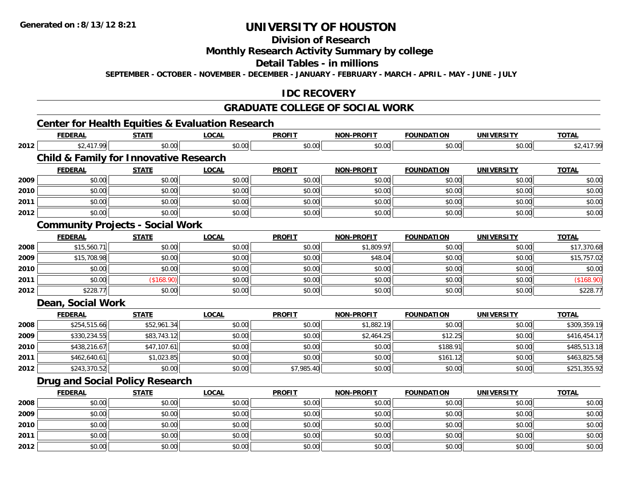## **Division of Research**

### **Monthly Research Activity Summary by college**

#### **Detail Tables - in millions**

**SEPTEMBER - OCTOBER - NOVEMBER - DECEMBER - JANUARY - FEBRUARY - MARCH - APRIL - MAY - JUNE - JULY**

### **IDC RECOVERY**

#### **GRADUATE COLLEGE OF SOCIAL WORK**

### **Center for Health Equities & Evaluation Research**

|      | <b>FEDERAL</b>                                    | <b>STATE</b> | <b>LOCAL</b> | <b>PROFIT</b> | <b>NON-PROFIT</b> | <b>FOUNDATION</b> | <b>UNIVERSITY</b> | <b>TOTAL</b> |
|------|---------------------------------------------------|--------------|--------------|---------------|-------------------|-------------------|-------------------|--------------|
| 2012 | \$2,417.99                                        | \$0.00       | \$0.00       | \$0.00        | \$0.00            | \$0.00            | \$0.00            | \$2,417.99   |
|      | <b>Child &amp; Family for Innovative Research</b> |              |              |               |                   |                   |                   |              |
|      | <b>FEDERAL</b>                                    | <b>STATE</b> | <b>LOCAL</b> | <b>PROFIT</b> | <b>NON-PROFIT</b> | <b>FOUNDATION</b> | <b>UNIVERSITY</b> | <b>TOTAL</b> |
| 2009 | \$0.00                                            | \$0.00       | \$0.00       | \$0.00        | \$0.00            | \$0.00            | \$0.00            | \$0.00       |
| 2010 | \$0.00                                            | \$0.00       | \$0.00       | \$0.00        | \$0.00            | \$0.00            | \$0.00            | \$0.00       |
| 2011 | \$0.00                                            | \$0.00       | \$0.00       | \$0.00        | \$0.00            | \$0.00            | \$0.00            | \$0.00       |
| 2012 | \$0.00                                            | \$0.00       | \$0.00       | \$0.00        | \$0.00            | \$0.00            | \$0.00            | \$0.00       |
|      | <b>Community Projects - Social Work</b>           |              |              |               |                   |                   |                   |              |
|      | <b>FEDERAL</b>                                    | <b>STATE</b> | <b>LOCAL</b> | <b>PROFIT</b> | <b>NON-PROFIT</b> | <b>FOUNDATION</b> | <b>UNIVERSITY</b> | <b>TOTAL</b> |
| 2008 | \$15,560.71                                       | \$0.00       | \$0.00       | \$0.00        | \$1,809.97        | \$0.00            | \$0.00            | \$17,370.68  |
| 2009 | \$15,708.98                                       | \$0.00       | \$0.00       | \$0.00        | \$48.04           | \$0.00            | \$0.00            | \$15,757.02  |
| 2010 | \$0.00                                            | \$0.00       | \$0.00       | \$0.00        | \$0.00            | \$0.00            | \$0.00            | \$0.00       |
| 2011 | \$0.00                                            | (\$168.90)   | \$0.00       | \$0.00        | \$0.00            | \$0.00            | \$0.00            | (\$168.90)   |
| 2012 | \$228.77                                          | \$0.00       | \$0.00       | \$0.00        | \$0.00            | \$0.00            | \$0.00            | \$228.77     |
|      | Dean, Social Work                                 |              |              |               |                   |                   |                   |              |
|      | <b>FEDERAL</b>                                    | <b>STATE</b> | <b>LOCAL</b> | <b>PROFIT</b> | <b>NON-PROFIT</b> | <b>FOUNDATION</b> | <b>UNIVERSITY</b> | <b>TOTAL</b> |
| 2008 | \$254,515.66                                      | \$52,961.34  | \$0.00       | \$0.00        | \$1,882.19        | \$0.00            | \$0.00            | \$309,359.19 |
| 2009 | \$330,234.55                                      | \$83,743.12  | \$0.00       | \$0.00        | \$2,464.25        | \$12.25           | \$0.00            | \$416,454.17 |
| 2010 | \$438,216.67                                      | \$47,107.61  | \$0.00       | \$0.00        | \$0.00            | \$188.91          | \$0.00            | \$485,513.18 |
| 2011 | \$462,640.61                                      | \$1,023.85   | \$0.00       | \$0.00        | \$0.00            | \$161.12          | \$0.00            | \$463,825.58 |
| 2012 | \$243,370.52                                      | \$0.00       | \$0.00       | \$7,985.40    | \$0.00            | \$0.00            | \$0.00            | \$251,355.92 |
|      | <b>Drug and Social Policy Research</b>            |              |              |               |                   |                   |                   |              |
|      | <b>FEDERAL</b>                                    | <b>STATE</b> | <b>LOCAL</b> | <b>PROFIT</b> | <b>NON-PROFIT</b> | <b>FOUNDATION</b> | <b>UNIVERSITY</b> | <b>TOTAL</b> |
| 2008 | \$0.00                                            | \$0.00       | \$0.00       | \$0.00        | \$0.00            | \$0.00            | \$0.00            | \$0.00       |
| 2009 | \$0.00                                            | \$0.00       | \$0.00       | \$0.00        | \$0.00            | \$0.00            | \$0.00            | \$0.00       |
| 2010 | \$0.00                                            | \$0.00       | \$0.00       | \$0.00        | \$0.00            | \$0.00            | \$0.00            | \$0.00       |
| 2011 | \$0.00                                            | \$0.00       | \$0.00       | \$0.00        | \$0.00            | \$0.00            | \$0.00            | \$0.00       |
| 2012 | \$0.00                                            | \$0.00       | \$0.00       | \$0.00        | \$0.00            | \$0.00            | \$0.00            | \$0.00       |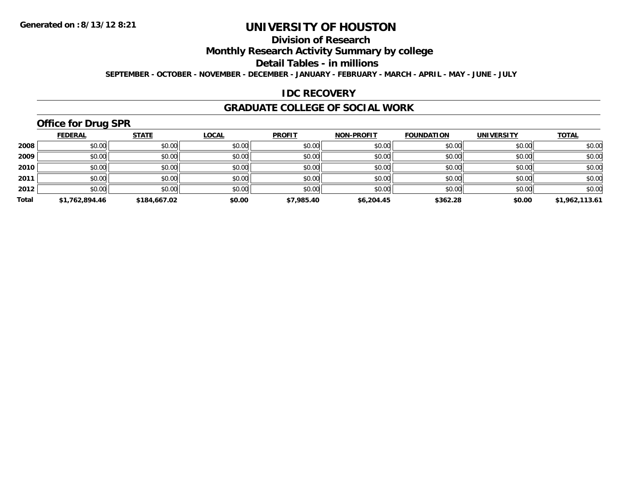## **Division of Research**

**Monthly Research Activity Summary by college**

**Detail Tables - in millions**

**SEPTEMBER - OCTOBER - NOVEMBER - DECEMBER - JANUARY - FEBRUARY - MARCH - APRIL - MAY - JUNE - JULY**

### **IDC RECOVERY**

#### **GRADUATE COLLEGE OF SOCIAL WORK**

## **Office for Drug SPR**

|       | <b>FEDERAL</b> | <b>STATE</b> | <b>LOCAL</b> | <b>PROFIT</b> | <b>NON-PROFIT</b> | <b>FOUNDATION</b> | <b>UNIVERSITY</b> | <b>TOTAL</b>   |
|-------|----------------|--------------|--------------|---------------|-------------------|-------------------|-------------------|----------------|
| 2008  | \$0.00         | \$0.00       | \$0.00       | \$0.00        | \$0.00            | \$0.00            | \$0.00            | \$0.00         |
| 2009  | \$0.00         | \$0.00       | \$0.00       | \$0.00        | \$0.00            | \$0.00            | \$0.00            | \$0.00         |
| 2010  | \$0.00         | \$0.00       | \$0.00       | \$0.00        | \$0.00            | \$0.00            | \$0.00            | \$0.00         |
| 2011  | \$0.00         | \$0.00       | \$0.00       | \$0.00        | \$0.00            | \$0.00            | \$0.00            | \$0.00         |
| 2012  | \$0.00         | \$0.00       | \$0.00       | \$0.00        | \$0.00            | \$0.00            | \$0.00            | \$0.00         |
| Total | \$1,762,894.46 | \$184,667.02 | \$0.00       | \$7,985.40    | \$6,204.45        | \$362.28          | \$0.00            | \$1,962,113.61 |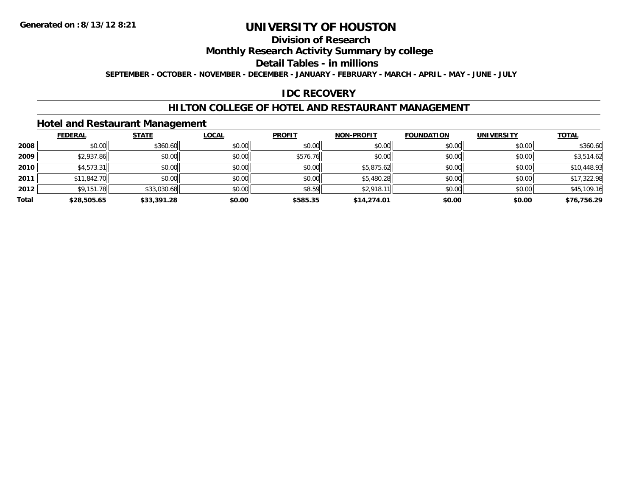## **Division of Research**

**Monthly Research Activity Summary by college**

**Detail Tables - in millions**

**SEPTEMBER - OCTOBER - NOVEMBER - DECEMBER - JANUARY - FEBRUARY - MARCH - APRIL - MAY - JUNE - JULY**

### **IDC RECOVERY**

### **HILTON COLLEGE OF HOTEL AND RESTAURANT MANAGEMENT**

### **Hotel and Restaurant Management**

|       | <b>FEDERAL</b> | <b>STATE</b> | <b>LOCAL</b> | <b>PROFIT</b> | <b>NON-PROFIT</b> | <b>FOUNDATION</b> | <b>UNIVERSITY</b> | <b>TOTAL</b> |
|-------|----------------|--------------|--------------|---------------|-------------------|-------------------|-------------------|--------------|
| 2008  | \$0.00         | \$360.60     | \$0.00       | \$0.00        | \$0.00            | \$0.00            | \$0.00            | \$360.60     |
| 2009  | \$2,937.86     | \$0.00       | \$0.00       | \$576.76      | \$0.00            | \$0.00            | \$0.00            | \$3,514.62   |
| 2010  | \$4,573.31     | \$0.00       | \$0.00       | \$0.00        | \$5,875.62        | \$0.00            | \$0.00            | \$10,448.93  |
| 2011  | \$11,842.70    | \$0.00       | \$0.00       | \$0.00        | \$5,480.28        | \$0.00            | \$0.00            | \$17,322.98  |
| 2012  | \$9,151.78     | \$33,030.68  | \$0.00       | \$8.59        | \$2,918.11        | \$0.00            | \$0.00            | \$45,109.16  |
| Total | \$28,505.65    | \$33,391.28  | \$0.00       | \$585.35      | \$14,274.01       | \$0.00            | \$0.00            | \$76,756.29  |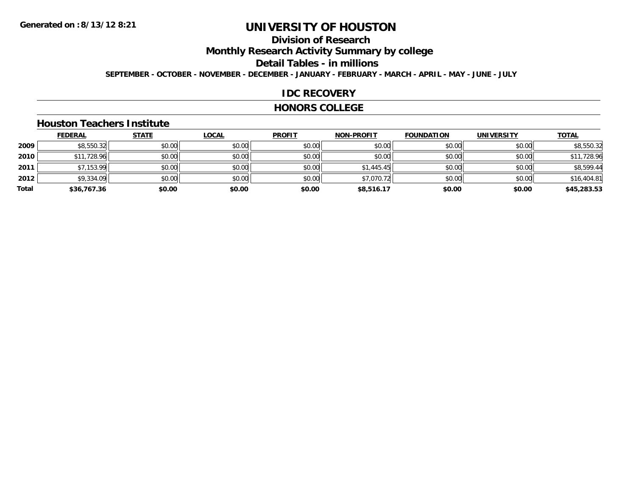### **Division of Research**

**Monthly Research Activity Summary by college**

**Detail Tables - in millions**

**SEPTEMBER - OCTOBER - NOVEMBER - DECEMBER - JANUARY - FEBRUARY - MARCH - APRIL - MAY - JUNE - JULY**

### **IDC RECOVERY**

#### **HONORS COLLEGE**

#### **Houston Teachers Institute**

|       | <b>FEDERAL</b> | <b>STATE</b> | <b>LOCAL</b> | <b>PROFIT</b> | <b>NON-PROFIT</b> | <b>FOUNDATION</b> | <b>UNIVERSITY</b> | <b>TOTAL</b> |
|-------|----------------|--------------|--------------|---------------|-------------------|-------------------|-------------------|--------------|
| 2009  | \$8,550.32     | \$0.00       | \$0.00       | \$0.00        | \$0.00            | \$0.00            | \$0.00            | \$8,550.32   |
| 2010  | \$11,728.96    | \$0.00       | \$0.00       | \$0.00        | \$0.00            | \$0.00            | \$0.00            | \$11,728.96  |
| 2011  | \$7,153.99     | \$0.00       | \$0.00       | \$0.00        | \$1,445.45        | \$0.00            | \$0.00            | \$8,599.44   |
| 2012  | \$9,334.09     | \$0.00       | \$0.00       | \$0.00        | \$7,070.72        | \$0.00            | \$0.00            | \$16,404.81  |
| Total | \$36,767.36    | \$0.00       | \$0.00       | \$0.00        | \$8,516.17        | \$0.00            | \$0.00            | \$45,283.53  |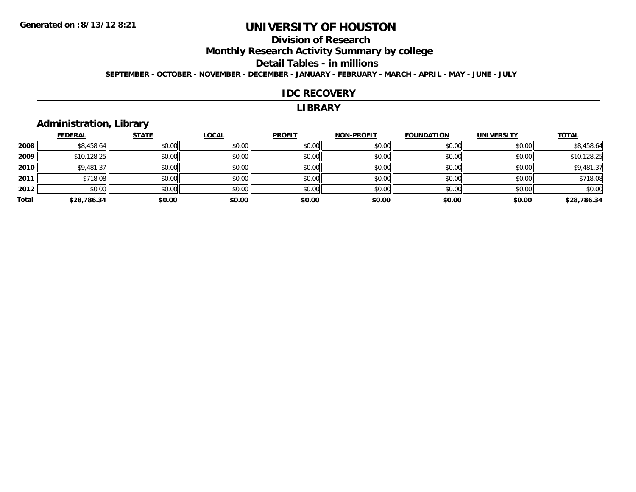### **Division of Research**

**Monthly Research Activity Summary by college**

**Detail Tables - in millions**

**SEPTEMBER - OCTOBER - NOVEMBER - DECEMBER - JANUARY - FEBRUARY - MARCH - APRIL - MAY - JUNE - JULY**

#### **IDC RECOVERY**

#### **LIBRARY**

### **Administration, Library**

|       | <b>FEDERAL</b> | <b>STATE</b> | <b>LOCAL</b> | <b>PROFIT</b> | <b>NON-PROFIT</b> | <b>FOUNDATION</b> | <b>UNIVERSITY</b> | <b>TOTAL</b> |
|-------|----------------|--------------|--------------|---------------|-------------------|-------------------|-------------------|--------------|
| 2008  | \$8,458.64     | \$0.00       | \$0.00       | \$0.00        | \$0.00            | \$0.00            | \$0.00            | \$8,458.64   |
| 2009  | \$10,128.25    | \$0.00       | \$0.00       | \$0.00        | \$0.00            | \$0.00            | \$0.00            | \$10,128.25  |
| 2010  | \$9,481.37     | \$0.00       | \$0.00       | \$0.00        | \$0.00            | \$0.00            | \$0.00            | \$9,481.37   |
| 2011  | \$718.08       | \$0.00       | \$0.00       | \$0.00        | \$0.00            | \$0.00            | \$0.00            | \$718.08     |
| 2012  | \$0.00         | \$0.00       | \$0.00       | \$0.00        | \$0.00            | \$0.00            | \$0.00            | \$0.00       |
| Total | \$28,786.34    | \$0.00       | \$0.00       | \$0.00        | \$0.00            | \$0.00            | \$0.00            | \$28,786.34  |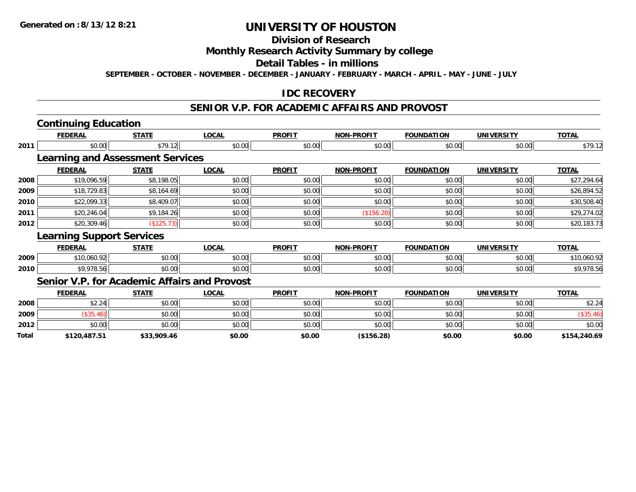### **Division of Research**

#### **Monthly Research Activity Summary by college**

#### **Detail Tables - in millions**

**SEPTEMBER - OCTOBER - NOVEMBER - DECEMBER - JANUARY - FEBRUARY - MARCH - APRIL - MAY - JUNE - JULY**

#### **IDC RECOVERY**

## **SENIOR V.P. FOR ACADEMIC AFFAIRS AND PROVOST**

# **Continuing Education**

|       | <b>FEDERAL</b>                               | <b>STATE</b> | <b>LOCAL</b> | <b>PROFIT</b> | <b>NON-PROFIT</b> | <b>FOUNDATION</b> | <b>UNIVERSITY</b> | <b>TOTAL</b> |
|-------|----------------------------------------------|--------------|--------------|---------------|-------------------|-------------------|-------------------|--------------|
| 2011  | \$0.00                                       | \$79.12      | \$0.00       | \$0.00        | \$0.00            | \$0.00            | \$0.00            | \$79.12      |
|       | <b>Learning and Assessment Services</b>      |              |              |               |                   |                   |                   |              |
|       | <b>FEDERAL</b>                               | <b>STATE</b> | <b>LOCAL</b> | <b>PROFIT</b> | <b>NON-PROFIT</b> | <b>FOUNDATION</b> | <b>UNIVERSITY</b> | <b>TOTAL</b> |
| 2008  | \$19,096.59                                  | \$8,198.05   | \$0.00       | \$0.00        | \$0.00            | \$0.00            | \$0.00            | \$27,294.64  |
| 2009  | \$18,729.83                                  | \$8,164.69   | \$0.00       | \$0.00        | \$0.00            | \$0.00            | \$0.00            | \$26,894.52  |
| 2010  | \$22,099.33                                  | \$8,409.07   | \$0.00       | \$0.00        | \$0.00            | \$0.00            | \$0.00            | \$30,508.40  |
| 2011  | \$20,246.04                                  | \$9,184.26   | \$0.00       | \$0.00        | (\$156.28)        | \$0.00            | \$0.00            | \$29,274.02  |
| 2012  | \$20,309.46                                  | (\$125.73)   | \$0.00       | \$0.00        | \$0.00            | \$0.00            | \$0.00            | \$20,183.73  |
|       | <b>Learning Support Services</b>             |              |              |               |                   |                   |                   |              |
|       | <b>FEDERAL</b>                               | <b>STATE</b> | <b>LOCAL</b> | <b>PROFIT</b> | <b>NON-PROFIT</b> | <b>FOUNDATION</b> | <b>UNIVERSITY</b> | <u>TOTAL</u> |
| 2009  | \$10,060.92                                  | \$0.00       | \$0.00       | \$0.00        | \$0.00            | \$0.00            | \$0.00            | \$10,060.92  |
| 2010  | \$9,978.56                                   | \$0.00       | \$0.00       | \$0.00        | \$0.00            | \$0.00            | \$0.00            | \$9,978.56   |
|       | Senior V.P. for Academic Affairs and Provost |              |              |               |                   |                   |                   |              |
|       | <b>FEDERAL</b>                               | <b>STATE</b> | <b>LOCAL</b> | <b>PROFIT</b> | <b>NON-PROFIT</b> | <b>FOUNDATION</b> | <b>UNIVERSITY</b> | <b>TOTAL</b> |
| 2008  | \$2.24                                       | \$0.00       | \$0.00       | \$0.00        | \$0.00            | \$0.00            | \$0.00            | \$2.24       |
| 2009  | (\$35.46)                                    | \$0.00       | \$0.00       | \$0.00        | \$0.00            | \$0.00            | \$0.00            | (\$35.46)    |
| 2012  | \$0.00                                       | \$0.00       | \$0.00       | \$0.00        | \$0.00            | \$0.00            | \$0.00            | \$0.00       |
| Total | \$120.487.51                                 | \$33,909.46  | \$0.00       | \$0.00        | (\$156.28)        | \$0.00            | \$0.00            | \$154,240.69 |

**\$120,487.51 \$33,909.46 \$0.00 \$0.00 (\$156.28) \$0.00 \$0.00 \$154,240.69**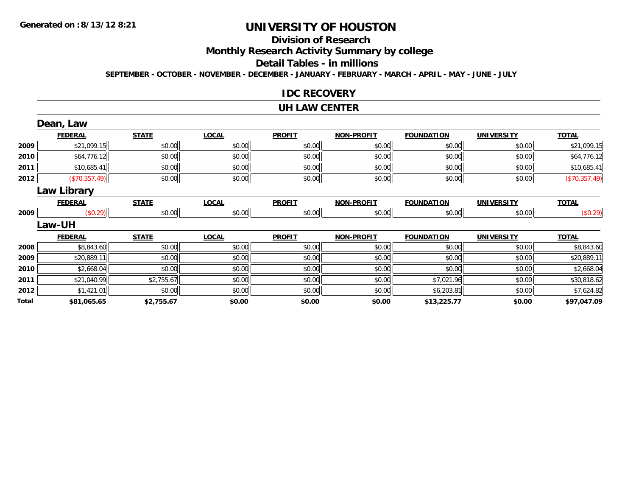## **Division of Research**

**Monthly Research Activity Summary by college**

**Detail Tables - in millions**

**SEPTEMBER - OCTOBER - NOVEMBER - DECEMBER - JANUARY - FEBRUARY - MARCH - APRIL - MAY - JUNE - JULY**

#### **IDC RECOVERY**

#### **UH LAW CENTER**

|       | Dean, Law      |              |              |               |                   |                   |                   |               |
|-------|----------------|--------------|--------------|---------------|-------------------|-------------------|-------------------|---------------|
|       | <b>FEDERAL</b> | <b>STATE</b> | <b>LOCAL</b> | <b>PROFIT</b> | <b>NON-PROFIT</b> | <b>FOUNDATION</b> | <b>UNIVERSITY</b> | <b>TOTAL</b>  |
| 2009  | \$21,099.15    | \$0.00       | \$0.00       | \$0.00        | \$0.00            | \$0.00            | \$0.00            | \$21,099.15   |
| 2010  | \$64,776.12    | \$0.00       | \$0.00       | \$0.00        | \$0.00            | \$0.00            | \$0.00            | \$64,776.12   |
| 2011  | \$10,685.41    | \$0.00       | \$0.00       | \$0.00        | \$0.00            | \$0.00            | \$0.00            | \$10,685.41   |
| 2012  | (\$70,357.49)  | \$0.00       | \$0.00       | \$0.00        | \$0.00            | \$0.00            | \$0.00            | (\$70,357.49) |
|       | Law Library    |              |              |               |                   |                   |                   |               |
|       | <b>FEDERAL</b> | <b>STATE</b> | <b>LOCAL</b> | <b>PROFIT</b> | <b>NON-PROFIT</b> | <b>FOUNDATION</b> | <b>UNIVERSITY</b> | <b>TOTAL</b>  |
| 2009  | (\$0.29)       | \$0.00       | \$0.00       | \$0.00        | \$0.00            | \$0.00            | \$0.00            | (\$0.29)      |
|       | <b>Law-UH</b>  |              |              |               |                   |                   |                   |               |
|       | <b>FEDERAL</b> | <b>STATE</b> | <b>LOCAL</b> | <b>PROFIT</b> | <b>NON-PROFIT</b> | <b>FOUNDATION</b> | <b>UNIVERSITY</b> | <b>TOTAL</b>  |
| 2008  | \$8,843.60     | \$0.00       | \$0.00       | \$0.00        | \$0.00            | \$0.00            | \$0.00            | \$8,843.60    |
| 2009  | \$20,889.11    | \$0.00       | \$0.00       | \$0.00        | \$0.00            | \$0.00            | \$0.00            | \$20,889.11   |
| 2010  | \$2,668.04     | \$0.00       | \$0.00       | \$0.00        | \$0.00            | \$0.00            | \$0.00            | \$2,668.04    |
| 2011  | \$21,040.99    | \$2,755.67   | \$0.00       | \$0.00        | \$0.00            | \$7,021.96        | \$0.00            | \$30,818.62   |
| 2012  | \$1,421.01     | \$0.00       | \$0.00       | \$0.00        | \$0.00            | \$6,203.81        | \$0.00            | \$7,624.82    |
| Total | \$81,065.65    | \$2,755.67   | \$0.00       | \$0.00        | \$0.00            | \$13,225.77       | \$0.00            | \$97,047.09   |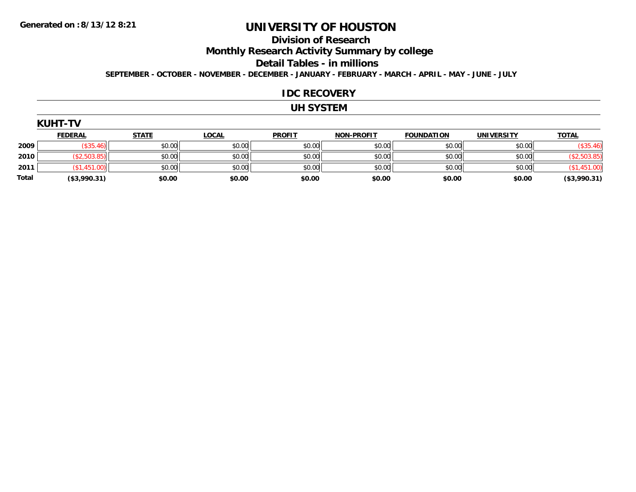### **Division of Research**

**Monthly Research Activity Summary by college**

**Detail Tables - in millions**

**SEPTEMBER - OCTOBER - NOVEMBER - DECEMBER - JANUARY - FEBRUARY - MARCH - APRIL - MAY - JUNE - JULY**

#### **IDC RECOVERY**

### **UH SYSTEM**

| (UH<br>ı- |  |
|-----------|--|
|-----------|--|

|              | <b>FEDERAL</b> | <b>STATE</b> | <b>LOCAL</b> | <b>PROFIT</b> | <b>NON-PROFIT</b> | <b>FOUNDATION</b> | UNIVERSITY | <b>TOTAL</b> |
|--------------|----------------|--------------|--------------|---------------|-------------------|-------------------|------------|--------------|
| 2009         |                | \$0.00       | \$0.00       | \$0.00        | \$0.00            | \$0.00            | \$0.00     | \$35.46      |
| 2010         | ا (503.85)     | \$0.00       | \$0.00       | \$0.00        | \$0.00            | \$0.00            | \$0.00     |              |
| 2011         |                | \$0.00       | \$0.00       | \$0.00        | \$0.00            | \$0.00            | \$0.00     |              |
| <b>Total</b> | (\$3,990.31)   | \$0.00       | \$0.00       | \$0.00        | \$0.00            | \$0.00            | \$0.00     | (\$3,990.31) |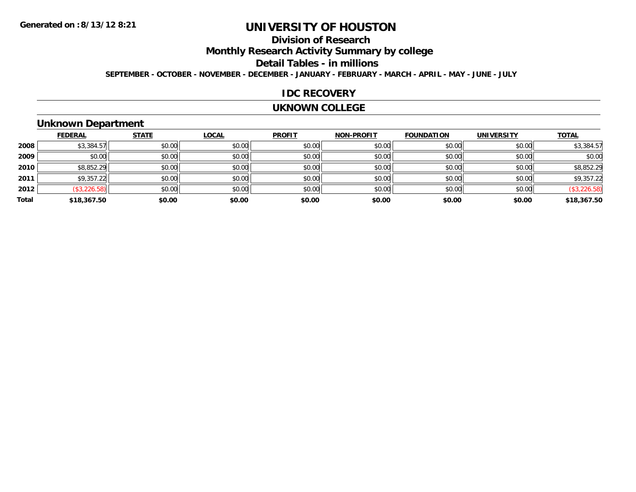### **Division of Research**

**Monthly Research Activity Summary by college**

**Detail Tables - in millions**

**SEPTEMBER - OCTOBER - NOVEMBER - DECEMBER - JANUARY - FEBRUARY - MARCH - APRIL - MAY - JUNE - JULY**

#### **IDC RECOVERY**

#### **UKNOWN COLLEGE**

## **Unknown Department**

|       | <b>FEDERAL</b> | <b>STATE</b> | <b>LOCAL</b> | <b>PROFIT</b> | <b>NON-PROFIT</b> | <b>FOUNDATION</b> | <b>UNIVERSITY</b> | <b>TOTAL</b> |
|-------|----------------|--------------|--------------|---------------|-------------------|-------------------|-------------------|--------------|
| 2008  | \$3,384.57     | \$0.00       | \$0.00       | \$0.00        | \$0.00            | \$0.00            | \$0.00            | \$3,384.57   |
| 2009  | \$0.00         | \$0.00       | \$0.00       | \$0.00        | \$0.00            | \$0.00            | \$0.00            | \$0.00       |
| 2010  | \$8,852.29     | \$0.00       | \$0.00       | \$0.00        | \$0.00            | \$0.00            | \$0.00            | \$8,852.29   |
| 2011  | \$9,357.22     | \$0.00       | \$0.00       | \$0.00        | \$0.00            | \$0.00            | \$0.00            | \$9,357.22   |
| 2012  | (\$3,226.58)   | \$0.00       | \$0.00       | \$0.00        | \$0.00            | \$0.00            | \$0.00            | (\$3,226.58) |
| Total | \$18,367.50    | \$0.00       | \$0.00       | \$0.00        | \$0.00            | \$0.00            | \$0.00            | \$18,367.50  |